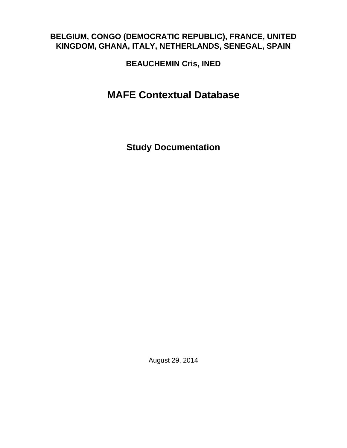### **BELGIUM, CONGO (DEMOCRATIC REPUBLIC), FRANCE, UNITED KINGDOM, GHANA, ITALY, NETHERLANDS, SENEGAL, SPAIN**

**BEAUCHEMIN Cris, INED**

# **MAFE Contextual Database**

**Study Documentation**

August 29, 2014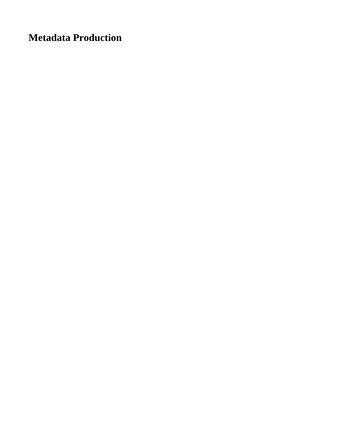**Metadata Production**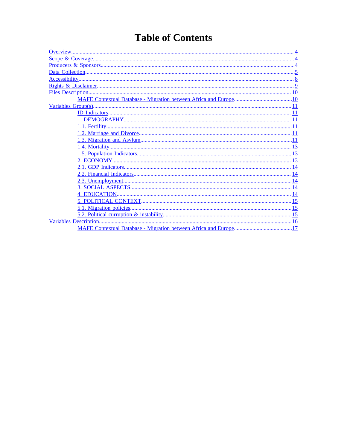# **Table of Contents**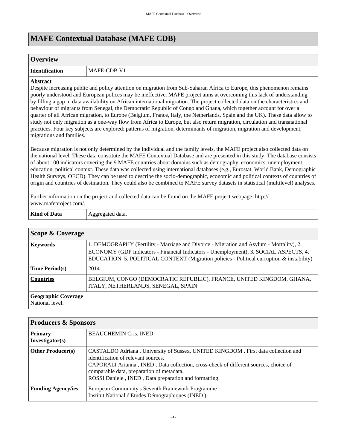### **MAFE Contextual Database (MAFE CDB)**

#### <span id="page-3-0"></span>**Overview**

**Identification** MAFE-CDB.V1

#### **Abstract**

Despite increasing public and policy attention on migration from Sub-Saharan Africa to Europe, this phenomenon remains poorly understood and European polices may be ineffective. MAFE project aims at overcoming this lack of understanding by filling a gap in data availability on African international migration. The project collected data on the characteristics and behaviour of migrants from Senegal, the Democratic Republic of Congo and Ghana, which together account for over a quarter of all African migration, to Europe (Belgium, France, Italy, the Netherlands, Spain and the UK). These data allow to study not only migration as a one-way flow from Africa to Europe, but also return migration, circulation and transnational practices. Four key subjects are explored: patterns of migration, determinants of migration, migration and development, migrations and families.

Because migration is not only determined by the individual and the family levels, the MAFE project also collected data on the national level. These data constitute the MAFE Contextual Database and are presented in this study. The database consists of about 100 indicators covering the 9 MAFE countries about domains such as demography, economics, unemployment, education, political context. These data was collected using international databases (e.g., Eurostat, World Bank, Demographic Health Surveys, OECD). They can be used to describe the socio-demographic, economic and political contexts of countries of origin and countries of destination. They could also be combined to MAFE survey datasets in statistical (multilevel) analyses.

Further information on the project and collected data can be found on the MAFE project webpage: http:// www.mafeproject.com/.

| - 文字 - | .      |
|--------|--------|
|        | $-$    |
|        | $\sim$ |
|        |        |

<span id="page-3-1"></span>

| Scope & Coverage                              |                                                                                                                                                                                                                                                                               |  |  |  |  |  |
|-----------------------------------------------|-------------------------------------------------------------------------------------------------------------------------------------------------------------------------------------------------------------------------------------------------------------------------------|--|--|--|--|--|
| <b>Keywords</b>                               | 1. DEMOGRAPHY (Fertility - Marriage and Divorce - Migration and Asylum - Mortality), 2.<br>ECONOMY (GDP Indicators - Financial Indicators - Unemployment), 3. SOCIAL ASPECTS, 4.<br>EDUCATION, 5. POLITICAL CONTEXT (Migration policies - Political curruption & instability) |  |  |  |  |  |
| <b>Time Period(s)</b>                         | 2014                                                                                                                                                                                                                                                                          |  |  |  |  |  |
| <b>Countries</b>                              | BELGIUM, CONGO (DEMOCRATIC REPUBLIC), FRANCE, UNITED KINGDOM, GHANA,<br>ITALY, NETHERLANDS, SENEGAL, SPAIN                                                                                                                                                                    |  |  |  |  |  |
| <b>Geographic Coverage</b><br>National level. |                                                                                                                                                                                                                                                                               |  |  |  |  |  |

<span id="page-3-2"></span>

| <b>Producers &amp; Sponsors</b>   |                                                                                                                                                                                                                                                                                                                        |  |  |  |  |  |
|-----------------------------------|------------------------------------------------------------------------------------------------------------------------------------------------------------------------------------------------------------------------------------------------------------------------------------------------------------------------|--|--|--|--|--|
| <b>Primary</b><br>Investigator(s) | <b>BEAUCHEMIN Cris, INED</b>                                                                                                                                                                                                                                                                                           |  |  |  |  |  |
| <b>Other Producer(s)</b>          | CASTALDO Adriana, University of Sussex, UNITED KINGDOM, First data collection and<br>identification of relevant sources.<br>CAPORALI Arianna, INED, Data collection, cross-check of different sources, choice of<br>comparable data, preparation of metadata.<br>ROSSI Daniele, INED, Data preparation and formatting. |  |  |  |  |  |
| <b>Funding Agency/ies</b>         | European Community's Seventh Framework Programme<br>Institut National d'Etudes Démographiques (INED)                                                                                                                                                                                                                   |  |  |  |  |  |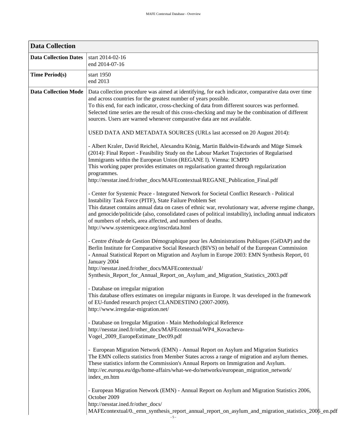<span id="page-4-0"></span>

| <b>Data Collection</b>       |                                                                                                                                                                                                                                                                                                                                                                                                                                                                                                                                                                                                                                                                                                                                                                                                                                                                                                                                                                                                                                                                                                                                                                                                                                                                                                                                                                                                                                                                                                                                                                                                                                                                                                                                                                                                                                                                                                                                                                                                                                                                                                                                                                                                                                                                                                                                                                                                                                                                                                                                                                                                                                                                                                                                                                                                                                                                                                                |
|------------------------------|----------------------------------------------------------------------------------------------------------------------------------------------------------------------------------------------------------------------------------------------------------------------------------------------------------------------------------------------------------------------------------------------------------------------------------------------------------------------------------------------------------------------------------------------------------------------------------------------------------------------------------------------------------------------------------------------------------------------------------------------------------------------------------------------------------------------------------------------------------------------------------------------------------------------------------------------------------------------------------------------------------------------------------------------------------------------------------------------------------------------------------------------------------------------------------------------------------------------------------------------------------------------------------------------------------------------------------------------------------------------------------------------------------------------------------------------------------------------------------------------------------------------------------------------------------------------------------------------------------------------------------------------------------------------------------------------------------------------------------------------------------------------------------------------------------------------------------------------------------------------------------------------------------------------------------------------------------------------------------------------------------------------------------------------------------------------------------------------------------------------------------------------------------------------------------------------------------------------------------------------------------------------------------------------------------------------------------------------------------------------------------------------------------------------------------------------------------------------------------------------------------------------------------------------------------------------------------------------------------------------------------------------------------------------------------------------------------------------------------------------------------------------------------------------------------------------------------------------------------------------------------------------------------------|
| <b>Data Collection Dates</b> | start 2014-02-16<br>end 2014-07-16                                                                                                                                                                                                                                                                                                                                                                                                                                                                                                                                                                                                                                                                                                                                                                                                                                                                                                                                                                                                                                                                                                                                                                                                                                                                                                                                                                                                                                                                                                                                                                                                                                                                                                                                                                                                                                                                                                                                                                                                                                                                                                                                                                                                                                                                                                                                                                                                                                                                                                                                                                                                                                                                                                                                                                                                                                                                             |
| <b>Time Period(s)</b>        | start 1950<br>end 2013                                                                                                                                                                                                                                                                                                                                                                                                                                                                                                                                                                                                                                                                                                                                                                                                                                                                                                                                                                                                                                                                                                                                                                                                                                                                                                                                                                                                                                                                                                                                                                                                                                                                                                                                                                                                                                                                                                                                                                                                                                                                                                                                                                                                                                                                                                                                                                                                                                                                                                                                                                                                                                                                                                                                                                                                                                                                                         |
| <b>Data Collection Mode</b>  | Data collection procedure was aimed at identifying, for each indicator, comparative data over time<br>and across countries for the greatest number of years possible.<br>To this end, for each indicator, cross-checking of data from different sources was performed.<br>Selected time series are the result of this cross-checking and may be the combination of different<br>sources. Users are warned whenever comparative data are not available.<br>USED DATA AND METADATA SOURCES (URLs last accessed on 20 August 2014):<br>- Albert Kraler, David Reichel, Alexandra König, Martin Baldwin-Edwards and Müge Simsek<br>(2014): Final Report - Feasibility Study on the Labour Market Trajectories of Regularised<br>Immigrants within the European Union (REGANE I). Vienna: ICMPD<br>This working paper provides estimates on regularisation granted through regularization<br>programmes.<br>http://nesstar.ined.fr/other_docs/MAFEcontextual/REGANE_Publication_Final.pdf<br>- Center for Systemic Peace - Integrated Network for Societal Conflict Research - Political<br>Instability Task Force (PITF), State Failure Problem Set<br>This dataset contains annual data on cases of ethnic war, revolutionary war, adverse regime change,<br>and genocide/politicide (also, consolidated cases of political instability), including annual indicators<br>of numbers of rebels, area affected, and numbers of deaths.<br>http://www.systemicpeace.org/inscrdata.html<br>- Centre d'étude de Gestion Démographique pour les Administrations Publiques (GéDAP) and the<br>Berlin Institute for Comparative Social Research (BIVS) on behalf of the European Commission<br>- Annual Statistical Report on Migration and Asylum in Europe 2003: EMN Synthesis Report, 01<br>January 2004<br>http://nesstar.ined.fr/other_docs/MAFEcontextual/<br>Synthesis_Report_for_Annual_Report_on_Asylum_and_Migration_Statistics_2003.pdf<br>- Database on irregular migration<br>This database offers estimates on irregular migrants in Europe. It was developed in the framework<br>of EU-funded research project CLANDESTINO (2007-2009).<br>http://www.irregular-migration.net/<br>- Database on Irregular Migration - Main Methodological Reference<br>http://nesstar.ined.fr/other_docs/MAFEcontextual/WP4_Kovacheva-<br>Vogel_2009_EuropeEstimate_Dec09.pdf<br>- European Migration Network (EMN) - Annual Report on Asylum and Migration Statistics<br>The EMN collects statistics from Member States across a range of migration and asylum themes.<br>These statistics inform the Commission's Annual Reports on Immigration and Asylum.<br>http://ec.europa.eu/dgs/home-affairs/what-we-do/networks/european_migration_network/<br>index_en.htm<br>- European Migration Network (EMN) - Annual Report on Asylum and Migration Statistics 2006,<br>October 2009<br>http://nesstar.ined.fr/other_docs/ |
|                              | MAFEcontextual/0._emn_synthesis_report_annual_report_on_asylum_and_migration_statistics_2006_en.pdf<br>$-5 -$                                                                                                                                                                                                                                                                                                                                                                                                                                                                                                                                                                                                                                                                                                                                                                                                                                                                                                                                                                                                                                                                                                                                                                                                                                                                                                                                                                                                                                                                                                                                                                                                                                                                                                                                                                                                                                                                                                                                                                                                                                                                                                                                                                                                                                                                                                                                                                                                                                                                                                                                                                                                                                                                                                                                                                                                  |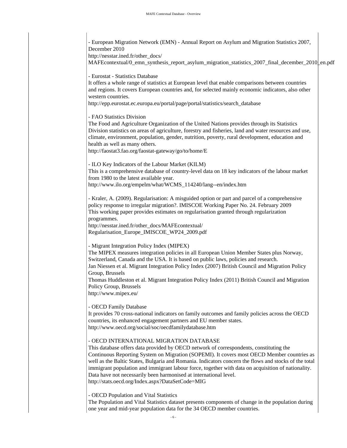- European Migration Network (EMN) - Annual Report on Asylum and Migration Statistics 2007, December 2010

http://nesstar.ined.fr/other\_docs/

[MAFEcontextual/0\\_emn\\_synthesis\\_report\\_asylum\\_migration\\_statistics\\_2007\\_final\\_december\\_2010\\_en.pdf](http://nesstar.ined.fr/other_docs/MAFEcontextual/0_emn_synthesis_report_asylum_migration_statistics_2007_final_december_2010_en.pdf)

- Eurostat - Statistics Database

It offers a whole range of statistics at European level that enable comparisons between countries and regions. It covers European countries and, for selected mainly economic indicators, also other western countries.

http://epp.eurostat.ec.europa.eu/portal/page/portal/statistics/search\_database

- FAO Statistics Division

The Food and Agriculture Organization of the United Nations provides through its Statistics Division statistics on areas of agriculture, forestry and fisheries, land and water resources and use, climate, environment, population, gender, nutrition, poverty, rural development, education and health as well as many others.

http://faostat3.fao.org/faostat-gateway/go/to/home/E

- ILO Key Indicators of the Labour Market (KILM)

This is a comprehensive database of country-level data on 18 key indicators of the labour market from 1980 to the latest available year.

http://www.ilo.org/empelm/what/WCMS\_114240/lang--en/index.htm

- Kraler, A. (2009). Regularisation: A misguided option or part and parcel of a comprehensive policy response to irregular migration?. IMISCOE Working Paper No. 24. February 2009 This working paper provides estimates on regularisation granted through regularization programmes.

http://nesstar.ined.fr/other\_docs/MAFEcontextual/ [Regularisation\\_Europe\\_IMISCOE\\_WP24\\_2009.pdf](http://nesstar.ined.fr/other_docs/MAFEcontextual/Regularisation_Europe_IMISCOE_WP24_2009.pdf)

- Migrant Integration Policy Index (MIPEX)

The MIPEX measures integration policies in all European Union Member States plus Norway, Switzerland, Canada and the USA. It is based on public laws, policies and research. Jan Niessen et al. Migrant Integration Policy Index (2007) British Council and Migration Policy Group, Brussels Thomas Huddleston et al. Migrant Integration Policy Index (2011) British Council and Migration Policy Group, Brussels

http://www.mipex.eu/

- OECD Family Database

It provides 70 cross-national indicators on family outcomes and family policies across the OECD countries, its enhanced engagement partners and EU member states. http://www.oecd.org/social/soc/oecdfamilydatabase.htm

- OECD INTERNATIONAL MIGRATION DATABASE

This database offers data provided by OECD network of correspondents, constituting the Continuous Reporting System on Migration (SOPEMI). It covers most OECD Member countries as well as the Baltic States, Bulgaria and Romania. Indicators concern the flows and stocks of the total immigrant population and immigrant labour force, together with data on acquisition of nationality. Data have not necessarily been harmonised at international level. http://stats.oecd.org/Index.aspx?DataSetCode=MIG

- OECD Population and Vital Statistics

The Population and Vital Statistics dataset presents components of change in the population during one year and mid-year population data for the 34 OECD member countries.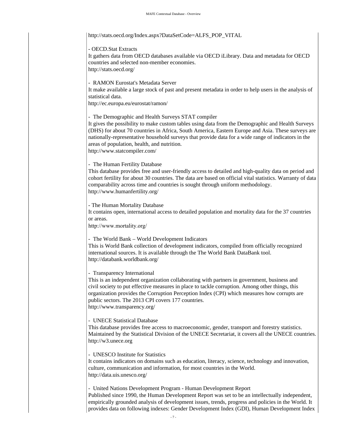http://stats.oecd.org/Index.aspx?DataSetCode=ALFS\_POP\_VITAL

- OECD.Stat Extracts

It gathers data from OECD databases available via OECD iLibrary. Data and metadata for OECD countries and selected non-member economies. http://stats.oecd.org/

- RAMON Eurostat's Metadata Server

It make available a large stock of past and present metadata in order to help users in the analysis of statistical data.

http://ec.europa.eu/eurostat/ramon/

- The Demographic and Health Surveys STAT compiler

It gives the possibility to make custom tables using data from the Demographic and Health Surveys (DHS) for about 70 countries in Africa, South America, Eastern Europe and Asia. These surveys are nationally-representative household surveys that provide data for a wide range of indicators in the areas of population, health, and nutrition. http://www.statcompiler.com/

- The Human Fertility Database

This database provides free and user-friendly access to detailed and high-quality data on period and cohort fertility for about 30 countries. The data are based on official vital statistics. Warranty of data comparability across time and countries is sought through uniform methodology. http://www.humanfertility.org/

- The Human Mortality Database

It contains open, international access to detailed population and mortality data for the 37 countries or areas.

http://www.mortality.org/

- The World Bank – World Development Indicators

This is World Bank collection of development indicators, compiled from officially recognized international sources. It is available through the The World Bank DataBank tool. http://databank.worldbank.org/

- Transparency International

This is an independent organization collaborating with partners in government, business and civil society to put effective measures in place to tackle corruption. Among other things, this organization provides the Corruption Perception Index (CPI) which measures how corrupts are public sectors. The 2013 CPI covers 177 countries. http://www.transparency.org/

#### - UNECE Statistical Database

This database provides free access to macroeconomic, gender, transport and forestry statistics. Maintained by the Statistical Division of the UNECE Secretariat, it covers all the UNECE countries. http://w3.unece.org

- UNESCO Institute for Statistics

It contains indicators on domains such as education, literacy, science, technology and innovation, culture, communication and information, for most countries in the World. http://data.uis.unesco.org/

- United Nations Development Program - Human Development Report

Published since 1990, the Human Development Report was set to be an intellectually independent, empirically grounded analysis of development issues, trends, progress and policies in the World. It provides data on following indexes: Gender Development Index (GDI), Human Development Index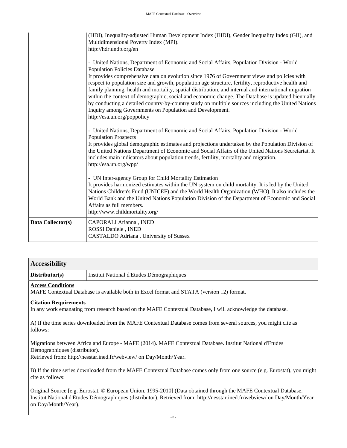|                   | (HDI), Inequality-adjusted Human Development Index (IHDI), Gender Inequality Index (GII), and<br>Multidimensional Poverty Index (MPI).<br>http://hdr.undp.org/en<br>- United Nations, Department of Economic and Social Affairs, Population Division - World<br><b>Population Policies Database</b><br>It provides comprehensive data on evolution since 1976 of Government views and policies with<br>respect to population size and growth, population age structure, fertility, reproductive health and<br>family planning, health and mortality, spatial distribution, and internal and international migration<br>within the context of demographic, social and economic change. The Database is updated biennially<br>by conducting a detailed country-by-country study on multiple sources including the United Nations<br>Inquiry among Governments on Population and Development.<br>http://esa.un.org/poppolicy |
|-------------------|---------------------------------------------------------------------------------------------------------------------------------------------------------------------------------------------------------------------------------------------------------------------------------------------------------------------------------------------------------------------------------------------------------------------------------------------------------------------------------------------------------------------------------------------------------------------------------------------------------------------------------------------------------------------------------------------------------------------------------------------------------------------------------------------------------------------------------------------------------------------------------------------------------------------------|
|                   | - United Nations, Department of Economic and Social Affairs, Population Division - World<br><b>Population Prospects</b><br>It provides global demographic estimates and projections undertaken by the Population Division of<br>the United Nations Department of Economic and Social Affairs of the United Nations Secretariat. It<br>includes main indicators about population trends, fertility, mortality and migration.                                                                                                                                                                                                                                                                                                                                                                                                                                                                                               |
|                   | http://esa.un.org/wpp/<br>- UN Inter-agency Group for Child Mortality Estimation<br>It provides harmonized estimates within the UN system on child mortality. It is led by the United<br>Nations Children's Fund (UNICEF) and the World Health Organization (WHO). It also includes the<br>World Bank and the United Nations Population Division of the Department of Economic and Social<br>Affairs as full members.<br>http://www.childmortality.org/                                                                                                                                                                                                                                                                                                                                                                                                                                                                   |
| Data Collector(s) | CAPORALI Arianna, INED<br>ROSSI Daniele, INED<br>CASTALDO Adriana, University of Sussex                                                                                                                                                                                                                                                                                                                                                                                                                                                                                                                                                                                                                                                                                                                                                                                                                                   |

<span id="page-7-0"></span>

| <b>Accessibility</b>     |                                                                                           |
|--------------------------|-------------------------------------------------------------------------------------------|
| Distributor(s)           | Institut National d'Etudes Démographiques                                                 |
| <b>Access Conditions</b> | MAFE Contextual Database is available both in Excel format and STATA (version 12) format. |

#### **Citation Requirements**

In any work emanating from research based on the MAFE Contextual Database, I will acknowledge the database.

A) If the time series downloaded from the MAFE Contextual Database comes from several sources, you might cite as follows:

Migrations between Africa and Europe - MAFE (2014). MAFE Contextual Database. Institut National d'Etudes Démographiques (distributor).

Retrieved from: http://nesstar.ined.fr/webview/ on Day/Month/Year.

B) If the time series downloaded from the MAFE Contextual Database comes only from one source (e.g. Eurostat), you might cite as follows:

Original Source [e.g. Eurostat, © European Union, 1995-2010] (Data obtained through the MAFE Contextual Database. Institut National d'Etudes Démographiques (distributor). Retrieved from: http://nesstar.ined.fr/webview/ on Day/Month/Year on Day/Month/Year).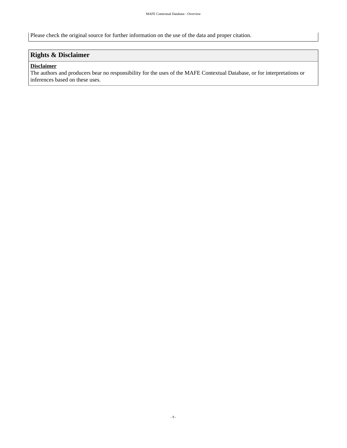Please check the original source for further information on the use of the data and proper citation.

### <span id="page-8-0"></span>**Rights & Disclaimer**

#### **Disclaimer**

The authors and producers bear no responsibility for the uses of the MAFE Contextual Database, or for interpretations or inferences based on these uses.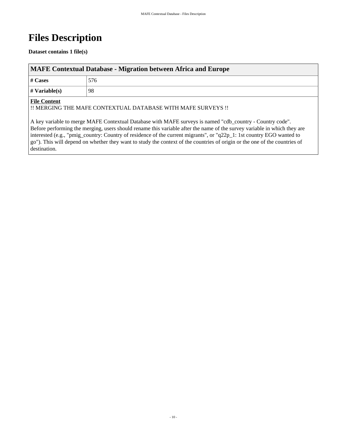# <span id="page-9-0"></span>**Files Description**

#### **Dataset contains 1 file(s)**

<span id="page-9-1"></span>

| <b>MAFE Contextual Database - Migration between Africa and Europe</b> |     |  |  |  |  |  |
|-----------------------------------------------------------------------|-----|--|--|--|--|--|
| $# \, \text{Cases}$                                                   | 576 |  |  |  |  |  |
| $\#$ Variable(s)<br>98                                                |     |  |  |  |  |  |
| $\blacksquare$ $\blacksquare$ $\blacksquare$                          |     |  |  |  |  |  |

#### **File Content**

!! MERGING THE MAFE CONTEXTUAL DATABASE WITH MAFE SURVEYS !!

A key variable to merge MAFE Contextual Database with MAFE surveys is named "cdb\_country - Country code". Before performing the merging, users should rename this variable after the name of the survey variable in which they are interested (e.g., "pmig\_country: Country of residence of the current migrants", or "q22p\_1: 1st country EGO wanted to go"). This will depend on whether they want to study the context of the countries of origin or the one of the countries of destination.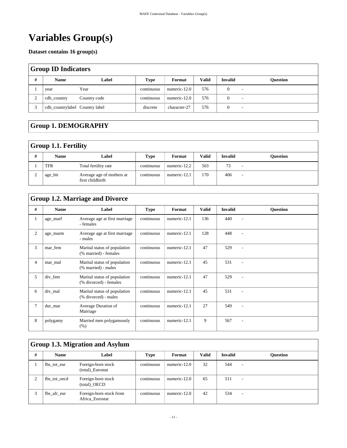# <span id="page-10-0"></span>**Variables Group(s)**

**Dataset contains 16 group(s)**

<span id="page-10-1"></span>

| <b>Group ID Indicators</b> |                                  |              |             |              |              |                |                          |  |
|----------------------------|----------------------------------|--------------|-------------|--------------|--------------|----------------|--------------------------|--|
| #                          | <b>Name</b>                      | Label        | <b>Type</b> | Format       | <b>Valid</b> | <b>Invalid</b> | <b>Ouestion</b>          |  |
|                            | year                             | Year         | continuous  | numeric-12.0 | 576          |                |                          |  |
| ∠                          | cdb_country                      | Country code | continuous  | numeric-12.0 | 576          |                |                          |  |
|                            | cdb_countrylabel   Country label |              | discrete    | character-27 | 576          |                | $\overline{\phantom{a}}$ |  |

### <span id="page-10-2"></span>**Group 1. DEMOGRAPHY**

#### <span id="page-10-3"></span>**Group 1.1. Fertility**

| # | <b>Name</b> | Label                                         | Type       | Format       | <b>Valid</b> | <b>Invalid</b> | Ouestion |  |  |
|---|-------------|-----------------------------------------------|------------|--------------|--------------|----------------|----------|--|--|
|   | <b>TFR</b>  | Total fertility rate                          | continuous | numeric-12.2 | 503          | 73             |          |  |  |
|   | age_bir     | Average age of mothers at<br>first childbirth | continuous | numeric-12.1 | 170          | 406            |          |  |  |

### <span id="page-10-4"></span>**Group 1.2. Marriage and Divorce**

| # | <b>Name</b> | Label                                                  | <b>Type</b> | Format       | Valid | <b>Invalid</b> | <b>Ouestion</b> |
|---|-------------|--------------------------------------------------------|-------------|--------------|-------|----------------|-----------------|
|   | age_marf    | Average age at first marriage<br>- females             | continuous  | numeric-12.1 | 136   | 440            |                 |
| 2 | age_marm    | Average age at first marriage<br>- males               | continuous  | numeric-12.1 | 128   | 448            |                 |
| 3 | mar_fem     | Marital status of population<br>(% married) - females  | continuous  | numeric-12.1 | 47    | 529            |                 |
| 4 | mar mal     | Marital status of population<br>(% married) - males    | continuous  | numeric-12.1 | 45    | 531            |                 |
| 5 | div fem     | Marital status of population<br>(% divorced) - females | continuous  | numeric-12.1 | 47    | 529            |                 |
| 6 | div_mal     | Marital status of population<br>(% divorced) - males   | continuous  | numeric-12.1 | 45    | 531            | ۰               |
| 7 | dur_mar     | Average Duration of<br>Marriage                        | continuous  | numeric-12.1 | 27    | 549            |                 |
| 8 | polygamy    | Married men polygamously<br>(% )                       | continuous  | numeric-12.1 | 9     | 567            |                 |

### <span id="page-10-5"></span>**Group 1.3. Migration and Asylum**

| # | <b>Name</b>  | Label                                      | <b>Type</b> | Format       | <b>Valid</b> | <b>Invalid</b> | <b>Ouestion</b>          |
|---|--------------|--------------------------------------------|-------------|--------------|--------------|----------------|--------------------------|
|   | fbs tot eur  | Foreign-born stock<br>(total)_Eurostat     | continuous  | numeric-12.0 | 32           | 544            | ٠                        |
|   | fbs tot oecd | Foreign-born stock<br>(total) OECD         | continuous  | numeric-12.0 | 65           | 511            | $\overline{\phantom{a}}$ |
|   | fbs afr eur  | Foreign-born stock from<br>Africa Eurostat | continuous  | numeric-12.0 | 42           | 534            | -                        |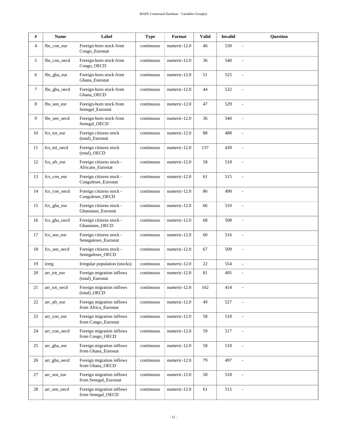| #  | Name         | Label                                              | <b>Type</b> | Format       | <b>Valid</b> | <b>Invalid</b> | <b>Question</b> |
|----|--------------|----------------------------------------------------|-------------|--------------|--------------|----------------|-----------------|
| 4  | fbs_con_eur  | Foreign-born stock from<br>Congo_Eurostat          | continuous  | numeric-12.0 | 46           | 530            | $\overline{a}$  |
| 5  | fbs con oecd | Foreign-born stock from<br>Congo_OECD              | continuous  | numeric-12.0 | 36           | 540            |                 |
| 6  | fbs_gha_eur  | Foreign-born stock from<br>Ghana_Eurostat          | continuous  | numeric-12.0 | 51           | 525            |                 |
| 7  | fbs_gha_oecd | Foreign-born stock from<br>Ghana_OECD              | continuous  | numeric-12.0 | 44           | 532            |                 |
| 8  | fbs_sen_eur  | Foreign-born stock from<br>Senegal_Eurostat        | continuous  | numeric-12.0 | 47           | 529            | $\overline{a}$  |
| 9  | fbs_sen_oecd | Foreign-born stock from<br>Senegal_OECD            | continuous  | numeric-12.0 | 36           | 540            | $\overline{a}$  |
| 10 | fcs_tot_eur  | Foreign citizens stock<br>(total)_Eurostat         | continuous  | numeric-12.0 | 88           | 488            |                 |
| 11 | fcs_tot_oecd | Foreign citizens stock<br>(total)_OECD             | continuous  | numeric-12.0 | 137          | 439            | $\overline{a}$  |
| 12 | fcs_afr_eur  | Foreign citizens stock -<br>Africans_Eurostat      | continuous  | numeric-12.0 | 58           | 518            | $\overline{a}$  |
| 13 | fcs_con_eur  | Foreign citizens stock -<br>Congoleses_Eurostat    | continuous  | numeric-12.0 | 61           | 515            |                 |
| 14 | fcs_con_oecd | Foreign citizens stock -<br>Congoleses_OECD        | continuous  | numeric-12.0 | 86           | 490            | $\overline{a}$  |
| 15 | fcs_gha_eur  | Foreign citizens stock -<br>Ghanaians_Eurostat     | continuous  | numeric-12.0 | 66           | 510            | $\overline{a}$  |
| 16 | fcs_gha_oecd | Foreign citizens stock -<br>Ghanaians_OECD         | continuous  | numeric-12.0 | 68           | 508            | $\overline{a}$  |
| 17 | fcs_sen_eur  | Foreign citizens stock -<br>Senegaleses_Eurostat   | continuous  | numeric-12.0 | 60           | 516            |                 |
| 18 | fcs_sen_oecd | Foreign citizens stock -<br>Senegaleses_OECD       | continuous  | numeric-12.0 | 67           | 509            | $\overline{a}$  |
| 19 | irreg        | Irregular population (stocks)                      | continuous  | numeric-12.0 | 22           | 554            | $\overline{a}$  |
| 20 | arr_tot_eur  | Foreign migration inflows<br>(total)_Eurostat      | continuous  | numeric-12.0 | 81           | 495            | $\frac{1}{2}$   |
| 21 | arr_tot_oecd | Foreign migration inflows<br>(total)_OECD          | continuous  | numeric-12.0 | 162          | 414            |                 |
| 22 | arr_afr_eur  | Foreign migration inflows<br>from Africa_Eurostat  | continuous  | numeric-12.0 | 49           | 527            |                 |
| 23 | arr_con_eur  | Foreign migration inflows<br>from Congo Eurostat   | continuous  | numeric-12.0 | 58           | 518            |                 |
| 24 | arr_con_oecd | Foreign migration inflows<br>from Congo_OECD       | continuous  | numeric-12.0 | 59           | 517            | $\overline{a}$  |
| 25 | arr_gha_eur  | Foreign migration inflows<br>from Ghana_Eurostat   | continuous  | numeric-12.0 | 58           | 518            | $\overline{a}$  |
| 26 | arr_gha_oecd | Foreign migration inflows<br>from Ghana_OECD       | continuous  | numeric-12.0 | 79           | 497            | $\overline{a}$  |
| 27 | arr_sen_eur  | Foreign migration inflows<br>from Senegal_Eurostat | continuous  | numeric-12.0 | 58           | 518            | $\frac{1}{2}$   |
| 28 | arr_sen_oecd | Foreign migration inflows<br>from Senegal_OECD     | continuous  | numeric-12.0 | 61           | 515            | $\overline{a}$  |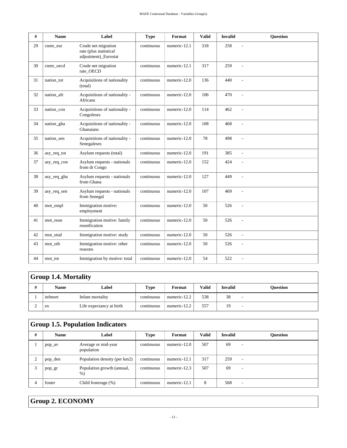| #  | <b>Name</b> | Label                                                                 | <b>Type</b> | Format       | <b>Valid</b> | <b>Invalid</b> | <b>Ouestion</b> |
|----|-------------|-----------------------------------------------------------------------|-------------|--------------|--------------|----------------|-----------------|
| 29 | cnmr_eur    | Crude net migration<br>rate (plus statistical<br>adjustment)_Eurostat | continuous  | numeric-12.1 | 318          | 258            | $\overline{a}$  |
| 30 | cnmr_oecd   | Crude net migration<br>rate_OECD                                      | continuous  | numeric-12.1 | 317          | 259            |                 |
| 31 | nation tot  | Acquisitions of nationality<br>(total)                                | continuous  | numeric-12.0 | 136          | 440            | $\overline{a}$  |
| 32 | nation_afr  | Acquisitions of nationality -<br><b>Africans</b>                      | continuous  | numeric-12.0 | 106          | 470            | $\overline{a}$  |
| 33 | nation_con  | Acquisitions of nationality -<br>Congoleses                           | continuous  | numeric-12.0 | 114          | 462            | $\overline{a}$  |
| 34 | nation_gha  | Acquisitions of nationality -<br>Ghanaians                            | continuous  | numeric-12.0 | 108          | 468            | $\overline{a}$  |
| 35 | nation_sen  | Acquisitions of nationality -<br>Senegaleses                          | continuous  | numeric-12.0 | 78           | 498            | $\overline{a}$  |
| 36 | asy_req_tot | Asylum requests (total)                                               | continuous  | numeric-12.0 | 191          | 385            | $\overline{a}$  |
| 37 | asy_req_con | Asylum requests - nationals<br>from dr Congo                          | continuous  | numeric-12.0 | 152          | 424            | $\overline{a}$  |
| 38 | asy_req_gha | Asylum requests - nationals<br>from Ghana                             | continuous  | numeric-12.0 | 127          | 449            |                 |
| 39 | asy_req_sen | Asylum requests - nationals<br>from Senegal                           | continuous  | numeric-12.0 | 107          | 469            | $\overline{a}$  |
| 40 | mot_empl    | Immigration motive:<br>employment                                     | continuous  | numeric-12.0 | 50           | 526            | $\overline{a}$  |
| 41 | mot_reun    | Immigration motive: family<br>reunification                           | continuous  | numeric-12.0 | 50           | 526            |                 |
| 42 | mot stud    | Immigration motive: study                                             | continuous  | numeric-12.0 | 50           | 526            | $\overline{a}$  |
| 43 | mot_oth     | Immigration motive: other<br>reasons                                  | continuous  | numeric-12.0 | 50           | 526            | $\overline{a}$  |
| 44 | mot_tot     | Immigration by motive: total                                          | continuous  | numeric-12.0 | 54           | 522            |                 |

### <span id="page-12-0"></span>**Group 1.4. Mortality**

| # | <b>Name</b> | Label                    | <b>Type</b> | Format       | <b>Valid</b> | <b>Invalid</b> | Ouestion |
|---|-------------|--------------------------|-------------|--------------|--------------|----------------|----------|
|   | infmort     | Infant mortality         | continuous  | numeric-12.2 | 538          | 38             |          |
|   | ex          | Life expectancy at birth | continuous  | numeric-12.2 | 557          | 19             |          |

## <span id="page-12-1"></span>**Group 1.5. Population Indicators**

| # | <b>Name</b> | Label                               | <b>Type</b> | Format       | Valid | <b>Invalid</b> | <b>Ouestion</b> |
|---|-------------|-------------------------------------|-------------|--------------|-------|----------------|-----------------|
|   | pop_av      | Average or mid-year<br>population   | continuous  | numeric-12.0 | 507   | 69             |                 |
|   | pop_den     | Population density (per km2)        | continuous  | numeric-12.1 | 317   | 259            | ۰               |
| 2 | pop_gr      | Population growth (annual,<br>$%$ ) | continuous  | numeric-12.3 | 507   | 69             | ۰               |
|   | foster      | Child fosterage (%)                 | continuous  | numeric-12.1 | 8     | 568            |                 |

### <span id="page-12-2"></span>**Group 2. ECONOMY**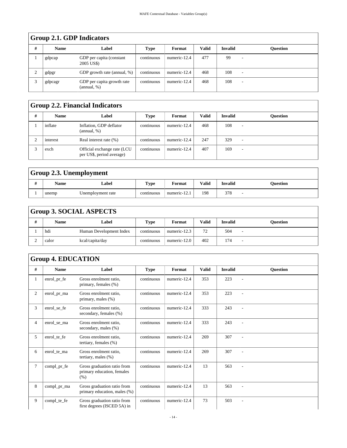|   | Group 2.1. GDP Indicators |                                           |            |              |       |                |                 |  |  |  |  |
|---|---------------------------|-------------------------------------------|------------|--------------|-------|----------------|-----------------|--|--|--|--|
| # | <b>Name</b>               | Label                                     | Type       | Format       | Valid | <b>Invalid</b> | <b>Ouestion</b> |  |  |  |  |
|   | gdpcap                    | GDP per capita (constant)<br>2005 US\$)   | continuous | numeric-12.4 | 477   | 99             |                 |  |  |  |  |
|   | gdpgr                     | GDP growth rate (annual, %)               | continuous | numeric-12.4 | 468   | 108            | -               |  |  |  |  |
| ⌒ | gdpcagr                   | GDP per capita growth rate<br>(annual, %) | continuous | numeric-12.4 | 468   | 108            |                 |  |  |  |  |

## <span id="page-13-0"></span> $G_{\text{mean}}$  2.1. GDP Indi

#### <span id="page-13-1"></span>**Group 2.2. Financial Indicators**

| # | <b>Name</b> | Label                                                    | Type       | Format       | Valid | <b>Invalid</b> | Ouestion |
|---|-------------|----------------------------------------------------------|------------|--------------|-------|----------------|----------|
|   | inflate     | Inflation, GDP deflator<br>(annual, %)                   | continuous | numeric-12.4 | 468   | 108            |          |
|   | interest    | Real interest rate (%)                                   | continuous | numeric-12.4 | 247   | 329            |          |
|   | exch        | Official exchange rate (LCU<br>per US\$, period average) | continuous | numeric-12.4 | 407   | 169            |          |

## <span id="page-13-2"></span>**Group 2.3. Unemployment**

| Name  | Label             | <b>Type</b> | †ormat                | <b>Valid</b> | <b>Invalid</b>    | Ouestion |
|-------|-------------------|-------------|-----------------------|--------------|-------------------|----------|
| unemp | Unemployment rate | continuous  | $\sim$<br>numeric-12. | 198          | 27c<br><u>JIO</u> |          |

### <span id="page-13-3"></span>**Group 3. SOCIAL ASPECTS**

| <b>Name</b> | Label                   | <b>Type</b> | Format       | <b>Valid</b> | <b>Invalid</b> | Ouestion |
|-------------|-------------------------|-------------|--------------|--------------|----------------|----------|
| hdi         | Human Development Index | continuous  | numeric-12.3 | 72<br>ے ،    | 504            |          |
| calor       | kcal/capita/day         | continuous  | numeric-12.0 | 402          | 174            |          |

### <span id="page-13-4"></span>**Group 4. EDUCATION**

| #              | <b>Name</b> | Label                                                             | Type       | Format       | <b>Valid</b> | <b>Invalid</b> | <b>Ouestion</b>          |
|----------------|-------------|-------------------------------------------------------------------|------------|--------------|--------------|----------------|--------------------------|
| 1              | enrol_pr_fe | Gross enrolment ratio,<br>primary, females (%)                    | continuous | numeric-12.4 | 353          | 223            |                          |
| $\overline{2}$ | enrol_pr_ma | Gross enrolment ratio,<br>primary, males (%)                      | continuous | numeric-12.4 | 353          | 223            |                          |
| 3              | enrol_se_fe | Gross enrolment ratio.<br>secondary, females (%)                  | continuous | numeric-12.4 | 333          | 243            |                          |
| $\overline{4}$ | enrol_se_ma | Gross enrolment ratio,<br>secondary, males (%)                    | continuous | numeric-12.4 | 333          | 243            |                          |
| 5              | enrol_te_fe | Gross enrolment ratio.<br>tertiary, females (%)                   | continuous | numeric-12.4 | 269          | 307            |                          |
| 6              | enrol te ma | Gross enrolment ratio,<br>tertiary, males $(\%)$                  | continuous | numeric-12.4 | 269          | 307            |                          |
| $\overline{7}$ | compl_pr_fe | Gross graduation ratio from<br>primary education, females<br>(% ) | continuous | numeric-12.4 | 13           | 563            | $\overline{\phantom{a}}$ |
| 8              | compl_pr_ma | Gross graduation ratio from<br>primary education, males (%)       | continuous | numeric-12.4 | 13           | 563            | $\overline{\phantom{a}}$ |
| 9              | compl_te_fe | Gross graduation ratio from<br>first degrees (ISCED 5A) in        | continuous | numeric-12.4 | 73           | 503            | $\overline{\phantom{0}}$ |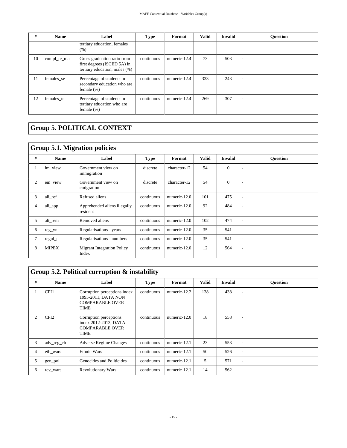| #  | <b>Name</b> | Label                                                                                       | <b>Type</b> | Format       | <b>Valid</b> | <b>Invalid</b> | <b>Ouestion</b>          |
|----|-------------|---------------------------------------------------------------------------------------------|-------------|--------------|--------------|----------------|--------------------------|
|    |             | tertiary education, females<br>(% )                                                         |             |              |              |                |                          |
| 10 | compl_te_ma | Gross graduation ratio from<br>first degrees (ISCED 5A) in<br>tertiary education, males (%) | continuous  | numeric-12.4 | 73           | 503            | $\overline{\phantom{a}}$ |
| 11 | females se  | Percentage of students in<br>secondary education who are<br>female $(\%)$                   | continuous  | numeric-12.4 | 333          | 243            | $\overline{\phantom{a}}$ |
| 12 | females te  | Percentage of students in<br>tertiary education who are<br>female $(\%)$                    | continuous  | numeric-12.4 | 269          | 307            |                          |

## <span id="page-14-0"></span>**Group 5. POLITICAL CONTEXT**

#### <span id="page-14-1"></span>**Group 5.1. Migration policies**

|              | $\frac{1}{2}$ |                                            |             |              |              |                |                 |  |  |  |  |
|--------------|---------------|--------------------------------------------|-------------|--------------|--------------|----------------|-----------------|--|--|--|--|
| #            | <b>Name</b>   | Label                                      | <b>Type</b> | Format       | <b>Valid</b> | <b>Invalid</b> | <b>Ouestion</b> |  |  |  |  |
| $\mathbf{I}$ | im_view       | Government view on<br>immigration          | discrete    | character-12 | 54           | $\Omega$       |                 |  |  |  |  |
| 2            | em_view       | Government view on<br>emigration           | discrete    | character-12 | 54           | $\Omega$       | ۰               |  |  |  |  |
| 3            | ali ref       | Refused aliens                             | continuous  | numeric-12.0 | 101          | 475            | ۰               |  |  |  |  |
| 4            | ali_app       | Apprehended aliens illegally<br>resident   | continuous  | numeric-12.0 | 92           | 484            |                 |  |  |  |  |
| 5            | ali rem       | Removed aliens                             | continuous  | numeric-12.0 | 102          | 474            |                 |  |  |  |  |
| 6            | reg_yn        | Regularisations - years                    | continuous  | numeric-12.0 | 35           | 541            |                 |  |  |  |  |
|              | regul_n       | Regularisations - numbers                  | continuous  | numeric-12.0 | 35           | 541            | ٠               |  |  |  |  |
| 8            | <b>MIPEX</b>  | <b>Migrant Integration Policy</b><br>Index | continuous  | numeric-12.0 | 12           | 564            | ۰               |  |  |  |  |

### <span id="page-14-2"></span>**Group 5.2. Political curruption & instability**

| # | <b>Name</b>      | Label                                                                                        | <b>Type</b> | Format       | <b>Valid</b> | <b>Invalid</b> | <b>Ouestion</b> |
|---|------------------|----------------------------------------------------------------------------------------------|-------------|--------------|--------------|----------------|-----------------|
|   | CPI1             | Corruption perceptions index<br>1995-2011, DATA NON<br><b>COMPARABLE OVER</b><br><b>TIME</b> | continuous  | numeric-12.2 | 138          | 438            |                 |
| 2 | CPI <sub>2</sub> | Corruption perceptions<br>index 2012-2013, DATA<br><b>COMPARABLE OVER</b><br><b>TIME</b>     | continuous  | numeric-12.0 | 18           | 558            |                 |
| 3 | adv_reg_ch       | <b>Adverse Regime Changes</b>                                                                | continuous  | numeric-12.1 | 23           | 553            | ۰               |
| 4 | eth wars         | <b>Ethnic Wars</b>                                                                           | continuous  | numeric-12.1 | 50           | 526            |                 |
| 5 | gen_pol          | Genocides and Politicides                                                                    | continuous  | numeric-12.1 | 5            | 571            | ۰               |
| 6 | rev_wars         | <b>Revolutionary Wars</b>                                                                    | continuous  | numeric-12.1 | 14           | 562            |                 |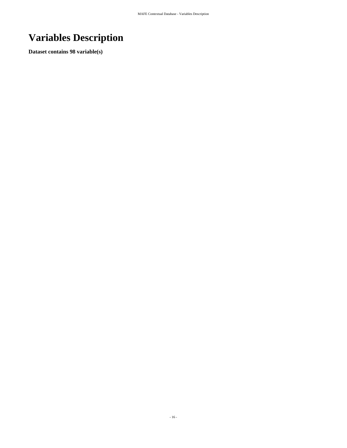# <span id="page-15-0"></span>**Variables Description**

**Dataset contains 98 variable(s)**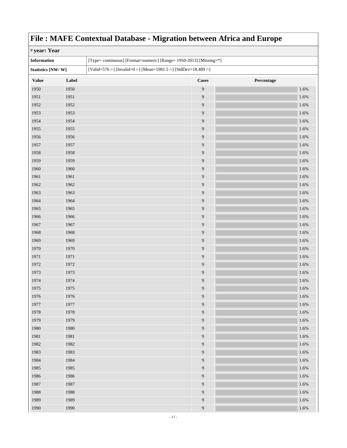<span id="page-16-0"></span>

| ັ<br># year: Year  |       |  |                                                                    |            |  |
|--------------------|-------|--|--------------------------------------------------------------------|------------|--|
| <b>Information</b> |       |  | [Type= continuous] [Format=numeric] [Range= 1950-2013] [Missing=*] |            |  |
| Statistics [NW/W]  |       |  | [Valid=576 /-] [Invalid=0 /-] [Mean=1981.5 /-] [StdDev=18.489 /-]  |            |  |
| <b>Value</b>       | Label |  | <b>Cases</b>                                                       | Percentage |  |
| 1950               | 1950  |  | $\overline{9}$                                                     | 1.6%       |  |
| 1951               | 1951  |  | $\overline{9}$                                                     | 1.6%       |  |
| 1952               | 1952  |  | $\overline{9}$                                                     | 1.6%       |  |
| 1953               | 1953  |  | $\overline{9}$                                                     | 1.6%       |  |
| 1954               | 1954  |  | $\overline{9}$                                                     | 1.6%       |  |
| 1955               | 1955  |  | $\overline{9}$                                                     | 1.6%       |  |
| 1956               | 1956  |  | $\mathbf{9}$                                                       | 1.6%       |  |
| 1957               | 1957  |  | $\overline{9}$                                                     | 1.6%       |  |
| 1958               | 1958  |  | $\overline{9}$                                                     | 1.6%       |  |
| 1959               | 1959  |  | $\overline{9}$                                                     | 1.6%       |  |
| 1960               | 1960  |  | $\overline{9}$                                                     | 1.6%       |  |
| 1961               | 1961  |  | $\overline{9}$                                                     | 1.6%       |  |
| 1962               | 1962  |  | $\overline{9}$                                                     | 1.6%       |  |
| 1963               | 1963  |  | $\overline{9}$                                                     | 1.6%       |  |
| 1964               | 1964  |  | $\overline{9}$                                                     | 1.6%       |  |
| 1965               | 1965  |  | $\overline{9}$                                                     | 1.6%       |  |
| 1966               | 1966  |  | $\overline{9}$                                                     | 1.6%       |  |
| 1967               | 1967  |  | $\boldsymbol{9}$                                                   | 1.6%       |  |
| 1968               | 1968  |  | $\overline{9}$                                                     | 1.6%       |  |
| 1969               | 1969  |  | $\overline{9}$                                                     | 1.6%       |  |
| 1970               | 1970  |  | $\overline{9}$                                                     | 1.6%       |  |
| 1971               | 1971  |  | 9                                                                  | 1.6%       |  |
| 1972               | 1972  |  | $\overline{9}$                                                     | 1.6%       |  |
| 1973               | 1973  |  | $\overline{9}$                                                     | 1.6%       |  |
| 1974               | 1974  |  | 9                                                                  | 1.6%       |  |
| 1975               | 1975  |  | $\overline{9}$                                                     | 1.6%       |  |
| 1976               | 1976  |  | $\boldsymbol{9}$                                                   | 1.6%       |  |
| 1977               | 1977  |  | $\overline{9}$                                                     | 1.6%       |  |
| 1978               | 1978  |  | $\overline{9}$                                                     | 1.6%       |  |
| 1979               | 1979  |  | $\overline{9}$                                                     | 1.6%       |  |
| 1980               | 1980  |  | $\overline{9}$                                                     | 1.6%       |  |
| 1981               | 1981  |  | $\overline{9}$                                                     | 1.6%       |  |
| 1982               | 1982  |  | $\boldsymbol{9}$                                                   | 1.6%       |  |
| 1983               | 1983  |  | $\overline{9}$                                                     | 1.6%       |  |
| 1984               | 1984  |  | $\overline{9}$                                                     | 1.6%       |  |
| 1985               | 1985  |  | $\overline{9}$                                                     | 1.6%       |  |
| 1986               | 1986  |  | $\overline{9}$                                                     | 1.6%       |  |
| 1987               | 1987  |  | $\overline{9}$                                                     | 1.6%       |  |
| 1988               | 1988  |  | $\overline{9}$                                                     | 1.6%       |  |
| 1989               | 1989  |  | $\overline{9}$                                                     | 1.6%       |  |
| 1990               | 1990  |  | $\overline{9}$                                                     | 1.6%       |  |
|                    |       |  |                                                                    |            |  |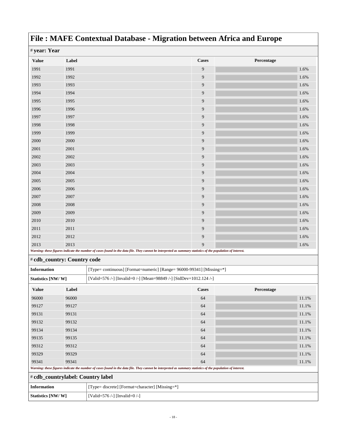| # year: Year       |                             |                                                                    |                                                                                                                                                             |            |
|--------------------|-----------------------------|--------------------------------------------------------------------|-------------------------------------------------------------------------------------------------------------------------------------------------------------|------------|
| <b>Value</b>       | Label                       |                                                                    | <b>Cases</b>                                                                                                                                                | Percentage |
| 1991               | 1991                        |                                                                    | 9                                                                                                                                                           | 1.6%       |
| 1992               | 1992                        |                                                                    | 9                                                                                                                                                           | 1.6%       |
| 1993               | 1993                        |                                                                    | 9                                                                                                                                                           | 1.6%       |
| 1994               | 1994                        |                                                                    | 9                                                                                                                                                           | 1.6%       |
| 1995               | 1995                        |                                                                    | 9                                                                                                                                                           | 1.6%       |
| 1996               | 1996                        |                                                                    | 9                                                                                                                                                           | 1.6%       |
| 1997               | 1997                        |                                                                    | 9                                                                                                                                                           | 1.6%       |
| 1998               | 1998                        |                                                                    | 9                                                                                                                                                           | 1.6%       |
| 1999               | 1999                        |                                                                    | 9                                                                                                                                                           | 1.6%       |
| 2000               | 2000                        |                                                                    | 9                                                                                                                                                           | 1.6%       |
| 2001               | 2001                        |                                                                    | 9                                                                                                                                                           | 1.6%       |
| 2002               | 2002                        |                                                                    | 9                                                                                                                                                           | 1.6%       |
| 2003               | 2003                        |                                                                    | 9                                                                                                                                                           | 1.6%       |
| 2004               | 2004                        |                                                                    | 9                                                                                                                                                           | 1.6%       |
| 2005               | 2005                        |                                                                    | 9                                                                                                                                                           | 1.6%       |
| 2006               | 2006                        |                                                                    | 9                                                                                                                                                           | 1.6%       |
| 2007               | 2007                        |                                                                    | 9                                                                                                                                                           | 1.6%       |
| 2008               | 2008                        |                                                                    | 9                                                                                                                                                           | 1.6%       |
| 2009               | 2009                        |                                                                    | 9                                                                                                                                                           | 1.6%       |
| 2010               | 2010                        |                                                                    | 9                                                                                                                                                           | 1.6%       |
| 2011               | 2011                        |                                                                    | 9                                                                                                                                                           | 1.6%       |
| 2012               | 2012                        |                                                                    | 9                                                                                                                                                           | 1.6%       |
| 2013               | 2013                        |                                                                    | 9                                                                                                                                                           | 1.6%       |
|                    |                             |                                                                    | Warning: these figures indicate the number of cases found in the data file. They cannot be interpreted as summary statistics of the population of interest. |            |
|                    | # cdb_country: Country code |                                                                    |                                                                                                                                                             |            |
| <b>Information</b> |                             |                                                                    | [Type= continuous] [Format=numeric] [Range= 96000-99341] [Missing=*]                                                                                        |            |
| Statistics [NW/W]  |                             | [Valid=576 /-] [Invalid=0 /-] [Mean=98849 /-] [StdDev=1012.124 /-] |                                                                                                                                                             |            |
| <b>Value</b>       | Label                       |                                                                    | <b>Cases</b>                                                                                                                                                | Percentage |
| 96000              | 96000                       |                                                                    | 64                                                                                                                                                          | 11.1%      |
| 99127              | 99127                       |                                                                    | 64                                                                                                                                                          | 11.1%      |
| 99131              | 99131                       |                                                                    | 64                                                                                                                                                          | 11.1%      |
| 99132              | 99132                       |                                                                    | 64                                                                                                                                                          | 11.1%      |
| 99134              | 99134                       |                                                                    | 64                                                                                                                                                          | 11.1%      |
| 99135              | 99135                       |                                                                    | 64                                                                                                                                                          | 11.1%      |
| 99312              | 99312                       |                                                                    | 64                                                                                                                                                          | 11.1%      |
| 99329              | 99329                       |                                                                    | 64                                                                                                                                                          | 11.1%      |
| 99341              | 99341                       |                                                                    | 64                                                                                                                                                          | 11.1%      |
|                    |                             |                                                                    | Warning: these figures indicate the number of cases found in the data file. They cannot be interpreted as summary statistics of the population of interest. |            |
|                    |                             | # cdb_countrylabel: Country label                                  |                                                                                                                                                             |            |
| <b>Information</b> |                             | [Type= discrete] [Format=character] [Missing=*]                    |                                                                                                                                                             |            |
| Statistics [NW/W]  |                             | [Valid=576 /-] [Invalid=0 /-]                                      |                                                                                                                                                             |            |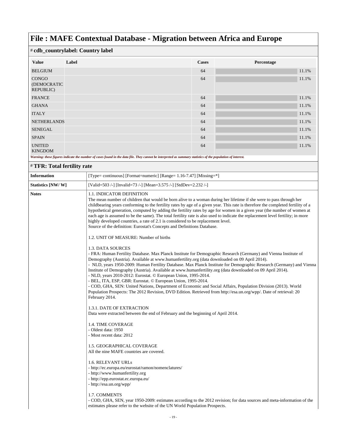| # cdb_countrylabel: Country label        |       |              |            |
|------------------------------------------|-------|--------------|------------|
| <b>Value</b>                             | Label | <b>Cases</b> | Percentage |
| <b>BELGIUM</b>                           |       | 64           | 11.1%      |
| <b>CONGO</b><br>(DEMOCRATIC<br>REPUBLIC) |       | 64           | 11.1%      |
| <b>FRANCE</b>                            |       | 64           | 11.1%      |
| <b>GHANA</b>                             |       | 64           | 11.1%      |
| <b>ITALY</b>                             |       | 64           | 11.1%      |
| <b>NETHERLANDS</b>                       |       | 64           | 11.1%      |
| <b>SENEGAL</b>                           |       | 64           | 11.1%      |
| <b>SPAIN</b>                             |       | 64           | 11.1%      |
| <b>UNITED</b><br><b>KINGDOM</b>          |       | 64           | 11.1%      |

*Warning: these figures indicate the number of cases found in the data file. They cannot be interpreted as summary statistics of the population of interest.*

#### # **TFR: Total fertility rate**

| <b>Information</b> | [Type= continuous] [Format=numeric] [Range= 1.16-7.47] [Missing=*]                                                                                                                                                                                                                                                                                                                                                                                                                                                                                                                                                                                                                                                                                                                                                                                                      |
|--------------------|-------------------------------------------------------------------------------------------------------------------------------------------------------------------------------------------------------------------------------------------------------------------------------------------------------------------------------------------------------------------------------------------------------------------------------------------------------------------------------------------------------------------------------------------------------------------------------------------------------------------------------------------------------------------------------------------------------------------------------------------------------------------------------------------------------------------------------------------------------------------------|
| Statistics [NW/W]  | [Valid=503 /-] [Invalid=73 /-] [Mean=3.575 /-] [StdDev=2.232 /-]                                                                                                                                                                                                                                                                                                                                                                                                                                                                                                                                                                                                                                                                                                                                                                                                        |
| <b>Notes</b>       | 1.1. INDICATOR DEFINITION<br>The mean number of children that would be born alive to a woman during her lifetime if she were to pass through her<br>childbearing years conforming to the fertility rates by age of a given year. This rate is therefore the completed fertility of a<br>hypothetical generation, computed by adding the fertility rates by age for women in a given year (the number of women at<br>each age is assumed to be the same). The total fertility rate is also used to indicate the replacement level fertility; in more<br>highly developed countries, a rate of 2.1 is considered to be replacement level.<br>Source of the definition: Eurostat's Concepts and Definitions Database.                                                                                                                                                      |
|                    | 1.2. UNIT OF MEASURE: Number of births                                                                                                                                                                                                                                                                                                                                                                                                                                                                                                                                                                                                                                                                                                                                                                                                                                  |
|                    | 1.3. DATA SOURCES<br>- FRA: Human Fertility Database. Max Planck Institute for Demographic Research (Germany) and Vienna Institute of<br>Demography (Austria). Available at www.humanfertility.org (data downloaded on 09 April 2014).<br>- NLD, years 1950-2009: Human Fertility Database. Max Planck Institute for Demographic Research (Germany) and Vienna<br>Institute of Demography (Austria). Available at www.humanfertility.org (data downloaded on 09 April 2014).<br>- NLD, years 2010-2012: Eurostat. © European Union, 1995-2014.<br>- BEL, ITA, ESP, GBR: Eurostat. © European Union, 1995-2014.<br>- COD, GHA, SEN: United Nations, Department of Economic and Social Affairs, Population Division (2013). World<br>Population Prospects: The 2012 Revision, DVD Edition. Retrieved from http://esa.un.org/wpp/. Date of retrieval: 20<br>February 2014. |
|                    | 1.3.1. DATE OF EXTRACTION<br>Data were extracted between the end of February and the beginning of April 2014.                                                                                                                                                                                                                                                                                                                                                                                                                                                                                                                                                                                                                                                                                                                                                           |
|                    | <b>1.4. TIME COVERAGE</b><br>- Oldest data: 1950<br>- Most recent data: 2012<br>1.5. GEOGRAPHICAL COVERAGE<br>All the nine MAFE countries are covered.                                                                                                                                                                                                                                                                                                                                                                                                                                                                                                                                                                                                                                                                                                                  |
|                    | 1.6. RELEVANT URLs<br>- http://ec.europa.eu/eurostat/ramon/nomenclatures/<br>- http://www.humanfertility.org<br>- http://epp.eurostat.ec.europa.eu/<br>- http://esa.un.org/wpp/                                                                                                                                                                                                                                                                                                                                                                                                                                                                                                                                                                                                                                                                                         |
|                    | 1.7. COMMENTS<br>- COD, GHA, SEN, year 1950-2009: estimates according to the 2012 revision; for data sources and meta-information of the<br>estimates please refer to the website of the UN World Population Prospects.                                                                                                                                                                                                                                                                                                                                                                                                                                                                                                                                                                                                                                                 |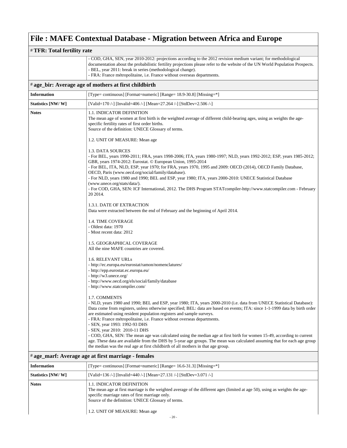| # TFR: Total fertility rate |                                                                                                                                                                                                                                                                                                                                                                                                                                                                                                                                                                                                                                                                                                                                                            |  |
|-----------------------------|------------------------------------------------------------------------------------------------------------------------------------------------------------------------------------------------------------------------------------------------------------------------------------------------------------------------------------------------------------------------------------------------------------------------------------------------------------------------------------------------------------------------------------------------------------------------------------------------------------------------------------------------------------------------------------------------------------------------------------------------------------|--|
|                             | - COD, GHA, SEN, year 2010-2012: projections according to the 2012 revision medium variant; for methodological<br>documentation about the probabilistic fertility projections please refer to the website of the UN World Population Prospects.<br>- BEL, year 2011: break in series (methodological change).<br>- FRA: France métropolitaine, i.e. France without overseas departments.                                                                                                                                                                                                                                                                                                                                                                   |  |
|                             | # age_bir: Average age of mothers at first childbirth                                                                                                                                                                                                                                                                                                                                                                                                                                                                                                                                                                                                                                                                                                      |  |
| <b>Information</b>          | [Type= continuous] [Format=numeric] [Range= 18.9-30.8] [Missing=*]                                                                                                                                                                                                                                                                                                                                                                                                                                                                                                                                                                                                                                                                                         |  |
| Statistics [NW/W]           | [Valid=170 /-] [Invalid=406 /-] [Mean=27.264 /-] [StdDev=2.506 /-]                                                                                                                                                                                                                                                                                                                                                                                                                                                                                                                                                                                                                                                                                         |  |
| <b>Notes</b>                | <b>1.1. INDICATOR DEFINITION</b><br>The mean age of women at first birth is the weighted average of different child-bearing ages, using as weights the age-<br>specific fertility rates of first order births.<br>Source of the definition: UNECE Glossary of terms.                                                                                                                                                                                                                                                                                                                                                                                                                                                                                       |  |
|                             | 1.2. UNIT OF MEASURE: Mean age                                                                                                                                                                                                                                                                                                                                                                                                                                                                                                                                                                                                                                                                                                                             |  |
|                             | 1.3. DATA SOURCES<br>- For BEL, years 1990-2011; FRA, years 1998-2006; ITA, years 1980-1997; NLD, years 1992-2012; ESP, years 1985-2012;<br>GBR, years 1974-2012: Eurostat. © European Union, 1995-2014<br>- For BEL, ITA, NLD, ESP, year 1970; for FRA, years 1970, 1995 and 2009: OECD (2014), OECD Family Database,<br>OECD, Paris (www.oecd.org/social/family/database).<br>- For NLD, years 1980 and 1990; BEL and ESP, year 1980; ITA, years 2000-2010: UNECE Statistical Database<br>(www.unece.org/stats/data/).<br>- For COD, GHA, SEN: ICF International, 2012. The DHS Program STATcompiler-http://www.statcompiler.com - February<br>20 20 14.                                                                                                 |  |
|                             | 1.3.1. DATE OF EXTRACTION                                                                                                                                                                                                                                                                                                                                                                                                                                                                                                                                                                                                                                                                                                                                  |  |
|                             | Data were extracted between the end of February and the beginning of April 2014.                                                                                                                                                                                                                                                                                                                                                                                                                                                                                                                                                                                                                                                                           |  |
|                             | 1.4. TIME COVERAGE<br>- Oldest data: 1970<br>- Most recent data: 2012                                                                                                                                                                                                                                                                                                                                                                                                                                                                                                                                                                                                                                                                                      |  |
|                             | 1.5. GEOGRAPHICAL COVERAGE<br>All the nine MAFE countries are covered.                                                                                                                                                                                                                                                                                                                                                                                                                                                                                                                                                                                                                                                                                     |  |
|                             | 1.6. RELEVANT URLs<br>- http://ec.europa.eu/eurostat/ramon/nomenclatures/<br>- http://epp.eurostat.ec.europa.eu/<br>- http://w3.unece.org/<br>- http://www.oecd.org/els/social/family/database<br>- http://www.statcompiler.com/                                                                                                                                                                                                                                                                                                                                                                                                                                                                                                                           |  |
|                             | 1.7. COMMENTS<br>- NLD, years 1980 and 1990; BEL and ESP, year 1980; ITA, years 2000-2010 (i.e. data from UNECE Statistical Database):<br>Data come from registers, unless otherwise specified; BEL: data are based on events; ITA: since 1-1-1999 data by birth order<br>are estimated using resident population registers and sample surveys.<br>- FRA: France métropolitaine, <i>i.e.</i> France without overseas departments.<br>- SEN, year 1993: 1992-93 DHS<br>- SEN, year 2010: 2010-11 DHS<br>- COD, GHA, SEN: The mean age was calculated using the median age at first birth for women 15-49, according to current<br>age. These data are available from the DHS by 5-year age groups. The mean was calculated assuming that for each age group |  |
|                             | the median was the real age at first childbirth of all mothers in that age group.<br># age_marf: Average age at first marriage - females                                                                                                                                                                                                                                                                                                                                                                                                                                                                                                                                                                                                                   |  |
|                             |                                                                                                                                                                                                                                                                                                                                                                                                                                                                                                                                                                                                                                                                                                                                                            |  |
| <b>Information</b>          | [Type= continuous] [Format=numeric] [Range= 16.6-31.3] [Missing=*]                                                                                                                                                                                                                                                                                                                                                                                                                                                                                                                                                                                                                                                                                         |  |
| Statistics [NW/W]           | [Valid=136 /-] [Invalid=440 /-] [Mean=27.131 /-] [StdDev=3.071 /-]                                                                                                                                                                                                                                                                                                                                                                                                                                                                                                                                                                                                                                                                                         |  |
| <b>Notes</b>                | 1.1. INDICATOR DEFINITION<br>The mean age at first marriage is the weighted average of the different ages (limited at age 50), using as weights the age-<br>specific marriage rates of first marriage only.<br>Source of the definition: UNECE Glossary of terms.                                                                                                                                                                                                                                                                                                                                                                                                                                                                                          |  |

1.2. UNIT OF MEASURE: Mean age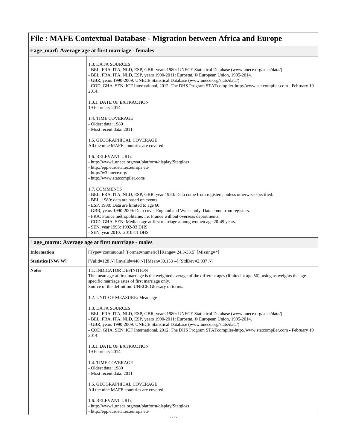| # age_marf: Average age at first marriage - females |                                                                                                                                                                                                                                                                                                                                                                                                                                                                                                                            |  |
|-----------------------------------------------------|----------------------------------------------------------------------------------------------------------------------------------------------------------------------------------------------------------------------------------------------------------------------------------------------------------------------------------------------------------------------------------------------------------------------------------------------------------------------------------------------------------------------------|--|
|                                                     | 1.3. DATA SOURCES<br>- BEL, FRA, ITA, NLD, ESP, GBR, years 1980: UNECE Statistical Database (www.unece.org/stats/data/)<br>- BEL, FRA, ITA, NLD, ESP, years 1990-2011: Eurostat. © European Union, 1995-2014.<br>- GBR, years 1990-2009: UNECE Statistical Database (www.unece.org/stats/data/)<br>- COD, GHA, SEN: ICF International, 2012. The DHS Program STATcompiler-http://www.statcompiler.com - February 19<br>2014.                                                                                               |  |
|                                                     | 1.3.1. DATE OF EXTRACTION<br>19 February 2014                                                                                                                                                                                                                                                                                                                                                                                                                                                                              |  |
|                                                     | <b>1.4. TIME COVERAGE</b><br>- Oldest data: 1980<br>- Most recent data: 2011                                                                                                                                                                                                                                                                                                                                                                                                                                               |  |
|                                                     | <b>1.5. GEOGRAPHICAL COVERAGE</b><br>All the nine MAFE countries are covered.                                                                                                                                                                                                                                                                                                                                                                                                                                              |  |
|                                                     | 1.6. RELEVANT URLs<br>- http://www1.unece.org/stat/platform/display/Statgloss<br>- http://epp.eurostat.ec.europa.eu/<br>- http://w3.unece.org/<br>- http://www.statcompiler.com/                                                                                                                                                                                                                                                                                                                                           |  |
|                                                     | 1.7. COMMENTS<br>- BEL, FRA, ITA, NLD, ESP, GBR, year 1980: Data come from registers, unless otherwise specified.<br>- BEL, 1980: data are based on events.<br>- ESP, 1980: Data are limited to age 60.<br>- GBR, years 1990-2009: Data cover England and Wales only. Data come from registers.<br>- FRA: France métropolitaine, i.e. France without overseas departments.<br>- COD, GHA, SEN: Median age at first marriage among women age 20-49 years.<br>- SEN, year 1993: 1992-93 DHS<br>- SEN, year 2010: 2010-11 DHS |  |
|                                                     | # age_marm: Average age at first marriage - males                                                                                                                                                                                                                                                                                                                                                                                                                                                                          |  |

| <b>Information</b> | [Type= continuous] [Format=numeric] [Range= 24.3-33.5] [Missing=*]                                                                                                                                                                                                                                                                                                                                                           |
|--------------------|------------------------------------------------------------------------------------------------------------------------------------------------------------------------------------------------------------------------------------------------------------------------------------------------------------------------------------------------------------------------------------------------------------------------------|
| Statistics [NW/W]  | [Valid=128 /-] [Invalid=448 /-] [Mean=30.153 /-] [StdDev=2.037 /-]                                                                                                                                                                                                                                                                                                                                                           |
| <b>Notes</b>       | 1.1. INDICATOR DEFINITION<br>The mean age at first marriage is the weighted average of the different ages (limited at age 50), using as weights the age-<br>specific marriage rates of first marriage only.<br>Source of the definition: UNECE Glossary of terms.                                                                                                                                                            |
|                    | 1.2. UNIT OF MEASURE: Mean age                                                                                                                                                                                                                                                                                                                                                                                               |
|                    | 1.3. DATA SOURCES<br>- BEL, FRA, ITA, NLD, ESP, GBR, years 1980: UNECE Statistical Database (www.unece.org/stats/data/)<br>- BEL, FRA, ITA, NLD, ESP, years 1990-2011: Eurostat. © European Union, 1995-2014.<br>- GBR, years 1990-2009: UNECE Statistical Database (www.unece.org/stats/data/)<br>- COD, GHA, SEN: ICF International, 2012. The DHS Program STATcompiler-http://www.statcompiler.com - February 19<br>2014. |
|                    | <b>1.3.1. DATE OF EXTRACTION</b><br>19 February 2014                                                                                                                                                                                                                                                                                                                                                                         |
|                    | <b>1.4. TIME COVERAGE</b><br>- Oldest data: 1980<br>- Most recent data: 2011                                                                                                                                                                                                                                                                                                                                                 |
|                    | <b>1.5. GEOGRAPHICAL COVERAGE</b><br>All the nine MAFE countries are covered.                                                                                                                                                                                                                                                                                                                                                |
|                    | <b>1.6. RELEVANT URLs</b><br>- http://www1.unece.org/stat/platform/display/Statgloss<br>- http://epp.eurostat.ec.europa.eu/                                                                                                                                                                                                                                                                                                  |
|                    | $-21-$                                                                                                                                                                                                                                                                                                                                                                                                                       |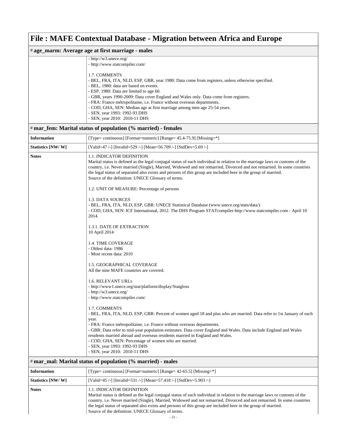| # age_marm: Average age at first marriage - males           |                                                                                                                                                                                                                                                                                                                                                                                                                                                                                                                                                           |  |
|-------------------------------------------------------------|-----------------------------------------------------------------------------------------------------------------------------------------------------------------------------------------------------------------------------------------------------------------------------------------------------------------------------------------------------------------------------------------------------------------------------------------------------------------------------------------------------------------------------------------------------------|--|
|                                                             | - http://w3.unece.org/<br>- http://www.statcompiler.com/                                                                                                                                                                                                                                                                                                                                                                                                                                                                                                  |  |
|                                                             | 1.7. COMMENTS<br>- BEL, FRA, ITA, NLD, ESP, GBR, year 1980: Data come from registers, unless otherwise specified.<br>- BEL, 1980: data are based on events.<br>- ESP, 1980: Data are limited to age 60.<br>- GBR, years 1990-2009: Data cover England and Wales only. Data come from registers.<br>- FRA: France métropolitaine, i.e. France without overseas departments.<br>- COD, GHA, SEN: Median age at first marriage among men age 25-54 years.<br>- SEN, year 1993: 1992-93 DHS<br>- SEN, year 2010: 2010-11 DHS                                  |  |
|                                                             | # mar_fem: Marital status of population (% married) - females                                                                                                                                                                                                                                                                                                                                                                                                                                                                                             |  |
| <b>Information</b>                                          | [Type= continuous] [Format=numeric] [Range= 45.4-75.9] [Missing=*]                                                                                                                                                                                                                                                                                                                                                                                                                                                                                        |  |
| Statistics [NW/W]                                           | [Valid=47 /-] [Invalid=529 /-] [Mean=56.709 /-] [StdDev=5.69 /-]                                                                                                                                                                                                                                                                                                                                                                                                                                                                                          |  |
| <b>Notes</b>                                                | 1.1. INDICATOR DEFINITION<br>Marital status is defined as the legal conjugal status of each individual in relation to the marriage laws or customs of the<br>country, i.e. Never married (Single), Married, Widowed and not remarried, Divorced and not remarried. In some countries<br>the legal status of separated also exists and persons of this group are included here in the group of married.<br>Source of the definition: UNECE Glossary of terms.                                                                                              |  |
|                                                             | 1.2. UNIT OF MEASURE: Percentage of persons                                                                                                                                                                                                                                                                                                                                                                                                                                                                                                               |  |
|                                                             | 1.3. DATA SOURCES<br>- BEL, FRA, ITA, NLD, ESP, GBR: UNECE Statistical Database (www.unece.org/stats/data/)<br>- COD, GHA, SEN: ICF International, 2012. The DHS Program STATcompiler-http://www.statcompiler.com - April 10<br>2014.                                                                                                                                                                                                                                                                                                                     |  |
|                                                             | 1.3.1. DATE OF EXTRACTION<br>10 April 2014                                                                                                                                                                                                                                                                                                                                                                                                                                                                                                                |  |
|                                                             | 1.4. TIME COVERAGE<br>- Oldest data: 1986<br>- Most recent data: 2010                                                                                                                                                                                                                                                                                                                                                                                                                                                                                     |  |
|                                                             | 1.5. GEOGRAPHICAL COVERAGE<br>All the nine MAFE countries are covered.                                                                                                                                                                                                                                                                                                                                                                                                                                                                                    |  |
|                                                             | 1.6. RELEVANT URLs<br>- http://www1.unece.org/stat/platform/display/Statgloss<br>- http://w3.unece.org/<br>- http://www.statcompiler.com/                                                                                                                                                                                                                                                                                                                                                                                                                 |  |
|                                                             | 1.7. COMMENTS<br>- BEL, FRA, ITA, NLD, ESP, GBR: Percent of women aged 18 and plus who are married. Data refer to 1st January of each<br>year.<br>- FRA: France métropolitaine, i.e. France without overseas departments.<br>- GBR: Data refer to mid-year population estimates. Data cover England and Wales. Data include England and Wales<br>residents married abroad and overseas residents married in England and Wales.<br>- COD, GHA, SEN: Percentage of women who are married.<br>- SEN, year 1993: 1992-93 DHS<br>- SEN, year 2010: 2010-11 DHS |  |
| # mar_mal: Marital status of population (% married) - males |                                                                                                                                                                                                                                                                                                                                                                                                                                                                                                                                                           |  |
| <b>Information</b>                                          | [Type= continuous] [Format=numeric] [Range= 42-65.5] [Missing=*]                                                                                                                                                                                                                                                                                                                                                                                                                                                                                          |  |
| Statistics [NW/W]                                           | [Valid=45 /-] [Invalid=531 /-] [Mean=57.418 /-] [StdDev=5.903 /-]                                                                                                                                                                                                                                                                                                                                                                                                                                                                                         |  |
| <b>Notes</b>                                                | 1.1. INDICATOR DEFINITION<br>Marital status is defined as the legal conjugal status of each individual in relation to the marriage laws or customs of the<br>country, i.e. Never married (Single), Married, Widowed and not remarried, Divorced and not remarried. In some countries<br>the legal status of separated also exists and persons of this group are included here in the group of married.<br>Source of the definition: UNECE Glossary of terms.                                                                                              |  |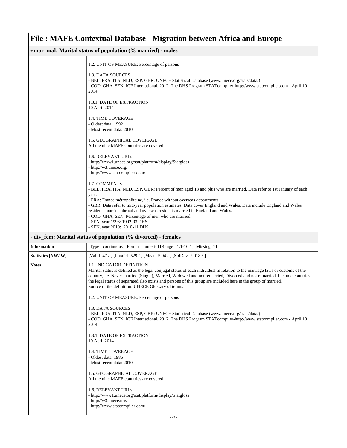| # mar_mal: Marital status of population (% married) - males |                                                                                                                                                                                                                                                                                                                                                                                                                                                                                                                                                       |  |
|-------------------------------------------------------------|-------------------------------------------------------------------------------------------------------------------------------------------------------------------------------------------------------------------------------------------------------------------------------------------------------------------------------------------------------------------------------------------------------------------------------------------------------------------------------------------------------------------------------------------------------|--|
|                                                             | 1.2. UNIT OF MEASURE: Percentage of persons                                                                                                                                                                                                                                                                                                                                                                                                                                                                                                           |  |
|                                                             | 1.3. DATA SOURCES<br>- BEL, FRA, ITA, NLD, ESP, GBR: UNECE Statistical Database (www.unece.org/stats/data/)<br>- COD, GHA, SEN: ICF International, 2012. The DHS Program STATcompiler-http://www.statcompiler.com - April 10<br>2014.                                                                                                                                                                                                                                                                                                                 |  |
|                                                             | 1.3.1. DATE OF EXTRACTION<br>10 April 2014                                                                                                                                                                                                                                                                                                                                                                                                                                                                                                            |  |
|                                                             | <b>1.4. TIME COVERAGE</b><br>- Oldest data: 1992<br>- Most recent data: 2010                                                                                                                                                                                                                                                                                                                                                                                                                                                                          |  |
|                                                             | 1.5. GEOGRAPHICAL COVERAGE<br>All the nine MAFE countries are covered.                                                                                                                                                                                                                                                                                                                                                                                                                                                                                |  |
|                                                             | 1.6. RELEVANT URLs<br>- http://www1.unece.org/stat/platform/display/Statgloss<br>- http://w3.unece.org/<br>- http://www.statcompiler.com/                                                                                                                                                                                                                                                                                                                                                                                                             |  |
|                                                             | 1.7. COMMENTS<br>- BEL, FRA, ITA, NLD, ESP, GBR: Percent of men aged 18 and plus who are married. Data refer to 1st January of each<br>year.<br>- FRA: France métropolitaine, i.e. France without overseas departments.<br>- GBR: Data refer to mid-year population estimates. Data cover England and Wales. Data include England and Wales<br>residents married abroad and overseas residents married in England and Wales.<br>- COD, GHA, SEN: Percentage of men who are married.<br>- SEN, year 1993: 1992-93 DHS<br>- SEN, year 2010: 2010-11 DHS |  |
|                                                             | # div_fem: Marital status of population (% divorced) - females                                                                                                                                                                                                                                                                                                                                                                                                                                                                                        |  |
| <b>Information</b>                                          | [Type= continuous] [Format=numeric] [Range= 1.1-10.1] [Missing=*]                                                                                                                                                                                                                                                                                                                                                                                                                                                                                     |  |
| Statistics [NW/W]                                           | [Valid=47 /-] [Invalid=529 /-] [Mean=5.94 /-] [StdDev=2.918 /-]                                                                                                                                                                                                                                                                                                                                                                                                                                                                                       |  |
| <b>Notes</b>                                                | 1.1. INDICATOR DEFINITION<br>Marital status is defined as the legal conjugal status of each individual in relation to the marriage laws or customs of the<br>country, i.e. Never married (Single), Married, Widowed and not remarried, Divorced and not remarried. In some countries<br>the legal status of separated also exists and persons of this group are included here in the group of married.<br>Source of the definition: UNECE Glossary of terms.                                                                                          |  |
|                                                             | 1.2. UNIT OF MEASURE: Percentage of persons                                                                                                                                                                                                                                                                                                                                                                                                                                                                                                           |  |
|                                                             | 1.3. DATA SOURCES<br>- BEL, FRA, ITA, NLD, ESP, GBR: UNECE Statistical Database (www.unece.org/stats/data/)<br>- COD, GHA, SEN: ICF International, 2012. The DHS Program STATcompiler-http://www.statcompiler.com - April 10<br>2014.                                                                                                                                                                                                                                                                                                                 |  |
|                                                             | 1.3.1. DATE OF EXTRACTION<br>10 April 2014                                                                                                                                                                                                                                                                                                                                                                                                                                                                                                            |  |
|                                                             | 1.4. TIME COVERAGE<br>- Oldest data: 1986<br>- Most recent data: 2010                                                                                                                                                                                                                                                                                                                                                                                                                                                                                 |  |
|                                                             | 1.5. GEOGRAPHICAL COVERAGE<br>All the nine MAFE countries are covered.                                                                                                                                                                                                                                                                                                                                                                                                                                                                                |  |
|                                                             | 1.6. RELEVANT URLs<br>- http://www1.unece.org/stat/platform/display/Statgloss<br>- http://w3.unece.org/<br>- http://www.statcompiler.com/<br>23                                                                                                                                                                                                                                                                                                                                                                                                       |  |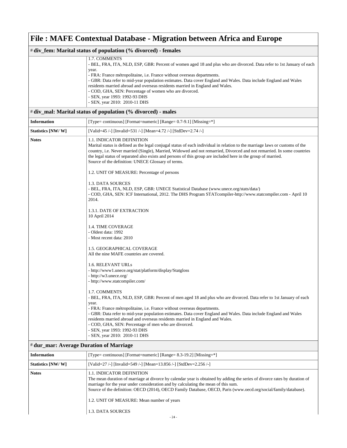| # div_fem: Marital status of population (% divorced) - females |                                                                                                                                                                                                                                                                                                                                                                                                                                                              |  |
|----------------------------------------------------------------|--------------------------------------------------------------------------------------------------------------------------------------------------------------------------------------------------------------------------------------------------------------------------------------------------------------------------------------------------------------------------------------------------------------------------------------------------------------|--|
|                                                                | 1.7. COMMENTS<br>- BEL, FRA, ITA, NLD, ESP, GBR: Percent of women aged 18 and plus who are divorced. Data refer to 1st January of each<br>year.<br>- FRA: France métropolitaine, i.e. France without overseas departments.<br>- GBR: Data refer to mid-year population estimates. Data cover England and Wales. Data include England and Wales                                                                                                               |  |
|                                                                | residents married abroad and overseas residents married in England and Wales.<br>- COD, GHA, SEN: Percentage of women who are divorced.<br>- SEN, year 1993: 1992-93 DHS<br>- SEN, year 2010: 2010-11 DHS                                                                                                                                                                                                                                                    |  |
|                                                                | # div_mal: Marital status of population (% divorced) - males                                                                                                                                                                                                                                                                                                                                                                                                 |  |
| <b>Information</b>                                             | [Type= continuous] [Format=numeric] [Range= $0.7-9.1$ ] [Missing=*]                                                                                                                                                                                                                                                                                                                                                                                          |  |
| Statistics [NW/W]                                              | [Valid=45 /-] [Invalid=531 /-] [Mean=4.72 /-] [StdDev=2.74 /-]                                                                                                                                                                                                                                                                                                                                                                                               |  |
| <b>Notes</b>                                                   | 1.1. INDICATOR DEFINITION<br>Marital status is defined as the legal conjugal status of each individual in relation to the marriage laws or customs of the<br>country, i.e. Never married (Single), Married, Widowed and not remarried, Divorced and not remarried. In some countries<br>the legal status of separated also exists and persons of this group are included here in the group of married.<br>Source of the definition: UNECE Glossary of terms. |  |
|                                                                | 1.2. UNIT OF MEASURE: Percentage of persons                                                                                                                                                                                                                                                                                                                                                                                                                  |  |
|                                                                | 1.3. DATA SOURCES<br>- BEL, FRA, ITA, NLD, ESP, GBR: UNECE Statistical Database (www.unece.org/stats/data/)<br>- COD, GHA, SEN: ICF International, 2012. The DHS Program STATcompiler-http://www.statcompiler.com - April 10<br>2014.                                                                                                                                                                                                                        |  |
|                                                                | 1.3.1. DATE OF EXTRACTION<br>10 April 2014                                                                                                                                                                                                                                                                                                                                                                                                                   |  |
|                                                                | 1.4. TIME COVERAGE<br>- Oldest data: 1992<br>- Most recent data: 2010                                                                                                                                                                                                                                                                                                                                                                                        |  |
|                                                                | 1.5. GEOGRAPHICAL COVERAGE<br>All the nine MAFE countries are covered.                                                                                                                                                                                                                                                                                                                                                                                       |  |
|                                                                | 1.6. RELEVANT URLs<br>- http://www1.unece.org/stat/platform/display/Statgloss<br>- http://w3.unece.org/<br>- http://www.statcompiler.com/                                                                                                                                                                                                                                                                                                                    |  |
|                                                                | 1.7. COMMENTS<br>- BEL, FRA, ITA, NLD, ESP, GBR: Percent of men aged 18 and plus who are divorced. Data refer to 1st January of each<br>year.<br>- FRA: France métropolitaine, i.e. France without overseas departments.<br>- GBR: Data refer to mid-year population estimates. Data cover England and Wales. Data include England and Wales<br>residents married abroad and overseas residents married in England and Wales.                                |  |
|                                                                | - COD, GHA, SEN: Percentage of men who are divorced.<br>- SEN, year 1993: 1992-93 DHS<br>- SEN, year 2010: 2010-11 DHS<br># dur_mar: Average Duration of Marriage                                                                                                                                                                                                                                                                                            |  |

| <b>Information</b> | [Type= continuous] [Format=numeric] [Range= 8.3-19.2] [Missing=*]                                                                                                                                                                                                                                                                                                                                                                   |
|--------------------|-------------------------------------------------------------------------------------------------------------------------------------------------------------------------------------------------------------------------------------------------------------------------------------------------------------------------------------------------------------------------------------------------------------------------------------|
| Statistics [NW/W]  | [Valid=27 /-] [Invalid=549 /-] [Mean=13.856 /-] [StdDev=2.256 /-]                                                                                                                                                                                                                                                                                                                                                                   |
| <b>Notes</b>       | 1.1. INDICATOR DEFINITION<br>The mean duration of marriage at divorce by calendar year is obtained by adding the series of divorce rates by duration of<br>marriage for the year under consideration and by calculating the mean of this sum.<br>Source of the definition: OECD (2014), OECD Family Database, OECD, Paris (www.oecd.org/social/family/database).<br>1.2. UNIT OF MEASURE: Mean number of years<br>1.3. DATA SOURCES |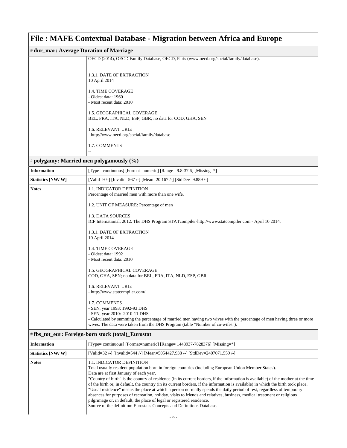| # dur_mar: Average Duration of Marriage |                                                                                       |  |
|-----------------------------------------|---------------------------------------------------------------------------------------|--|
|                                         | OECD (2014), OECD Family Database, OECD, Paris (www.oecd.org/social/family/database). |  |
|                                         |                                                                                       |  |
|                                         | 1.3.1. DATE OF EXTRACTION                                                             |  |
|                                         | 10 April 2014                                                                         |  |
|                                         |                                                                                       |  |
|                                         | <b>1.4. TIME COVERAGE</b>                                                             |  |
|                                         | - Oldest data: 1960                                                                   |  |
|                                         | - Most recent data: 2010                                                              |  |
|                                         |                                                                                       |  |
|                                         | <b>1.5. GEOGRAPHICAL COVERAGE</b>                                                     |  |
|                                         | BEL, FRA, ITA, NLD, ESP, GBR; no data for COD, GHA, SEN                               |  |
|                                         |                                                                                       |  |
|                                         | 1.6. RELEVANT URLs                                                                    |  |
|                                         | - http://www.oecd.org/social/family/database                                          |  |
|                                         |                                                                                       |  |
|                                         | 1.7. COMMENTS                                                                         |  |
|                                         |                                                                                       |  |

#### # **polygamy: Married men polygamously (%)**

| <b>Information</b> | [Type= continuous] [Format=numeric] [Range= 9.8-37.6] [Missing=*]                                                                                                                                       |
|--------------------|---------------------------------------------------------------------------------------------------------------------------------------------------------------------------------------------------------|
| Statistics [NW/W]  | [Valid=9 /-] [Invalid=567 /-] [Mean=20.167 /-] [StdDev=9.889 /-]                                                                                                                                        |
| <b>Notes</b>       | <b>1.1. INDICATOR DEFINITION</b><br>Percentage of married men with more than one wife.                                                                                                                  |
|                    | 1.2. UNIT OF MEASURE: Percentage of men                                                                                                                                                                 |
|                    | 1.3. DATA SOURCES<br>ICF International, 2012. The DHS Program STATcompiler-http://www.statcompiler.com - April 10 2014.                                                                                 |
|                    | 1.3.1. DATE OF EXTRACTION<br>10 April 2014                                                                                                                                                              |
|                    | <b>1.4. TIME COVERAGE</b>                                                                                                                                                                               |
|                    | - Oldest data: 1992<br>- Most recent data: 2010                                                                                                                                                         |
|                    | <b>1.5. GEOGRAPHICAL COVERAGE</b><br>COD, GHA, SEN; no data for BEL, FRA, ITA, NLD, ESP, GBR                                                                                                            |
|                    | 1.6. RELEVANT URLs                                                                                                                                                                                      |
|                    | - http://www.statcompiler.com/                                                                                                                                                                          |
|                    | 1.7. COMMENTS<br>- SEN, year 1993: 1992-93 DHS                                                                                                                                                          |
|                    | - SEN, year 2010: 2010-11 DHS                                                                                                                                                                           |
|                    | - Calculated by summing the percentage of married men having two wives with the percentage of men having three or more<br>wives. The data were taken from the DHS Program (table "Number of co-wifes"). |
|                    | # fbs_tot_eur: Foreign-born stock (total)_Eurostat                                                                                                                                                      |

| <b>Information</b> | [Type= continuous] [Format=numeric] [Range= 1443937-7828376] [Missing=*]                                                                                                                                                                                                                                                                                                                                                                                                                                                                                                                                                                                                                                                                                                                                                                                                 |
|--------------------|--------------------------------------------------------------------------------------------------------------------------------------------------------------------------------------------------------------------------------------------------------------------------------------------------------------------------------------------------------------------------------------------------------------------------------------------------------------------------------------------------------------------------------------------------------------------------------------------------------------------------------------------------------------------------------------------------------------------------------------------------------------------------------------------------------------------------------------------------------------------------|
| Statistics [NW/W]  | [Valid=32 /-] [Invalid=544 /-] [Mean=5054427.938 /-] [StdDev=2407071.559 /-]                                                                                                                                                                                                                                                                                                                                                                                                                                                                                                                                                                                                                                                                                                                                                                                             |
| <b>Notes</b>       | <b>1.1. INDICATOR DEFINITION</b><br>Total usually resident population born in foreign countries (including European Union Member States).<br>Data are at first January of each year.<br>"Country of birth" is the country of residence (in its current borders, if the information is available) of the mother at the time<br>of the birth or, in default, the country (in its current borders, if the information is available) in which the birth took place.<br>"Usual residence" means the place at which a person normally spends the daily period of rest, regardless of temporary<br>absences for purposes of recreation, holiday, visits to friends and relatives, business, medical treatment or religious<br>pilgrimage or, in default, the place of legal or registered residence.<br>Source of the definition: Eurostat's Concepts and Definitions Database. |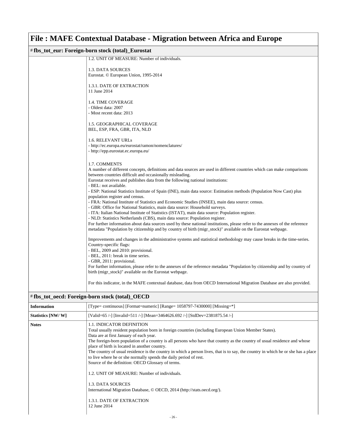| #fbs_tot_eur: Foreign-born stock (total)_Eurostat |                                                                                                                                                                                                                                                                                        |
|---------------------------------------------------|----------------------------------------------------------------------------------------------------------------------------------------------------------------------------------------------------------------------------------------------------------------------------------------|
|                                                   | 1.2. UNIT OF MEASURE: Number of individuals.                                                                                                                                                                                                                                           |
|                                                   | 1.3. DATA SOURCES<br>Eurostat. © European Union, 1995-2014                                                                                                                                                                                                                             |
|                                                   | 1.3.1. DATE OF EXTRACTION<br>11 June 2014                                                                                                                                                                                                                                              |
|                                                   | <b>1.4. TIME COVERAGE</b><br>- Oldest data: 2007<br>- Most recent data: 2013                                                                                                                                                                                                           |
|                                                   | 1.5. GEOGRAPHICAL COVERAGE<br>BEL, ESP, FRA, GBR, ITA, NLD                                                                                                                                                                                                                             |
|                                                   | 1.6. RELEVANT URLs<br>- http://ec.europa.eu/eurostat/ramon/nomenclatures/<br>- http://epp.eurostat.ec.europa.eu/                                                                                                                                                                       |
|                                                   | 1.7. COMMENTS<br>A number of different concepts, definitions and data sources are used in different countries which can make comparisons<br>between countries difficult and occasionally misleading.<br>Eurostat receives and publishes data from the following national institutions: |
|                                                   | - BEL: not available.<br>- ESP: National Statistics Institute of Spain (INE), main data source: Estimation methods (Population Now Cast) plus<br>population register and census.<br>- FRA: National Institute of Statistics and Economic Studies (INSEE), main data source: census.    |
|                                                   | - GBR: Office for National Statistics, main data source: Household surveys.<br>- ITA: Italian National Institute of Statistics (ISTAT), main data source: Population register.<br>- NLD: Statistics Netherlands (CBS), main data source: Population register.                          |
|                                                   | For further information about data sources used by these national institutions, please refer to the annexes of the reference<br>metadata "Population by citizenship and by country of birth (migr_stock)" available on the Eurostat webpage.                                           |
|                                                   | Improvements and changes in the administrative systems and statistical methodology may cause breaks in the time-series.<br>Country-specific flags:<br>- BEL, 2009 and 2010: provisional.<br>- BEL, 2011: break in time series.                                                         |
|                                                   | - GBR, 2011: provisional.<br>For further information, please refer to the annexes of the reference metadata "Population by citizenship and by country of<br>birth (migr_stock)" available on the Eurostat webpage.                                                                     |
|                                                   | For this indicator, in the MAFE contextual database, data from OECD International Migration Database are also provided.                                                                                                                                                                |

#### # **fbs\_tot\_oecd: Foreign-born stock (total)\_OECD**

| <b>Information</b> | [Type= continuous] [Format=numeric] [Range= $1058797-7430000$ ] [Missing=*]                                                                                                                                                                                                                                                                                                                                                                                                                                                                                                                                                                                                                                                                                                                                                     |
|--------------------|---------------------------------------------------------------------------------------------------------------------------------------------------------------------------------------------------------------------------------------------------------------------------------------------------------------------------------------------------------------------------------------------------------------------------------------------------------------------------------------------------------------------------------------------------------------------------------------------------------------------------------------------------------------------------------------------------------------------------------------------------------------------------------------------------------------------------------|
| Statistics [NW/W]  | [Valid=65 /-] [Invalid=511 /-] [Mean=3464626.692 /-] [StdDev=2381875.54 /-]                                                                                                                                                                                                                                                                                                                                                                                                                                                                                                                                                                                                                                                                                                                                                     |
| <b>Notes</b>       | <b>1.1. INDICATOR DEFINITION</b><br>Total usually resident population born in foreign countries (including European Union Member States).<br>Data are at first January of each year.<br>The foreign-born population of a country is all persons who have that country as the country of usual residence and whose<br>place of birth is located in another country.<br>The country of usual residence is the country in which a person lives, that is to say, the country in which he or she has a place<br>to live where he or she normally spends the daily period of rest.<br>Source of the definition: OECD Glossary of terms.<br>1.2. UNIT OF MEASURE: Number of individuals.<br>1.3. DATA SOURCES<br>International Migration Database, © OECD, 2014 (http://stats.oecd.org/).<br>1.3.1. DATE OF EXTRACTION<br>12 June 2014 |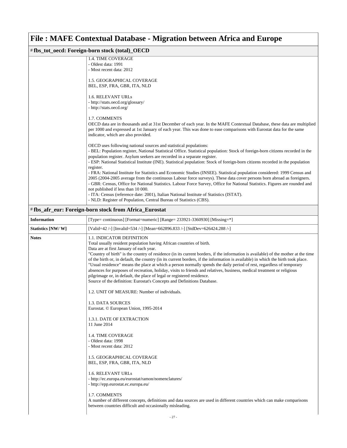| #fbs_tot_oecd: Foreign-born stock (total)_OECD |                                                                                                                                                                                                                                                                                                                                                                                                                                                                                                                                                                                                                                                                                                                                                                                                                                         |  |
|------------------------------------------------|-----------------------------------------------------------------------------------------------------------------------------------------------------------------------------------------------------------------------------------------------------------------------------------------------------------------------------------------------------------------------------------------------------------------------------------------------------------------------------------------------------------------------------------------------------------------------------------------------------------------------------------------------------------------------------------------------------------------------------------------------------------------------------------------------------------------------------------------|--|
|                                                | 1.4. TIME COVERAGE                                                                                                                                                                                                                                                                                                                                                                                                                                                                                                                                                                                                                                                                                                                                                                                                                      |  |
|                                                | - Oldest data: 1991                                                                                                                                                                                                                                                                                                                                                                                                                                                                                                                                                                                                                                                                                                                                                                                                                     |  |
|                                                | - Most recent data: 2012                                                                                                                                                                                                                                                                                                                                                                                                                                                                                                                                                                                                                                                                                                                                                                                                                |  |
|                                                | 1.5. GEOGRAPHICAL COVERAGE<br>BEL, ESP, FRA, GBR, ITA, NLD                                                                                                                                                                                                                                                                                                                                                                                                                                                                                                                                                                                                                                                                                                                                                                              |  |
|                                                | 1.6. RELEVANT URLs<br>- http://stats.oecd.org/glossary/<br>- http://stats.oecd.org/                                                                                                                                                                                                                                                                                                                                                                                                                                                                                                                                                                                                                                                                                                                                                     |  |
|                                                | 1.7. COMMENTS<br>OECD data are in thousands and at 31st December of each year. In the MAFE Contextual Database, these data are multiplied<br>per 1000 and expressed at 1st January of each year. This was done to ease comparisons with Eurostat data for the same<br>indicator, which are also provided.                                                                                                                                                                                                                                                                                                                                                                                                                                                                                                                               |  |
|                                                | OECD uses following national sources and statistical populations:<br>- BEL: Population register, National Statistical Office. Statistical population: Stock of foreign-born citizens recorded in the<br>population register. Asylum seekers are recorded in a separate register.<br>- ESP: National Statistical Institute (INE). Statistical population: Stock of foreign-born citizens recorded in the population                                                                                                                                                                                                                                                                                                                                                                                                                      |  |
|                                                | register.<br>- FRA: National Institute for Statistics and Economic Studies (INSEE). Statistical population considered: 1999 Census and<br>2005 (2004-2005 average from the continuous Labour force surveys). These data cover persons born abroad as foreigners.<br>- GBR: Census, Office for National Statistics. Labour Force Survey, Office for National Statistics. Figures are rounded and<br>not published if less than 10 000.<br>- ITA: Census (reference date: 2001), Italian National Institute of Statistics (ISTAT).<br>- NLD: Register of Population, Central Bureau of Statistics (CBS).                                                                                                                                                                                                                                  |  |
|                                                |                                                                                                                                                                                                                                                                                                                                                                                                                                                                                                                                                                                                                                                                                                                                                                                                                                         |  |
|                                                | #fbs_afr_eur: Foreign-born stock from Africa_Eurostat                                                                                                                                                                                                                                                                                                                                                                                                                                                                                                                                                                                                                                                                                                                                                                                   |  |
| <b>Information</b>                             | [Type= continuous] [Format=numeric] [Range= 233921-3360930] [Missing=*]                                                                                                                                                                                                                                                                                                                                                                                                                                                                                                                                                                                                                                                                                                                                                                 |  |
| Statistics [NW/W]                              | [Valid=42 /-] [Invalid=534 /-] [Mean=662896.833 /-] [StdDev=626424.288 /-]                                                                                                                                                                                                                                                                                                                                                                                                                                                                                                                                                                                                                                                                                                                                                              |  |
| <b>Notes</b>                                   | <b>1.1. INDICATOR DEFINITION</b><br>Total usually resident population having African countries of birth.<br>Data are at first January of each year.<br>"Country of birth" is the country of residence (in its current borders, if the information is available) of the mother at the time<br>of the birth or, in default, the country (in its current borders, if the information is available) in which the birth took place.<br>"Usual residence" means the place at which a person normally spends the daily period of rest, regardless of temporary<br>absences for purposes of recreation, holiday, visits to friends and relatives, business, medical treatment or religious<br>pilgrimage or, in default, the place of legal or registered residence.<br>Source of the definition: Eurostat's Concepts and Definitions Database. |  |
|                                                | 1.2. UNIT OF MEASURE: Number of individuals.                                                                                                                                                                                                                                                                                                                                                                                                                                                                                                                                                                                                                                                                                                                                                                                            |  |
|                                                | 1.3. DATA SOURCES<br>Eurostat. © European Union, 1995-2014                                                                                                                                                                                                                                                                                                                                                                                                                                                                                                                                                                                                                                                                                                                                                                              |  |
|                                                | <b>1.3.1. DATE OF EXTRACTION</b><br>11 June 2014                                                                                                                                                                                                                                                                                                                                                                                                                                                                                                                                                                                                                                                                                                                                                                                        |  |
|                                                | 1.4. TIME COVERAGE<br>- Oldest data: 1998<br>- Most recent data: 2012                                                                                                                                                                                                                                                                                                                                                                                                                                                                                                                                                                                                                                                                                                                                                                   |  |
|                                                | 1.5. GEOGRAPHICAL COVERAGE<br>BEL, ESP, FRA, GBR, ITA, NLD                                                                                                                                                                                                                                                                                                                                                                                                                                                                                                                                                                                                                                                                                                                                                                              |  |
|                                                | 1.6. RELEVANT URLs<br>- http://ec.europa.eu/eurostat/ramon/nomenclatures/<br>- http://epp.eurostat.ec.europa.eu/                                                                                                                                                                                                                                                                                                                                                                                                                                                                                                                                                                                                                                                                                                                        |  |
|                                                | 1.7. COMMENTS<br>A number of different concepts, definitions and data sources are used in different countries which can make comparisons<br>between countries difficult and occasionally misleading.                                                                                                                                                                                                                                                                                                                                                                                                                                                                                                                                                                                                                                    |  |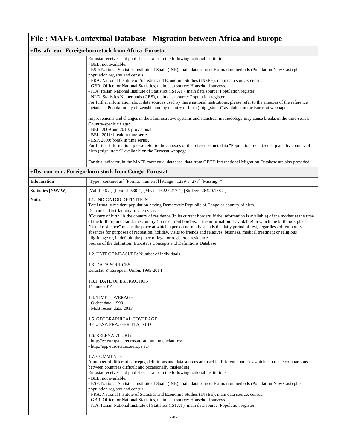#### # **fbs\_afr\_eur: Foreign-born stock from Africa\_Eurostat** Eurostat receives and publishes data from the following national institutions: - BEL: not available. - ESP: National Statistics Institute of Spain (INE), main data source: Estimation methods (Population Now Cast) plus population register and census. - FRA: National Institute of Statistics and Economic Studies (INSEE), main data source: census. - GBR: Office for National Statistics, main data source: Household surveys. - ITA: Italian National Institute of Statistics (ISTAT), main data source: Population register. - NLD: Statistics Netherlands (CBS), main data source: Population register. For further information about data sources used by these national institutions, please refer to the annexes of the reference metadata "Population by citizenship and by country of birth (migr\_stock)" available on the Eurostat webpage. Improvements and changes in the administrative systems and statistical methodology may cause breaks in the time-series. Country-specific flags: - BEL, 2009 and 2010: provisional. - BEL, 2011: break in time series. - ESP, 2009: break in time series. For further information, please refer to the annexes of the reference metadata "Population by citizenship and by country of birth (migr\_stock)" available on the Eurostat webpage. For this indicator, in the MAFE contextual database, data from OECD International Migration Database are also provided.

#### # **fbs\_con\_eur: Foreign-born stock from Congo\_Eurostat**

| <b>Information</b> | [Type= continuous] [Format=numeric] [Range= 1239-84278] [Missing=*]                                                                                                                                                                                                                                                                                                                                                                                                                                                                                                                                                                                                                                                                                                                                                                                                                                                                |
|--------------------|------------------------------------------------------------------------------------------------------------------------------------------------------------------------------------------------------------------------------------------------------------------------------------------------------------------------------------------------------------------------------------------------------------------------------------------------------------------------------------------------------------------------------------------------------------------------------------------------------------------------------------------------------------------------------------------------------------------------------------------------------------------------------------------------------------------------------------------------------------------------------------------------------------------------------------|
| Statistics [NW/W]  | [Valid=46 /-] [Invalid=530 /-] [Mean=16227.217 /-] [StdDev=26420.138 /-]                                                                                                                                                                                                                                                                                                                                                                                                                                                                                                                                                                                                                                                                                                                                                                                                                                                           |
| <b>Notes</b>       | <b>1.1. INDICATOR DEFINITION</b><br>Total usually resident population having Democratic Republic of Congo as country of birth.<br>Data are at first January of each year.<br>"Country of birth" is the country of residence (in its current borders, if the information is available) of the mother at the time<br>of the birth or, in default, the country (in its current borders, if the information is available) in which the birth took place.<br>"Usual residence" means the place at which a person normally spends the daily period of rest, regardless of temporary<br>absences for purposes of recreation, holiday, visits to friends and relatives, business, medical treatment or religious<br>pilgrimage or, in default, the place of legal or registered residence.<br>Source of the definition: Eurostat's Concepts and Definitions Database.<br>1.2. UNIT OF MEASURE: Number of individuals.<br>1.3. DATA SOURCES |
|                    | Eurostat. © European Union, 1995-2014<br>1.3.1. DATE OF EXTRACTION<br>11 June 2014<br>1.4. TIME COVERAGE<br>- Oldest data: 1998<br>- Most recent data: 2013<br>1.5. GEOGRAPHICAL COVERAGE<br>BEL, ESP, FRA, GBR, ITA, NLD<br><b>1.6. RELEVANT URLs</b><br>- http://ec.europa.eu/eurostat/ramon/nomenclatures/<br>- http://epp.eurostat.ec.europa.eu/<br>1.7. COMMENTS<br>A number of different concepts, definitions and data sources are used in different countries which can make comparisons<br>between countries difficult and occasionally misleading.<br>Eurostat receives and publishes data from the following national institutions:<br>- BEL: not available.                                                                                                                                                                                                                                                            |
|                    | - ESP: National Statistics Institute of Spain (INE), main data source: Estimation methods (Population Now Cast) plus<br>population register and census.<br>- FRA: National Institute of Statistics and Economic Studies (INSEE), main data source: census.<br>- GBR: Office for National Statistics, main data source: Household surveys.<br>- ITA: Italian National Institute of Statistics (ISTAT), main data source: Population register.                                                                                                                                                                                                                                                                                                                                                                                                                                                                                       |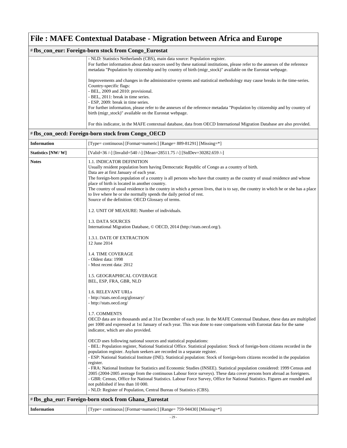#### # **fbs\_con\_eur: Foreign-born stock from Congo\_Eurostat** - NLD: Statistics Netherlands (CBS), main data source: Population register. For further information about data sources used by these national institutions, please refer to the annexes of the reference metadata "Population by citizenship and by country of birth (migr\_stock)" available on the Eurostat webpage. Improvements and changes in the administrative systems and statistical methodology may cause breaks in the time-series. Country-specific flags: - BEL, 2009 and 2010: provisional. - BEL, 2011: break in time series. - ESP, 2009: break in time series. For further information, please refer to the annexes of the reference metadata "Population by citizenship and by country of birth (migr\_stock)" available on the Eurostat webpage. For this indicator, in the MAFE contextual database, data from OECD International Migration Database are also provided.

| [Valid=36 /-] [Invalid=540 /-] [Mean=28511.75 /-] [StdDev=30282.659 /-]<br>1.1. INDICATOR DEFINITION<br>Usually resident population born having Democratic Republic of Congo as a country of birth.<br>Data are at first January of each year.<br>The foreign-born population of a country is all persons who have that country as the country of usual residence and whose<br>place of birth is located in another country.<br>The country of usual residence is the country in which a person lives, that is to say, the country in which he or she has a place<br>to live where he or she normally spends the daily period of rest.<br>Source of the definition: OECD Glossary of terms.<br>1.2. UNIT OF MEASURE: Number of individuals.<br>1.3. DATA SOURCES<br>International Migration Database, © OECD, 2014 (http://stats.oecd.org/).<br>1.3.1. DATE OF EXTRACTION<br>12 June 2014 |
|-------------------------------------------------------------------------------------------------------------------------------------------------------------------------------------------------------------------------------------------------------------------------------------------------------------------------------------------------------------------------------------------------------------------------------------------------------------------------------------------------------------------------------------------------------------------------------------------------------------------------------------------------------------------------------------------------------------------------------------------------------------------------------------------------------------------------------------------------------------------------------------------|
|                                                                                                                                                                                                                                                                                                                                                                                                                                                                                                                                                                                                                                                                                                                                                                                                                                                                                           |
|                                                                                                                                                                                                                                                                                                                                                                                                                                                                                                                                                                                                                                                                                                                                                                                                                                                                                           |
|                                                                                                                                                                                                                                                                                                                                                                                                                                                                                                                                                                                                                                                                                                                                                                                                                                                                                           |
|                                                                                                                                                                                                                                                                                                                                                                                                                                                                                                                                                                                                                                                                                                                                                                                                                                                                                           |
|                                                                                                                                                                                                                                                                                                                                                                                                                                                                                                                                                                                                                                                                                                                                                                                                                                                                                           |
| 1.4. TIME COVERAGE<br>- Oldest data: 1998<br>- Most recent data: 2012                                                                                                                                                                                                                                                                                                                                                                                                                                                                                                                                                                                                                                                                                                                                                                                                                     |
| 1.5. GEOGRAPHICAL COVERAGE<br>BEL, ESP, FRA, GBR, NLD                                                                                                                                                                                                                                                                                                                                                                                                                                                                                                                                                                                                                                                                                                                                                                                                                                     |
| 1.6. RELEVANT URLs<br>- http://stats.oecd.org/glossary/<br>- http://stats.oecd.org/                                                                                                                                                                                                                                                                                                                                                                                                                                                                                                                                                                                                                                                                                                                                                                                                       |
| 1.7. COMMENTS<br>OECD data are in thousands and at 31st December of each year. In the MAFE Contextual Database, these data are multiplied<br>per 1000 and expressed at 1st January of each year. This was done to ease comparisons with Eurostat data for the same<br>indicator, which are also provided.                                                                                                                                                                                                                                                                                                                                                                                                                                                                                                                                                                                 |
| OECD uses following national sources and statistical populations:<br>- BEL: Population register, National Statistical Office. Statistical population: Stock of foreign-born citizens recorded in the<br>population register. Asylum seekers are recorded in a separate register.<br>- ESP: National Statistical Institute (INE). Statistical population: Stock of foreign-born citizens recorded in the population                                                                                                                                                                                                                                                                                                                                                                                                                                                                        |
| register.<br>- FRA: National Institute for Statistics and Economic Studies (INSEE). Statistical population considered: 1999 Census and<br>2005 (2004-2005 average from the continuous Labour force surveys). These data cover persons born abroad as foreigners.<br>- GBR: Census, Office for National Statistics. Labour Force Survey, Office for National Statistics. Figures are rounded and<br>not published if less than 10 000.<br>- NLD: Register of Population, Central Bureau of Statistics (CBS).                                                                                                                                                                                                                                                                                                                                                                               |
| #fbs_gha_eur: Foreign-born stock from Ghana_Eurostat                                                                                                                                                                                                                                                                                                                                                                                                                                                                                                                                                                                                                                                                                                                                                                                                                                      |

| <b>Information</b> | [Type= continuous] [Format=numeric] [Range= 759-94430] [Missing=*] |
|--------------------|--------------------------------------------------------------------|
|--------------------|--------------------------------------------------------------------|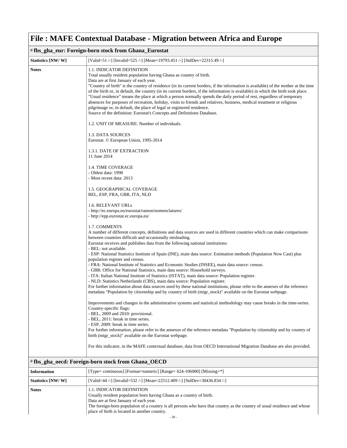| #fbs_gha_eur: Foreign-born stock from Ghana_Eurostat |                                                                                                                                                                                                                                                                                                                                                                                                                                                                                                                                                                                                                                                                                                                                                                                                                                 |
|------------------------------------------------------|---------------------------------------------------------------------------------------------------------------------------------------------------------------------------------------------------------------------------------------------------------------------------------------------------------------------------------------------------------------------------------------------------------------------------------------------------------------------------------------------------------------------------------------------------------------------------------------------------------------------------------------------------------------------------------------------------------------------------------------------------------------------------------------------------------------------------------|
| Statistics [NW/W]                                    | [Valid=51 /-] [Invalid=525 /-] [Mean=19793.451 /-] [StdDev=22315.49 /-]                                                                                                                                                                                                                                                                                                                                                                                                                                                                                                                                                                                                                                                                                                                                                         |
| <b>Notes</b>                                         | 1.1. INDICATOR DEFINITION<br>Total usually resident population having Ghana as country of birth.<br>Data are at first January of each year.<br>"Country of birth" is the country of residence (in its current borders, if the information is available) of the mother at the time<br>of the birth or, in default, the country (in its current borders, if the information is available) in which the birth took place.<br>"Usual residence" means the place at which a person normally spends the daily period of rest, regardless of temporary<br>absences for purposes of recreation, holiday, visits to friends and relatives, business, medical treatment or religious<br>pilgrimage or, in default, the place of legal or registered residence.<br>Source of the definition: Eurostat's Concepts and Definitions Database. |
|                                                      | 1.2. UNIT OF MEASURE: Number of individuals.                                                                                                                                                                                                                                                                                                                                                                                                                                                                                                                                                                                                                                                                                                                                                                                    |
|                                                      | 1.3. DATA SOURCES<br>Eurostat. © European Union, 1995-2014                                                                                                                                                                                                                                                                                                                                                                                                                                                                                                                                                                                                                                                                                                                                                                      |
|                                                      | 1.3.1. DATE OF EXTRACTION<br>11 June 2014                                                                                                                                                                                                                                                                                                                                                                                                                                                                                                                                                                                                                                                                                                                                                                                       |
|                                                      | 1.4. TIME COVERAGE<br>- Oldest data: 1998<br>- Most recent data: 2013                                                                                                                                                                                                                                                                                                                                                                                                                                                                                                                                                                                                                                                                                                                                                           |
|                                                      | 1.5. GEOGRAPHICAL COVERAGE<br>BEL, ESP, FRA, GBR, ITA, NLD                                                                                                                                                                                                                                                                                                                                                                                                                                                                                                                                                                                                                                                                                                                                                                      |
|                                                      | 1.6. RELEVANT URLs<br>- http://ec.europa.eu/eurostat/ramon/nomenclatures/<br>- http://epp.eurostat.ec.europa.eu/                                                                                                                                                                                                                                                                                                                                                                                                                                                                                                                                                                                                                                                                                                                |
|                                                      | 1.7. COMMENTS<br>A number of different concepts, definitions and data sources are used in different countries which can make comparisons<br>between countries difficult and occasionally misleading.<br>Eurostat receives and publishes data from the following national institutions:<br>- BEL: not available.                                                                                                                                                                                                                                                                                                                                                                                                                                                                                                                 |
|                                                      | - ESP: National Statistics Institute of Spain (INE), main data source: Estimation methods (Population Now Cast) plus<br>population register and census.<br>- FRA: National Institute of Statistics and Economic Studies (INSEE), main data source: census.<br>- GBR: Office for National Statistics, main data source: Household surveys.                                                                                                                                                                                                                                                                                                                                                                                                                                                                                       |
|                                                      | - ITA: Italian National Institute of Statistics (ISTAT), main data source: Population register.<br>- NLD: Statistics Netherlands (CBS), main data source: Population register.<br>For further information about data sources used by these national institutions, please refer to the annexes of the reference                                                                                                                                                                                                                                                                                                                                                                                                                                                                                                                  |
|                                                      | metadata "Population by citizenship and by country of birth (migr_stock)" available on the Eurostat webpage.<br>Improvements and changes in the administrative systems and statistical methodology may cause breaks in the time-series.<br>Country-specific flags:                                                                                                                                                                                                                                                                                                                                                                                                                                                                                                                                                              |
|                                                      | - BEL, 2009 and 2010: provisional.<br>- BEL, 2011: break in time series.<br>- ESP, 2009: break in time series.<br>For further information, please refer to the annexes of the reference metadata "Population by citizenship and by country of                                                                                                                                                                                                                                                                                                                                                                                                                                                                                                                                                                                   |
|                                                      | birth (migr_stock)" available on the Eurostat webpage.<br>For this indicator, in the MAFE contextual database, data from OECD International Migration Database are also provided.                                                                                                                                                                                                                                                                                                                                                                                                                                                                                                                                                                                                                                               |
|                                                      | #fbs_gha_oecd: Foreign-born stock from Ghana_OECD                                                                                                                                                                                                                                                                                                                                                                                                                                                                                                                                                                                                                                                                                                                                                                               |

| <b>Information</b> | [Type= continuous] [Format=numeric] [Range= $624-106000$ ] [Missing= $*$ ]                                                                                                                                                                                                                                                 |
|--------------------|----------------------------------------------------------------------------------------------------------------------------------------------------------------------------------------------------------------------------------------------------------------------------------------------------------------------------|
| Statistics [NW/W]  | [Valid=44 /-] [Invalid=532 /-] [Mean=22512.409 /-] [StdDev=30436.834 /-]                                                                                                                                                                                                                                                   |
| <b>Notes</b>       | 1.1. INDICATOR DEFINITION<br>Usually resident population born having Ghana as a country of birth.<br>Data are at first January of each year.<br>The foreign-born population of a country is all persons who have that country as the country of usual residence and whose<br>place of birth is located in another country. |
| $-30-$             |                                                                                                                                                                                                                                                                                                                            |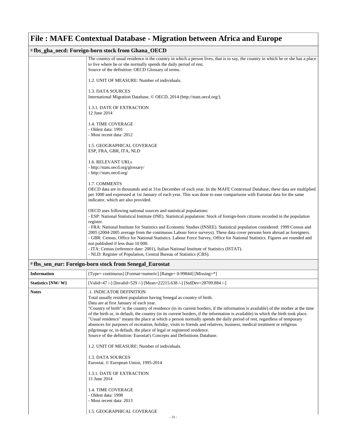#### # **fbs\_gha\_oecd: Foreign-born stock from Ghana\_OECD**

| The country of usual residence is the country in which a person lives, that is to say, the country in which he or she has a place<br>to live where he or she normally spends the daily period of rest. |
|--------------------------------------------------------------------------------------------------------------------------------------------------------------------------------------------------------|
|                                                                                                                                                                                                        |
| Source of the definition: OECD Glossary of terms.                                                                                                                                                      |
|                                                                                                                                                                                                        |
| 1.2. UNIT OF MEASURE: Number of individuals.                                                                                                                                                           |
|                                                                                                                                                                                                        |
| 1.3. DATA SOURCES                                                                                                                                                                                      |
| International Migration Database, © OECD, 2014 (http://stats.oecd.org/).                                                                                                                               |
|                                                                                                                                                                                                        |
| 1.3.1. DATE OF EXTRACTION                                                                                                                                                                              |
| 12 June 2014                                                                                                                                                                                           |
|                                                                                                                                                                                                        |
|                                                                                                                                                                                                        |
| <b>1.4. TIME COVERAGE</b>                                                                                                                                                                              |
| - Oldest data: 1991                                                                                                                                                                                    |
| - Most recent data: 2012                                                                                                                                                                               |
|                                                                                                                                                                                                        |
| 1.5. GEOGRAPHICAL COVERAGE                                                                                                                                                                             |
| ESP, FRA, GBR, ITA, NLD                                                                                                                                                                                |
|                                                                                                                                                                                                        |
| 1.6. RELEVANT URLs                                                                                                                                                                                     |
| - http://stats.oecd.org/glossary/                                                                                                                                                                      |
|                                                                                                                                                                                                        |
| - http://stats.oecd.org/                                                                                                                                                                               |
|                                                                                                                                                                                                        |
| 1.7. COMMENTS                                                                                                                                                                                          |
| OECD data are in thousands and at 31st December of each year. In the MAFE Contextual Database, these data are multiplied                                                                               |
| per 1000 and expressed at 1st January of each year. This was done to ease comparisons with Eurostat data for the same                                                                                  |
| indicator, which are also provided.                                                                                                                                                                    |
|                                                                                                                                                                                                        |
| OECD uses following national sources and statistical populations:                                                                                                                                      |
| - ESP: National Statistical Institute (INE). Statistical population: Stock of foreign-born citizens recorded in the population                                                                         |
| register.                                                                                                                                                                                              |
| - FRA: National Institute for Statistics and Economic Studies (INSEE). Statistical population considered: 1999 Census and                                                                              |
|                                                                                                                                                                                                        |
| 2005 (2004-2005 average from the continuous Labour force surveys). These data cover persons born abroad as foreigners.                                                                                 |
| - GBR: Census, Office for National Statistics. Labour Force Survey, Office for National Statistics. Figures are rounded and                                                                            |
| not published if less than 10 000.                                                                                                                                                                     |
| - ITA: Census (reference date: 2001), Italian National Institute of Statistics (ISTAT).                                                                                                                |
| - NLD: Register of Population, Central Bureau of Statistics (CBS).                                                                                                                                     |
|                                                                                                                                                                                                        |

#### # **fbs\_sen\_eur: Foreign-born stock from Senegal\_Eurostat**

| <b>Information</b> | [Type= continuous] [Format=numeric] [Range= 0-99844] [Missing=*]                                                                                                                                                                                                                                                                                                                                                                                                                                                                                                                                                                                                                                                                                                                                                                                                                                                                                                                                                                                                                                                                         |
|--------------------|------------------------------------------------------------------------------------------------------------------------------------------------------------------------------------------------------------------------------------------------------------------------------------------------------------------------------------------------------------------------------------------------------------------------------------------------------------------------------------------------------------------------------------------------------------------------------------------------------------------------------------------------------------------------------------------------------------------------------------------------------------------------------------------------------------------------------------------------------------------------------------------------------------------------------------------------------------------------------------------------------------------------------------------------------------------------------------------------------------------------------------------|
| Statistics [NW/W]  | [Valid=47 /-] [Invalid=529 /-] [Mean=22215.638 /-] [StdDev=28709.884 /-]                                                                                                                                                                                                                                                                                                                                                                                                                                                                                                                                                                                                                                                                                                                                                                                                                                                                                                                                                                                                                                                                 |
| <b>Notes</b>       | .1. INDICATOR DEFINITION<br>Total usually resident population having Senegal as country of birth.<br>Data are at first January of each year.<br>"Country of birth" is the country of residence (in its current borders, if the information is available) of the mother at the time<br>of the birth or, in default, the country (in its current borders, if the information is available) in which the birth took place.<br>"Usual residence" means the place at which a person normally spends the daily period of rest, regardless of temporary<br>absences for purposes of recreation, holiday, visits to friends and relatives, business, medical treatment or religious<br>pilgrimage or, in default, the place of legal or registered residence.<br>Source of the definition: Eurostat's Concepts and Definitions Database.<br>1.2. UNIT OF MEASURE: Number of individuals.<br><b>1.3. DATA SOURCES</b><br>Eurostat. © European Union, 1995-2014<br><b>1.3.1. DATE OF EXTRACTION</b><br>11 June 2014<br><b>1.4. TIME COVERAGE</b><br>- Oldest data: 1998<br>- Most recent data: 2013<br><b>1.5. GEOGRAPHICAL COVERAGE</b><br>$-31-$ |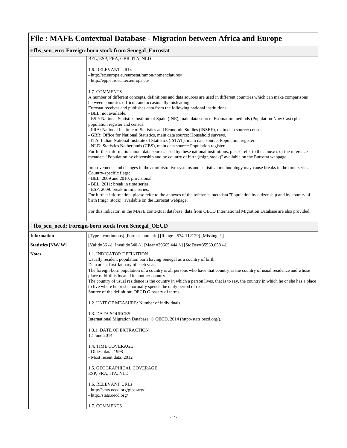| # fbs_sen_eur: Foreign-born stock from Senegal_Eurostat |                                                                                                                                                                                                                                                                                                                                                                                                                                                                                                                                                                                                                                                                                                                                                                                                                                                                                                                                                                                                                                                                                                |
|---------------------------------------------------------|------------------------------------------------------------------------------------------------------------------------------------------------------------------------------------------------------------------------------------------------------------------------------------------------------------------------------------------------------------------------------------------------------------------------------------------------------------------------------------------------------------------------------------------------------------------------------------------------------------------------------------------------------------------------------------------------------------------------------------------------------------------------------------------------------------------------------------------------------------------------------------------------------------------------------------------------------------------------------------------------------------------------------------------------------------------------------------------------|
|                                                         | BEL, ESP, FRA, GBR, ITA, NLD                                                                                                                                                                                                                                                                                                                                                                                                                                                                                                                                                                                                                                                                                                                                                                                                                                                                                                                                                                                                                                                                   |
|                                                         | <b>1.6. RELEVANT URLs</b><br>- http://ec.europa.eu/eurostat/ramon/nomenclatures/<br>- http://epp.eurostat.ec.europa.eu/                                                                                                                                                                                                                                                                                                                                                                                                                                                                                                                                                                                                                                                                                                                                                                                                                                                                                                                                                                        |
|                                                         | 1.7. COMMENTS<br>A number of different concepts, definitions and data sources are used in different countries which can make comparisons<br>between countries difficult and occasionally misleading.<br>Eurostat receives and publishes data from the following national institutions:<br>- BEL: not available.<br>- ESP: National Statistics Institute of Spain (INE), main data source: Estimation methods (Population Now Cast) plus<br>population register and census.<br>- FRA: National Institute of Statistics and Economic Studies (INSEE), main data source: census.<br>- GBR: Office for National Statistics, main data source: Household surveys.<br>- ITA: Italian National Institute of Statistics (ISTAT), main data source: Population register.<br>- NLD: Statistics Netherlands (CBS), main data source: Population register.<br>For further information about data sources used by these national institutions, please refer to the annexes of the reference<br>metadata "Population by citizenship and by country of birth (migr_stock)" available on the Eurostat webpage. |
|                                                         | Improvements and changes in the administrative systems and statistical methodology may cause breaks in the time-series.<br>Country-specific flags:<br>- BEL, 2009 and 2010: provisional.<br>- BEL, 2011: break in time series.<br>- ESP, 2009: break in time series.<br>For further information, please refer to the annexes of the reference metadata "Population by citizenship and by country of<br>birth (migr_stock)" available on the Eurostat webpage.<br>For this indicator, in the MAFE contextual database, data from OECD International Migration Database are also provided.                                                                                                                                                                                                                                                                                                                                                                                                                                                                                                       |

### # **fbs\_sen\_oecd: Foreign-born stock from Senegal\_OECD**

| <b>Information</b> | [Type= continuous] [Format=numeric] [Range= 574-112129] [Missing=*]                                                                                                                                                                                                                                                                                                                                                                                                                                                                                                                                                                                                                                                                                                                                                                                                                                                                                                                                                                                 |
|--------------------|-----------------------------------------------------------------------------------------------------------------------------------------------------------------------------------------------------------------------------------------------------------------------------------------------------------------------------------------------------------------------------------------------------------------------------------------------------------------------------------------------------------------------------------------------------------------------------------------------------------------------------------------------------------------------------------------------------------------------------------------------------------------------------------------------------------------------------------------------------------------------------------------------------------------------------------------------------------------------------------------------------------------------------------------------------|
| Statistics [NW/W]  | [Valid=36 /-] [Invalid=540 /-] [Mean=29665.444 /-] [StdDev=35539.658 /-]                                                                                                                                                                                                                                                                                                                                                                                                                                                                                                                                                                                                                                                                                                                                                                                                                                                                                                                                                                            |
| <b>Notes</b>       | <b>1.1. INDICATOR DEFINITION</b><br>Usually resident population born having Senegal as a country of birth.<br>Data are at first January of each year.<br>The foreign-born population of a country is all persons who have that country as the country of usual residence and whose<br>place of birth is located in another country.<br>The country of usual residence is the country in which a person lives, that is to say, the country in which he or she has a place<br>to live where he or she normally spends the daily period of rest.<br>Source of the definition: OECD Glossary of terms.<br>1.2. UNIT OF MEASURE: Number of individuals.<br>1.3. DATA SOURCES<br>International Migration Database, © OECD, 2014 (http://stats.oecd.org/).<br>1.3.1. DATE OF EXTRACTION<br>12 June 2014<br><b>1.4. TIME COVERAGE</b><br>- Oldest data: 1998<br>- Most recent data: 2012<br>1.5. GEOGRAPHICAL COVERAGE<br>ESP, FRA, ITA, NLD<br><b>1.6. RELEVANT URLs</b><br>- http://stats.oecd.org/glossary/<br>- http://stats.oecd.org/<br>1.7. COMMENTS |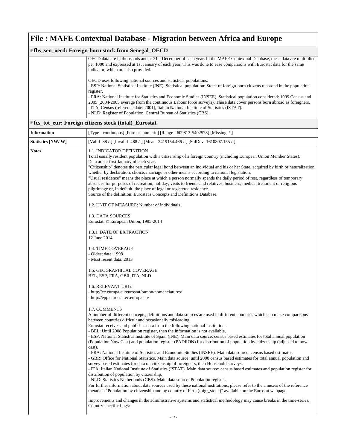#### # **fbs\_sen\_oecd: Foreign-born stock from Senegal\_OECD**

| OECD data are in thousands and at 31st December of each year. In the MAFE Contextual Database, these data are multiplied       |
|--------------------------------------------------------------------------------------------------------------------------------|
| per 1000 and expressed at 1st January of each year. This was done to ease comparisons with Eurostat data for the same          |
| indicator, which are also provided.                                                                                            |
|                                                                                                                                |
| OECD uses following national sources and statistical populations:                                                              |
| - ESP: National Statistical Institute (INE). Statistical population: Stock of foreign-born citizens recorded in the population |
| register.                                                                                                                      |
| - FRA: National Institute for Statistics and Economic Studies (INSEE). Statistical population considered: 1999 Census and      |
| 2005 (2004-2005 average from the continuous Labour force surveys). These data cover persons born abroad as foreigners.         |
| - ITA: Census (reference date: 2001), Italian National Institute of Statistics (ISTAT).                                        |
| - NLD: Register of Population, Central Bureau of Statistics (CBS).                                                             |
|                                                                                                                                |

#### # **fcs\_tot\_eur: Foreign citizens stock (total)\_Eurostat**

| <b>Information</b> | [Type= continuous] [Format=numeric] [Range= 609813-5402578] [Missing=*]                                                                                                                                                                                                                                                                                                                                                                                                                                                                                                                                                                                                                                                                                                                                                                                                                                                                                                                                                                                                                                                                                                                                                                                                                                                                                                                                                                                                                                                                                                                                                                               |
|--------------------|-------------------------------------------------------------------------------------------------------------------------------------------------------------------------------------------------------------------------------------------------------------------------------------------------------------------------------------------------------------------------------------------------------------------------------------------------------------------------------------------------------------------------------------------------------------------------------------------------------------------------------------------------------------------------------------------------------------------------------------------------------------------------------------------------------------------------------------------------------------------------------------------------------------------------------------------------------------------------------------------------------------------------------------------------------------------------------------------------------------------------------------------------------------------------------------------------------------------------------------------------------------------------------------------------------------------------------------------------------------------------------------------------------------------------------------------------------------------------------------------------------------------------------------------------------------------------------------------------------------------------------------------------------|
| Statistics [NW/W]  | [Valid=88 /-] [Invalid=488 /-] [Mean=2419154.466 /-] [StdDev=1610807.155 /-]                                                                                                                                                                                                                                                                                                                                                                                                                                                                                                                                                                                                                                                                                                                                                                                                                                                                                                                                                                                                                                                                                                                                                                                                                                                                                                                                                                                                                                                                                                                                                                          |
| <b>Notes</b>       | <b>1.1. INDICATOR DEFINITION</b><br>Total usually resident population with a citizenship of a foreign country (including European Union Member States).<br>Data are at first January of each year.<br>"Citizenship" denotes the particular legal bond between an individual and his or her State, acquired by birth or naturalization,<br>whether by declaration, choice, marriage or other means according to national legislation.<br>"Usual residence" means the place at which a person normally spends the daily period of rest, regardless of temporary<br>absences for purposes of recreation, holiday, visits to friends and relatives, business, medical treatment or religious<br>pilgrimage or, in default, the place of legal or registered residence.<br>Source of the definition: Eurostat's Concepts and Definitions Database.                                                                                                                                                                                                                                                                                                                                                                                                                                                                                                                                                                                                                                                                                                                                                                                                         |
|                    | 1.2. UNIT OF MEASURE: Number of individuals.                                                                                                                                                                                                                                                                                                                                                                                                                                                                                                                                                                                                                                                                                                                                                                                                                                                                                                                                                                                                                                                                                                                                                                                                                                                                                                                                                                                                                                                                                                                                                                                                          |
|                    | 1.3. DATA SOURCES<br>Eurostat. © European Union, 1995-2014                                                                                                                                                                                                                                                                                                                                                                                                                                                                                                                                                                                                                                                                                                                                                                                                                                                                                                                                                                                                                                                                                                                                                                                                                                                                                                                                                                                                                                                                                                                                                                                            |
|                    | 1.3.1. DATE OF EXTRACTION<br>12 June 2014                                                                                                                                                                                                                                                                                                                                                                                                                                                                                                                                                                                                                                                                                                                                                                                                                                                                                                                                                                                                                                                                                                                                                                                                                                                                                                                                                                                                                                                                                                                                                                                                             |
|                    | <b>1.4. TIME COVERAGE</b><br>- Oldest data: 1998<br>- Most recent data: 2013                                                                                                                                                                                                                                                                                                                                                                                                                                                                                                                                                                                                                                                                                                                                                                                                                                                                                                                                                                                                                                                                                                                                                                                                                                                                                                                                                                                                                                                                                                                                                                          |
|                    | 1.5. GEOGRAPHICAL COVERAGE<br>BEL, ESP, FRA, GBR, ITA, NLD                                                                                                                                                                                                                                                                                                                                                                                                                                                                                                                                                                                                                                                                                                                                                                                                                                                                                                                                                                                                                                                                                                                                                                                                                                                                                                                                                                                                                                                                                                                                                                                            |
|                    | 1.6. RELEVANT URLs<br>- http://ec.europa.eu/eurostat/ramon/nomenclatures/<br>- http://epp.eurostat.ec.europa.eu/                                                                                                                                                                                                                                                                                                                                                                                                                                                                                                                                                                                                                                                                                                                                                                                                                                                                                                                                                                                                                                                                                                                                                                                                                                                                                                                                                                                                                                                                                                                                      |
|                    | 1.7. COMMENTS<br>A number of different concepts, definitions and data sources are used in different countries which can make comparisons<br>between countries difficult and occasionally misleading.<br>Eurostat receives and publishes data from the following national institutions:<br>- BEL: Until 2008 Population register, then the information is not available.<br>- ESP: National Statistics Institute of Spain (INE). Main data source: census based estimates for total annual population<br>(Population Now Cast) and population register (PADRON) for distribution of population by citizenship (adjusted to now<br>cast).<br>- FRA: National Institute of Statistics and Economic Studies (INSEE). Main data source: census based estimates.<br>- GBR: Office for National Statistics. Main data source: until 2008 census based estimates for total annual population and<br>survey based estimates for data on citizenship of foreigners, then Household surveys.<br>- ITA: Italian National Institute of Statistics (ISTAT). Main data source: census based estimates and population register for<br>distribution of population by citizenship.<br>- NLD: Statistics Netherlands (CBS). Main data source: Population register.<br>For further information about data sources used by these national institutions, please refer to the annexes of the reference<br>metadata "Population by citizenship and by country of birth (migr_stock)" available on the Eurostat webpage.<br>Improvements and changes in the administrative systems and statistical methodology may cause breaks in the time-series.<br>Country-specific flags: |
|                    |                                                                                                                                                                                                                                                                                                                                                                                                                                                                                                                                                                                                                                                                                                                                                                                                                                                                                                                                                                                                                                                                                                                                                                                                                                                                                                                                                                                                                                                                                                                                                                                                                                                       |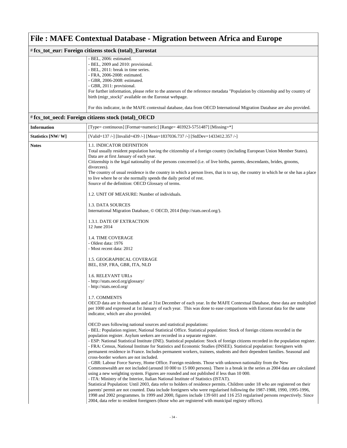| # fcs_tot_eur: Foreign citizens stock (total)_Eurostat |                                                                                                                             |
|--------------------------------------------------------|-----------------------------------------------------------------------------------------------------------------------------|
|                                                        | - BEL, 2006: estimated.                                                                                                     |
|                                                        | - BEL, 2009 and 2010: provisional.                                                                                          |
|                                                        | - BEL, 2011: break in time series.                                                                                          |
|                                                        | - FRA, 2006-2008: estimated.                                                                                                |
|                                                        | - GBR, 2006-2008: estimated.                                                                                                |
|                                                        | - GBR, 2011: provisional.                                                                                                   |
|                                                        | For further information, please refer to the annexes of the reference metadata "Population by citizenship and by country of |
|                                                        | birth (migr_stock)" available on the Eurostat webpage.                                                                      |
|                                                        | For this indicator, in the MAFE contextual database, data from OECD International Migration Database are also provided.     |

### # **fcs\_tot\_oecd: Foreign citizens stock (total)\_OECD**

| <b>Information</b> | [Type= continuous] [Format=numeric] [Range= 403923-5751487] [Missing=*]                                                                                                                                                                                                                                                                                                                                                                                                                                                                                                                                                                                                                                                                                                                                         |
|--------------------|-----------------------------------------------------------------------------------------------------------------------------------------------------------------------------------------------------------------------------------------------------------------------------------------------------------------------------------------------------------------------------------------------------------------------------------------------------------------------------------------------------------------------------------------------------------------------------------------------------------------------------------------------------------------------------------------------------------------------------------------------------------------------------------------------------------------|
| Statistics [NW/W]  | [Valid=137/-] [Invalid=439/-] [Mean=1837036.737/-] [StdDev=1433412.357/-]                                                                                                                                                                                                                                                                                                                                                                                                                                                                                                                                                                                                                                                                                                                                       |
| <b>Notes</b>       | 1.1. INDICATOR DEFINITION<br>Total usually resident population having the citizenship of a foreign country (including European Union Member States).<br>Data are at first January of each year.<br>Citizenship is the legal nationality of the persons concerned (i.e. of live births, parents, descendants, brides, grooms,<br>divorcees).<br>The country of usual residence is the country in which a person lives, that is to say, the country in which he or she has a place<br>to live where he or she normally spends the daily period of rest.<br>Source of the definition: OECD Glossary of terms.                                                                                                                                                                                                      |
|                    | 1.2. UNIT OF MEASURE: Number of individuals.                                                                                                                                                                                                                                                                                                                                                                                                                                                                                                                                                                                                                                                                                                                                                                    |
|                    | 1.3. DATA SOURCES<br>International Migration Database, © OECD, 2014 (http://stats.oecd.org/).                                                                                                                                                                                                                                                                                                                                                                                                                                                                                                                                                                                                                                                                                                                   |
|                    | 1.3.1. DATE OF EXTRACTION<br>12 June 2014                                                                                                                                                                                                                                                                                                                                                                                                                                                                                                                                                                                                                                                                                                                                                                       |
|                    | <b>1.4. TIME COVERAGE</b><br>- Oldest data: 1976<br>- Most recent data: 2012                                                                                                                                                                                                                                                                                                                                                                                                                                                                                                                                                                                                                                                                                                                                    |
|                    | 1.5. GEOGRAPHICAL COVERAGE<br>BEL, ESP, FRA, GBR, ITA, NLD                                                                                                                                                                                                                                                                                                                                                                                                                                                                                                                                                                                                                                                                                                                                                      |
|                    | 1.6. RELEVANT URLs<br>- http://stats.oecd.org/glossary/<br>- http://stats.oecd.org/                                                                                                                                                                                                                                                                                                                                                                                                                                                                                                                                                                                                                                                                                                                             |
|                    | 1.7. COMMENTS<br>OECD data are in thousands and at 31st December of each year. In the MAFE Contextual Database, these data are multiplied<br>per 1000 and expressed at 1st January of each year. This was done to ease comparisons with Eurostat data for the same<br>indicator, which are also provided.                                                                                                                                                                                                                                                                                                                                                                                                                                                                                                       |
|                    | OECD uses following national sources and statistical populations:<br>- BEL: Population register, National Statistical Office. Statistical population: Stock of foreign citizens recorded in the<br>population register. Asylum seekers are recorded in a separate register.<br>- ESP: National Statistical Institute (INE). Statistical population: Stock of foreign citizens recorded in the population register.<br>- FRA: Census, National Institute for Statistics and Economic Studies (INSEE). Statistical population: foreigners with<br>permanent residence in France. Includes permanent workers, trainees, students and their dependent families. Seasonal and<br>cross-border workers are not included.                                                                                              |
|                    | - GBR: Labour Force Survey, Home Office. Foreign residents. Those with unknown nationality from the New<br>Commonwealth are not included (around 10 000 to 15 000 persons). There is a break in the series as 2004 data are calculated<br>using a new weighting system. Figures are rounded and not published if less than 10 000.<br>- ITA: Ministry of the Interior, Italian National Institute of Statistics (ISTAT).<br>Statistical Population: Until 2003, data refer to holders of residence permits. Children under 18 who are registered on their<br>parents' permit are not counted. Data include foreigners who were regularised following the 1987-1988, 1990, 1995-1996,<br>1998 and 2002 programmes. In 1999 and 2000, figures include 139 601 and 116 253 regularised persons respectively. Since |
|                    | 2004, data refer to resident foreigners (those who are registered with municipal registry offices).                                                                                                                                                                                                                                                                                                                                                                                                                                                                                                                                                                                                                                                                                                             |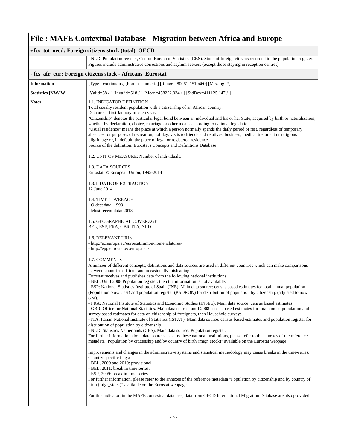|                    | # fcs_tot_oecd: Foreign citizens stock (total)_OECD                                                                                                                                                                                                                                                                                                                                                                                                                                                                                                                                                                                                                                                                                                                                                                                                                                                                                                                                                                                                                                                                                                                                                                                                                                                                                                                                                                                                                                                                                                                                                                                                                                                                                                                                                                                                                                                                                                                                                                                                                                                                                                                                                                                                                                                                                                                                                                                                                                                                                                                                                                                                                                                                                                                                                                                                                                                                        |
|--------------------|----------------------------------------------------------------------------------------------------------------------------------------------------------------------------------------------------------------------------------------------------------------------------------------------------------------------------------------------------------------------------------------------------------------------------------------------------------------------------------------------------------------------------------------------------------------------------------------------------------------------------------------------------------------------------------------------------------------------------------------------------------------------------------------------------------------------------------------------------------------------------------------------------------------------------------------------------------------------------------------------------------------------------------------------------------------------------------------------------------------------------------------------------------------------------------------------------------------------------------------------------------------------------------------------------------------------------------------------------------------------------------------------------------------------------------------------------------------------------------------------------------------------------------------------------------------------------------------------------------------------------------------------------------------------------------------------------------------------------------------------------------------------------------------------------------------------------------------------------------------------------------------------------------------------------------------------------------------------------------------------------------------------------------------------------------------------------------------------------------------------------------------------------------------------------------------------------------------------------------------------------------------------------------------------------------------------------------------------------------------------------------------------------------------------------------------------------------------------------------------------------------------------------------------------------------------------------------------------------------------------------------------------------------------------------------------------------------------------------------------------------------------------------------------------------------------------------------------------------------------------------------------------------------------------------|
|                    | - NLD: Population register, Central Bureau of Statistics (CBS). Stock of foreign citizens recorded in the population register.<br>Figures include administrative corrections and asylum seekers (except those staying in reception centres).                                                                                                                                                                                                                                                                                                                                                                                                                                                                                                                                                                                                                                                                                                                                                                                                                                                                                                                                                                                                                                                                                                                                                                                                                                                                                                                                                                                                                                                                                                                                                                                                                                                                                                                                                                                                                                                                                                                                                                                                                                                                                                                                                                                                                                                                                                                                                                                                                                                                                                                                                                                                                                                                               |
|                    | # fcs_afr_eur: Foreign citizens stock - Africans_Eurostat                                                                                                                                                                                                                                                                                                                                                                                                                                                                                                                                                                                                                                                                                                                                                                                                                                                                                                                                                                                                                                                                                                                                                                                                                                                                                                                                                                                                                                                                                                                                                                                                                                                                                                                                                                                                                                                                                                                                                                                                                                                                                                                                                                                                                                                                                                                                                                                                                                                                                                                                                                                                                                                                                                                                                                                                                                                                  |
| <b>Information</b> | [Type= continuous] [Format=numeric] [Range= 80061-1510460] [Missing=*]                                                                                                                                                                                                                                                                                                                                                                                                                                                                                                                                                                                                                                                                                                                                                                                                                                                                                                                                                                                                                                                                                                                                                                                                                                                                                                                                                                                                                                                                                                                                                                                                                                                                                                                                                                                                                                                                                                                                                                                                                                                                                                                                                                                                                                                                                                                                                                                                                                                                                                                                                                                                                                                                                                                                                                                                                                                     |
| Statistics [NW/W]  | [Valid=58 /-] [Invalid=518 /-] [Mean=458222.034 /-] [StdDev=411125.147 /-]                                                                                                                                                                                                                                                                                                                                                                                                                                                                                                                                                                                                                                                                                                                                                                                                                                                                                                                                                                                                                                                                                                                                                                                                                                                                                                                                                                                                                                                                                                                                                                                                                                                                                                                                                                                                                                                                                                                                                                                                                                                                                                                                                                                                                                                                                                                                                                                                                                                                                                                                                                                                                                                                                                                                                                                                                                                 |
| <b>Notes</b>       | <b>1.1. INDICATOR DEFINITION</b><br>Total usually resident population with a citizenship of an African country.<br>Data are at first January of each year.<br>"Citizenship" denotes the particular legal bond between an individual and his or her State, acquired by birth or naturalization,<br>whether by declaration, choice, marriage or other means according to national legislation.<br>"Usual residence" means the place at which a person normally spends the daily period of rest, regardless of temporary<br>absences for purposes of recreation, holiday, visits to friends and relatives, business, medical treatment or religious<br>pilgrimage or, in default, the place of legal or registered residence.<br>Source of the definition: Eurostat's Concepts and Definitions Database.<br>1.2. UNIT OF MEASURE: Number of individuals.<br>1.3. DATA SOURCES<br>Eurostat. © European Union, 1995-2014<br>1.3.1. DATE OF EXTRACTION<br>12 June 2014<br>1.4. TIME COVERAGE<br>- Oldest data: 1998<br>- Most recent data: 2013<br>1.5. GEOGRAPHICAL COVERAGE<br>BEL, ESP, FRA, GBR, ITA, NLD<br>1.6. RELEVANT URLs<br>- http://ec.europa.eu/eurostat/ramon/nomenclatures/<br>- http://epp.eurostat.ec.europa.eu/<br>1.7. COMMENTS<br>A number of different concepts, definitions and data sources are used in different countries which can make comparisons<br>between countries difficult and occasionally misleading.<br>Eurostat receives and publishes data from the following national institutions:<br>- BEL: Until 2008 Population register, then the information is not available.<br>- ESP: National Statistics Institute of Spain (INE). Main data source: census based estimates for total annual population<br>(Population Now Cast) and population register (PADRON) for distribution of population by citizenship (adjusted to now<br>cast).<br>- FRA: National Institute of Statistics and Economic Studies (INSEE). Main data source: census based estimates.<br>- GBR: Office for National Statistics. Main data source: until 2008 census based estimates for total annual population and<br>survey based estimates for data on citizenship of foreigners, then Household surveys.<br>- ITA: Italian National Institute of Statistics (ISTAT). Main data source: census based estimates and population register for<br>distribution of population by citizenship.<br>- NLD: Statistics Netherlands (CBS). Main data source: Population register.<br>For further information about data sources used by these national institutions, please refer to the annexes of the reference<br>metadata "Population by citizenship and by country of birth (migr_stock)" available on the Eurostat webpage.<br>Improvements and changes in the administrative systems and statistical methodology may cause breaks in the time-series.<br>Country-specific flags:<br>- BEL, 2009 and 2010: provisional. |
|                    | - BEL, 2011: break in time series.<br>- ESP, 2009: break in time series.<br>For further information, please refer to the annexes of the reference metadata "Population by citizenship and by country of                                                                                                                                                                                                                                                                                                                                                                                                                                                                                                                                                                                                                                                                                                                                                                                                                                                                                                                                                                                                                                                                                                                                                                                                                                                                                                                                                                                                                                                                                                                                                                                                                                                                                                                                                                                                                                                                                                                                                                                                                                                                                                                                                                                                                                                                                                                                                                                                                                                                                                                                                                                                                                                                                                                    |
|                    | birth (migr_stock)" available on the Eurostat webpage.<br>For this indicator, in the MAFE contextual database, data from OECD International Migration Database are also provided.                                                                                                                                                                                                                                                                                                                                                                                                                                                                                                                                                                                                                                                                                                                                                                                                                                                                                                                                                                                                                                                                                                                                                                                                                                                                                                                                                                                                                                                                                                                                                                                                                                                                                                                                                                                                                                                                                                                                                                                                                                                                                                                                                                                                                                                                                                                                                                                                                                                                                                                                                                                                                                                                                                                                          |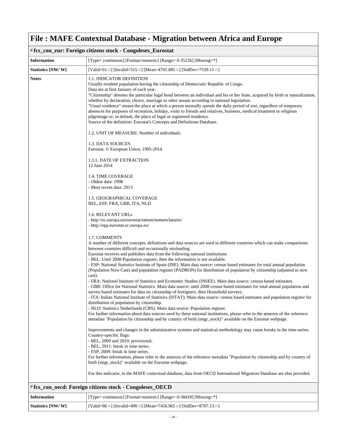| # fcs_con_eur: Foreign citizens stock - Congoleses_Eurostat |                                                                                                                                                                                                                                                                                                                                                                                                                                                                                                                                                                                                                                                                                                                                                                                                        |
|-------------------------------------------------------------|--------------------------------------------------------------------------------------------------------------------------------------------------------------------------------------------------------------------------------------------------------------------------------------------------------------------------------------------------------------------------------------------------------------------------------------------------------------------------------------------------------------------------------------------------------------------------------------------------------------------------------------------------------------------------------------------------------------------------------------------------------------------------------------------------------|
| <b>Information</b>                                          | [Type= continuous] [Format=numeric] [Range= 0-35226] [Missing=*]                                                                                                                                                                                                                                                                                                                                                                                                                                                                                                                                                                                                                                                                                                                                       |
| Statistics [NW/W]                                           | [Valid=61 /-] [Invalid=515 /-] [Mean=4701.885 /-] [StdDev=7539.11 /-]                                                                                                                                                                                                                                                                                                                                                                                                                                                                                                                                                                                                                                                                                                                                  |
| <b>Notes</b>                                                | 1.1. INDICATOR DEFINITION<br>Usually resident population having the citizenship of Democratic Republic of Congo.<br>Data are at first January of each year.<br>"Citizenship" denotes the particular legal bond between an individual and his or her State, acquired by birth or naturalization,<br>whether by declaration, choice, marriage or other means according to national legislation.<br>"Usual residence" means the place at which a person normally spends the daily period of rest, regardless of temporary<br>absences for purposes of recreation, holiday, visits to friends and relatives, business, medical treatment or religious<br>pilgrimage or, in default, the place of legal or registered residence.<br>Source of the definition: Eurostat's Concepts and Definitions Database. |
|                                                             | 1.2. UNIT OF MEASURE: Number of individuals.                                                                                                                                                                                                                                                                                                                                                                                                                                                                                                                                                                                                                                                                                                                                                           |
|                                                             | 1.3. DATA SOURCES<br>Eurostat. © European Union, 1995-2014                                                                                                                                                                                                                                                                                                                                                                                                                                                                                                                                                                                                                                                                                                                                             |
|                                                             | 1.3.1. DATE OF EXTRACTION<br>12 June 2014                                                                                                                                                                                                                                                                                                                                                                                                                                                                                                                                                                                                                                                                                                                                                              |
|                                                             | <b>1.4. TIME COVERAGE</b><br>- Oldest data: 1998<br>- Most recent data: 2013                                                                                                                                                                                                                                                                                                                                                                                                                                                                                                                                                                                                                                                                                                                           |
|                                                             | 1.5. GEOGRAPHICAL COVERAGE<br>BEL, ESP, FRA, GBR, ITA, NLD                                                                                                                                                                                                                                                                                                                                                                                                                                                                                                                                                                                                                                                                                                                                             |
|                                                             | 1.6. RELEVANT URLs<br>- http://ec.europa.eu/eurostat/ramon/nomenclatures/<br>- http://epp.eurostat.ec.europa.eu/                                                                                                                                                                                                                                                                                                                                                                                                                                                                                                                                                                                                                                                                                       |
|                                                             | 1.7. COMMENTS<br>A number of different concepts, definitions and data sources are used in different countries which can make comparisons<br>between countries difficult and occasionally misleading.<br>Eurostat receives and publishes data from the following national institutions:<br>- BEL: Until 2008 Population register, then the information is not available.<br>- ESP: National Statistics Institute of Spain (INE). Main data source: census based estimates for total annual population                                                                                                                                                                                                                                                                                                   |
|                                                             | (Population Now Cast) and population register (PADRON) for distribution of population by citizenship (adjusted to now<br>cast).<br>- FRA: National Institute of Statistics and Economic Studies (INSEE). Main data source: census based estimates.<br>- GBR: Office for National Statistics. Main data source: until 2008 census based estimates for total annual population and<br>survey based estimates for data on citizenship of foreigners, then Household surveys.<br>- ITA: Italian National Institute of Statistics (ISTAT). Main data source: census based estimates and population register for<br>distribution of population by citizenship.<br>- NLD: Statistics Netherlands (CBS). Main data source: Population register.                                                                |
|                                                             | For further information about data sources used by these national institutions, please refer to the annexes of the reference<br>metadata "Population by citizenship and by country of birth (migr_stock)" available on the Eurostat webpage.                                                                                                                                                                                                                                                                                                                                                                                                                                                                                                                                                           |
|                                                             | Improvements and changes in the administrative systems and statistical methodology may cause breaks in the time-series.<br>Country-specific flags:<br>- BEL, 2009 and 2010: provisional.<br>- BEL, 2011: break in time series.<br>- ESP, 2009: break in time series.                                                                                                                                                                                                                                                                                                                                                                                                                                                                                                                                   |
|                                                             | For further information, please refer to the annexes of the reference metadata "Population by citizenship and by country of<br>birth (migr_stock)" available on the Eurostat webpage.                                                                                                                                                                                                                                                                                                                                                                                                                                                                                                                                                                                                                  |
|                                                             | For this indicator, in the MAFE contextual database, data from OECD International Migration Database are also provided.                                                                                                                                                                                                                                                                                                                                                                                                                                                                                                                                                                                                                                                                                |

#### # **fcs\_con\_oecd: Foreign citizens stock - Congoleses\_OECD**

| <b>Information</b> | [Type= continuous] [Format=numeric] [Range= 0-38418] [Missing=*]      |
|--------------------|-----------------------------------------------------------------------|
| Statistics [NW/W]  | [Valid=86 /-] [Invalid=490 /-] [Mean=7456.965 /-] [StdDev=8707.13 /-] |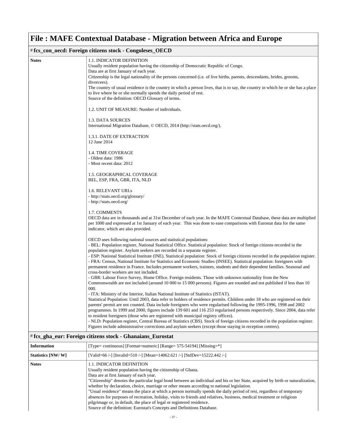#### # **fcs\_con\_oecd: Foreign citizens stock - Congoleses\_OECD Notes** 1.1. INDICATOR DEFINITION Usually resident population having the citizenship of Democratic Republic of Congo. Data are at first January of each year. Citizenship is the legal nationality of the persons concerned (i.e. of live births, parents, descendants, brides, grooms, divorcees). The country of usual residence is the country in which a person lives, that is to say, the country in which he or she has a place to live where he or she normally spends the daily period of rest. Source of the definition: OECD Glossary of terms. 1.2. UNIT OF MEASURE: Number of individuals. 1.3. DATA SOURCES International Migration Database, © OECD, 2014 (http://stats.oecd.org/). 1.3.1. DATE OF EXTRACTION 12 June 2014 1.4. TIME COVERAGE - Oldest data: 1986 - Most recent data: 2012 1.5. GEOGRAPHICAL COVERAGE BEL, ESP, FRA, GBR, ITA, NLD 1.6. RELEVANT URLs - http://stats.oecd.org/glossary/ - http://stats.oecd.org/ 1.7. COMMENTS OECD data are in thousands and at 31st December of each year. In the MAFE Contextual Database, these data are multiplied per 1000 and expressed at 1st January of each year. This was done to ease comparisons with Eurostat data for the same indicator, which are also provided. OECD uses following national sources and statistical populations: - BEL: Population register, National Statistical Office. Statistical population: Stock of foreign citizens recorded in the population register. Asylum seekers are recorded in a separate register. - ESP: National Statistical Institute (INE). Statistical population: Stock of foreign citizens recorded in the population register. - FRA: Census, National Institute for Statistics and Economic Studies (INSEE). Statistical population: foreigners with permanent residence in France. Includes permanent workers, trainees, students and their dependent families. Seasonal and cross-border workers are not included. - GBR: Labour Force Survey, Home Office. Foreign residents. Those with unknown nationality from the New Commonwealth are not included (around 10 000 to 15 000 persons). Figures are rounded and not published if less than 10 000. - ITA: Ministry of the Interior, Italian National Institute of Statistics (ISTAT). Statistical Population: Until 2003, data refer to holders of residence permits. Children under 18 who are registered on their parents' permit are not counted. Data include foreigners who were regularised following the 1995-1996, 1998 and 2002 programmes. In 1999 and 2000, figures include 139 601 and 116 253 regularised persons respectively. Since 2004, data refer to resident foreigners (those who are registered with municipal registry offices). - NLD: Population register, Central Bureau of Statistics (CBS). Stock of foreign citizens recorded in the population register. Figures include administrative corrections and asylum seekers (except those staying in reception centres).

#### # **fcs\_gha\_eur: Foreign citizens stock - Ghanaians\_Eurostat**

| <b>Information</b> | [Type= continuous] [Format=numeric] [Range= 575-54194] [Missing=*]                                                                                                                                                                                                                                                                                                                                                                                                                                                                                                                                                                                                                                                                                                                     |
|--------------------|----------------------------------------------------------------------------------------------------------------------------------------------------------------------------------------------------------------------------------------------------------------------------------------------------------------------------------------------------------------------------------------------------------------------------------------------------------------------------------------------------------------------------------------------------------------------------------------------------------------------------------------------------------------------------------------------------------------------------------------------------------------------------------------|
| Statistics [NW/W]  | [Valid=66 /-] [Invalid=510 /-] [Mean=14062.621 /-] [StdDev=15222.442 /-]                                                                                                                                                                                                                                                                                                                                                                                                                                                                                                                                                                                                                                                                                                               |
| <b>Notes</b>       | <b>1.1. INDICATOR DEFINITION</b><br>Usually resident population having the citizenship of Ghana.<br>Data are at first January of each year.<br>"Citizenship" denotes the particular legal bond between an individual and his or her State, acquired by birth or naturalization,<br>whether by declaration, choice, marriage or other means according to national legislation.<br>"Usual residence" means the place at which a person normally spends the daily period of rest, regardless of temporary<br>absences for purposes of recreation, holiday, visits to friends and relatives, business, medical treatment or religious<br>pilgrimage or, in default, the place of legal or registered residence.<br>Source of the definition: Eurostat's Concepts and Definitions Database. |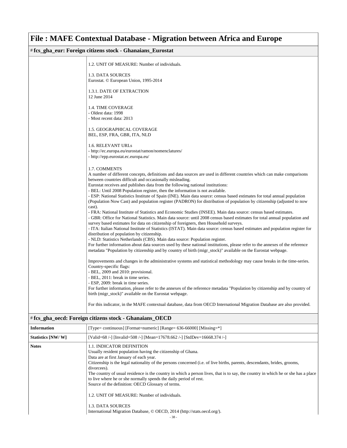#### # **fcs\_gha\_eur: Foreign citizens stock - Ghanaians\_Eurostat** 1.2. UNIT OF MEASURE: Number of individuals. 1.3. DATA SOURCES Eurostat. © European Union, 1995-2014 1.3.1. DATE OF EXTRACTION 12 June 2014 1.4. TIME COVERAGE - Oldest data: 1998 - Most recent data: 2013 1.5. GEOGRAPHICAL COVERAGE BEL, ESP, FRA, GBR, ITA, NLD 1.6. RELEVANT URLs - http://ec.europa.eu/eurostat/ramon/nomenclatures/ - http://epp.eurostat.ec.europa.eu/ 1.7. COMMENTS A number of different concepts, definitions and data sources are used in different countries which can make comparisons between countries difficult and occasionally misleading. Eurostat receives and publishes data from the following national institutions: - BEL: Until 2008 Population register, then the information is not available. - ESP: National Statistics Institute of Spain (INE). Main data source: census based estimates for total annual population (Population Now Cast) and population register (PADRON) for distribution of population by citizenship (adjusted to now cast). - FRA: National Institute of Statistics and Economic Studies (INSEE). Main data source: census based estimates. - GBR: Office for National Statistics. Main data source: until 2008 census based estimates for total annual population and survey based estimates for data on citizenship of foreigners, then Household surveys. - ITA: Italian National Institute of Statistics (ISTAT). Main data source: census based estimates and population register for distribution of population by citizenship. - NLD: Statistics Netherlands (CBS). Main data source: Population register. For further information about data sources used by these national institutions, please refer to the annexes of the reference metadata "Population by citizenship and by country of birth (migr\_stock)" available on the Eurostat webpage. Improvements and changes in the administrative systems and statistical methodology may cause breaks in the time-series. Country-specific flags: - BEL, 2009 and 2010: provisional. - BEL, 2011: break in time series. - ESP, 2009: break in time series. For further information, please refer to the annexes of the reference metadata "Population by citizenship and by country of birth (migr\_stock)" available on the Eurostat webpage. For this indicator, in the MAFE contextual database, data from OECD International Migration Database are also provided.

#### # **fcs\_gha\_oecd: Foreign citizens stock - Ghanaians\_OECD**

| <b>Information</b> | [Type= continuous] [Format=numeric] [Range= 636-66000] [Missing=*]                                                                                                                                                                                                                                                                                                                                                                                                                                                                                                                                                                                                                                            |
|--------------------|---------------------------------------------------------------------------------------------------------------------------------------------------------------------------------------------------------------------------------------------------------------------------------------------------------------------------------------------------------------------------------------------------------------------------------------------------------------------------------------------------------------------------------------------------------------------------------------------------------------------------------------------------------------------------------------------------------------|
| Statistics [NW/W]  | [Valid=68 /-] [Invalid=508 /-] [Mean=17678.662 /-] [StdDev=16668.374 /-]                                                                                                                                                                                                                                                                                                                                                                                                                                                                                                                                                                                                                                      |
| <b>Notes</b>       | <b>1.1. INDICATOR DEFINITION</b><br>Usually resident population having the citizenship of Ghana.<br>Data are at first January of each year.<br>Citizenship is the legal nationality of the persons concerned (i.e. of live births, parents, descendants, brides, grooms,<br>divorcees).<br>The country of usual residence is the country in which a person lives, that is to say, the country in which he or she has a place<br>to live where he or she normally spends the daily period of rest.<br>Source of the definition: OECD Glossary of terms.<br>1.2. UNIT OF MEASURE: Number of individuals.<br>1.3. DATA SOURCES<br>International Migration Database, © OECD, 2014 (http://stats.oecd.org/).<br>20 |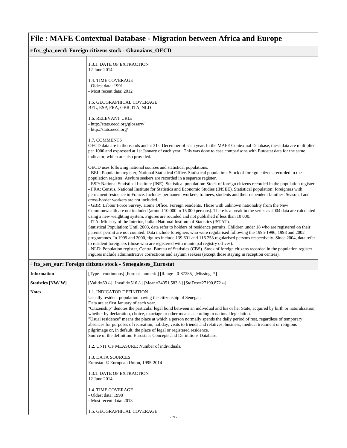#### # **fcs\_gha\_oecd: Foreign citizens stock - Ghanaians\_OECD**

| 1.3.1. DATE OF EXTRACTION<br>12 June 2014                                                                                                                                                                                                                                                                                                                                                                                                                                 |
|---------------------------------------------------------------------------------------------------------------------------------------------------------------------------------------------------------------------------------------------------------------------------------------------------------------------------------------------------------------------------------------------------------------------------------------------------------------------------|
| 1.4. TIME COVERAGE<br>- Oldest data: 1991                                                                                                                                                                                                                                                                                                                                                                                                                                 |
| - Most recent data: 2012                                                                                                                                                                                                                                                                                                                                                                                                                                                  |
| 1.5. GEOGRAPHICAL COVERAGE<br>BEL, ESP, FRA, GBR, ITA, NLD                                                                                                                                                                                                                                                                                                                                                                                                                |
| 1.6. RELEVANT URLs<br>- http://stats.oecd.org/glossary/                                                                                                                                                                                                                                                                                                                                                                                                                   |
| - http://stats.oecd.org/                                                                                                                                                                                                                                                                                                                                                                                                                                                  |
| 1.7. COMMENTS<br>OECD data are in thousands and at 31st December of each year. In the MAFE Contextual Database, these data are multiplied<br>per 1000 and expressed at 1st January of each year. This was done to ease comparisons with Eurostat data for the same<br>indicator, which are also provided.                                                                                                                                                                 |
| OECD uses following national sources and statistical populations:<br>- BEL: Population register, National Statistical Office. Statistical population: Stock of foreign citizens recorded in the<br>population register. Asylum seekers are recorded in a separate register.                                                                                                                                                                                               |
| - ESP: National Statistical Institute (INE). Statistical population: Stock of foreign citizens recorded in the population register.<br>- FRA: Census, National Institute for Statistics and Economic Studies (INSEE). Statistical population: foreigners with<br>permanent residence in France. Includes permanent workers, trainees, students and their dependent families. Seasonal and<br>cross-border workers are not included.                                       |
| - GBR: Labour Force Survey, Home Office. Foreign residents. Those with unknown nationality from the New<br>Commonwealth are not included (around 10 000 to 15 000 persons). There is a break in the series as 2004 data are calculated<br>using a new weighting system. Figures are rounded and not published if less than 10 000.                                                                                                                                        |
| - ITA: Ministry of the Interior, Italian National Institute of Statistics (ISTAT).<br>Statistical Population: Until 2003, data refer to holders of residence permits. Children under 18 who are registered on their<br>parents' permit are not counted. Data include foreigners who were regularised following the 1995-1996, 1998 and 2002<br>programmes. In 1999 and 2000, figures include 139 601 and 116 253 regularised persons respectively. Since 2004, data refer |
| to resident foreigners (those who are registered with municipal registry offices).<br>- NLD: Population register, Central Bureau of Statistics (CBS). Stock of foreign citizens recorded in the population register.<br>Figures include administrative corrections and asylum seekers (except those staying in reception centres).                                                                                                                                        |

### # **fcs\_sen\_eur: Foreign citizens stock - Senegaleses\_Eurostat**

| <b>Information</b> | [Type= continuous] [Format=numeric] [Range= 0-87285] [Missing=*]                                                                                                                                                                                                                                                                                                                                                                                                                                                                                                                                                                                                                                                                                                                                                                                                                                                                                                                                                                                                                   |
|--------------------|------------------------------------------------------------------------------------------------------------------------------------------------------------------------------------------------------------------------------------------------------------------------------------------------------------------------------------------------------------------------------------------------------------------------------------------------------------------------------------------------------------------------------------------------------------------------------------------------------------------------------------------------------------------------------------------------------------------------------------------------------------------------------------------------------------------------------------------------------------------------------------------------------------------------------------------------------------------------------------------------------------------------------------------------------------------------------------|
| Statistics [NW/W]  | [Valid=60 /-] [Invalid=516 /-] [Mean=24051.583 /-] [StdDev=27190.872 /-]                                                                                                                                                                                                                                                                                                                                                                                                                                                                                                                                                                                                                                                                                                                                                                                                                                                                                                                                                                                                           |
| <b>Notes</b>       | <b>1.1. INDICATOR DEFINITION</b><br>Usually resident population having the citizenship of Senegal.<br>Data are at first January of each year.<br>"Citizenship" denotes the particular legal bond between an individual and his or her State, acquired by birth or naturalization,<br>whether by declaration, choice, marriage or other means according to national legislation.<br>"Usual residence" means the place at which a person normally spends the daily period of rest, regardless of temporary<br>absences for purposes of recreation, holiday, visits to friends and relatives, business, medical treatment or religious<br>pilgrimage or, in default, the place of legal or registered residence.<br>Source of the definition: Eurostat's Concepts and Definitions Database.<br>1.2. UNIT OF MEASURE: Number of individuals.<br><b>1.3. DATA SOURCES</b><br>Eurostat. © European Union, 1995-2014<br>1.3.1. DATE OF EXTRACTION<br>12 June 2014<br><b>1.4. TIME COVERAGE</b><br>- Oldest data: 1998<br>- Most recent data: 2013<br>1.5. GEOGRAPHICAL COVERAGE<br>$-39-$ |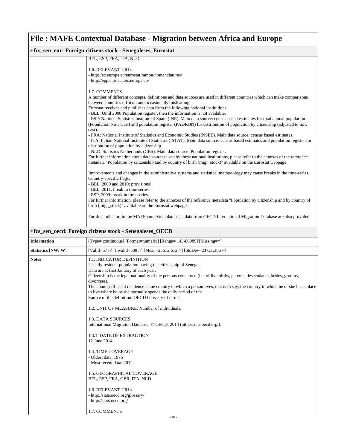| # fcs_sen_eur: Foreign citizens stock - Senegaleses_Eurostat                                                                                                                                                                                 |
|----------------------------------------------------------------------------------------------------------------------------------------------------------------------------------------------------------------------------------------------|
| BEL, ESP, FRA, ITA, NLD                                                                                                                                                                                                                      |
| 1.6. RELEVANT URLS                                                                                                                                                                                                                           |
| - http://ec.europa.eu/eurostat/ramon/nomenclatures/                                                                                                                                                                                          |
| - http://epp.eurostat.ec.europa.eu/                                                                                                                                                                                                          |
| 1.7. COMMENTS                                                                                                                                                                                                                                |
| A number of different concepts, definitions and data sources are used in different countries which can make comparisons                                                                                                                      |
| between countries difficult and occasionally misleading.                                                                                                                                                                                     |
| Eurostat receives and publishes data from the following national institutions:                                                                                                                                                               |
| - BEL: Until 2008 Population register, then the information is not available.                                                                                                                                                                |
| - ESP: National Statistics Institute of Spain (INE). Main data source: census based estimates for total annual population                                                                                                                    |
| (Population Now Cast) and population register (PADRON) for distribution of population by citizenship (adjusted to now                                                                                                                        |
| cast).                                                                                                                                                                                                                                       |
| - FRA: National Institute of Statistics and Economic Studies (INSEE). Main data source: census based estimates.                                                                                                                              |
| - ITA: Italian National Institute of Statistics (ISTAT). Main data source: census based estimates and population register for<br>distribution of population by citizenship.                                                                  |
| - NLD: Statistics Netherlands (CBS). Main data source: Population register.                                                                                                                                                                  |
| For further information about data sources used by these national institutions, please refer to the annexes of the reference<br>metadata "Population by citizenship and by country of birth (migr_stock)" available on the Eurostat webpage. |
| Improvements and changes in the administrative systems and statistical methodology may cause breaks in the time-series.<br>Country-specific flags:                                                                                           |
| - BEL, 2009 and 2010: provisional.                                                                                                                                                                                                           |
| - BEL, 2011: break in time series.                                                                                                                                                                                                           |
| - ESP, 2009: break in time series.                                                                                                                                                                                                           |
| For further information, please refer to the annexes of the reference metadata "Population by citizenship and by country of                                                                                                                  |
| birth (migr_stock)" available on the Eurostat webpage.                                                                                                                                                                                       |
| For this indicator, in the MAFE contextual database, data from OECD International Migration Database are also provided.                                                                                                                      |

| # fcs_sen_oecd: Foreign citizens stock - Senegaleses_OECD |                                                                                                                                                                                                                                                                                                                                                                                                                                                                                                                                                                                                                                                                                                                                                                                                                                                                                                                                                                                                                            |
|-----------------------------------------------------------|----------------------------------------------------------------------------------------------------------------------------------------------------------------------------------------------------------------------------------------------------------------------------------------------------------------------------------------------------------------------------------------------------------------------------------------------------------------------------------------------------------------------------------------------------------------------------------------------------------------------------------------------------------------------------------------------------------------------------------------------------------------------------------------------------------------------------------------------------------------------------------------------------------------------------------------------------------------------------------------------------------------------------|
| <b>Information</b>                                        | [Type= continuous] [Format=numeric] [Range= 143-80989] [Missing=*]                                                                                                                                                                                                                                                                                                                                                                                                                                                                                                                                                                                                                                                                                                                                                                                                                                                                                                                                                         |
| Statistics [NW/W]                                         | [Valid=67/-] [Invalid=509/-] [Mean=25612.612/-] [StdDev=23721.386/-]                                                                                                                                                                                                                                                                                                                                                                                                                                                                                                                                                                                                                                                                                                                                                                                                                                                                                                                                                       |
| <b>Notes</b>                                              | <b>1.1. INDICATOR DEFINITION</b><br>Usually resident population having the citizenship of Senegal.<br>Data are at first January of each year.<br>Citizenship is the legal nationality of the persons concerned (i.e. of live births, parents, descendants, brides, grooms,<br>divorcees).<br>The country of usual residence is the country in which a person lives, that is to say, the country in which he or she has a place<br>to live where he or she normally spends the daily period of rest.<br>Source of the definition: OECD Glossary of terms.<br>1.2. UNIT OF MEASURE: Number of individuals.<br>1.3. DATA SOURCES<br>International Migration Database, © OECD, 2014 (http://stats.oecd.org/).<br><b>1.3.1. DATE OF EXTRACTION</b><br>12 June 2014<br><b>1.4. TIME COVERAGE</b><br>- Oldest data: 1976<br>- Most recent data: 2012<br>1.5. GEOGRAPHICAL COVERAGE<br>BEL, ESP, FRA, GBR, ITA, NLD<br><b>1.6. RELEVANT URLs</b><br>- http://stats.oecd.org/glossary/<br>- http://stats.oecd.org/<br>1.7. COMMENTS |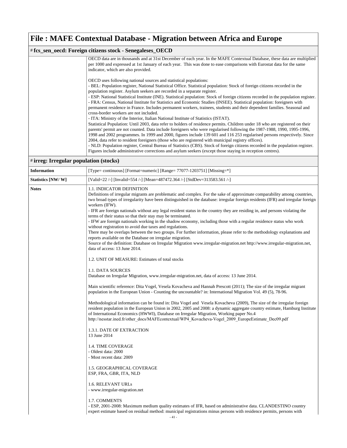#### # **fcs\_sen\_oecd: Foreign citizens stock - Senegaleses\_OECD**

| OECD data are in thousands and at 31st December of each year. In the MAFE Contextual Database, these data are multiplied            |
|-------------------------------------------------------------------------------------------------------------------------------------|
| per 1000 and expressed at 1st January of each year. This was done to ease comparisons with Eurostat data for the same               |
| indicator, which are also provided.                                                                                                 |
|                                                                                                                                     |
| OECD uses following national sources and statistical populations:                                                                   |
| - BEL: Population register, National Statistical Office. Statistical population: Stock of foreign citizens recorded in the          |
| population register. Asylum seekers are recorded in a separate register.                                                            |
| - ESP: National Statistical Institute (INE). Statistical population: Stock of foreign citizens recorded in the population register. |
| - FRA: Census, National Institute for Statistics and Economic Studies (INSEE). Statistical population: foreigners with              |
| permanent residence in France. Includes permanent workers, trainees, students and their dependent families. Seasonal and            |
| cross-border workers are not included.                                                                                              |
| - ITA: Ministry of the Interior, Italian National Institute of Statistics (ISTAT).                                                  |
| Statistical Population: Until 2003, data refer to holders of residence permits. Children under 18 who are registered on their       |
| parents' permit are not counted. Data include foreigners who were regularised following the 1987-1988, 1990, 1995-1996,             |
| 1998 and 2002 programmes. In 1999 and 2000, figures include 139 601 and 116 253 regularised persons respectively. Since             |
| 2004, data refer to resident foreigners (those who are registered with municipal registry offices).                                 |
| - NLD: Population register, Central Bureau of Statistics (CBS). Stock of foreign citizens recorded in the population register.      |
| Figures include administrative corrections and asylum seekers (except those staying in reception centres).                          |
|                                                                                                                                     |

### # **irreg: Irregular population (stocks)**

| <b>Information</b> | [Type= continuous] [Format=numeric] [Range= $77077-1203751$ ] [Missing=*]                                                                                                                                                                                                                                                                                                                                                                                                                                                                                                                                                                                                                                                                                                                                                                                                                                                                                                                                                                                                                                                                                                                                                                                                                                                                                                                                                                                                                                                                                                                                                                                                                                                                                                                                                                                                                                                                                                                                                                               |
|--------------------|---------------------------------------------------------------------------------------------------------------------------------------------------------------------------------------------------------------------------------------------------------------------------------------------------------------------------------------------------------------------------------------------------------------------------------------------------------------------------------------------------------------------------------------------------------------------------------------------------------------------------------------------------------------------------------------------------------------------------------------------------------------------------------------------------------------------------------------------------------------------------------------------------------------------------------------------------------------------------------------------------------------------------------------------------------------------------------------------------------------------------------------------------------------------------------------------------------------------------------------------------------------------------------------------------------------------------------------------------------------------------------------------------------------------------------------------------------------------------------------------------------------------------------------------------------------------------------------------------------------------------------------------------------------------------------------------------------------------------------------------------------------------------------------------------------------------------------------------------------------------------------------------------------------------------------------------------------------------------------------------------------------------------------------------------------|
| Statistics [NW/W]  | [Valid=22 /-] [Invalid=554 /-] [Mean=487472.364 /-] [StdDev=313583.561 /-]                                                                                                                                                                                                                                                                                                                                                                                                                                                                                                                                                                                                                                                                                                                                                                                                                                                                                                                                                                                                                                                                                                                                                                                                                                                                                                                                                                                                                                                                                                                                                                                                                                                                                                                                                                                                                                                                                                                                                                              |
| <b>Notes</b>       | 1.1. INDICATOR DEFINITION<br>Definitions of irregular migrants are problematic and complex. For the sake of approximate comparability among countries,<br>two broad types of irregularity have been distinguished in the database: irregular foreign residents (IFR) and irregular foreign<br>workers (IFW).<br>- IFR are foreign nationals without any legal resident status in the country they are residing in, and persons violating the<br>terms of their status so that their stay may be terminated.<br>- IFW are foreign nationals working in the shadow economy, including those with a regular residence status who work<br>without registration to avoid due taxes and regulations.<br>There may be overlaps between the two groups. For further information, please refer to the methodology explanations and<br>reports available on the Database on irregular migration.<br>Source of the definition: Database on Irregular Migration www.irregular-migration.net http://www.irregular-migration.net,<br>data of access: 13 June 2014.<br>1.2. UNIT OF MEASURE: Estimates of total stocks<br>1.1. DATA SOURCES<br>Database on Irregular Migration, www.irregular-migration.net, data of access: 13 June 2014.<br>Main scientific reference: Dita Vogel, Vesela Kovacheva and Hannah Prescott (2011); The size of the irregular migrant<br>population in the European Union - Counting the uncountable? in: International Migration Vol. 49 (5), 78-96.<br>Methodological information can be found in: Dita Vogel and Vesela Kovacheva (2009), The size of the irregular foreign<br>resident population in the European Union in 2002, 2005 and 2008: a dynamic aggregate country estimate, Hamburg Institute<br>of International Economics (HWWI), Database on Irregular Migration, Working paper No.4<br>http://nesstar.ined.fr/other_docs/MAFEcontextual/WP4_Kovacheva-Vogel_2009_EuropeEstimate_Dec09.pdf<br>1.3.1. DATE OF EXTRACTION<br>13 June 2014<br><b>1.4. TIME COVERAGE</b><br>- Oldest data: 2000<br>- Most recent data: 2009 |
|                    | 1.5. GEOGRAPHICAL COVERAGE<br>ESP, FRA, GBR, ITA, NLD<br>1.6. RELEVANT URLs                                                                                                                                                                                                                                                                                                                                                                                                                                                                                                                                                                                                                                                                                                                                                                                                                                                                                                                                                                                                                                                                                                                                                                                                                                                                                                                                                                                                                                                                                                                                                                                                                                                                                                                                                                                                                                                                                                                                                                             |
|                    | - www.irregular-migration.net                                                                                                                                                                                                                                                                                                                                                                                                                                                                                                                                                                                                                                                                                                                                                                                                                                                                                                                                                                                                                                                                                                                                                                                                                                                                                                                                                                                                                                                                                                                                                                                                                                                                                                                                                                                                                                                                                                                                                                                                                           |
|                    | 1.7. COMMENTS<br>- ESP, 2001-2008: Maximum medium quality estimates of IFR, based on administrative data. CLANDESTINO country<br>expert estimate based on residual method: municipal registrations minus persons with residence permits, persons with<br>$-41 -$                                                                                                                                                                                                                                                                                                                                                                                                                                                                                                                                                                                                                                                                                                                                                                                                                                                                                                                                                                                                                                                                                                                                                                                                                                                                                                                                                                                                                                                                                                                                                                                                                                                                                                                                                                                        |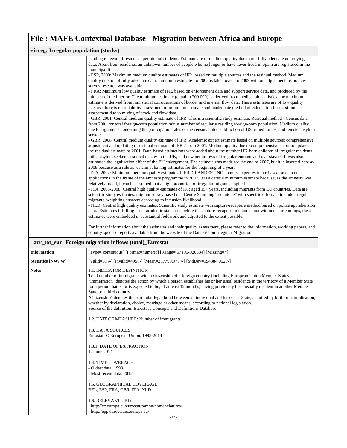#### # **irreg: Irregular population (stocks)** pending renewal of residence permit and students. Estimate are of medium quality due to not fully adequate underlying data: Apart from residents, an unknown number of people who no longer or have never lived in Spain are registered in the municipal files. - ESP, 2009: Maximum medium quality estimates of IFR, based on multiple sources and the residual method. Medium quality due to not fully adequate data: minimum estimate for 2008 is taken over for 2009 without adjustment, as no new survey research was available. - FRA: Maximum low quality estimate of IFR, based on enforcement data and support service data, and produced by the minister of the Interior. The minimum estimate (equal to 200 000) is derived from medical aid statistics, the maximum estimate is derived from ministerial considerations of border and internal flow data. These estimates are of low quality because there is no reliability assessment of minimum estimate and inadequate method of calculation for maximum assessment due to mixing of stock and flow data. - GBR, 2001: Central medium quality estimate of IFR. This is a scientific study estimate: Residual method - Census data from 2001 for total foreign-born population minus number of regularly residing foreign-born population. Medium quality due to arguments concerning the participation rates of the census, failed subtraction of US armed forces, and rejected asylum seekers. - GBR, 2008: Central medium quality estimate of IFR. Academic expert estimate based on multiple sources: comprehensive adjustment and updating of residual estimate of IFR 2 from 2001. Medium quality due to comprehensive effort to update the residual estimate of 2001. Data-based estimations were added about the number UK-born children of irregular residents, failed asylum seekers assumed to stay in the UK, and new net inflows of irregular entrants and overstayers. It was also estimated the legalisation effect of the EU enlargement. The estimate was made for the end of 2007, but it is inserted here as 2008 because as a rule as we aim at having estimates for the beginning of a year. - ITA, 2002: Minimum medium quality estimate of IFR. CLANDESTINO country expert estimate based on data on applications in the frame of the amnesty programme in 2002. It is a careful minimum estimate because, as the amnesty was relatively broad, it can be assumed that a high proportion of irregular migrants applied. - ITA, 2005-2008: Central high quality estimates of IFR aged 15+ years, including migrants from EU countries. Data are scientific study estimates: migrant survey based on "Centre Sampling Technique" with specific efforts to include irregular migrants, weighting answers according to inclusion likelihood. - NLD: Central high quality estimates. Scientific study estimate with capture-recapture method based on police apprehension data. Estimates fulfilling usual academic standards; while the capture-recapture-method is not without shortcomings, these estimates were embedded in substantial fieldwork and adjusted to the extent possible. For further information about the estimates and their quality assessment, please refer to the information, working papers, and

country specific reports available from the website of the Database on Irregular Migration.

|                    | ar ar tot eur: Foreign highation inflows (total) Eurostat                                                                                                                                                                                                                                                                                                                                                                                                                                                                                                                                                                                                                                                                                                                                                                                                                                                                                                                                                                                                                                                                                                                                         |  |
|--------------------|---------------------------------------------------------------------------------------------------------------------------------------------------------------------------------------------------------------------------------------------------------------------------------------------------------------------------------------------------------------------------------------------------------------------------------------------------------------------------------------------------------------------------------------------------------------------------------------------------------------------------------------------------------------------------------------------------------------------------------------------------------------------------------------------------------------------------------------------------------------------------------------------------------------------------------------------------------------------------------------------------------------------------------------------------------------------------------------------------------------------------------------------------------------------------------------------------|--|
| <b>Information</b> | [Type= continuous] [Format=numeric] [Range= 57195-920534] [Missing=*]                                                                                                                                                                                                                                                                                                                                                                                                                                                                                                                                                                                                                                                                                                                                                                                                                                                                                                                                                                                                                                                                                                                             |  |
| Statistics [NW/W]  | [Valid=81 /-] [Invalid=495 /-] [Mean=257799.975 /-] [StdDev=194384.052 /-]                                                                                                                                                                                                                                                                                                                                                                                                                                                                                                                                                                                                                                                                                                                                                                                                                                                                                                                                                                                                                                                                                                                        |  |
| <b>Notes</b>       | <b>1.1. INDICATOR DEFINITION</b><br>Total number of immigrants with a citizenship of a foreign country (including European Union Member States).<br>"Immigration" denotes the action by which a person establishes his or her usual residence in the territory of a Member State<br>for a period that is, or is expected to be, of at least 12 months, having previously been usually resident in another Member<br>State or a third country.<br>"Citizenship" denotes the particular legal bond between an individual and his or her State, acquired by birth or naturalisation,<br>whether by declaration, choice, marriage or other means, according to national legislation.<br>Source of the definition: Eurostat's Concepts and Definitions Database.<br>1.2. UNIT OF MEASURE: Number of immigrants.<br>1.3. DATA SOURCES<br>Eurostat. © European Union, 1995-2014<br>1.3.1. DATE OF EXTRACTION<br>12 June 2014<br><b>1.4. TIME COVERAGE</b><br>- Oldest data: 1998<br>- Most recent data: 2012<br>1.5. GEOGRAPHICAL COVERAGE<br>BEL, ESP, FRA, GBR, ITA, NLD<br>1.6. RELEVANT URLs<br>- http://ec.europa.eu/eurostat/ramon/nomenclatures/<br>- http://epp.eurostat.ec.europa.eu/<br>$-42-$ |  |
|                    |                                                                                                                                                                                                                                                                                                                                                                                                                                                                                                                                                                                                                                                                                                                                                                                                                                                                                                                                                                                                                                                                                                                                                                                                   |  |

# **arr\_tot\_eur: Foreign migration inflows (total)\_Eurostat**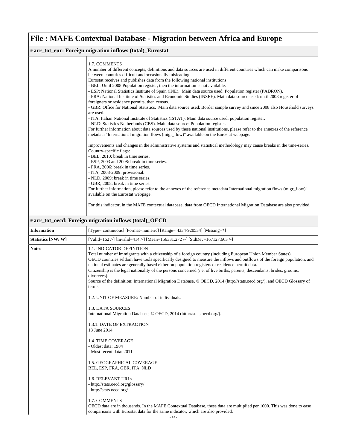### # **arr\_tot\_eur: Foreign migration inflows (total)\_Eurostat**

|                          | 1.7. COMMENTS<br>A number of different concepts, definitions and data sources are used in different countries which can make comparisons<br>between countries difficult and occasionally misleading.<br>Eurostat receives and publishes data from the following national institutions:<br>- BEL: Until 2008 Population register, then the information is not available.<br>- ESP: National Statistics Institute of Spain (INE). Main data source used: Population register (PADRON).<br>- FRA: National Institute of Statistics and Economic Studies (INSEE). Main data source used: until 2008 register of<br>foreigners or residence permits, then census.<br>- GBR: Office for National Statistics. Main data source used: Border sample survey and since 2008 also Household surveys<br>are used.<br>- ITA: Italian National Institute of Statistics (ISTAT). Main data source used: population register.<br>- NLD: Statistics Netherlands (CBS). Main data source: Population register.<br>For further information about data sources used by these national institutions, please refer to the annexes of the reference<br>metadata "International migration flows (migr_flow)" available on the Eurostat webpage.<br>Improvements and changes in the administrative systems and statistical methodology may cause breaks in the time-series.<br>Country-specific flags:<br>- BEL, 2010: break in time series.<br>- ESP, 2003 and 2008: break in time series.<br>- FRA, 2006: break in time series.<br>- ITA, 2008-2009: provisional.<br>- NLD, 2009: break in time series.<br>- GBR, 2008: break in time series.<br>For further information, please refer to the annexes of the reference metadata International migration flows (migr_flow)"<br>available on the Eurostat webpage.<br>For this indicator, in the MAFE contextual database, data from OECD International Migration Database are also provided. |
|--------------------------|----------------------------------------------------------------------------------------------------------------------------------------------------------------------------------------------------------------------------------------------------------------------------------------------------------------------------------------------------------------------------------------------------------------------------------------------------------------------------------------------------------------------------------------------------------------------------------------------------------------------------------------------------------------------------------------------------------------------------------------------------------------------------------------------------------------------------------------------------------------------------------------------------------------------------------------------------------------------------------------------------------------------------------------------------------------------------------------------------------------------------------------------------------------------------------------------------------------------------------------------------------------------------------------------------------------------------------------------------------------------------------------------------------------------------------------------------------------------------------------------------------------------------------------------------------------------------------------------------------------------------------------------------------------------------------------------------------------------------------------------------------------------------------------------------------------------------------------------------------------------------------------------------------------------|
|                          | # arr_tot_oecd: Foreign migration inflows (total)_OECD                                                                                                                                                                                                                                                                                                                                                                                                                                                                                                                                                                                                                                                                                                                                                                                                                                                                                                                                                                                                                                                                                                                                                                                                                                                                                                                                                                                                                                                                                                                                                                                                                                                                                                                                                                                                                                                               |
| <b>Information</b>       | [Type= continuous] [Format=numeric] [Range= 4334-920534] [Missing=*]                                                                                                                                                                                                                                                                                                                                                                                                                                                                                                                                                                                                                                                                                                                                                                                                                                                                                                                                                                                                                                                                                                                                                                                                                                                                                                                                                                                                                                                                                                                                                                                                                                                                                                                                                                                                                                                 |
|                          |                                                                                                                                                                                                                                                                                                                                                                                                                                                                                                                                                                                                                                                                                                                                                                                                                                                                                                                                                                                                                                                                                                                                                                                                                                                                                                                                                                                                                                                                                                                                                                                                                                                                                                                                                                                                                                                                                                                      |
| <b>Statistics [NW/W]</b> | [Valid=162 /-] [Invalid=414 /-] [Mean=156331.272 /-] [StdDev=167127.663 /-]                                                                                                                                                                                                                                                                                                                                                                                                                                                                                                                                                                                                                                                                                                                                                                                                                                                                                                                                                                                                                                                                                                                                                                                                                                                                                                                                                                                                                                                                                                                                                                                                                                                                                                                                                                                                                                          |
| <b>Notes</b>             | 1.1. INDICATOR DEFINITION<br>Total number of immigrants with a citizenship of a foreign country (including European Union Member States).<br>OECD countries seldom have tools specifically designed to measure the inflows and outflows of the foreign population, and<br>national estimates are generally based either on population registers or residence permit data.<br>Citizenship is the legal nationality of the persons concerned (i.e. of live births, parents, descendants, brides, grooms,<br>divorcees).<br>Source of the definition: International Migration Database, © OECD, 2014 (http://stats.oecd.org/), and OECD Glossary of<br>terms.<br>1.2. UNIT OF MEASURE: Number of individuals.<br>1.3. DATA SOURCES<br>International Migration Database, © OECD, 2014 (http://stats.oecd.org/).<br>1.3.1. DATE OF EXTRACTION<br>13 June 2014<br><b>1.4. TIME COVERAGE</b><br>- Oldest data: 1984<br>- Most recent data: 2011<br>1.5. GEOGRAPHICAL COVERAGE<br>BEL, ESP, FRA, GBR, ITA, NLD<br>1.6. RELEVANT URLs<br>- http://stats.oecd.org/glossary/<br>- http://stats.oecd.org/<br>1.7. COMMENTS<br>OECD data are in thousands. In the MAFE Contextual Database, these data are multiplied per 1000. This was done to ease                                                                                                                                                                                                                                                                                                                                                                                                                                                                                                                                                                                                                                                                             |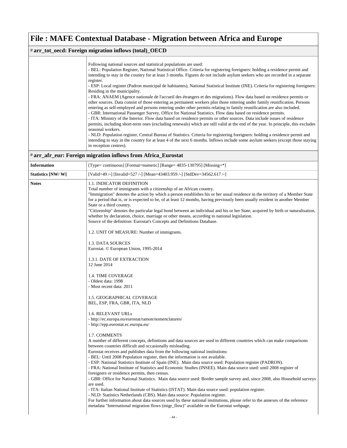### # **arr\_tot\_oecd: Foreign migration inflows (total)\_OECD**

### # **arr\_afr\_eur: Foreign migration inflows from Africa\_Eurostat**

| <b>Information</b> | [Type= continuous] [Format=numeric] [Range= 4835-130795] [Missing=*]                                                                                                                                                                                                                                                                                                                                                                                                                                                                                                                                                                                                                                                                                                                                                                                                                                                                                                                           |
|--------------------|------------------------------------------------------------------------------------------------------------------------------------------------------------------------------------------------------------------------------------------------------------------------------------------------------------------------------------------------------------------------------------------------------------------------------------------------------------------------------------------------------------------------------------------------------------------------------------------------------------------------------------------------------------------------------------------------------------------------------------------------------------------------------------------------------------------------------------------------------------------------------------------------------------------------------------------------------------------------------------------------|
| Statistics [NW/W]  | [Valid=49 /-] [Invalid=527 /-] [Mean=43403.959 /-] [StdDev=34562.617 /-]                                                                                                                                                                                                                                                                                                                                                                                                                                                                                                                                                                                                                                                                                                                                                                                                                                                                                                                       |
| <b>Notes</b>       | 1.1. INDICATOR DEFINITION<br>Total number of immigrants with a citizenship of an African country.<br>"Immigration" denotes the action by which a person establishes his or her usual residence in the territory of a Member State<br>for a period that is, or is expected to be, of at least 12 months, having previously been usually resident in another Member<br>State or a third country.<br>"Citizenship" denotes the particular legal bond between an individual and his or her State, acquired by birth or naturalisation,<br>whether by declaration, choice, marriage or other means, according to national legislation.<br>Source of the definition: Eurostat's Concepts and Definitions Database.                                                                                                                                                                                                                                                                                   |
|                    | 1.2. UNIT OF MEASURE: Number of immigrants.                                                                                                                                                                                                                                                                                                                                                                                                                                                                                                                                                                                                                                                                                                                                                                                                                                                                                                                                                    |
|                    | 1.3. DATA SOURCES<br>Eurostat. © European Union, 1995-2014                                                                                                                                                                                                                                                                                                                                                                                                                                                                                                                                                                                                                                                                                                                                                                                                                                                                                                                                     |
|                    | 1.3.1. DATE OF EXTRACTION<br>12 June 2014                                                                                                                                                                                                                                                                                                                                                                                                                                                                                                                                                                                                                                                                                                                                                                                                                                                                                                                                                      |
|                    | <b>1.4. TIME COVERAGE</b><br>- Oldest data: 1998<br>- Most recent data: 2011                                                                                                                                                                                                                                                                                                                                                                                                                                                                                                                                                                                                                                                                                                                                                                                                                                                                                                                   |
|                    | 1.5. GEOGRAPHICAL COVERAGE<br>BEL, ESP, FRA, GBR, ITA, NLD                                                                                                                                                                                                                                                                                                                                                                                                                                                                                                                                                                                                                                                                                                                                                                                                                                                                                                                                     |
|                    | 1.6. RELEVANT URLs<br>- http://ec.europa.eu/eurostat/ramon/nomenclatures/<br>- http://epp.eurostat.ec.europa.eu/                                                                                                                                                                                                                                                                                                                                                                                                                                                                                                                                                                                                                                                                                                                                                                                                                                                                               |
|                    | 1.7. COMMENTS<br>A number of different concepts, definitions and data sources are used in different countries which can make comparisons<br>between countries difficult and occasionally misleading.<br>Eurostat receives and publishes data from the following national institutions:<br>- BEL: Until 2008 Population register, then the information is not available.<br>- ESP: National Statistics Institute of Spain (INE). Main data source used: Population register (PADRON).<br>- FRA: National Institute of Statistics and Economic Studies (INSEE). Main data source used: until 2008 register of<br>foreigners or residence permits, then census.<br>- GBR: Office for National Statistics. Main data source used: Border sample survey and, since 2008, also Household surveys<br>are used.<br>- ITA: Italian National Institute of Statistics (ISTAT). Main data source used: population register.<br>- NLD: Statistics Netherlands (CBS). Main data source: Population register. |
|                    | For further information about data sources used by these national institutions, please refer to the annexes of the reference<br>metadata "International migration flows (migr_flow)" available on the Eurostat webpage.                                                                                                                                                                                                                                                                                                                                                                                                                                                                                                                                                                                                                                                                                                                                                                        |
|                    | $-44-$                                                                                                                                                                                                                                                                                                                                                                                                                                                                                                                                                                                                                                                                                                                                                                                                                                                                                                                                                                                         |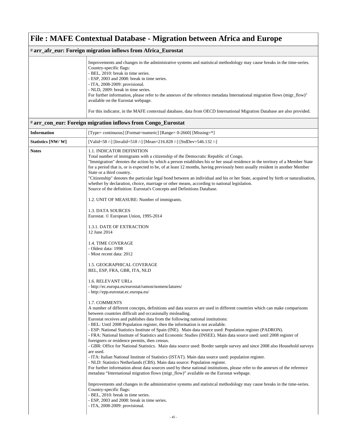### # **arr\_afr\_eur: Foreign migration inflows from Africa\_Eurostat**

| Improvements and changes in the administrative systems and statistical methodology may cause breaks in the time-series.<br>Country-specific flags:<br>- BEL, 2010: break in time series. |
|------------------------------------------------------------------------------------------------------------------------------------------------------------------------------------------|
| - ESP, 2003 and 2008: break in time series.<br>- ITA, 2008-2009: provisional.                                                                                                            |
| - NLD, 2009: break in time series.                                                                                                                                                       |
| For further information, please refer to the annexes of the reference metadata International migration flows (migr flow)"                                                                |
| available on the Eurostat webpage.                                                                                                                                                       |
| For this indicator, in the MAFE contextual database, data from OECD International Migration Database are also provided.                                                                  |

### # **arr\_con\_eur: Foreign migration inflows from Congo\_Eurostat**

| <b>Information</b> | [Type= continuous] [Format=numeric] [Range= 0-2660] [Missing=*]                                                                                                                                                                                                                                                                                                                                                                                                                                                                                                                                                                                                                                                                                                                                                                                                                                                                                                                                                                                                                                                                                                                                                         |
|--------------------|-------------------------------------------------------------------------------------------------------------------------------------------------------------------------------------------------------------------------------------------------------------------------------------------------------------------------------------------------------------------------------------------------------------------------------------------------------------------------------------------------------------------------------------------------------------------------------------------------------------------------------------------------------------------------------------------------------------------------------------------------------------------------------------------------------------------------------------------------------------------------------------------------------------------------------------------------------------------------------------------------------------------------------------------------------------------------------------------------------------------------------------------------------------------------------------------------------------------------|
| Statistics [NW/W]  | [Valid=58 /-] [Invalid=518 /-] [Mean=216.828 /-] [StdDev=546.132 /-]                                                                                                                                                                                                                                                                                                                                                                                                                                                                                                                                                                                                                                                                                                                                                                                                                                                                                                                                                                                                                                                                                                                                                    |
| <b>Notes</b>       | 1.1. INDICATOR DEFINITION<br>Total number of immigrants with a citizenship of the Democratic Republic of Congo.<br>"Immigration" denotes the action by which a person establishes his or her usual residence in the territory of a Member State<br>for a period that is, or is expected to be, of at least 12 months, having previously been usually resident in another Member<br>State or a third country.<br>"Citizenship" denotes the particular legal bond between an individual and his or her State, acquired by birth or naturalisation,<br>whether by declaration, choice, marriage or other means, according to national legislation.<br>Source of the definition: Eurostat's Concepts and Definitions Database.<br>1.2. UNIT OF MEASURE: Number of immigrants.                                                                                                                                                                                                                                                                                                                                                                                                                                               |
|                    | 1.3. DATA SOURCES<br>Eurostat. © European Union, 1995-2014                                                                                                                                                                                                                                                                                                                                                                                                                                                                                                                                                                                                                                                                                                                                                                                                                                                                                                                                                                                                                                                                                                                                                              |
|                    | 1.3.1. DATE OF EXTRACTION<br>12 June 2014                                                                                                                                                                                                                                                                                                                                                                                                                                                                                                                                                                                                                                                                                                                                                                                                                                                                                                                                                                                                                                                                                                                                                                               |
|                    | 1.4. TIME COVERAGE<br>- Oldest data: 1998<br>- Most recent data: 2012                                                                                                                                                                                                                                                                                                                                                                                                                                                                                                                                                                                                                                                                                                                                                                                                                                                                                                                                                                                                                                                                                                                                                   |
|                    | 1.5. GEOGRAPHICAL COVERAGE<br>BEL, ESP, FRA, GBR, ITA, NLD                                                                                                                                                                                                                                                                                                                                                                                                                                                                                                                                                                                                                                                                                                                                                                                                                                                                                                                                                                                                                                                                                                                                                              |
|                    | 1.6. RELEVANT URLs<br>- http://ec.europa.eu/eurostat/ramon/nomenclatures/<br>- http://epp.eurostat.ec.europa.eu/                                                                                                                                                                                                                                                                                                                                                                                                                                                                                                                                                                                                                                                                                                                                                                                                                                                                                                                                                                                                                                                                                                        |
|                    | 1.7. COMMENTS<br>A number of different concepts, definitions and data sources are used in different countries which can make comparisons<br>between countries difficult and occasionally misleading.<br>Eurostat receives and publishes data from the following national institutions:<br>- BEL: Until 2008 Population register, then the information is not available.<br>- ESP: National Statistics Institute of Spain (INE). Main data source used: Population register (PADRON).<br>- FRA: National Institute of Statistics and Economic Studies (INSEE). Main data source used: until 2008 register of<br>foreigners or residence permits, then census.<br>- GBR: Office for National Statistics. Main data source used: Border sample survey and since 2008 also Household surveys<br>are used.<br>- ITA: Italian National Institute of Statistics (ISTAT). Main data source used: population register.<br>- NLD: Statistics Netherlands (CBS). Main data source: Population register.<br>For further information about data sources used by these national institutions, please refer to the annexes of the reference<br>metadata "International migration flows (migr_flow)" available on the Eurostat webpage. |
|                    | Improvements and changes in the administrative systems and statistical methodology may cause breaks in the time-series.<br>Country-specific flags:<br>- BEL, 2010: break in time series.<br>- ESP, 2003 and 2008: break in time series.<br>- ITA, 2008-2009: provisional.                                                                                                                                                                                                                                                                                                                                                                                                                                                                                                                                                                                                                                                                                                                                                                                                                                                                                                                                               |
|                    | $-45-$                                                                                                                                                                                                                                                                                                                                                                                                                                                                                                                                                                                                                                                                                                                                                                                                                                                                                                                                                                                                                                                                                                                                                                                                                  |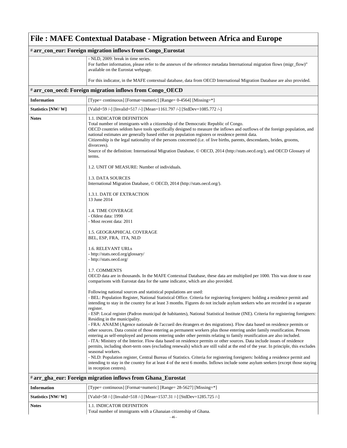|                    | # arr_con_eur: Foreign migration inflows from Congo_Eurostat                                                                                                                                                                                                                                                                                                                                                                                                                                                                                                                                                                                                                                                                                                                                                                                                                                                                                                                                                                                                                                                                                                                                                                                                                                                                                                                                                                                                                                                                                                                                                                                                                                                                                                                                                                                                                                                                                                                                                                                                                                                                                                                                                                                                                                                                                                                                                                                                                                                                                                                                                                                                                                                                                             |
|--------------------|----------------------------------------------------------------------------------------------------------------------------------------------------------------------------------------------------------------------------------------------------------------------------------------------------------------------------------------------------------------------------------------------------------------------------------------------------------------------------------------------------------------------------------------------------------------------------------------------------------------------------------------------------------------------------------------------------------------------------------------------------------------------------------------------------------------------------------------------------------------------------------------------------------------------------------------------------------------------------------------------------------------------------------------------------------------------------------------------------------------------------------------------------------------------------------------------------------------------------------------------------------------------------------------------------------------------------------------------------------------------------------------------------------------------------------------------------------------------------------------------------------------------------------------------------------------------------------------------------------------------------------------------------------------------------------------------------------------------------------------------------------------------------------------------------------------------------------------------------------------------------------------------------------------------------------------------------------------------------------------------------------------------------------------------------------------------------------------------------------------------------------------------------------------------------------------------------------------------------------------------------------------------------------------------------------------------------------------------------------------------------------------------------------------------------------------------------------------------------------------------------------------------------------------------------------------------------------------------------------------------------------------------------------------------------------------------------------------------------------------------------------|
|                    | - NLD, 2009: break in time series.<br>For further information, please refer to the annexes of the reference metadata International migration flows (migr_flow)"<br>available on the Eurostat webpage.                                                                                                                                                                                                                                                                                                                                                                                                                                                                                                                                                                                                                                                                                                                                                                                                                                                                                                                                                                                                                                                                                                                                                                                                                                                                                                                                                                                                                                                                                                                                                                                                                                                                                                                                                                                                                                                                                                                                                                                                                                                                                                                                                                                                                                                                                                                                                                                                                                                                                                                                                    |
|                    | For this indicator, in the MAFE contextual database, data from OECD International Migration Database are also provided.                                                                                                                                                                                                                                                                                                                                                                                                                                                                                                                                                                                                                                                                                                                                                                                                                                                                                                                                                                                                                                                                                                                                                                                                                                                                                                                                                                                                                                                                                                                                                                                                                                                                                                                                                                                                                                                                                                                                                                                                                                                                                                                                                                                                                                                                                                                                                                                                                                                                                                                                                                                                                                  |
|                    | # arr_con_oecd: Foreign migration inflows from Congo_OECD                                                                                                                                                                                                                                                                                                                                                                                                                                                                                                                                                                                                                                                                                                                                                                                                                                                                                                                                                                                                                                                                                                                                                                                                                                                                                                                                                                                                                                                                                                                                                                                                                                                                                                                                                                                                                                                                                                                                                                                                                                                                                                                                                                                                                                                                                                                                                                                                                                                                                                                                                                                                                                                                                                |
| <b>Information</b> | [Type= continuous] [Format=numeric] [Range= 0-4564] [Missing=*]                                                                                                                                                                                                                                                                                                                                                                                                                                                                                                                                                                                                                                                                                                                                                                                                                                                                                                                                                                                                                                                                                                                                                                                                                                                                                                                                                                                                                                                                                                                                                                                                                                                                                                                                                                                                                                                                                                                                                                                                                                                                                                                                                                                                                                                                                                                                                                                                                                                                                                                                                                                                                                                                                          |
| Statistics [NW/W]  | [Valid=59 /-] [Invalid=517 /-] [Mean=1161.797 /-] [StdDev=1085.772 /-]                                                                                                                                                                                                                                                                                                                                                                                                                                                                                                                                                                                                                                                                                                                                                                                                                                                                                                                                                                                                                                                                                                                                                                                                                                                                                                                                                                                                                                                                                                                                                                                                                                                                                                                                                                                                                                                                                                                                                                                                                                                                                                                                                                                                                                                                                                                                                                                                                                                                                                                                                                                                                                                                                   |
| Notes              | 1.1. INDICATOR DEFINITION<br>Total number of immigrants with a citizenship of the Democratic Republic of Congo.<br>OECD countries seldom have tools specifically designed to measure the inflows and outflows of the foreign population, and<br>national estimates are generally based either on population registers or residence permit data.<br>Citizenship is the legal nationality of the persons concerned (i.e. of live births, parents, descendants, brides, grooms,<br>divorcees).<br>Source of the definition: International Migration Database, © OECD, 2014 (http://stats.oecd.org/), and OECD Glossary of<br>terms.<br>1.2. UNIT OF MEASURE: Number of individuals.<br>1.3. DATA SOURCES<br>International Migration Database, © OECD, 2014 (http://stats.oecd.org/).<br>1.3.1. DATE OF EXTRACTION<br>13 June 2014<br>1.4. TIME COVERAGE<br>- Oldest data: 1990<br>- Most recent data: 2011<br>1.5. GEOGRAPHICAL COVERAGE<br>BEL, ESP, FRA, ITA, NLD<br>1.6. RELEVANT URLs<br>- http://stats.oecd.org/glossary/<br>- http://stats.oecd.org/<br>1.7. COMMENTS<br>OECD data are in thousands. In the MAFE Contextual Database, these data are multiplied per 1000. This was done to ease<br>comparisons with Eurostat data for the same indicator, which are also provided.<br>Following national sources and statistical populations are used:<br>- BEL: Population Register, National Statistical Office. Criteria for registering foreigners: holding a residence permit and<br>intending to stay in the country for at least 3 months. Figures do not include asylum seekers who are recorded in a separate<br>register.<br>- ESP: Local register (Padron municipal de habitantes), National Statistical Institute (INE). Criteria for registering foreigners:<br>Residing in the municipality.<br>- FRA: ANAEM (Agence nationale de l'accueil des étrangers et des migrations). Flow data based on residence permits or<br>other sources. Data consist of those entering as permanent workers plus those entering under family reunification. Persons<br>entering as self-employed and persons entering under other permits relating to family reunification are also included.<br>- ITA: Ministry of the Interior. Flow data based on residence permits or other sources. Data include issues of residence<br>permits, including short-term ones (excluding renewals) which are still valid at the end of the year. In principle, this excludes<br>seasonal workers.<br>- NLD: Population register, Central Bureau of Statistics. Criteria for registering foreigners: holding a residence permit and<br>intending to stay in the country for at least 4 of the next 6 months. Inflows include some asylum seekers (except those staying |
|                    | in reception centres).<br># arr_gha_eur: Foreign migration inflows from Ghana_Eurostat                                                                                                                                                                                                                                                                                                                                                                                                                                                                                                                                                                                                                                                                                                                                                                                                                                                                                                                                                                                                                                                                                                                                                                                                                                                                                                                                                                                                                                                                                                                                                                                                                                                                                                                                                                                                                                                                                                                                                                                                                                                                                                                                                                                                                                                                                                                                                                                                                                                                                                                                                                                                                                                                   |
|                    |                                                                                                                                                                                                                                                                                                                                                                                                                                                                                                                                                                                                                                                                                                                                                                                                                                                                                                                                                                                                                                                                                                                                                                                                                                                                                                                                                                                                                                                                                                                                                                                                                                                                                                                                                                                                                                                                                                                                                                                                                                                                                                                                                                                                                                                                                                                                                                                                                                                                                                                                                                                                                                                                                                                                                          |
| <b>Information</b> | [Type= continuous] [Format=numeric] [Range= 28-5627] [Missing=*]                                                                                                                                                                                                                                                                                                                                                                                                                                                                                                                                                                                                                                                                                                                                                                                                                                                                                                                                                                                                                                                                                                                                                                                                                                                                                                                                                                                                                                                                                                                                                                                                                                                                                                                                                                                                                                                                                                                                                                                                                                                                                                                                                                                                                                                                                                                                                                                                                                                                                                                                                                                                                                                                                         |

### **Statistics [NW/ W]** [Valid=58 /-] [Invalid=518 /-] [Mean=1537.31 /-] [StdDev=1285.725 /-] **Notes** 1.1. INDICATOR DEFINITION Total number of immigrants with a Ghanaian citizenship of Ghana.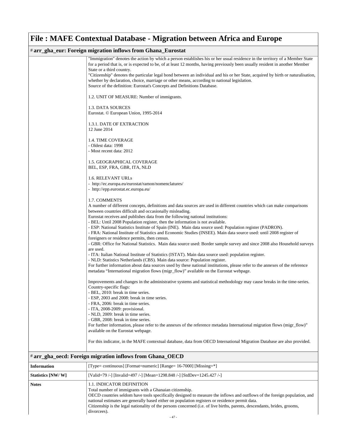#### # **arr\_gha\_eur: Foreign migration inflows from Ghana\_Eurostat**

| <u>м сагт огода ша</u> гааон шполятош спана ваговат                                                                                                                                                                                                                                                                                                                                                           |
|---------------------------------------------------------------------------------------------------------------------------------------------------------------------------------------------------------------------------------------------------------------------------------------------------------------------------------------------------------------------------------------------------------------|
| "Immigration" denotes the action by which a person establishes his or her usual residence in the territory of a Member State<br>for a period that is, or is expected to be, of at least 12 months, having previously been usually resident in another Member<br>State or a third country.                                                                                                                     |
| "Citizenship" denotes the particular legal bond between an individual and his or her State, acquired by birth or naturalisation,<br>whether by declaration, choice, marriage or other means, according to national legislation.<br>Source of the definition: Eurostat's Concepts and Definitions Database.                                                                                                    |
| 1.2. UNIT OF MEASURE: Number of immigrants.                                                                                                                                                                                                                                                                                                                                                                   |
| 1.3. DATA SOURCES<br>Eurostat. © European Union, 1995-2014                                                                                                                                                                                                                                                                                                                                                    |
| 1.3.1. DATE OF EXTRACTION<br>12 June 2014                                                                                                                                                                                                                                                                                                                                                                     |
| 1.4. TIME COVERAGE<br>- Oldest data: 1998<br>- Most recent data: 2012                                                                                                                                                                                                                                                                                                                                         |
| 1.5. GEOGRAPHICAL COVERAGE<br>BEL, ESP, FRA, GBR, ITA, NLD                                                                                                                                                                                                                                                                                                                                                    |
| 1.6. RELEVANT URLs<br>- http://ec.europa.eu/eurostat/ramon/nomenclatures/<br>- http://epp.eurostat.ec.europa.eu/                                                                                                                                                                                                                                                                                              |
| 1.7. COMMENTS<br>A number of different concepts, definitions and data sources are used in different countries which can make comparisons<br>between countries difficult and occasionally misleading.<br>Eurostat receives and publishes data from the following national institutions:<br>- BEL: Until 2008 Population register, then the information is not available.                                       |
| - ESP: National Statistics Institute of Spain (INE). Main data source used: Population register (PADRON).<br>- FRA: National Institute of Statistics and Economic Studies (INSEE). Main data source used: until 2008 register of<br>foreigners or residence permits, then census.<br>- GBR: Office for National Statistics. Main data source used: Border sample survey and since 2008 also Household surveys |
| are used.<br>- ITA: Italian National Institute of Statistics (ISTAT). Main data source used: population register.                                                                                                                                                                                                                                                                                             |
| - NLD: Statistics Netherlands (CBS). Main data source: Population register.<br>For further information about data sources used by these national institutions, please refer to the annexes of the reference<br>metadata "International migration flows (migr_flow)" available on the Eurostat webpage.                                                                                                        |
| Improvements and changes in the administrative systems and statistical methodology may cause breaks in the time-series.<br>Country-specific flags:<br>- BEL, 2010: break in time series.                                                                                                                                                                                                                      |
| - ESP, 2003 and 2008: break in time series.<br>- FRA, 2006: break in time series.<br>- ITA, 2008-2009: provisional.                                                                                                                                                                                                                                                                                           |
| - NLD, 2009: break in time series.<br>- GBR, 2008: break in time series.                                                                                                                                                                                                                                                                                                                                      |
| For further information, please refer to the annexes of the reference metadata International migration flows (migr_flow)"<br>available on the Eurostat webpage.                                                                                                                                                                                                                                               |
| For this indicator, in the MAFE contextual database, data from OECD International Migration Database are also provided.                                                                                                                                                                                                                                                                                       |
| # arr_gha_oecd: Foreign migration inflows from Ghana_OECD                                                                                                                                                                                                                                                                                                                                                     |

| <b>Information</b> | [Type= continuous] [Format=numeric] [Range= $16-7000$ ] [Missing=*]                                                                                                                                                                                                                                                                                                                                                                                                     |
|--------------------|-------------------------------------------------------------------------------------------------------------------------------------------------------------------------------------------------------------------------------------------------------------------------------------------------------------------------------------------------------------------------------------------------------------------------------------------------------------------------|
| Statistics [NW/W]  | [Valid=79 /-] [Invalid=497 /-] [Mean=1298.848 /-] [StdDev=1245.427 /-]                                                                                                                                                                                                                                                                                                                                                                                                  |
| <b>Notes</b>       | <b>1.1. INDICATOR DEFINITION</b><br>Total number of immigrants with a Ghanaian citizenship.<br>OECD countries seldom have tools specifically designed to measure the inflows and outflows of the foreign population, and<br>national estimates are generally based either on population registers or residence permit data.<br>Citizenship is the legal nationality of the persons concerned (i.e. of live births, parents, descendants, brides, grooms,<br>divorcees). |
|                    |                                                                                                                                                                                                                                                                                                                                                                                                                                                                         |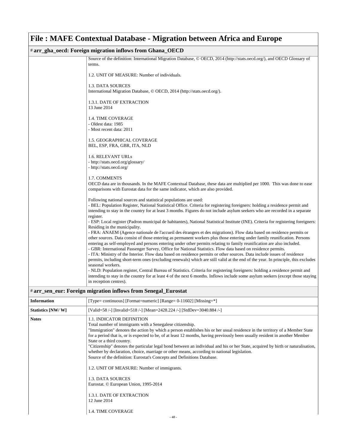### # **arr\_gha\_oecd: Foreign migration inflows from Ghana\_OECD**

|                    | Source of the definition: International Migration Database, © OECD, 2014 (http://stats.oecd.org/), and OECD Glossary of<br>terms.                                                                                                                            |
|--------------------|--------------------------------------------------------------------------------------------------------------------------------------------------------------------------------------------------------------------------------------------------------------|
|                    | 1.2. UNIT OF MEASURE: Number of individuals.                                                                                                                                                                                                                 |
|                    | 1.3. DATA SOURCES                                                                                                                                                                                                                                            |
|                    | International Migration Database, © OECD, 2014 (http://stats.oecd.org/).                                                                                                                                                                                     |
|                    | 1.3.1. DATE OF EXTRACTION                                                                                                                                                                                                                                    |
|                    | 13 June 2014                                                                                                                                                                                                                                                 |
|                    | 1.4. TIME COVERAGE                                                                                                                                                                                                                                           |
|                    | - Oldest data: 1985<br>- Most recent data: 2011                                                                                                                                                                                                              |
|                    | 1.5. GEOGRAPHICAL COVERAGE                                                                                                                                                                                                                                   |
|                    | BEL, ESP, FRA, GBR, ITA, NLD                                                                                                                                                                                                                                 |
|                    | 1.6. RELEVANT URLs                                                                                                                                                                                                                                           |
|                    | - http://stats.oecd.org/glossary/<br>- http://stats.oecd.org/                                                                                                                                                                                                |
|                    |                                                                                                                                                                                                                                                              |
|                    | 1.7. COMMENTS<br>OECD data are in thousands. In the MAFE Contextual Database, these data are multiplied per 1000. This was done to ease                                                                                                                      |
|                    | comparisons with Eurostat data for the same indicator, which are also provided.                                                                                                                                                                              |
|                    | Following national sources and statistical populations are used:                                                                                                                                                                                             |
|                    | - BEL: Population Register, National Statistical Office. Criteria for registering foreigners: holding a residence permit and<br>intending to stay in the country for at least 3 months. Figures do not include asylum seekers who are recorded in a separate |
|                    | register.                                                                                                                                                                                                                                                    |
|                    | - ESP: Local register (Padron municipal de habitantes), National Statistical Institute (INE). Criteria for registering foreigners:                                                                                                                           |
|                    | Residing in the municipality.<br>- FRA: ANAEM (Agence nationale de l'accueil des étrangers et des migrations). Flow data based on residence permits or                                                                                                       |
|                    | other sources. Data consist of those entering as permanent workers plus those entering under family reunification. Persons                                                                                                                                   |
|                    | entering as self-employed and persons entering under other permits relating to family reunification are also included.                                                                                                                                       |
|                    | - GBR: International Passenger Survey, Office for National Statistics. Flow data based on residence permits.<br>- ITA: Ministry of the Interior. Flow data based on residence permits or other sources. Data include issues of residence                     |
|                    | permits, including short-term ones (excluding renewals) which are still valid at the end of the year. In principle, this excludes                                                                                                                            |
|                    | seasonal workers.<br>- NLD: Population register, Central Bureau of Statistics. Criteria for registering foreigners: holding a residence permit and                                                                                                           |
|                    | intending to stay in the country for at least 4 of the next 6 months. Inflows include some asylum seekers (except those staying                                                                                                                              |
|                    | in reception centres).                                                                                                                                                                                                                                       |
|                    | # arr_sen_eur: Foreign migration inflows from Senegal_Eurostat                                                                                                                                                                                               |
| <b>Information</b> | [Type= continuous] [Format=numeric] [Range= 0-11602] [Missing=*]                                                                                                                                                                                             |
| Statistics [NW/W]  | [Valid=58 /-] [Invalid=518 /-] [Mean=2428.224 /-] [StdDev=3040.884 /-]                                                                                                                                                                                       |
| Notes              | 1.1. INDICATOR DEFINITION<br>Total number of immigrants with a Senegalese citizenship.                                                                                                                                                                       |
|                    | "Immigration" denotes the action by which a person establishes his or her usual residence in the territory of a Member State                                                                                                                                 |
|                    | for a period that is, or is expected to be, of at least 12 months, having previously been usually resident in another Member                                                                                                                                 |
|                    | State or a third country.<br>"Citizenship" denotes the particular legal bond between an individual and his or her State, acquired by birth or naturalisation,                                                                                                |
|                    | whether by declaration, choice, marriage or other means, according to national legislation.                                                                                                                                                                  |
|                    | Source of the definition: Eurostat's Concepts and Definitions Database.                                                                                                                                                                                      |
|                    | 1.2. UNIT OF MEASURE: Number of immigrants.                                                                                                                                                                                                                  |
|                    | 1.3. DATA SOURCES<br>Eurostat. © European Union, 1995-2014                                                                                                                                                                                                   |
|                    |                                                                                                                                                                                                                                                              |
|                    | 1.3.1. DATE OF EXTRACTION<br>12 June 2014                                                                                                                                                                                                                    |
|                    | 1.4. TIME COVERAGE                                                                                                                                                                                                                                           |
|                    | 48                                                                                                                                                                                                                                                           |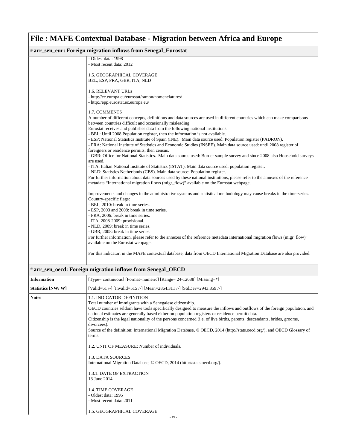|                    | # arr_sen_eur: Foreign migration inflows from Senegal_Eurostat                                                                        |
|--------------------|---------------------------------------------------------------------------------------------------------------------------------------|
|                    | - Oldest data: 1998                                                                                                                   |
|                    | - Most recent data: 2012                                                                                                              |
|                    |                                                                                                                                       |
|                    | 1.5. GEOGRAPHICAL COVERAGE<br>BEL, ESP, FRA, GBR, ITA, NLD                                                                            |
|                    |                                                                                                                                       |
|                    | 1.6. RELEVANT URLs                                                                                                                    |
|                    | - http://ec.europa.eu/eurostat/ramon/nomenclatures/                                                                                   |
|                    | - http://epp.eurostat.ec.europa.eu/                                                                                                   |
|                    | 1.7. COMMENTS                                                                                                                         |
|                    | A number of different concepts, definitions and data sources are used in different countries which can make comparisons               |
|                    | between countries difficult and occasionally misleading.                                                                              |
|                    | Eurostat receives and publishes data from the following national institutions:                                                        |
|                    | - BEL: Until 2008 Population register, then the information is not available.                                                         |
|                    | - ESP: National Statistics Institute of Spain (INE). Main data source used: Population register (PADRON).                             |
|                    | - FRA: National Institute of Statistics and Economic Studies (INSEE). Main data source used: until 2008 register of                   |
|                    | foreigners or residence permits, then census.                                                                                         |
|                    | - GBR: Office for National Statistics. Main data source used: Border sample survey and since 2008 also Household surveys<br>are used. |
|                    | - ITA: Italian National Institute of Statistics (ISTAT). Main data source used: population register.                                  |
|                    | - NLD: Statistics Netherlands (CBS). Main data source: Population register.                                                           |
|                    | For further information about data sources used by these national institutions, please refer to the annexes of the reference          |
|                    | metadata "International migration flows (migr_flow)" available on the Eurostat webpage.                                               |
|                    | Improvements and changes in the administrative systems and statistical methodology may cause breaks in the time-series.               |
|                    | Country-specific flags:                                                                                                               |
|                    | - BEL, 2010: break in time series.                                                                                                    |
|                    | - ESP, 2003 and 2008: break in time series.                                                                                           |
|                    | - FRA, 2006: break in time series.                                                                                                    |
|                    | - ITA, 2008-2009: provisional.                                                                                                        |
|                    | - NLD, 2009: break in time series.                                                                                                    |
|                    | - GBR, 2008: break in time series.                                                                                                    |
|                    | For further information, please refer to the annexes of the reference metadata International migration flows (migr_flow)"             |
|                    | available on the Eurostat webpage.                                                                                                    |
|                    | For this indicator, in the MAFE contextual database, data from OECD International Migration Database are also provided.               |
|                    |                                                                                                                                       |
|                    | # arr_sen_oecd: Foreign migration inflows from Senegal_OECD                                                                           |
|                    |                                                                                                                                       |
| <b>Information</b> | [Type= continuous] [Format=numeric] [Range= 24-12688] [Missing=*]                                                                     |

| <b>Information</b> | [Type= continuous] [Format=numeric] [Range= 24-12688] [Missing=*]                                                                                                                                                                                                                                                                                                                                                                                                                                                                                                                                                                                                                                                                                                                                                                                                                                                                           |
|--------------------|---------------------------------------------------------------------------------------------------------------------------------------------------------------------------------------------------------------------------------------------------------------------------------------------------------------------------------------------------------------------------------------------------------------------------------------------------------------------------------------------------------------------------------------------------------------------------------------------------------------------------------------------------------------------------------------------------------------------------------------------------------------------------------------------------------------------------------------------------------------------------------------------------------------------------------------------|
| Statistics [NW/W]  | [Valid=61 /-] [Invalid=515 /-] [Mean=2864.311 /-] [StdDev=2943.859 /-]                                                                                                                                                                                                                                                                                                                                                                                                                                                                                                                                                                                                                                                                                                                                                                                                                                                                      |
| <b>Notes</b>       | <b>1.1. INDICATOR DEFINITION</b><br>Total number of immigrants with a Senegalese citizenship.<br>OECD countries seldom have tools specifically designed to measure the inflows and outflows of the foreign population, and<br>national estimates are generally based either on population registers or residence permit data.<br>Citizenship is the legal nationality of the persons concerned (i.e. of live births, parents, descendants, brides, grooms,<br>divorcees).<br>Source of the definition: International Migration Database, © OECD, 2014 (http://stats.oecd.org/), and OECD Glossary of<br>terms.<br>1.2. UNIT OF MEASURE: Number of individuals.<br><b>1.3. DATA SOURCES</b><br>International Migration Database, © OECD, 2014 (http://stats.oecd.org/).<br>1.3.1. DATE OF EXTRACTION<br>13 June 2014<br><b>1.4. TIME COVERAGE</b><br>- Oldest data: 1995<br>- Most recent data: 2011<br>1.5. GEOGRAPHICAL COVERAGE<br>$-49-$ |
|                    |                                                                                                                                                                                                                                                                                                                                                                                                                                                                                                                                                                                                                                                                                                                                                                                                                                                                                                                                             |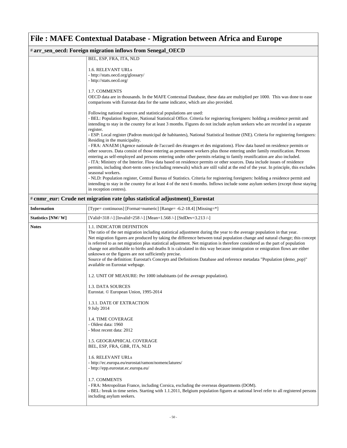| # arr_sen_oecd: Foreign migration inflows from Senegal_OECD |                                                                                                                                                                                                                                                                                                                                                                                                                                                                                                                                                                                                                                                                                                                                                                                                                                                                                                                                                                   |  |
|-------------------------------------------------------------|-------------------------------------------------------------------------------------------------------------------------------------------------------------------------------------------------------------------------------------------------------------------------------------------------------------------------------------------------------------------------------------------------------------------------------------------------------------------------------------------------------------------------------------------------------------------------------------------------------------------------------------------------------------------------------------------------------------------------------------------------------------------------------------------------------------------------------------------------------------------------------------------------------------------------------------------------------------------|--|
|                                                             | BEL, ESP, FRA, ITA, NLD                                                                                                                                                                                                                                                                                                                                                                                                                                                                                                                                                                                                                                                                                                                                                                                                                                                                                                                                           |  |
|                                                             | 1.6. RELEVANT URLs<br>- http://stats.oecd.org/glossary/                                                                                                                                                                                                                                                                                                                                                                                                                                                                                                                                                                                                                                                                                                                                                                                                                                                                                                           |  |
|                                                             | - http://stats.oecd.org/                                                                                                                                                                                                                                                                                                                                                                                                                                                                                                                                                                                                                                                                                                                                                                                                                                                                                                                                          |  |
|                                                             | 1.7. COMMENTS<br>OECD data are in thousands. In the MAFE Contextual Database, these data are multiplied per 1000. This was done to ease<br>comparisons with Eurostat data for the same indicator, which are also provided.                                                                                                                                                                                                                                                                                                                                                                                                                                                                                                                                                                                                                                                                                                                                        |  |
|                                                             | Following national sources and statistical populations are used:<br>- BEL: Population Register, National Statistical Office. Criteria for registering foreigners: holding a residence permit and<br>intending to stay in the country for at least 3 months. Figures do not include asylum seekers who are recorded in a separate<br>register.                                                                                                                                                                                                                                                                                                                                                                                                                                                                                                                                                                                                                     |  |
|                                                             | - ESP: Local register (Padron municipal de habitantes), National Statistical Institute (INE). Criteria for registering foreigners:<br>Residing in the municipality.                                                                                                                                                                                                                                                                                                                                                                                                                                                                                                                                                                                                                                                                                                                                                                                               |  |
|                                                             | - FRA: ANAEM (Agence nationale de l'accueil des étrangers et des migrations). Flow data based on residence permits or<br>other sources. Data consist of those entering as permanent workers plus those entering under family reunification. Persons<br>entering as self-employed and persons entering under other permits relating to family reunification are also included.<br>- ITA: Ministry of the Interior. Flow data based on residence permits or other sources. Data include issues of residence<br>permits, including short-term ones (excluding renewals) which are still valid at the end of the year. In principle, this excludes<br>seasonal workers.<br>- NLD: Population register, Central Bureau of Statistics. Criteria for registering foreigners: holding a residence permit and<br>intending to stay in the country for at least 4 of the next 6 months. Inflows include some asylum seekers (except those staying<br>in reception centres). |  |
|                                                             | # cnmr_eur: Crude net migration rate (plus statistical adjustment)_Eurostat                                                                                                                                                                                                                                                                                                                                                                                                                                                                                                                                                                                                                                                                                                                                                                                                                                                                                       |  |
| <b>Information</b>                                          | [Type= continuous] [Format=numeric] [Range= -6.2-18.4] [Missing=*]                                                                                                                                                                                                                                                                                                                                                                                                                                                                                                                                                                                                                                                                                                                                                                                                                                                                                                |  |
| Statistics [NW/ W]                                          | [Valid=318 /-] [Invalid=258 /-] [Mean=1.568 /-] [StdDev=3.213 /-]                                                                                                                                                                                                                                                                                                                                                                                                                                                                                                                                                                                                                                                                                                                                                                                                                                                                                                 |  |
| <b>Notes</b>                                                | 1.1. INDICATOR DEFINITION<br>The ratio of the net migration including statistical adjustment during the year to the average population in that year.<br>Net migration figures are produced by taking the difference between total population change and natural change; this concept<br>is referred to as net migration plus statistical adjustment. Net migration is therefore considered as the part of population<br>change not attributable to births and deaths It is calculated in this way because immigration or emigration flows are either<br>unknown or the figures are not sufficiently precise.<br>Source of the definition: Eurostat's Concepts and Definitions Database and reference metadata "Population (demo_pop)"<br>available on Eurostat webpage.                                                                                                                                                                                           |  |
|                                                             | 1.2. UNIT OF MEASURE: Per 1000 inhabitants (of the average population).                                                                                                                                                                                                                                                                                                                                                                                                                                                                                                                                                                                                                                                                                                                                                                                                                                                                                           |  |
|                                                             | <b>1.3. DATA SOURCES</b><br>Eurostat. © European Union, 1995-2014                                                                                                                                                                                                                                                                                                                                                                                                                                                                                                                                                                                                                                                                                                                                                                                                                                                                                                 |  |
|                                                             | 1.3.1. DATE OF EXTRACTION<br>9 July 2014                                                                                                                                                                                                                                                                                                                                                                                                                                                                                                                                                                                                                                                                                                                                                                                                                                                                                                                          |  |
|                                                             | 1.4. TIME COVERAGE<br>- Oldest data: 1960<br>- Most recent data: 2012                                                                                                                                                                                                                                                                                                                                                                                                                                                                                                                                                                                                                                                                                                                                                                                                                                                                                             |  |
|                                                             | 1.5. GEOGRAPHICAL COVERAGE<br>BEL, ESP, FRA, GBR, ITA, NLD                                                                                                                                                                                                                                                                                                                                                                                                                                                                                                                                                                                                                                                                                                                                                                                                                                                                                                        |  |
|                                                             | 1.6. RELEVANT URLs<br>- http://ec.europa.eu/eurostat/ramon/nomenclatures/<br>- http://epp.eurostat.ec.europa.eu/                                                                                                                                                                                                                                                                                                                                                                                                                                                                                                                                                                                                                                                                                                                                                                                                                                                  |  |
|                                                             | 1.7. COMMENTS<br>- FRA: Metropolitan France, including Corsica, excluding the overseas departments (DOM).<br>- BEL: break in time series. Starting with 1.1.2011, Belgium population figures at national level refer to all registered persons<br>including asylum seekers.                                                                                                                                                                                                                                                                                                                                                                                                                                                                                                                                                                                                                                                                                       |  |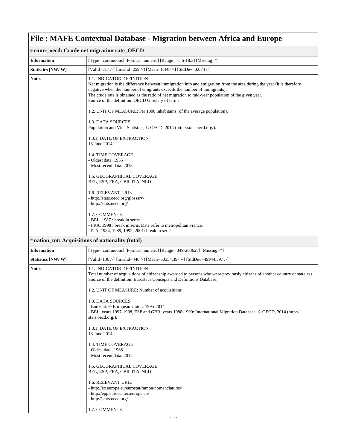|                    | $\ddotsc$ . There is convenium by a model $\ddotsc$ and the second contract $\ddotsc$ and $\ddotsc$                                                                                                                                                                                                                                                                                                                                                                   |
|--------------------|-----------------------------------------------------------------------------------------------------------------------------------------------------------------------------------------------------------------------------------------------------------------------------------------------------------------------------------------------------------------------------------------------------------------------------------------------------------------------|
|                    | # cnmr_oecd: Crude net migration rate_OECD                                                                                                                                                                                                                                                                                                                                                                                                                            |
| <b>Information</b> | [Type= continuous] [Format=numeric] [Range= -5.6-18.3] [Missing=*]                                                                                                                                                                                                                                                                                                                                                                                                    |
| Statistics [NW/W]  | [Valid=317 /-] [Invalid=259 /-] [Mean=1.448 /-] [StdDev=3.074 /-]                                                                                                                                                                                                                                                                                                                                                                                                     |
| <b>Notes</b>       | 1.1. INDICATOR DEFINITION<br>Net migration is the difference between immigration into and emigration from the area during the year (it is therefore<br>negative when the number of emigrants exceeds the number of immigrants).<br>The crude rate is obtained as the ratio of net migration to mid-year population of the given year.<br>Source of the definition: OECD Glossary of terms.<br>1.2. UNIT OF MEASURE: Per 1000 inhabitants (of the average population). |
|                    | 1.3. DATA SOURCES<br>Population and Vital Statistics, © OECD, 2014 (http://stats.oecd.org/).                                                                                                                                                                                                                                                                                                                                                                          |
|                    | 1.3.1. DATE OF EXTRACTION<br>13 June 2014                                                                                                                                                                                                                                                                                                                                                                                                                             |
|                    | 1.4. TIME COVERAGE<br>- Oldest data: 1955<br>- Most recent data: 2013                                                                                                                                                                                                                                                                                                                                                                                                 |
|                    | 1.5. GEOGRAPHICAL COVERAGE<br>BEL, ESP, FRA, GBR, ITA, NLD                                                                                                                                                                                                                                                                                                                                                                                                            |
|                    | 1.6. RELEVANT URLs<br>- http://stats.oecd.org/glossary/<br>- http://stats.oecd.org/                                                                                                                                                                                                                                                                                                                                                                                   |
|                    | 1.7. COMMENTS<br>- BEL, 1987 : break in series.<br>- FRA, 1998 : break in seris. Data refer to metropolitan France.<br>- ITA, 1984, 1989, 1992, 2001: break in series.                                                                                                                                                                                                                                                                                                |
|                    | # nation_tot: Acquisitions of nationality (total)                                                                                                                                                                                                                                                                                                                                                                                                                     |
| <b>Information</b> | [Type= continuous] [Format=numeric] [Range= 349-203628] [Missing=*]                                                                                                                                                                                                                                                                                                                                                                                                   |
| Statistics [NW/W]  | [Valid=136 /-] [Invalid=440 /-] [Mean=60554.397 /-] [StdDev=49944.397 /-]                                                                                                                                                                                                                                                                                                                                                                                             |
| <b>Notes</b>       | 1.1. INDICATOR DEFINITION<br>Total number of acquisitions of citizenship awarded to persons who were previously citizens of another country or stateless.<br>Source of the definition: Eurostat's Concepts and Definitions Database.                                                                                                                                                                                                                                  |
|                    | 1.2. UNIT OF MEASURE: Number of acquisitions                                                                                                                                                                                                                                                                                                                                                                                                                          |
|                    | 1.3. DATA SOURCES<br>- Eurostat. © European Union, 1995-2014<br>- BEL, years 1997-1998, ESP and GBR, years 1988-1990: International Migration Database, © OECD, 2014 (http://<br>stats.oecd.org/).                                                                                                                                                                                                                                                                    |
|                    | 1.3.1. DATE OF EXTRACTION<br>13 June 2014                                                                                                                                                                                                                                                                                                                                                                                                                             |
|                    | 1.4. TIME COVERAGE<br>- Oldest data: 1988<br>- Most recent data: 2012                                                                                                                                                                                                                                                                                                                                                                                                 |
|                    | 1.5. GEOGRAPHICAL COVERAGE<br>BEL, ESP, FRA, GBR, ITA, NLD                                                                                                                                                                                                                                                                                                                                                                                                            |
|                    | 1.6. RELEVANT URLs<br>- http://ec.europa.eu/eurostat/ramon/nomenclatures/                                                                                                                                                                                                                                                                                                                                                                                             |

- http://epp.eurostat.ec.europa.eu/
- http://stats.oecd.org/
- 1.7. COMMENTS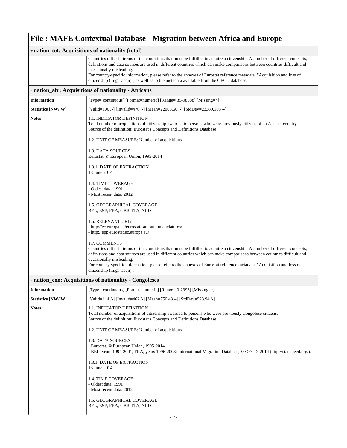| # nation_tot: Acquisitions of nationality (total) |                                                                                                                                                                                                                                                                                                                                                                                                                                                                                                        |  |
|---------------------------------------------------|--------------------------------------------------------------------------------------------------------------------------------------------------------------------------------------------------------------------------------------------------------------------------------------------------------------------------------------------------------------------------------------------------------------------------------------------------------------------------------------------------------|--|
|                                                   | Countries differ in terms of the conditions that must be fulfilled to acquire a citizenship. A number of different concepts,<br>definitions and data sources are used in different countries which can make comparisons between countries difficult and<br>occasionally misleading.<br>For country-specific information, please refer to the annexes of Eurostat reference metadata "Acquisition and loss of<br>citizenship (migr_acqn)", as well as to the metadata available from the OECD database. |  |
|                                                   | # nation_afr: Acquisitions of nationality - Africans                                                                                                                                                                                                                                                                                                                                                                                                                                                   |  |
| <b>Information</b>                                | [Type= continuous] [Format=numeric] [Range= 39-98588] [Missing=*]                                                                                                                                                                                                                                                                                                                                                                                                                                      |  |
| Statistics [NW/W]                                 | [Valid=106 /-] [Invalid=470 /-] [Mean=22008.66 /-] [StdDev=23389.103 /-]                                                                                                                                                                                                                                                                                                                                                                                                                               |  |
| <b>Notes</b>                                      | <b>1.1. INDICATOR DEFINITION</b><br>Total number of acquisitions of citizenship awarded to persons who were previously citizens of an African country.<br>Source of the definition: Eurostat's Concepts and Definitions Database.                                                                                                                                                                                                                                                                      |  |
|                                                   | 1.2. UNIT OF MEASURE: Number of acquisitions                                                                                                                                                                                                                                                                                                                                                                                                                                                           |  |
|                                                   | 1.3. DATA SOURCES<br>Eurostat. © European Union, 1995-2014                                                                                                                                                                                                                                                                                                                                                                                                                                             |  |
|                                                   | 1.3.1. DATE OF EXTRACTION<br>13 June 2014                                                                                                                                                                                                                                                                                                                                                                                                                                                              |  |
|                                                   | 1.4. TIME COVERAGE<br>- Oldest data: 1991<br>- Most recent data: 2012                                                                                                                                                                                                                                                                                                                                                                                                                                  |  |
|                                                   | 1.5. GEOGRAPHICAL COVERAGE<br>BEL, ESP, FRA, GBR, ITA, NLD                                                                                                                                                                                                                                                                                                                                                                                                                                             |  |
|                                                   | 1.6. RELEVANT URLs<br>- http://ec.europa.eu/eurostat/ramon/nomenclatures/<br>- http://epp.eurostat.ec.europa.eu/                                                                                                                                                                                                                                                                                                                                                                                       |  |
|                                                   | 1.7. COMMENTS<br>Countries differ in terms of the conditions that must be fulfilled to acquire a citizenship. A number of different concepts,<br>definitions and data sources are used in different countries which can make comparisons between countries difficult and<br>occasionally misleading.<br>For country-specific information, please refer to the annexes of Eurostat reference metadata "Acquisition and loss of<br>citizenship (migr_acqn)".                                             |  |
|                                                   | # nation_con: Acquisitions of nationality - Congoleses                                                                                                                                                                                                                                                                                                                                                                                                                                                 |  |
| <b>Information</b>                                | [Type= continuous] [Format=numeric] [Range= 0-2993] [Missing=*]                                                                                                                                                                                                                                                                                                                                                                                                                                        |  |
| Statistics [NW/W]                                 | [Valid=114 /-] [Invalid=462 /-] [Mean=756.43 /-] [StdDev=923.94 /-]                                                                                                                                                                                                                                                                                                                                                                                                                                    |  |
| <b>Notes</b>                                      | 1.1. INDICATOR DEFINITION<br>Total number of acquisitions of citizenship awarded to persons who were previously Congolese citizens.<br>Source of the definition: Eurostat's Concepts and Definitions Database.                                                                                                                                                                                                                                                                                         |  |
|                                                   | 1.2. UNIT OF MEASURE: Number of acquisitions                                                                                                                                                                                                                                                                                                                                                                                                                                                           |  |
|                                                   | 1.3. DATA SOURCES<br>- Eurostat. © European Union, 1995-2014<br>- BEL, years 1994-2001, FRA, years 1996-2003: International Migration Database, © OECD, 2014 (http://stats.oecd.org/).                                                                                                                                                                                                                                                                                                                 |  |
|                                                   | 1.3.1. DATE OF EXTRACTION<br>13 June 2014                                                                                                                                                                                                                                                                                                                                                                                                                                                              |  |
|                                                   | 1.4. TIME COVERAGE<br>- Oldest data: 1991<br>- Most recent data: 2012                                                                                                                                                                                                                                                                                                                                                                                                                                  |  |
|                                                   | 1.5. GEOGRAPHICAL COVERAGE<br>BEL, ESP, FRA, GBR, ITA, NLD                                                                                                                                                                                                                                                                                                                                                                                                                                             |  |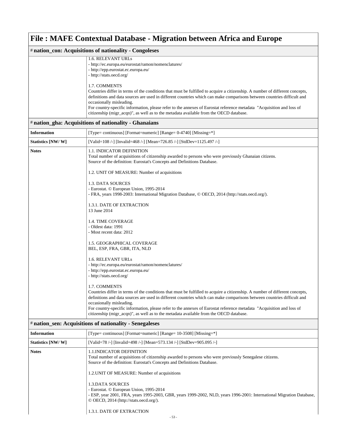| # nation_con: Acquisitions of nationality - Congoleses |                                                                                                                                                                                                                                                                                                                                                                                                                                                                                                                         |  |  |
|--------------------------------------------------------|-------------------------------------------------------------------------------------------------------------------------------------------------------------------------------------------------------------------------------------------------------------------------------------------------------------------------------------------------------------------------------------------------------------------------------------------------------------------------------------------------------------------------|--|--|
|                                                        | 1.6. RELEVANT URLs<br>- http://ec.europa.eu/eurostat/ramon/nomenclatures/<br>- http://epp.eurostat.ec.europa.eu/<br>- http://stats.oecd.org/                                                                                                                                                                                                                                                                                                                                                                            |  |  |
|                                                        | 1.7. COMMENTS<br>Countries differ in terms of the conditions that must be fulfilled to acquire a citizenship. A number of different concepts,<br>definitions and data sources are used in different countries which can make comparisons between countries difficult and<br>occasionally misleading.<br>For country-specific information, please refer to the annexes of Eurostat reference metadata "Acquisition and loss of<br>citizenship (migr_acqn)", as well as to the metadata available from the OECD database. |  |  |
|                                                        | # nation_gha: Acquisitions of nationality - Ghanaians                                                                                                                                                                                                                                                                                                                                                                                                                                                                   |  |  |
| <b>Information</b>                                     | [Type= continuous] [Format=numeric] [Range= 0-4740] [Missing=*]                                                                                                                                                                                                                                                                                                                                                                                                                                                         |  |  |
| Statistics [NW/W]                                      | [Valid=108 /-] [Invalid=468 /-] [Mean=726.85 /-] [StdDev=1125.497 /-]                                                                                                                                                                                                                                                                                                                                                                                                                                                   |  |  |
| <b>Notes</b>                                           | <b>1.1. INDICATOR DEFINITION</b><br>Total number of acquisitions of citizenship awarded to persons who were previously Ghanaian citizens.<br>Source of the definition: Eurostat's Concepts and Definitions Database.                                                                                                                                                                                                                                                                                                    |  |  |
|                                                        | 1.2. UNIT OF MEASURE: Number of acquisitions                                                                                                                                                                                                                                                                                                                                                                                                                                                                            |  |  |
|                                                        | 1.3. DATA SOURCES<br>- Eurostat. © European Union, 1995-2014<br>- FRA, years 1998-2003: International Migration Database, © OECD, 2014 (http://stats.oecd.org/).                                                                                                                                                                                                                                                                                                                                                        |  |  |
|                                                        | 1.3.1. DATE OF EXTRACTION<br>13 June 2014                                                                                                                                                                                                                                                                                                                                                                                                                                                                               |  |  |
|                                                        | 1.4. TIME COVERAGE<br>- Oldest data: 1991<br>- Most recent data: 2012                                                                                                                                                                                                                                                                                                                                                                                                                                                   |  |  |
|                                                        | 1.5. GEOGRAPHICAL COVERAGE<br>BEL, ESP, FRA, GBR, ITA, NLD                                                                                                                                                                                                                                                                                                                                                                                                                                                              |  |  |
|                                                        | 1.6. RELEVANT URLs<br>- http://ec.europa.eu/eurostat/ramon/nomenclatures/<br>- http://epp.eurostat.ec.europa.eu/<br>- http://stats.oecd.org/                                                                                                                                                                                                                                                                                                                                                                            |  |  |
|                                                        | 1.7. COMMENTS<br>Countries differ in terms of the conditions that must be fulfilled to acquire a citizenship. A number of different concepts,<br>definitions and data sources are used in different countries which can make comparisons between countries difficult and<br>occasionally misleading.<br>For country-specific information, please refer to the annexes of Eurostat reference metadata "Acquisition and loss of<br>citizenship (migr_acqn)", as well as to the metadata available from the OECD database. |  |  |
|                                                        | # nation_sen: Acquisitions of nationality - Senegaleses                                                                                                                                                                                                                                                                                                                                                                                                                                                                 |  |  |
| <b>Information</b>                                     | [Type= continuous] [Format=numeric] [Range= 10-3508] [Missing=*]                                                                                                                                                                                                                                                                                                                                                                                                                                                        |  |  |
| Statistics [NW/W]                                      | [Valid=78 /-] [Invalid=498 /-] [Mean=573.134 /-] [StdDev=905.095 /-]                                                                                                                                                                                                                                                                                                                                                                                                                                                    |  |  |
| <b>Notes</b>                                           | 1.1. INDICATOR DEFINITION<br>Total number of acquisitions of citizenship awarded to persons who were previously Senegalese citizens.<br>Source of the definition: Eurostat's Concepts and Definitions Database.                                                                                                                                                                                                                                                                                                         |  |  |
|                                                        | 1.2. UNIT OF MEASURE: Number of acquisitions                                                                                                                                                                                                                                                                                                                                                                                                                                                                            |  |  |
|                                                        | <b>1.3.DATA SOURCES</b><br>- Eurostat. © European Union, 1995-2014<br>- ESP, year 2001, FRA, years 1995-2003, GBR, years 1999-2002, NLD, years 1996-2001: International Migration Database,<br>$\odot$ OECD, 2014 (http://stats.oecd.org/).                                                                                                                                                                                                                                                                             |  |  |
|                                                        | 1.3.1. DATE OF EXTRACTION                                                                                                                                                                                                                                                                                                                                                                                                                                                                                               |  |  |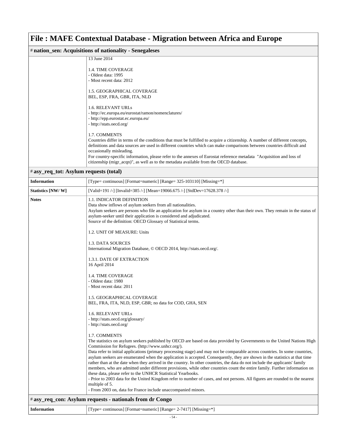| # nation_sen: Acquisitions of nationality - Senegaleses |                                                                                                                                                     |  |
|---------------------------------------------------------|-----------------------------------------------------------------------------------------------------------------------------------------------------|--|
|                                                         | 13 June 2014                                                                                                                                        |  |
|                                                         | 1.4. TIME COVERAGE                                                                                                                                  |  |
|                                                         | - Oldest data: 1995                                                                                                                                 |  |
|                                                         | - Most recent data: 2012                                                                                                                            |  |
|                                                         | 1.5. GEOGRAPHICAL COVERAGE                                                                                                                          |  |
|                                                         | BEL, ESP, FRA, GBR, ITA, NLD                                                                                                                        |  |
|                                                         | <b>1.6. RELEVANT URLs</b>                                                                                                                           |  |
|                                                         | - http://ec.europa.eu/eurostat/ramon/nomenclatures/                                                                                                 |  |
|                                                         | - http://epp.eurostat.ec.europa.eu/                                                                                                                 |  |
|                                                         | - http://stats.oecd.org/                                                                                                                            |  |
|                                                         | <b>1.7. COMMENTS</b>                                                                                                                                |  |
|                                                         | Countries differ in terms of the conditions that must be fulfilled to acquire a citizenship. A number of different concepts,                        |  |
|                                                         | definitions and data sources are used in different countries which can make comparisons between countries difficult and<br>occasionally misleading. |  |
|                                                         | For country-specific information, please refer to the annexes of Eurostat reference metadata "Acquisition and loss of                               |  |
|                                                         | citizenship (migr_acqn)", as well as to the metadata available from the OECD database.                                                              |  |

### # **asy\_req\_tot: Asylum requests (total)**

| <b>Information</b>                                       | [Type= continuous] [Format=numeric] [Range= 325-103110] [Missing=*]                                                                                                                                                                                                                                                                                                                                                                                                                                                                                                                                                                                                                                                                                                                                                                                                                                                                            |
|----------------------------------------------------------|------------------------------------------------------------------------------------------------------------------------------------------------------------------------------------------------------------------------------------------------------------------------------------------------------------------------------------------------------------------------------------------------------------------------------------------------------------------------------------------------------------------------------------------------------------------------------------------------------------------------------------------------------------------------------------------------------------------------------------------------------------------------------------------------------------------------------------------------------------------------------------------------------------------------------------------------|
| Statistics [NW/W]                                        | [Valid=191 /-] [Invalid=385 /-] [Mean=19066.675 /-] [StdDev=17628.378 /-]                                                                                                                                                                                                                                                                                                                                                                                                                                                                                                                                                                                                                                                                                                                                                                                                                                                                      |
| <b>Notes</b>                                             | <b>1.1. INDICATOR DEFINITION</b><br>Data show inflows of asylum seekers from all nationalities.<br>Asylum seekers are persons who file an application for asylum in a country other than their own. They remain in the status of<br>asylum-seeker until their application is considered and adjudicated.<br>Source of the definition: OECD Glossary of Statistical terms.                                                                                                                                                                                                                                                                                                                                                                                                                                                                                                                                                                      |
|                                                          | 1.2. UNIT OF MEASURE: Units                                                                                                                                                                                                                                                                                                                                                                                                                                                                                                                                                                                                                                                                                                                                                                                                                                                                                                                    |
|                                                          | 1.3. DATA SOURCES<br>International Migration Database, © OECD 2014, http://stats.oecd.org/.                                                                                                                                                                                                                                                                                                                                                                                                                                                                                                                                                                                                                                                                                                                                                                                                                                                    |
|                                                          | 1.3.1. DATE OF EXTRACTION<br>16 April 2014                                                                                                                                                                                                                                                                                                                                                                                                                                                                                                                                                                                                                                                                                                                                                                                                                                                                                                     |
|                                                          | <b>1.4. TIME COVERAGE</b><br>- Oldest data: 1980<br>- Most recent data: 2011                                                                                                                                                                                                                                                                                                                                                                                                                                                                                                                                                                                                                                                                                                                                                                                                                                                                   |
|                                                          | 1.5. GEOGRAPHICAL COVERAGE<br>BEL, FRA, ITA, NLD, ESP, GBR; no data for COD, GHA, SEN                                                                                                                                                                                                                                                                                                                                                                                                                                                                                                                                                                                                                                                                                                                                                                                                                                                          |
|                                                          | <b>1.6. RELEVANT URLS</b><br>- http://stats.oecd.org/glossary/<br>- http://stats.oecd.org/                                                                                                                                                                                                                                                                                                                                                                                                                                                                                                                                                                                                                                                                                                                                                                                                                                                     |
|                                                          | 1.7. COMMENTS<br>The statistics on asylum seekers published by OECD are based on data provided by Governments to the United Nations High<br>Commission for Refugees. (http://www.unhcr.org/).<br>Data refer to initial applications (primary processing stage) and may not be comparable across countries. In some countries,<br>asylum seekers are enumerated when the application is accepted. Consequently, they are shown in the statistics at that time<br>rather than at the date when they arrived in the country. In other countries, the data do not include the applicants' family<br>members, who are admitted under different provisions, while other countries count the entire family. Further information on<br>these data, please refer to the UNHCR Statistical Yearbooks.<br>- Prior to 2003 data for the United Kingdom refer to number of cases, and not persons. All figures are rounded to the nearest<br>multiple of 5. |
|                                                          | - From 2003 on, data for France include unaccompanied minors.                                                                                                                                                                                                                                                                                                                                                                                                                                                                                                                                                                                                                                                                                                                                                                                                                                                                                  |
| # asy_req_con: Asylum requests - nationals from dr Congo |                                                                                                                                                                                                                                                                                                                                                                                                                                                                                                                                                                                                                                                                                                                                                                                                                                                                                                                                                |

| <b>Information</b> | [Type= continuous] [Format=numeric] [Range= 2-7417] [Missing=*] |
|--------------------|-----------------------------------------------------------------|
|--------------------|-----------------------------------------------------------------|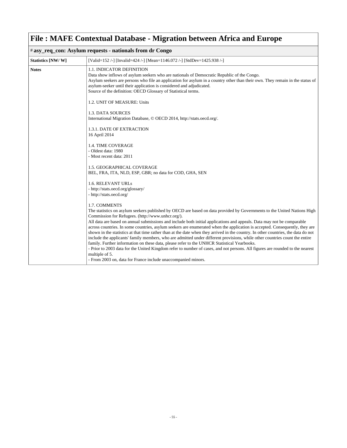| # asy_req_con: Asylum requests - nationals from dr Congo |                                                                                                                                                                                                                                                                                                                                                                                                                                                                                                                                                                                                                                                                                                                                                                                                                                                                                                                                                                                                                                                |  |
|----------------------------------------------------------|------------------------------------------------------------------------------------------------------------------------------------------------------------------------------------------------------------------------------------------------------------------------------------------------------------------------------------------------------------------------------------------------------------------------------------------------------------------------------------------------------------------------------------------------------------------------------------------------------------------------------------------------------------------------------------------------------------------------------------------------------------------------------------------------------------------------------------------------------------------------------------------------------------------------------------------------------------------------------------------------------------------------------------------------|--|
| Statistics [NW/W]                                        | [Valid=152 /-] [Invalid=424 /-] [Mean=1146.072 /-] [StdDev=1425.938 /-]                                                                                                                                                                                                                                                                                                                                                                                                                                                                                                                                                                                                                                                                                                                                                                                                                                                                                                                                                                        |  |
| <b>Notes</b>                                             | 1.1. INDICATOR DEFINITION<br>Data show inflows of asylum seekers who are nationals of Democratic Republic of the Congo.<br>Asylum seekers are persons who file an application for asylum in a country other than their own. They remain in the status of<br>asylum-seeker until their application is considered and adjudicated.<br>Source of the definition: OECD Glossary of Statistical terms.                                                                                                                                                                                                                                                                                                                                                                                                                                                                                                                                                                                                                                              |  |
|                                                          | 1.2. UNIT OF MEASURE: Units                                                                                                                                                                                                                                                                                                                                                                                                                                                                                                                                                                                                                                                                                                                                                                                                                                                                                                                                                                                                                    |  |
|                                                          | 1.3. DATA SOURCES<br>International Migration Database, © OECD 2014, http://stats.oecd.org/.                                                                                                                                                                                                                                                                                                                                                                                                                                                                                                                                                                                                                                                                                                                                                                                                                                                                                                                                                    |  |
|                                                          | 1.3.1. DATE OF EXTRACTION<br>16 April 2014                                                                                                                                                                                                                                                                                                                                                                                                                                                                                                                                                                                                                                                                                                                                                                                                                                                                                                                                                                                                     |  |
|                                                          | <b>1.4. TIME COVERAGE</b><br>- Oldest data: 1980<br>- Most recent data: 2011                                                                                                                                                                                                                                                                                                                                                                                                                                                                                                                                                                                                                                                                                                                                                                                                                                                                                                                                                                   |  |
|                                                          | 1.5. GEOGRAPHICAL COVERAGE<br>BEL, FRA, ITA, NLD, ESP, GBR; no data for COD, GHA, SEN                                                                                                                                                                                                                                                                                                                                                                                                                                                                                                                                                                                                                                                                                                                                                                                                                                                                                                                                                          |  |
|                                                          | <b>1.6. RELEVANT URLS</b><br>- http://stats.oecd.org/glossary/<br>- http://stats.oecd.org/                                                                                                                                                                                                                                                                                                                                                                                                                                                                                                                                                                                                                                                                                                                                                                                                                                                                                                                                                     |  |
|                                                          | 1.7. COMMENTS<br>The statistics on asylum seekers published by OECD are based on data provided by Governments to the United Nations High<br>Commission for Refugees. (http://www.unhcr.org/).<br>All data are based on annual submissions and include both initial applications and appeals. Data may not be comparable<br>across countries. In some countries, asylum seekers are enumerated when the application is accepted. Consequently, they are<br>shown in the statistics at that time rather than at the date when they arrived in the country. In other countries, the data do not<br>include the applicants' family members, who are admitted under different provisions, while other countries count the entire<br>family. Further information on these data, please refer to the UNHCR Statistical Yearbooks.<br>- Prior to 2003 data for the United Kingdom refer to number of cases, and not persons. All figures are rounded to the nearest<br>multiple of 5.<br>- From 2003 on, data for France include unaccompanied minors. |  |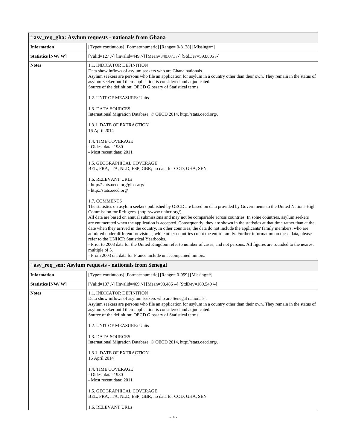| # asy_req_gha: Asylum requests - nationals from Ghana |                                                                                                                                                                                                                                                                                                                                                                                                                                                                                                                                                                                                                                                                                                                                                                                                                                                                                                                                                                                            |  |
|-------------------------------------------------------|--------------------------------------------------------------------------------------------------------------------------------------------------------------------------------------------------------------------------------------------------------------------------------------------------------------------------------------------------------------------------------------------------------------------------------------------------------------------------------------------------------------------------------------------------------------------------------------------------------------------------------------------------------------------------------------------------------------------------------------------------------------------------------------------------------------------------------------------------------------------------------------------------------------------------------------------------------------------------------------------|--|
| <b>Information</b>                                    | [Type= continuous] [Format=numeric] [Range= 0-3128] [Missing=*]                                                                                                                                                                                                                                                                                                                                                                                                                                                                                                                                                                                                                                                                                                                                                                                                                                                                                                                            |  |
| Statistics [NW/W]                                     | [Valid=127 /-] [Invalid=449 /-] [Mean=340.071 /-] [StdDev=593.805 /-]                                                                                                                                                                                                                                                                                                                                                                                                                                                                                                                                                                                                                                                                                                                                                                                                                                                                                                                      |  |
| <b>Notes</b>                                          | 1.1. INDICATOR DEFINITION<br>Data show inflows of asylum seekers who are Ghana nationals.<br>Asylum seekers are persons who file an application for asylum in a country other than their own. They remain in the status of<br>asylum-seeker until their application is considered and adjudicated.<br>Source of the definition: OECD Glossary of Statistical terms.                                                                                                                                                                                                                                                                                                                                                                                                                                                                                                                                                                                                                        |  |
|                                                       | 1.2. UNIT OF MEASURE: Units                                                                                                                                                                                                                                                                                                                                                                                                                                                                                                                                                                                                                                                                                                                                                                                                                                                                                                                                                                |  |
|                                                       | 1.3. DATA SOURCES<br>International Migration Database, © OECD 2014, http://stats.oecd.org/.                                                                                                                                                                                                                                                                                                                                                                                                                                                                                                                                                                                                                                                                                                                                                                                                                                                                                                |  |
|                                                       | 1.3.1. DATE OF EXTRACTION<br>16 April 2014                                                                                                                                                                                                                                                                                                                                                                                                                                                                                                                                                                                                                                                                                                                                                                                                                                                                                                                                                 |  |
|                                                       | <b>1.4. TIME COVERAGE</b><br>- Oldest data: 1980<br>- Most recent data: 2011                                                                                                                                                                                                                                                                                                                                                                                                                                                                                                                                                                                                                                                                                                                                                                                                                                                                                                               |  |
|                                                       | 1.5. GEOGRAPHICAL COVERAGE<br>BEL, FRA, ITA, NLD, ESP, GBR; no data for COD, GHA, SEN                                                                                                                                                                                                                                                                                                                                                                                                                                                                                                                                                                                                                                                                                                                                                                                                                                                                                                      |  |
|                                                       | 1.6. RELEVANT URLs<br>- http://stats.oecd.org/glossary/<br>- http://stats.oecd.org/                                                                                                                                                                                                                                                                                                                                                                                                                                                                                                                                                                                                                                                                                                                                                                                                                                                                                                        |  |
|                                                       | 1.7. COMMENTS<br>The statistics on asylum seekers published by OECD are based on data provided by Governments to the United Nations High<br>Commission for Refugees. (http://www.unhcr.org/).<br>All data are based on annual submissions and may not be comparable across countries. In some countries, asylum seekers<br>are enumerated when the application is accepted. Consequently, they are shown in the statistics at that time rather than at the<br>date when they arrived in the country. In other countries, the data do not include the applicants' family members, who are<br>admitted under different provisions, while other countries count the entire family. Further information on these data, please<br>refer to the UNHCR Statistical Yearbooks.<br>- Prior to 2003 data for the United Kingdom refer to number of cases, and not persons. All figures are rounded to the nearest<br>multiple of 5.<br>- From 2003 on, data for France include unaccompanied minors. |  |
|                                                       | # asy_req_sen: Asylum requests - nationals from Senegal                                                                                                                                                                                                                                                                                                                                                                                                                                                                                                                                                                                                                                                                                                                                                                                                                                                                                                                                    |  |
| <b>Information</b>                                    | [Type= continuous] [Format=numeric] [Range= 0-959] [Missing=*]                                                                                                                                                                                                                                                                                                                                                                                                                                                                                                                                                                                                                                                                                                                                                                                                                                                                                                                             |  |
| Statistics [NW/W]                                     | [Valid=107 /-] [Invalid=469 /-] [Mean=93.486 /-] [StdDev=169.549 /-]                                                                                                                                                                                                                                                                                                                                                                                                                                                                                                                                                                                                                                                                                                                                                                                                                                                                                                                       |  |
| <b>Notes</b>                                          | 1.1. INDICATOR DEFINITION<br>Data show inflows of asylum seekers who are Senegal nationals.<br>Asylum seekers are persons who file an application for asylum in a country other than their own. They remain in the status of<br>asylum-seeker until their application is considered and adjudicated.<br>Source of the definition: OECD Glossary of Statistical terms.<br>1.2. UNIT OF MEASURE: Units                                                                                                                                                                                                                                                                                                                                                                                                                                                                                                                                                                                       |  |

1.3. DATA SOURCES International Migration Database, © OECD 2014, http://stats.oecd.org/.

1.3.1. DATE OF EXTRACTION 16 April 2014

1.4. TIME COVERAGE

- Oldest data: 1980
- Most recent data: 2011

1.5. GEOGRAPHICAL COVERAGE BEL, FRA, ITA, NLD, ESP, GBR; no data for COD, GHA, SEN

1.6. RELEVANT URLs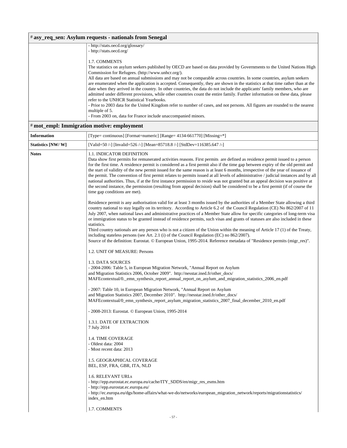#### - http://stats.oecd.org/ 1.7. COMMENTS The statistics on asylum seekers published by OECD are based on data provided by Governments to the United Nations High Commission for Refugees. (http://www.unhcr.org/). All data are based on annual submissions and may not be comparable across countries. In some countries, asylum seekers are enumerated when the application is accepted. Consequently, they are shown in the statistics at that time rather than at the date when they arrived in the country. In other countries, the data do not include the applicants' family members, who are admitted under different provisions, while other countries count the entire family. Further information on these data, please refer to the UNHCR Statistical Yearbooks. - Prior to 2003 data for the United Kingdom refer to number of cases, and not persons. All figures are rounded to the nearest multiple of 5. - From 2003 on, data for France include unaccompanied minors. # **mot\_empl: Immigration motive: employment Information** [Type= continuous] [Format=numeric] [Range= 4134-661770] [Missing=\*] **Statistics [NW/ W]** [Valid=50 /-] [Invalid=526 /-] [Mean=85718.8 /-] [StdDev=116385.647 /-] **Notes** 1.1. INDICATOR DEFINITION Data show first permits for remunerated activities reasons. First permits are defined as residence permit issued to a person for the first time. A residence permit is considered as a first permit also if the time gap between expiry of the old permit and the start of validity of the new permit issued for the same reason is at least 6 months, irrespective of the year of issuance of the permit. The convention of first permit relates to permits issued at all levels of administrative / judicial instances and by all national authorities. Thus, if at the first instance permission to reside was not granted but an appeal decision was positive at the second instance, the permission (resulting from appeal decision) shall be considered to be a first permit (if of course the time gap conditions are met). Residence permit is any authorisation valid for at least 3 months issued by the authorities of a Member State allowing a third country national to stay legally on its territory. According to Article 6.2 of the Council Regulation (CE) No 862/2007 of 11 July 2007, when national laws and administrative practices of a Member State allow for specific categories of long-term visa or immigration status to be granted instead of residence permits, such visas and grants of statuses are also included in these statistics. Third country nationals are any person who is not a citizen of the Union within the meaning of Article 17 (1) of the Treaty, including stateless persons (see Art. 2.1 (i) of the Council Regulation (EC) no 862/2007). Source of the definition: Eurostat. © European Union, 1995-2014. Reference metadata of "Residence permits (migr\_res)". 1.2. UNIT OF MEASURE: Persons 1.3. DATA SOURCES - 2004-2006: Table 5, in European Migration Network, "Annual Report on Asylum and Migration Statistics 2006, October 2009". [http://nesstar.ined.fr/other\\_docs/](http://nesstar.ined.fr/other_docs/MAFEcontextual/0._emn_synthesis_report_annual_report_on_asylum_and_migration_statistics_2006_en.pdf) [MAFEcontextual/0.\\_emn\\_synthesis\\_report\\_annual\\_report\\_on\\_asylum\\_and\\_migration\\_statistics\\_2006\\_en.pdf](http://nesstar.ined.fr/other_docs/MAFEcontextual/0._emn_synthesis_report_annual_report_on_asylum_and_migration_statistics_2006_en.pdf) - 2007: Table 10, in European Migration Network, "Annual Report on Asylum and Migration Statistics 2007, December 2010". [http://nesstar.ined.fr/other\\_docs/](http://nesstar.ined.fr/other_docs/MAFEcontextual/0_emn_synthesis_report_asylum_migration_statistics_2007_final_december_2010_en.pdf) [MAFEcontextual/0\\_emn\\_synthesis\\_report\\_asylum\\_migration\\_statistics\\_2007\\_final\\_december\\_2010\\_en.pdf](http://nesstar.ined.fr/other_docs/MAFEcontextual/0_emn_synthesis_report_asylum_migration_statistics_2007_final_december_2010_en.pdf) - 2008-2013: Eurostat. © European Union, 1995-2014 1.3.1. DATE OF EXTRACTION 7 July 2014 1.4. TIME COVERAGE - Oldest data: 2004 - Most recent data: 2013 1.5. GEOGRAPHICAL COVERAGE BEL, ESP, FRA, GBR, ITA, NLD 1.6. RELEVANT URLs - http://epp.eurostat.ec.europa.eu/cache/ITY\_SDDS/en/migr\_res\_esms.htm - http://epp.eurostat.ec.europa.eu/ [- http://ec.europa.eu/dgs/home-affairs/what-we-do/networks/european\\_migration\\_network/reports/migrationstatistics/](http://ec.europa.eu/dgs/home-affairs/what-we-do/networks/european_migration_network/reports/migrationstatistics/index_en.htm) index\_en.htm

1.7. COMMENTS

# **asy\_req\_sen: Asylum requests - nationals from Senegal**

- http://stats.oecd.org/glossary/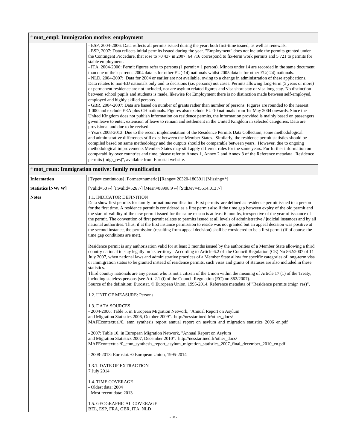| # mot_empl: Immigration motive: employment |                                                                                                                               |  |
|--------------------------------------------|-------------------------------------------------------------------------------------------------------------------------------|--|
|                                            | - ESP, 2004-2006: Data reflects all permits issued during the year: both first-time issued, as well as renewals.              |  |
|                                            | - ESP, 2007: Data reflects initial permits issued during the year. "Employment" does not include the permits granted under    |  |
|                                            | the Contingent Procedure, that rose to 70 437 in 2007: 64 716 correspond to fix-term work permits and 5 721 to permits for    |  |
|                                            | stable employment.                                                                                                            |  |
|                                            | - ITA, 2004-2006: Permit figures refer to persons (1 permit $=$ 1 person). Minors under 14 are recorded in the same document  |  |
|                                            | than one of their parents. 2004 data is for other EU( $-14$ ) nationals whilst 2005 data is for other EU( $-24$ ) nationals.  |  |
|                                            | - NLD, 2004-2007: Data for 2004 or earlier are not available, owing to a change in administration of these applications.      |  |
|                                            | Data relates to non-EU nationals only and to decisions (i.e. persons) not cases. Permits allowing long-term (5 years or more) |  |
|                                            | or permanent residence are not included, nor are asylum related figures and visa short stay or visa long stay. No distinction |  |
|                                            | between school pupils and students is made, likewise for Employment there is no distinction made between self-employed,       |  |
|                                            | employed and highly skilled persons.                                                                                          |  |
|                                            | - GBR, 2004-2007: Data are based on number of grants rather than number of persons. Figures are rounded to the nearest        |  |
|                                            | 1 000 and exclude EEA plus CH nationals. Figures also exclude EU-10 nationals from 1st May 2004 onwards. Since the            |  |
|                                            | United Kingdom does not publish information on residence permits, the information provided is mainly based on passengers      |  |
|                                            | given leave to enter, extension of leave to remain and settlement in the United Kingdom in selected categories. Data are      |  |
|                                            | provisional and due to be revised.                                                                                            |  |
|                                            | - Years 2008-2013: Due to the recent implementation of the Residence Permits Data Collection, some methodological             |  |
|                                            | and administrative differences still exist between the Member States. Similarly, the residence permit statistics should be    |  |
|                                            | compiled based on same methodology and the outputs should be comparable between years. However, due to ongoing                |  |
|                                            | methodological improvements Member States may still apply different rules for the same years. For further information on      |  |
|                                            | comparability over countries and time, please refer to Annex 1, Annex 2 and Annex 3 of the Reference metadata "Residence"     |  |
|                                            | permits (migr_res)", available from Eurostat website.                                                                         |  |

|  |  |  |  | # mot_reun: Immigration motive: family reunification |
|--|--|--|--|------------------------------------------------------|
|--|--|--|--|------------------------------------------------------|

| <b>Information</b> | [Type= continuous] [Format=numeric] [Range= 20320-180391] [Missing=*]                                                                                                                                                                                                                                                                                                                                                                                                                                                                                                                                                                                                                                                                                                                                                                                                                    |  |
|--------------------|------------------------------------------------------------------------------------------------------------------------------------------------------------------------------------------------------------------------------------------------------------------------------------------------------------------------------------------------------------------------------------------------------------------------------------------------------------------------------------------------------------------------------------------------------------------------------------------------------------------------------------------------------------------------------------------------------------------------------------------------------------------------------------------------------------------------------------------------------------------------------------------|--|
| Statistics [NW/W]  | [Valid=50 /-] [Invalid=526 /-] [Mean=88998.9 /-] [StdDev=45514.013 /-]                                                                                                                                                                                                                                                                                                                                                                                                                                                                                                                                                                                                                                                                                                                                                                                                                   |  |
| <b>Notes</b>       | <b>1.1. INDICATOR DEFINITION</b><br>Data show first permits for family formation/reunification. First permits are defined as residence permit issued to a person<br>for the first time. A residence permit is considered as a first permit also if the time gap between expiry of the old permit and<br>the start of validity of the new permit issued for the same reason is at least 6 months, irrespective of the year of issuance of<br>the permit. The convention of first permit relates to permits issued at all levels of administrative / judicial instances and by all<br>national authorities. Thus, if at the first instance permission to reside was not granted but an appeal decision was positive at<br>the second instance, the permission (resulting from appeal decision) shall be considered to be a first permit (if of course the<br>time gap conditions are met). |  |
|                    | Residence permit is any authorisation valid for at least 3 months issued by the authorities of a Member State allowing a third<br>country national to stay legally on its territory. According to Article 6.2 of the Council Regulation (CE) No 862/2007 of 11<br>July 2007, when national laws and administrative practices of a Member State allow for specific categories of long-term visa<br>or immigration status to be granted instead of residence permits, such visas and grants of statuses are also included in these<br>statistics.<br>Third country nationals are any person who is not a citizen of the Union within the meaning of Article 17 (1) of the Treaty,<br>including stateless persons (see Art. 2.1 (i) of the Council Regulation (EC) no 862/2007).                                                                                                            |  |
|                    | Source of the definition: Eurostat. © European Union, 1995-2014. Reference metadata of "Residence permits (migr_res)".                                                                                                                                                                                                                                                                                                                                                                                                                                                                                                                                                                                                                                                                                                                                                                   |  |
|                    | 1.2. UNIT OF MEASURE: Persons                                                                                                                                                                                                                                                                                                                                                                                                                                                                                                                                                                                                                                                                                                                                                                                                                                                            |  |
|                    | 1.3. DATA SOURCES<br>- 2004-2006: Table 5, in European Migration Network, "Annual Report on Asylum<br>and Migration Statistics 2006, October 2009". http://nesstar.ined.fr/other_docs/<br>MAFE contextual/0. emn_synthesis_report_annual_report_on_asylum_and_migration_statistics_2006_en.pdf                                                                                                                                                                                                                                                                                                                                                                                                                                                                                                                                                                                           |  |
|                    | - 2007: Table 10, in European Migration Network, "Annual Report on Asylum<br>and Migration Statistics 2007, December 2010". http://nesstar.ined.fr/other_docs/<br>MAFEcontextual/0_emn_synthesis_report_asylum_migration_statistics_2007_final_december_2010_en.pdf                                                                                                                                                                                                                                                                                                                                                                                                                                                                                                                                                                                                                      |  |
|                    | - 2008-2013: Eurostat. © European Union, 1995-2014                                                                                                                                                                                                                                                                                                                                                                                                                                                                                                                                                                                                                                                                                                                                                                                                                                       |  |
|                    | 1.3.1. DATE OF EXTRACTION<br>7 July 2014                                                                                                                                                                                                                                                                                                                                                                                                                                                                                                                                                                                                                                                                                                                                                                                                                                                 |  |
|                    | <b>1.4. TIME COVERAGE</b><br>- Oldest data: 2004<br>- Most recent data: 2013                                                                                                                                                                                                                                                                                                                                                                                                                                                                                                                                                                                                                                                                                                                                                                                                             |  |
|                    | 1.5. GEOGRAPHICAL COVERAGE<br>BEL, ESP, FRA, GBR, ITA, NLD                                                                                                                                                                                                                                                                                                                                                                                                                                                                                                                                                                                                                                                                                                                                                                                                                               |  |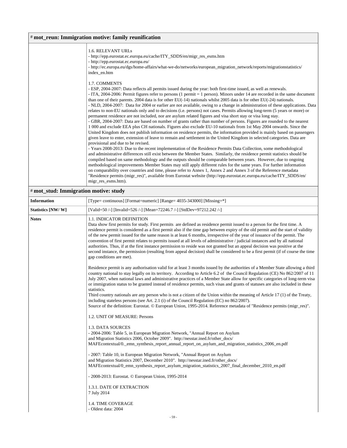### # **mot\_reun: Immigration motive: family reunification**

| <b>1.6. RELEVANT URLS</b><br>- http://epp.eurostat.ec.europa.eu/cache/ITY_SDDS/en/migr_res_esms.htm<br>- http://epp.eurostat.ec.europa.eu/<br>- http://ec.europa.eu/dgs/home-affairs/what-we-do/networks/european_migration_network/reports/migrationstatistics/<br>index_en.htm                                                                                                                                                                                                                                                                                                                                                                                                                                                                                                                                                                                                                                                                                                                                                                                                                                                                                                                                                                                                                                         |
|--------------------------------------------------------------------------------------------------------------------------------------------------------------------------------------------------------------------------------------------------------------------------------------------------------------------------------------------------------------------------------------------------------------------------------------------------------------------------------------------------------------------------------------------------------------------------------------------------------------------------------------------------------------------------------------------------------------------------------------------------------------------------------------------------------------------------------------------------------------------------------------------------------------------------------------------------------------------------------------------------------------------------------------------------------------------------------------------------------------------------------------------------------------------------------------------------------------------------------------------------------------------------------------------------------------------------|
| 1.7. COMMENTS<br>- ESP, 2004-2007: Data reflects all permits issued during the year: both first-time issued, as well as renewals.<br>- ITA, 2004-2006: Permit figures refer to persons (1 permit = 1 person). Minors under 14 are recorded in the same document<br>than one of their parents. 2004 data is for other $EU(-14)$ nationals whilst 2005 data is for other $EU(-24)$ nationals.<br>- NLD, 2004-2007: Data for 2004 or earlier are not available, owing to a change in administration of these applications. Data<br>relates to non-EU nationals only and to decisions (i.e. persons) not cases. Permits allowing long-term (5 years or more) or<br>permanent residence are not included, nor are asylum related figures and visa short stay or visa long stay.<br>- GBR, 2004-2007: Data are based on number of grants rather than number of persons. Figures are rounded to the nearest<br>1 000 and exclude EEA plus CH nationals. Figures also exclude EU-10 nationals from 1st May 2004 onwards. Since the<br>United Kingdom does not publish information on residence permits, the information provided is mainly based on passengers<br>given leave to enter, extension of leave to remain and settlement in the United Kingdom in selected categories. Data are<br>provisional and due to be revised. |
| - Years 2008-2013: Due to the recent implementation of the Residence Permits Data Collection, some methodological<br>and administrative differences still exist between the Member States. Similarly, the residence permit statistics should be<br>compiled based on same methodology and the outputs should be comparable between years. However, due to ongoing<br>methodological improvements Member States may still apply different rules for the same years. For further information<br>on comparability over countries and time, please refer to Annex 1, Annex 2 and Annex 3 of the Reference metadata<br>"Residence permits (migr_res)", available from Eurostat website (http://epp.eurostat.ec.europa.eu/cache/ITY_SDDS/en/<br>migr_res_esms.htm).                                                                                                                                                                                                                                                                                                                                                                                                                                                                                                                                                            |

### # **mot\_stud: Immigration motive: study**

| <b>Information</b> | [Type= continuous] [Format=numeric] [Range= 4035-343000] [Missing=*]                                                                                                                                                                                                                                                                                                                                                                                                                                                                                                                                                                                                                                                                                                                                                                                                                                       |
|--------------------|------------------------------------------------------------------------------------------------------------------------------------------------------------------------------------------------------------------------------------------------------------------------------------------------------------------------------------------------------------------------------------------------------------------------------------------------------------------------------------------------------------------------------------------------------------------------------------------------------------------------------------------------------------------------------------------------------------------------------------------------------------------------------------------------------------------------------------------------------------------------------------------------------------|
| Statistics [NW/W]  | [Valid=50/-] [Invalid=526/-] [Mean=72246.7/-] [StdDev=97212.242/-]                                                                                                                                                                                                                                                                                                                                                                                                                                                                                                                                                                                                                                                                                                                                                                                                                                         |
| <b>Notes</b>       | 1.1. INDICATOR DEFINITION<br>Data show first permits for study. First permits are defined as residence permit issued to a person for the first time. A<br>residence permit is considered as a first permit also if the time gap between expiry of the old permit and the start of validity<br>of the new permit issued for the same reason is at least 6 months, irrespective of the year of issuance of the permit. The<br>convention of first permit relates to permits issued at all levels of administrative / judicial instances and by all national<br>authorities. Thus, if at the first instance permission to reside was not granted but an appeal decision was positive at the<br>second instance, the permission (resulting from appeal decision) shall be considered to be a first permit (if of course the time<br>gap conditions are met).                                                   |
|                    | Residence permit is any authorisation valid for at least 3 months issued by the authorities of a Member State allowing a third<br>country national to stay legally on its territory. According to Article 6.2 of the Council Regulation (CE) No 862/2007 of 11<br>July 2007, when national laws and administrative practices of a Member State allow for specific categories of long-term visa<br>or immigration status to be granted instead of residence permits, such visas and grants of statuses are also included in these<br>statistics.<br>Third country nationals are any person who is not a citizen of the Union within the meaning of Article 17 (1) of the Treaty,<br>including stateless persons (see Art. 2.1 (i) of the Council Regulation (EC) no $862/2007$ ).<br>Source of the definition: Eurostat. © European Union, 1995-2014. Reference metadata of "Residence permits (migr res)". |
|                    | 1.2. UNIT OF MEASURE: Persons                                                                                                                                                                                                                                                                                                                                                                                                                                                                                                                                                                                                                                                                                                                                                                                                                                                                              |
|                    | 1.3. DATA SOURCES<br>- 2004-2006: Table 5, in European Migration Network, "Annual Report on Asylum<br>and Migration Statistics 2006, October 2009". http://nesstar.ined.fr/other_docs/<br>MAFE contextual/0. emn_synthesis_report_annual_report_on_asylum_and_migration_statistics_2006_en.pdf                                                                                                                                                                                                                                                                                                                                                                                                                                                                                                                                                                                                             |
|                    | - 2007: Table 10, in European Migration Network, "Annual Report on Asylum<br>and Migration Statistics 2007, December 2010". http://nesstar.ined.fr/other_docs/<br>MAFE contextual/0_emn_synthesis_report_asylum_migration_statistics_2007_final_december_2010_en.pdf                                                                                                                                                                                                                                                                                                                                                                                                                                                                                                                                                                                                                                       |
|                    | - 2008-2013: Eurostat. © European Union, 1995-2014                                                                                                                                                                                                                                                                                                                                                                                                                                                                                                                                                                                                                                                                                                                                                                                                                                                         |
|                    | 1.3.1. DATE OF EXTRACTION<br>7 July 2014                                                                                                                                                                                                                                                                                                                                                                                                                                                                                                                                                                                                                                                                                                                                                                                                                                                                   |
|                    | 1.4. TIME COVERAGE<br>- Oldest data: 2004                                                                                                                                                                                                                                                                                                                                                                                                                                                                                                                                                                                                                                                                                                                                                                                                                                                                  |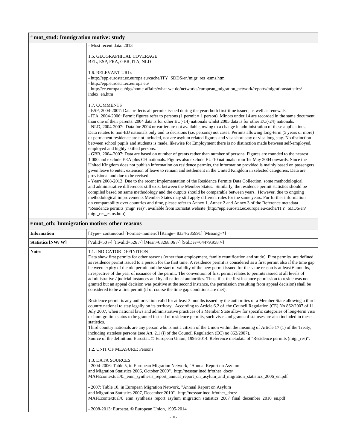| # mot_stud: Immigration motive: study        |                                                                                                                                                                                                                                                                                                                                                                                                                                                                                                                                                                                                                                                                                                                                                                                                                                                                                                                                                                                                                                                                                                                                                                                                                                                                                                                                          |  |
|----------------------------------------------|------------------------------------------------------------------------------------------------------------------------------------------------------------------------------------------------------------------------------------------------------------------------------------------------------------------------------------------------------------------------------------------------------------------------------------------------------------------------------------------------------------------------------------------------------------------------------------------------------------------------------------------------------------------------------------------------------------------------------------------------------------------------------------------------------------------------------------------------------------------------------------------------------------------------------------------------------------------------------------------------------------------------------------------------------------------------------------------------------------------------------------------------------------------------------------------------------------------------------------------------------------------------------------------------------------------------------------------|--|
|                                              | - Most recent data: 2013                                                                                                                                                                                                                                                                                                                                                                                                                                                                                                                                                                                                                                                                                                                                                                                                                                                                                                                                                                                                                                                                                                                                                                                                                                                                                                                 |  |
|                                              | 1.5. GEOGRAPHICAL COVERAGE<br>BEL, ESP, FRA, GBR, ITA, NLD                                                                                                                                                                                                                                                                                                                                                                                                                                                                                                                                                                                                                                                                                                                                                                                                                                                                                                                                                                                                                                                                                                                                                                                                                                                                               |  |
|                                              | 1.6. RELEVANT URLs<br>- http://epp.eurostat.ec.europa.eu/cache/ITY_SDDS/en/migr_res_esms.htm<br>- http://epp.eurostat.ec.europa.eu/<br>- http://ec.europa.eu/dgs/home-affairs/what-we-do/networks/european_migration_network/reports/migrationstatistics/<br>index en.htm                                                                                                                                                                                                                                                                                                                                                                                                                                                                                                                                                                                                                                                                                                                                                                                                                                                                                                                                                                                                                                                                |  |
|                                              | 1.7. COMMENTS<br>- ESP, 2004-2007: Data reflects all permits issued during the year: both first-time issued, as well as renewals.<br>- ITA, 2004-2006: Permit figures refer to persons (1 permit = 1 person). Minors under 14 are recorded in the same document<br>than one of their parents. 2004 data is for other $EU(-14)$ nationals whilst 2005 data is for other $EU(-24)$ nationals.<br>- NLD, 2004-2007: Data for 2004 or earlier are not available, owing to a change in administration of these applications.<br>Data relates to non-EU nationals only and to decisions (i.e. persons) not cases. Permits allowing long-term (5 years or more)<br>or permanent residence are not included, nor are asylum related figures and visa short stay or visa long stay. No distinction<br>between school pupils and students is made, likewise for Employment there is no distinction made between self-employed,<br>employed and highly skilled persons.<br>- GBR, 2004-2007: Data are based on number of grants rather than number of persons. Figures are rounded to the nearest<br>1 000 and exclude EEA plus CH nationals. Figures also exclude EU-10 nationals from 1st May 2004 onwards. Since the<br>United Kingdom does not publish information on residence permits, the information provided is mainly based on passengers |  |
|                                              | given leave to enter, extension of leave to remain and settlement in the United Kingdom in selected categories. Data are<br>provisional and due to be revised.<br>- Years 2008-2013: Due to the recent implementation of the Residence Permits Data Collection, some methodological<br>and administrative differences still exist between the Member States. Similarly, the residence permit statistics should be<br>compiled based on same methodology and the outputs should be comparable between years. However, due to ongoing<br>methodological improvements Member States may still apply different rules for the same years. For further information<br>on comparability over countries and time, please refer to Annex 1, Annex 2 and Annex 3 of the Reference metadata<br>"Residence permits (migr_res)", available from Eurostat website (http://epp.eurostat.ec.europa.eu/cache/ITY_SDDS/en/<br>migr_res_esms.htm).                                                                                                                                                                                                                                                                                                                                                                                                          |  |
| # mot_oth: Immigration motive: other reasons |                                                                                                                                                                                                                                                                                                                                                                                                                                                                                                                                                                                                                                                                                                                                                                                                                                                                                                                                                                                                                                                                                                                                                                                                                                                                                                                                          |  |

| <b>Information</b> | [Type= continuous] [Format=numeric] [Range= 8334-235991] [Missing=*]                                                                                                                                                                                                                                                                                                                                                                                                                                                                                                                                                                                                                                                                                                                                                                                                                                                     |
|--------------------|--------------------------------------------------------------------------------------------------------------------------------------------------------------------------------------------------------------------------------------------------------------------------------------------------------------------------------------------------------------------------------------------------------------------------------------------------------------------------------------------------------------------------------------------------------------------------------------------------------------------------------------------------------------------------------------------------------------------------------------------------------------------------------------------------------------------------------------------------------------------------------------------------------------------------|
| Statistics [NW/W]  | [Valid=50 /-] [Invalid=526 /-] [Mean=63268.06 /-] [StdDev=64479.958 /-]                                                                                                                                                                                                                                                                                                                                                                                                                                                                                                                                                                                                                                                                                                                                                                                                                                                  |
| <b>Notes</b>       | 1.1. INDICATOR DEFINITION<br>Data show first permits for other reasons (other than employment, family reunification and study). First permits are defined<br>as residence permit issued to a person for the first time. A residence permit is considered as a first permit also if the time gap<br>between expiry of the old permit and the start of validity of the new permit issued for the same reason is at least 6 months,<br>irrespective of the year of issuance of the permit. The convention of first permit relates to permits issued at all levels of<br>administrative / judicial instances and by all national authorities. Thus, if at the first instance permission to reside was not<br>granted but an appeal decision was positive at the second instance, the permission (resulting from appeal decision) shall be<br>considered to be a first permit (if of course the time gap conditions are met). |
|                    | Residence permit is any authorisation valid for at least 3 months issued by the authorities of a Member State allowing a third<br>country national to stay legally on its territory. According to Article 6.2 of the Council Regulation (CE) No 862/2007 of 11<br>July 2007, when national laws and administrative practices of a Member State allow for specific categories of long-term visa<br>or immigration status to be granted instead of residence permits, such visas and grants of statuses are also included in these<br>statistics.<br>Third country nationals are any person who is not a citizen of the Union within the meaning of Article 17 (1) of the Treaty,<br>including stateless persons (see Art. 2.1 (i) of the Council Regulation (EC) no $862/2007$ ).<br>Source of the definition: Eurostat. © European Union, 1995-2014. Reference metadata of "Residence permits (migr_res)".               |
|                    | 1.2. UNIT OF MEASURE: Persons<br>1.3. DATA SOURCES<br>- 2004-2006: Table 5, in European Migration Network, "Annual Report on Asylum                                                                                                                                                                                                                                                                                                                                                                                                                                                                                                                                                                                                                                                                                                                                                                                      |
|                    | and Migration Statistics 2006, October 2009". http://nesstar.ined.fr/other_docs/<br>MAFE contextual/0, emn synthesis report annual report on asylum and migration statistics 2006 en.pdf                                                                                                                                                                                                                                                                                                                                                                                                                                                                                                                                                                                                                                                                                                                                 |
|                    | - 2007: Table 10, in European Migration Network, "Annual Report on Asylum<br>and Migration Statistics 2007, December 2010". http://nesstar.ined.fr/other docs/<br>MAFE contextual/0_emn_synthesis_report_asylum_migration_statistics_2007_final_december_2010_en.pdf                                                                                                                                                                                                                                                                                                                                                                                                                                                                                                                                                                                                                                                     |
|                    | - 2008-2013: Eurostat. © European Union, 1995-2014                                                                                                                                                                                                                                                                                                                                                                                                                                                                                                                                                                                                                                                                                                                                                                                                                                                                       |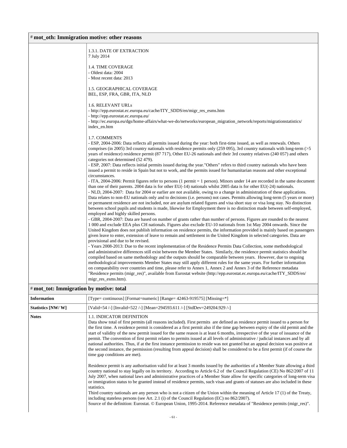### # **mot\_oth: Immigration motive: other reasons**

|                                         | 1.3.1. DATE OF EXTRACTION<br>7 July 2014                                                                                                                                                                                                                                                                                                                                                                                                                                                                                                   |
|-----------------------------------------|--------------------------------------------------------------------------------------------------------------------------------------------------------------------------------------------------------------------------------------------------------------------------------------------------------------------------------------------------------------------------------------------------------------------------------------------------------------------------------------------------------------------------------------------|
|                                         | <b>1.4. TIME COVERAGE</b><br>- Oldest data: 2004<br>- Most recent data: 2013                                                                                                                                                                                                                                                                                                                                                                                                                                                               |
|                                         | 1.5. GEOGRAPHICAL COVERAGE<br>BEL, ESP, FRA, GBR, ITA, NLD                                                                                                                                                                                                                                                                                                                                                                                                                                                                                 |
|                                         | 1.6. RELEVANT URLs<br>- http://epp.eurostat.ec.europa.eu/cache/ITY_SDDS/en/migr_res_esms.htm<br>- http://epp.eurostat.ec.europa.eu/                                                                                                                                                                                                                                                                                                                                                                                                        |
|                                         | - http://ec.europa.eu/dgs/home-affairs/what-we-do/networks/european_migration_network/reports/migrationstatistics/<br>index_en.htm                                                                                                                                                                                                                                                                                                                                                                                                         |
|                                         | 1.7. COMMENTS<br>- ESP, 2004-2006: Data reflects all permits issued during the year: both first-time issued, as well as renewals. Others<br>comprises (in 2005) 3rd country nationals with residence permits only (259 095), 3rd country nationals with long-term (>5<br>years of residence) residence permit (87 717), Other EU-26 nationals and their 3rd country relatives (240 057) and others<br>categories not determined (52 479).                                                                                                  |
|                                         | - ESP, 2007: Data reflects initial permits issued during the year."Others" refers to third country nationals who have been<br>issued a permit to reside in Spain but not to work, and the permits issued for humanitarian reasons and other exceptional<br>circumstances.                                                                                                                                                                                                                                                                  |
|                                         | - ITA, 2004-2006: Permit figures refer to persons (1 permit = 1 person). Minors under 14 are recorded in the same document<br>than one of their parents. 2004 data is for other $EU(-14)$ nationals whilst 2005 data is for other $EU(-24)$ nationals.<br>- NLD, 2004-2007: Data for 2004 or earlier are not available, owing to a change in administration of these applications.                                                                                                                                                         |
|                                         | Data relates to non-EU nationals only and to decisions (i.e. persons) not cases. Permits allowing long-term (5 years or more)<br>or permanent residence are not included, nor are asylum related figures and visa short stay or visa long stay. No distinction<br>between school pupils and students is made, likewise for Employment there is no distinction made between self-employed,<br>employed and highly skilled persons.                                                                                                          |
|                                         | - GBR, 2004-2007: Data are based on number of grants rather than number of persons. Figures are rounded to the nearest<br>1 000 and exclude EEA plus CH nationals. Figures also exclude EU-10 nationals from 1st May 2004 onwards. Since the<br>United Kingdom does not publish information on residence permits, the information provided is mainly based on passengers<br>given leave to enter, extension of leave to remain and settlement in the United Kingdom in selected categories. Data are<br>provisional and due to be revised. |
|                                         | - Years 2008-2013: Due to the recent implementation of the Residence Permits Data Collection, some methodological<br>and administrative differences still exist between the Member States. Similarly, the residence permit statistics should be<br>compiled based on same methodology and the outputs should be comparable between years. However, due to ongoing<br>methodological improvements Member States may still apply different rules for the same years. For further information                                                 |
|                                         | on comparability over countries and time, please refer to Annex 1, Annex 2 and Annex 3 of the Reference metadata<br>"Residence permits (migr_res)", available from Eurostat website (http://epp.eurostat.ec.europa.eu/cache/ITY_SDDS/en/<br>migr_res_esms.htm).                                                                                                                                                                                                                                                                            |
| # mot_tot: Immigration by motive: total |                                                                                                                                                                                                                                                                                                                                                                                                                                                                                                                                            |

| <b>Information</b> | [Type= continuous] [Format=numeric] [Range= $42463-919575$ ] [Missing= $*$ ]                                                                                                                                                                                                                                                                                                                                                                                                                                                                                                                                                                                                                                                                                                                                                                                                                                                                                                                                                                                                                                                                                                                                                                                                                                                                                                                                                                                                                                                                                                                                                                                                                                                                                                                        |
|--------------------|-----------------------------------------------------------------------------------------------------------------------------------------------------------------------------------------------------------------------------------------------------------------------------------------------------------------------------------------------------------------------------------------------------------------------------------------------------------------------------------------------------------------------------------------------------------------------------------------------------------------------------------------------------------------------------------------------------------------------------------------------------------------------------------------------------------------------------------------------------------------------------------------------------------------------------------------------------------------------------------------------------------------------------------------------------------------------------------------------------------------------------------------------------------------------------------------------------------------------------------------------------------------------------------------------------------------------------------------------------------------------------------------------------------------------------------------------------------------------------------------------------------------------------------------------------------------------------------------------------------------------------------------------------------------------------------------------------------------------------------------------------------------------------------------------------|
| Statistics [NW/W]  | [Valid=54 /-] [Invalid=522 /-] [Mean=294593.611 /-] [StdDev=249204.929 /-]                                                                                                                                                                                                                                                                                                                                                                                                                                                                                                                                                                                                                                                                                                                                                                                                                                                                                                                                                                                                                                                                                                                                                                                                                                                                                                                                                                                                                                                                                                                                                                                                                                                                                                                          |
| <b>Notes</b>       | <b>1.1. INDICATOR DEFINITION</b><br>Data show total of first permits (all reasons included). First permits are defined as residence permit issued to a person for<br>the first time. A residence permit is considered as a first permit also if the time gap between expiry of the old permit and the<br>start of validity of the new permit issued for the same reason is at least 6 months, irrespective of the year of issuance of the<br>permit. The convention of first permit relates to permits issued at all levels of administrative / judicial instances and by all<br>national authorities. Thus, if at the first instance permission to reside was not granted but an appeal decision was positive at<br>the second instance, the permission (resulting from appeal decision) shall be considered to be a first permit (if of course the<br>time gap conditions are met).<br>Residence permit is any authorisation valid for at least 3 months issued by the authorities of a Member State allowing a third<br>country national to stay legally on its territory. According to Article 6.2 of the Council Regulation (CE) No 862/2007 of 11<br>July 2007, when national laws and administrative practices of a Member State allow for specific categories of long-term visa<br>or immigration status to be granted instead of residence permits, such visas and grants of statuses are also included in these<br>statistics.<br>Third country nationals are any person who is not a citizen of the Union within the meaning of Article 17 (1) of the Treaty,<br>including stateless persons (see Art. 2.1 (i) of the Council Regulation (EC) no $862/2007$ ).<br>Source of the definition: Eurostat. © European Union, 1995-2014. Reference metadata of "Residence permits (migr_res)". |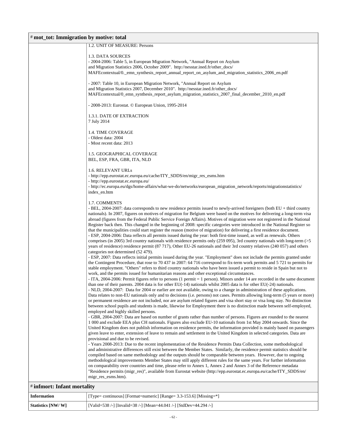### # **mot\_tot: Immigration by motive: total**

|                            | 1.2. UNIT OF MEASURE: Persons                                                                                                                                                                                                                                  |
|----------------------------|----------------------------------------------------------------------------------------------------------------------------------------------------------------------------------------------------------------------------------------------------------------|
|                            | 1.3. DATA SOURCES                                                                                                                                                                                                                                              |
|                            | - 2004-2006: Table 5, in European Migration Network, "Annual Report on Asylum                                                                                                                                                                                  |
|                            | and Migration Statistics 2006, October 2009". http://nesstar.ined.fr/other_docs/                                                                                                                                                                               |
|                            | MAFE contextual/0. emn_synthesis_report_annual_report_on_asylum_and_migration_statistics_2006_en.pdf                                                                                                                                                           |
|                            | - 2007: Table 10, in European Migration Network, "Annual Report on Asylum                                                                                                                                                                                      |
|                            | and Migration Statistics 2007, December 2010". http://nesstar.ined.fr/other_docs/                                                                                                                                                                              |
|                            | MAFEcontextual/0_emn_synthesis_report_asylum_migration_statistics_2007_final_december_2010_en.pdf                                                                                                                                                              |
|                            | - 2008-2013: Eurostat. © European Union, 1995-2014                                                                                                                                                                                                             |
|                            |                                                                                                                                                                                                                                                                |
|                            | 1.3.1. DATE OF EXTRACTION                                                                                                                                                                                                                                      |
|                            | 7 July 2014                                                                                                                                                                                                                                                    |
|                            | 1.4. TIME COVERAGE                                                                                                                                                                                                                                             |
|                            | - Oldest data: 2004                                                                                                                                                                                                                                            |
|                            | - Most recent data: 2013                                                                                                                                                                                                                                       |
|                            | 1.5. GEOGRAPHICAL COVERAGE                                                                                                                                                                                                                                     |
|                            | BEL, ESP, FRA, GBR, ITA, NLD                                                                                                                                                                                                                                   |
|                            |                                                                                                                                                                                                                                                                |
|                            | 1.6. RELEVANT URLs<br>- http://epp.eurostat.ec.europa.eu/cache/ITY_SDDS/en/migr_res_esms.htm                                                                                                                                                                   |
|                            | - http://epp.eurostat.ec.europa.eu/                                                                                                                                                                                                                            |
|                            | - http://ec.europa.eu/dgs/home-affairs/what-we-do/networks/european_migration_network/reports/migrationstatistics/                                                                                                                                             |
|                            | index_en.htm                                                                                                                                                                                                                                                   |
|                            | 1.7. COMMENTS                                                                                                                                                                                                                                                  |
|                            | - BEL, 2004-2007: data corresponds to new residence permits issued to newly-arrived foreigners (both EU + third country                                                                                                                                        |
|                            | nationals). In 2007, figures on motives of migration for Belgium were based on the motives for delivering a long-term visa                                                                                                                                     |
|                            | abroad (figures from the Federal Public Service Foreign Affairs). Motives of migration were not registered in the National                                                                                                                                     |
|                            | Register back then. This changed in the beginning of 2008: specific categories were introduced in the National Register so<br>that the municipalities could start register the reason (motive of migration) for delivering a first residence document.         |
|                            | - ESP, 2004-2006: Data reflects all permits issued during the year: both first-time issued, as well as renewals. Others                                                                                                                                        |
|                            | comprises (in 2005) 3rd country nationals with residence permits only (259 095), 3rd country nationals with long-term ( $>5$                                                                                                                                   |
|                            | years of residence) residence permit (87 717), Other EU-26 nationals and their 3rd country relatives (240 057) and others                                                                                                                                      |
|                            | categories not determined (52 479).                                                                                                                                                                                                                            |
|                            | - ESP, 2007: Data reflects initial permits issued during the year. "Employment" does not include the permits granted under<br>the Contingent Procedure, that rose to 70 437 in 2007: 64 716 correspond to fix-term work permits and 5 721 to permits for       |
|                            | stable employment. "Others" refers to third country nationals who have been issued a permit to reside in Spain but not to                                                                                                                                      |
|                            | work, and the permits issued for humanitarian reasons and other exceptional circumstances.                                                                                                                                                                     |
|                            | - ITA, 2004-2006: Permit figures refer to persons (1 permit = 1 person). Minors under 14 are recorded in the same document                                                                                                                                     |
|                            | than one of their parents. 2004 data is for other $EU(-14)$ nationals whilst 2005 data is for other $EU(-24)$ nationals.                                                                                                                                       |
|                            | - NLD, 2004-2007: Data for 2004 or earlier are not available, owing to a change in administration of these applications.                                                                                                                                       |
|                            | Data relates to non-EU nationals only and to decisions (i.e. persons) not cases. Permits allowing long-term (5 years or more)<br>or permanent residence are not included, nor are asylum related figures and visa short stay or visa long stay. No distinction |
|                            | between school pupils and students is made, likewise for Employment there is no distinction made between self-employed,                                                                                                                                        |
|                            | employed and highly skilled persons.                                                                                                                                                                                                                           |
|                            | - GBR, 2004-2007: Data are based on number of grants rather than number of persons. Figures are rounded to the nearest                                                                                                                                         |
|                            | 1 000 and exclude EEA plus CH nationals. Figures also exclude EU-10 nationals from 1st May 2004 onwards. Since the                                                                                                                                             |
|                            | United Kingdom does not publish information on residence permits, the information provided is mainly based on passengers<br>given leave to enter, extension of leave to remain and settlement in the United Kingdom in selected categories. Data are           |
|                            | provisional and due to be revised.                                                                                                                                                                                                                             |
|                            | - Years 2008-2013: Due to the recent implementation of the Residence Permits Data Collection, some methodological                                                                                                                                              |
|                            | and administrative differences still exist between the Member States. Similarly, the residence permit statistics should be                                                                                                                                     |
|                            | compiled based on same methodology and the outputs should be comparable between years. However, due to ongoing                                                                                                                                                 |
|                            | methodological improvements Member States may still apply different rules for the same years. For further information                                                                                                                                          |
|                            | on comparability over countries and time, please refer to Annex 1, Annex 2 and Annex 3 of the Reference metadata<br>"Residence permits (migr_res)", available from Eurostat website (http://epp.eurostat.ec.europa.eu/cache/ITY_SDDS/en/                       |
|                            | migr_res_esms.htm).                                                                                                                                                                                                                                            |
|                            |                                                                                                                                                                                                                                                                |
| #infmort: Infant mortality |                                                                                                                                                                                                                                                                |

| <b>Information</b> | [Type= continuous] [Format=numeric] [Range= 3.3-153.6] [Missing=*] |
|--------------------|--------------------------------------------------------------------|
| Statistics [NW/W]  | [Valid=538 /-] [Invalid=38 /-] [Mean=44.041 /-] [StdDev=44.294 /-] |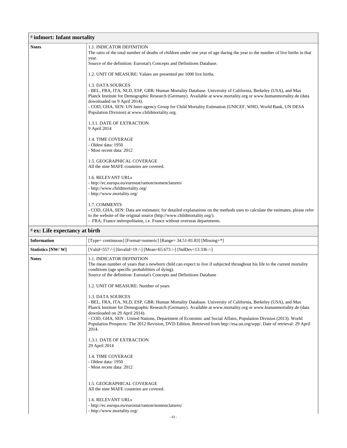| <b>Notes</b> | <b>1.1. INDICATOR DEFINITION</b>                                                                                                                                                                                                  |
|--------------|-----------------------------------------------------------------------------------------------------------------------------------------------------------------------------------------------------------------------------------|
|              | The ratio of the total number of deaths of children under one year of age during the year to the number of live births in that<br>year.                                                                                           |
|              | Source of the definition: Eurostat's Concepts and Definitions Database.                                                                                                                                                           |
|              | 1.2. UNIT OF MEASURE: Values are presented per 1000 live births.                                                                                                                                                                  |
|              | 1.3. DATA SOURCES                                                                                                                                                                                                                 |
|              | - BEL, FRA, ITA, NLD, ESP, GBR: Human Mortality Database. University of California, Berkeley (USA), and Max<br>Planck Institute for Demographic Research (Germany). Available at www.mortality.org or www.humanmortality.de (data |
|              | downloaded on 9 April 2014).<br>- COD, GHA, SEN: UN Inter-agency Group for Child Mortality Estimation (UNICEF, WHO, World Bank, UN DESA<br>Population Division) at www.childmortality.org.                                        |
|              | 1.3.1. DATE OF EXTRACTION<br>9 April 2014                                                                                                                                                                                         |
|              | 1.4. TIME COVERAGE                                                                                                                                                                                                                |
|              | - Oldest data: 1950<br>- Most recent data: 2012                                                                                                                                                                                   |
|              | <b>1.5. GEOGRAPHICAL COVERAGE</b><br>All the nine MAFE countries are covered.                                                                                                                                                     |
|              | 1.6. RELEVANT URLs                                                                                                                                                                                                                |
|              | - http://ec.europa.eu/eurostat/ramon/nomenclatures/                                                                                                                                                                               |
|              | - http://www.childmortality.org/<br>- http://www.mortality.org/                                                                                                                                                                   |
|              | 1.7. COMMENTS                                                                                                                                                                                                                     |
|              | - COD, GHA, SEN: Data are estimates; for detailed explanations on the methods uses to calculate the estimates, please refer<br>to the website of the original source (http://www.childmortality.org/).                            |
|              | - FRA: France métropolitaine, i.e. France without overseas departments.                                                                                                                                                           |

| <b>Information</b> | [Type= continuous] [Format=numeric] [Range= 34.51-81.83] [Missing=*]                                                                                                                                                                                                                                                                                                                                                                                                                                                                                                                                                                                                                     |
|--------------------|------------------------------------------------------------------------------------------------------------------------------------------------------------------------------------------------------------------------------------------------------------------------------------------------------------------------------------------------------------------------------------------------------------------------------------------------------------------------------------------------------------------------------------------------------------------------------------------------------------------------------------------------------------------------------------------|
| Statistics [NW/W]  | [Valid=557 /-] [Invalid=19 /-] [Mean=65.673 /-] [StdDev=13.336 /-]                                                                                                                                                                                                                                                                                                                                                                                                                                                                                                                                                                                                                       |
| <b>Notes</b>       | <b>1.1. INDICATOR DEFINITION</b><br>The mean number of years that a newborn child can expect to live if subjected throughout his life to the current mortality<br>conditions (age specific probabilities of dying).<br>Source of the definition: Eurostat's Concepts and Definitions Database                                                                                                                                                                                                                                                                                                                                                                                            |
|                    | 1.2. UNIT OF MEASURE: Number of years<br>1.3. DATA SOURCES<br>- BEL, FRA, ITA, NLD, ESP, GBR: Human Mortality Database. University of California, Berkeley (USA), and Max<br>Planck Institute for Demographic Research (Germany). Available at www.mortality.org or www.humanmortality.de (data<br>downloaded on 29 April 2014).<br>- COD, GHA, SEN: United Nations, Department of Economic and Social Affairs, Population Division (2013). World<br>Population Prospects: The 2012 Revision, DVD Edition. Retrieved from http://esa.un.org/wpp/. Date of retrieval: 29 April<br>2014.<br>1.3.1. DATE OF EXTRACTION<br>29 April 2014<br><b>1.4. TIME COVERAGE</b><br>- Oldest data: 1950 |
|                    | - Most recent data: 2012<br>1.5. GEOGRAPHICAL COVERAGE<br>All the nine MAFE countries are covered.<br>1.6. RELEVANT URLs<br>- http://ec.europa.eu/eurostat/ramon/nomenclatures/<br>- http://www.mortality.org/                                                                                                                                                                                                                                                                                                                                                                                                                                                                           |
|                    | $-63-$                                                                                                                                                                                                                                                                                                                                                                                                                                                                                                                                                                                                                                                                                   |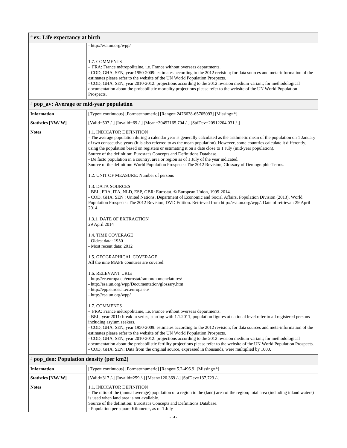| # ex: Life expectancy at birth           |                                                                                                                                                                                                                                                                                                                                                                                                                                                                                                                                                                                                                                                                                                                                                                                                                                                                                                                                                                                                                                                                                                                                                                                                                                                                                                                                                                                                                             |
|------------------------------------------|-----------------------------------------------------------------------------------------------------------------------------------------------------------------------------------------------------------------------------------------------------------------------------------------------------------------------------------------------------------------------------------------------------------------------------------------------------------------------------------------------------------------------------------------------------------------------------------------------------------------------------------------------------------------------------------------------------------------------------------------------------------------------------------------------------------------------------------------------------------------------------------------------------------------------------------------------------------------------------------------------------------------------------------------------------------------------------------------------------------------------------------------------------------------------------------------------------------------------------------------------------------------------------------------------------------------------------------------------------------------------------------------------------------------------------|
|                                          | - http://esa.un.org/wpp/                                                                                                                                                                                                                                                                                                                                                                                                                                                                                                                                                                                                                                                                                                                                                                                                                                                                                                                                                                                                                                                                                                                                                                                                                                                                                                                                                                                                    |
|                                          | 1.7. COMMENTS<br>- FRA: France métropolitaine, i.e. France without overseas departments.<br>- COD, GHA, SEN, year 1950-2009: estimates according to the 2012 revision; for data sources and meta-information of the<br>estimates please refer to the website of the UN World Population Prospects.<br>- COD, GHA, SEN, year 2010-2012: projections according to the 2012 revision medium variant; for methodological<br>documentation about the probabilistic mortality projections please refer to the website of the UN World Population<br>Prospects.                                                                                                                                                                                                                                                                                                                                                                                                                                                                                                                                                                                                                                                                                                                                                                                                                                                                    |
| # pop_av: Average or mid-year population |                                                                                                                                                                                                                                                                                                                                                                                                                                                                                                                                                                                                                                                                                                                                                                                                                                                                                                                                                                                                                                                                                                                                                                                                                                                                                                                                                                                                                             |
| <b>Information</b>                       | [Type= continuous] [Format=numeric] [Range= $2476638-65705093$ ] [Missing= $*$ ]                                                                                                                                                                                                                                                                                                                                                                                                                                                                                                                                                                                                                                                                                                                                                                                                                                                                                                                                                                                                                                                                                                                                                                                                                                                                                                                                            |
| Statistics [NW/W]                        | [Valid=507/-] [Invalid=69/-] [Mean=30457165.704/-] [StdDev=20912204.031/-]                                                                                                                                                                                                                                                                                                                                                                                                                                                                                                                                                                                                                                                                                                                                                                                                                                                                                                                                                                                                                                                                                                                                                                                                                                                                                                                                                  |
| <b>Notes</b>                             | 1.1. INDICATOR DEFINITION<br>- The average population during a calendar year is generally calculated as the arithmetic mean of the population on 1 January<br>of two consecutive years (it is also referred to as the mean population). However, some countries calculate it differently,<br>using the population based on registers or estimating it on a date close to 1 July (mid-year population).<br>Source of the definition: Eurostat's Concepts and Definitions Database.<br>- De facto population in a country, area or region as of 1 July of the year indicated.<br>Source of the definition: World Population Prospects: The 2012 Revision, Glossary of Demographic Terms.<br>1.2. UNIT OF MEASURE: Number of persons<br>1.3. DATA SOURCES<br>- BEL, FRA, ITA, NLD, ESP, GBR: Eurostat. © European Union, 1995-2014.<br>- COD, GHA, SEN : United Nations, Department of Economic and Social Affairs, Population Division (2013). World<br>Population Prospects: The 2012 Revision, DVD Edition. Retrieved from http://esa.un.org/wpp/. Date of retrieval: 29 April<br>2014.<br>1.3.1. DATE OF EXTRACTION<br>29 April 2014<br>1.4. TIME COVERAGE<br>- Oldest data: 1950<br>- Most recent data: 2012<br>1.5. GEOGRAPHICAL COVERAGE<br>All the nine MAFE countries are covered.<br>1.6. RELEVANT URLs<br>- http://ec.europa.eu/eurostat/ramon/nomenclatures/<br>- http://esa.un.org/wpp/Documentation/glossary.htm |
|                                          | - http://epp.eurostat.ec.europa.eu/<br>- http://esa.un.org/wpp/                                                                                                                                                                                                                                                                                                                                                                                                                                                                                                                                                                                                                                                                                                                                                                                                                                                                                                                                                                                                                                                                                                                                                                                                                                                                                                                                                             |
|                                          | 1.7. COMMENTS                                                                                                                                                                                                                                                                                                                                                                                                                                                                                                                                                                                                                                                                                                                                                                                                                                                                                                                                                                                                                                                                                                                                                                                                                                                                                                                                                                                                               |

- FRA: France métropolitaine, i.e. France without overseas departments.

- BEL, year 2011: break in series, starting with 1.1.2011, population figures at national level refer to all registered persons including asylum seekers.

- COD, GHA, SEN, year 1950-2009: estimates according to the 2012 revision; for data sources and meta-information of the estimates please refer to the website of the UN World Population Prospects.

- COD, GHA, SEN, year 2010-2012: projections according to the 2012 revision medium variant; for methodological documentation about the probabilistic fertility projections please refer to the website of the UN World Population Prospects. - COD, GHA, SEN: Data from the original source, expressed in thousands, were multiplied by 1000.

#### # **pop\_den: Population density (per km2)**

| <b>Information</b> | [Type= continuous] [Format=numeric] [Range= $5.2-496.9$ ] [Missing=*]                                                                                                                                                                                                                                                                           |
|--------------------|-------------------------------------------------------------------------------------------------------------------------------------------------------------------------------------------------------------------------------------------------------------------------------------------------------------------------------------------------|
| Statistics [NW/W]  | [Valid=317/-] [Invalid=259/-] [Mean=120.369/-] [StdDev=137.723/-]                                                                                                                                                                                                                                                                               |
| <b>Notes</b>       | <b>1.1. INDICATOR DEFINITION</b><br>- The ratio of the (annual average) population of a region to the (land) area of the region; total area (including inland waters)<br>is used when land area is not available.<br>Source of the definition: Eurostat's Concepts and Definitions Database.<br>- Population per square Kilometer, as of 1 July |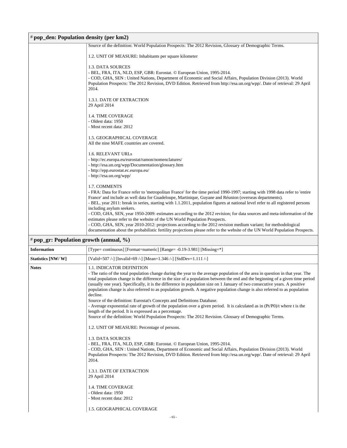| # pop_den: Population density (per km2) |                                                                                                                                                                                                                                                                                                                                                                                                                                                                                                                                                                                                                                                                                                                                                                                                                                                                                                                                                         |  |
|-----------------------------------------|---------------------------------------------------------------------------------------------------------------------------------------------------------------------------------------------------------------------------------------------------------------------------------------------------------------------------------------------------------------------------------------------------------------------------------------------------------------------------------------------------------------------------------------------------------------------------------------------------------------------------------------------------------------------------------------------------------------------------------------------------------------------------------------------------------------------------------------------------------------------------------------------------------------------------------------------------------|--|
|                                         | Source of the definition: World Population Prospects: The 2012 Revision, Glossary of Demographic Terms.                                                                                                                                                                                                                                                                                                                                                                                                                                                                                                                                                                                                                                                                                                                                                                                                                                                 |  |
|                                         | 1.2. UNIT OF MEASURE: Inhabitants per square kilometer                                                                                                                                                                                                                                                                                                                                                                                                                                                                                                                                                                                                                                                                                                                                                                                                                                                                                                  |  |
|                                         | 1.3. DATA SOURCES<br>- BEL, FRA, ITA, NLD, ESP, GBR: Eurostat. © European Union, 1995-2014.<br>- COD, GHA, SEN : United Nations, Department of Economic and Social Affairs, Population Division (2013). World<br>Population Prospects: The 2012 Revision, DVD Edition. Retrieved from http://esa.un.org/wpp/. Date of retrieval: 29 April<br>2014.                                                                                                                                                                                                                                                                                                                                                                                                                                                                                                                                                                                                      |  |
|                                         | 1.3.1. DATE OF EXTRACTION<br>29 April 2014                                                                                                                                                                                                                                                                                                                                                                                                                                                                                                                                                                                                                                                                                                                                                                                                                                                                                                              |  |
|                                         | 1.4. TIME COVERAGE<br>- Oldest data: 1950<br>- Most recent data: 2012<br>1.5. GEOGRAPHICAL COVERAGE<br>All the nine MAFE countries are covered.<br>1.6. RELEVANT URLs<br>- http://ec.europa.eu/eurostat/ramon/nomenclatures/<br>- http://esa.un.org/wpp/Documentation/glossary.htm<br>- http://epp.eurostat.ec.europa.eu/<br>- http://esa.un.org/wpp/<br>1.7. COMMENTS<br>- FRA: Data for France refer to 'metropolitan France' for the time period 1990-1997; starting with 1998 data refer to 'entire<br>France' and include as well data for Guadeloupe, Martinique, Guyane and Réunion (overseas departments).<br>- BEL, year 2011: break in series, starting with 1.1.2011, population figures at national level refer to all registered persons<br>including asylum seekers.<br>- COD, GHA, SEN, year 1950-2009: estimates according to the 2012 revision; for data sources and meta-information of the                                           |  |
|                                         | estimates please refer to the website of the UN World Population Prospects.<br>- COD, GHA, SEN, year 2010-2012: projections according to the 2012 revision medium variant; for methodological<br>documentation about the probabilistic fertility projections please refer to the website of the UN World Population Prospects.                                                                                                                                                                                                                                                                                                                                                                                                                                                                                                                                                                                                                          |  |
| # pop_gr: Population growth (annual, %) |                                                                                                                                                                                                                                                                                                                                                                                                                                                                                                                                                                                                                                                                                                                                                                                                                                                                                                                                                         |  |
| <b>Information</b>                      | [Type= continuous] [Format=numeric] [Range= -0.19-3.981] [Missing=*]                                                                                                                                                                                                                                                                                                                                                                                                                                                                                                                                                                                                                                                                                                                                                                                                                                                                                    |  |
| Statistics [NW/W]                       | [Valid=507/-] [Invalid=69/-] [Mean=1.346/-] [StdDev=1.111/-]                                                                                                                                                                                                                                                                                                                                                                                                                                                                                                                                                                                                                                                                                                                                                                                                                                                                                            |  |
| <b>Notes</b>                            | 1.1. INDICATOR DEFINITION<br>- The ratio of the total population change during the year to the average population of the area in question in that year. The<br>total population change is the difference in the size of a population between the end and the beginning of a given time period<br>(usually one year). Specifically, it is the difference in population size on 1 January of two consecutive years. A positive<br>population change is also referred to as population growth. A negative population change is also referred to as population<br>decline.<br>Source of the definition: Eurostat's Concepts and Definitions Database.<br>- Average exponential rate of growth of the population over a given period. It is calculated as in $(Pt/P0)/t$ where t is the<br>length of the period. It is expressed as a percentage.<br>Source of the definition: World Population Prospects: The 2012 Revision. Glossary of Demographic Terms. |  |
|                                         | 1.2. UNIT OF MEASURE: Percentage of persons.                                                                                                                                                                                                                                                                                                                                                                                                                                                                                                                                                                                                                                                                                                                                                                                                                                                                                                            |  |
|                                         | 1.3. DATA SOURCES<br>- BEL, FRA, ITA, NLD, ESP, GBR: Eurostat. © European Union, 1995-2014.<br>- COD, GHA, SEN : United Nations, Department of Economic and Social Affairs, Population Division (2013). World<br>Population Prospects: The 2012 Revision, DVD Edition. Retrieved from http://esa.un.org/wpp/. Date of retrieval: 29 April<br>2014.                                                                                                                                                                                                                                                                                                                                                                                                                                                                                                                                                                                                      |  |

1.3.1. DATE OF EXTRACTION 29 April 2014

1.4. TIME COVERAGE - Oldest data: 1950

- Most recent data: 2012

1.5. GEOGRAPHICAL COVERAGE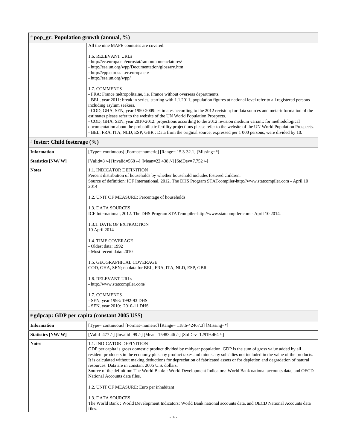| $#$ pop_gr: Population growth (annual, %) |                                                                                                                                                                                                                                                   |
|-------------------------------------------|---------------------------------------------------------------------------------------------------------------------------------------------------------------------------------------------------------------------------------------------------|
|                                           | All the nine MAFE countries are covered.                                                                                                                                                                                                          |
|                                           | <b>1.6. RELEVANT URLs</b>                                                                                                                                                                                                                         |
|                                           | - http://ec.europa.eu/eurostat/ramon/nomenclatures/                                                                                                                                                                                               |
|                                           | - http://esa.un.org/wpp/Documentation/glossary.htm                                                                                                                                                                                                |
|                                           | - http://epp.eurostat.ec.europa.eu/                                                                                                                                                                                                               |
|                                           | - http://esa.un.org/wpp/                                                                                                                                                                                                                          |
|                                           | 1.7. COMMENTS                                                                                                                                                                                                                                     |
|                                           | - FRA: France métropolitaine, <i>i.e.</i> France without overseas departments.                                                                                                                                                                    |
|                                           | - BEL, year 2011: break in series, starting with 1.1.2011, population figures at national level refer to all registered persons                                                                                                                   |
|                                           | including asylum seekers.                                                                                                                                                                                                                         |
|                                           | - COD, GHA, SEN, year 1950-2009: estimates according to the 2012 revision; for data sources and meta-information of the<br>estimates please refer to the website of the UN World Population Prospects.                                            |
|                                           | - COD, GHA, SEN, year 2010-2012: projections according to the 2012 revision medium variant; for methodological                                                                                                                                    |
|                                           | documentation about the probabilistic fertility projections please refer to the website of the UN World Population Prospects.<br>- BEL, FRA, ITA, NLD, ESP, GBR : Data from the original source, expressed per 1 000 persons, were divided by 10. |
| $#$ foster: Child fosterage $(\% )$       |                                                                                                                                                                                                                                                   |

| <b>Information</b>                            | [Type= continuous] [Format=numeric] [Range= 15.3-32.1] [Missing=*]                                                                                                                                                                                    |  |
|-----------------------------------------------|-------------------------------------------------------------------------------------------------------------------------------------------------------------------------------------------------------------------------------------------------------|--|
| Statistics [NW/W]                             | [Valid=8 /-] [Invalid=568 /-] [Mean=22.438 /-] [StdDev=7.752 /-]                                                                                                                                                                                      |  |
| <b>Notes</b>                                  | <b>1.1. INDICATOR DEFINITION</b><br>Percent distribution of households by whether household includes fostered children.<br>Source of definition: ICF International, 2012. The DHS Program STATcompiler-http://www.statcompiler.com - April 10<br>2014 |  |
|                                               | 1.2. UNIT OF MEASURE: Percentage of households                                                                                                                                                                                                        |  |
|                                               | 1.3. DATA SOURCES<br>ICF International, 2012. The DHS Program STATcompiler-http://www.statcompiler.com - April 10 2014.                                                                                                                               |  |
|                                               | 1.3.1. DATE OF EXTRACTION<br>10 April 2014                                                                                                                                                                                                            |  |
|                                               | 1.4. TIME COVERAGE<br>- Oldest data: 1992<br>- Most recent data: 2010                                                                                                                                                                                 |  |
|                                               | <b>1.5. GEOGRAPHICAL COVERAGE</b><br>COD, GHA, SEN; no data for BEL, FRA, ITA, NLD, ESP, GBR                                                                                                                                                          |  |
|                                               | 1.6. RELEVANT URLs<br>- http://www.statcompiler.com/                                                                                                                                                                                                  |  |
|                                               | 1.7. COMMENTS<br>- SEN, year 1993: 1992-93 DHS<br>- SEN, year 2010: 2010-11 DHS                                                                                                                                                                       |  |
| # gdpcap: GDP per capita (constant 2005 US\$) |                                                                                                                                                                                                                                                       |  |
| <b>Information</b>                            | [Type= continuous] [Format=numeric] [Range= 118.6-42467.3] [Missing=*]                                                                                                                                                                                |  |
| Statistics [NW/W]                             | [Valid=477 /-] [Invalid=99 /-] [Mean=15983.46 /-] [StdDev=12919.464 /-]                                                                                                                                                                               |  |
| <b>Notes</b>                                  | <b>1.1. INDICATOR DEFINITION</b>                                                                                                                                                                                                                      |  |

| GDP per capita is gross domestic product divided by midyear population. GDP is the sum of gross value added by all           |
|------------------------------------------------------------------------------------------------------------------------------|
| resident producers in the economy plus any product taxes and minus any subsidies not included in the value of the products.  |
| It is calculated without making deductions for depreciation of fabricated assets or for depletion and degradation of natural |
| resources. Data are in constant 2005 U.S. dollars.                                                                           |
| Source of the definition: The World Bank: : World Development Indicators: World Bank national accounts data, and OECD        |
| National Accounts data files.                                                                                                |

1.2. UNIT OF MEASURE: Euro per inhabitant

1.3. DATA SOURCES

The World Bank : World Development Indicators: World Bank national accounts data, and OECD National Accounts data files.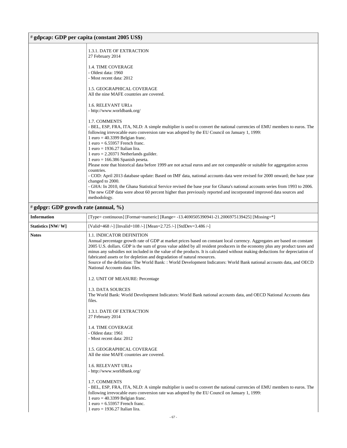### # **gdpcap: GDP per capita (constant 2005 US\$)**

| $\pi$ gapcap: GDT per capita (constant 2005 $0.8$ 4) |                                                                                                                                                                                                                                                                                                                                                                                                                                                                                                                                                                                                                                                                   |
|------------------------------------------------------|-------------------------------------------------------------------------------------------------------------------------------------------------------------------------------------------------------------------------------------------------------------------------------------------------------------------------------------------------------------------------------------------------------------------------------------------------------------------------------------------------------------------------------------------------------------------------------------------------------------------------------------------------------------------|
|                                                      | 1.3.1. DATE OF EXTRACTION<br>27 February 2014                                                                                                                                                                                                                                                                                                                                                                                                                                                                                                                                                                                                                     |
|                                                      | 1.4. TIME COVERAGE<br>- Oldest data: 1960<br>- Most recent data: 2012                                                                                                                                                                                                                                                                                                                                                                                                                                                                                                                                                                                             |
|                                                      | 1.5. GEOGRAPHICAL COVERAGE<br>All the nine MAFE countries are covered.                                                                                                                                                                                                                                                                                                                                                                                                                                                                                                                                                                                            |
|                                                      | 1.6. RELEVANT URLs<br>- http://www.worldbank.org/                                                                                                                                                                                                                                                                                                                                                                                                                                                                                                                                                                                                                 |
|                                                      | 1.7. COMMENTS<br>- BEL, ESP, FRA, ITA, NLD: A simple multiplier is used to convert the national currencies of EMU members to euros. The<br>following irrevocable euro conversion rate was adopted by the EU Council on January 1, 1999:<br>1 euro = $40.3399$ Belgian franc.<br>$1$ euro = 6.55957 French franc.<br>$1$ euro = 1936.27 Italian lira.<br>$1$ euro = 2.20371 Netherlands guilder.                                                                                                                                                                                                                                                                   |
|                                                      | $1$ euro = 166.386 Spanish peseta.<br>Please note that historical data before 1999 are not actual euros and are not comparable or suitable for aggregation across                                                                                                                                                                                                                                                                                                                                                                                                                                                                                                 |
|                                                      | countries.<br>- COD: April 2013 database update: Based on IMF data, national accounts data were revised for 2000 onward; the base year                                                                                                                                                                                                                                                                                                                                                                                                                                                                                                                            |
|                                                      | changed to 2000.<br>- GHA: In 2010, the Ghana Statistical Service revised the base year for Ghana's national accounts series from 1993 to 2006.<br>The new GDP data were about 60 percent higher than previously reported and incorporated improved data sources and<br>methodology.                                                                                                                                                                                                                                                                                                                                                                              |
| # gdpgr: GDP growth rate (annual, %)                 |                                                                                                                                                                                                                                                                                                                                                                                                                                                                                                                                                                                                                                                                   |
| Information                                          | [Type= continuous] [Format=numeric] [Range= -13.4690505390941-21.2006975139425] [Missing=*]                                                                                                                                                                                                                                                                                                                                                                                                                                                                                                                                                                       |
| <b>Statistics [NW/ W]</b>                            | [Valid=468 /-] [Invalid=108 /-] [Mean=2.725 /-] [StdDev=3.486 /-]                                                                                                                                                                                                                                                                                                                                                                                                                                                                                                                                                                                                 |
| Notes                                                | <b>1.1. INDICATOR DEFINITION</b><br>Annual percentage growth rate of GDP at market prices based on constant local currency. Aggregates are based on constant<br>2005 U.S. dollars. GDP is the sum of gross value added by all resident producers in the economy plus any product taxes and<br>minus any subsidies not included in the value of the products. It is calculated without making deductions for depreciation of<br>fabricated assets or for depletion and degradation of natural resources.<br>Source of the definition: The World Bank: : World Development Indicators: World Bank national accounts data, and OECD<br>National Accounts data files. |
|                                                      | 1.2. UNIT OF MEASURE: Percentage                                                                                                                                                                                                                                                                                                                                                                                                                                                                                                                                                                                                                                  |
|                                                      | 1.3. DATA SOURCES<br>The World Bank: World Development Indicators: World Bank national accounts data, and OECD National Accounts data<br>files.                                                                                                                                                                                                                                                                                                                                                                                                                                                                                                                   |
|                                                      | 1.3.1. DATE OF EXTRACTION<br>27 February 2014                                                                                                                                                                                                                                                                                                                                                                                                                                                                                                                                                                                                                     |
|                                                      | 1.4. TIME COVERAGE<br>- Oldest data: 1961<br>- Most recent data: 2012                                                                                                                                                                                                                                                                                                                                                                                                                                                                                                                                                                                             |
|                                                      | 1.5. GEOGRAPHICAL COVERAGE<br>All the nine MAFE countries are covered.                                                                                                                                                                                                                                                                                                                                                                                                                                                                                                                                                                                            |
|                                                      | 1.6. RELEVANT URLs<br>- http://www.worldbank.org/                                                                                                                                                                                                                                                                                                                                                                                                                                                                                                                                                                                                                 |
|                                                      | 1.7. COMMENTS<br>- BEL, ESP, FRA, ITA, NLD: A simple multiplier is used to convert the national currencies of EMU members to euros. The<br>following irrevocable euro conversion rate was adopted by the EU Council on January 1, 1999:<br>1 euro = $40.3399$ Belgian franc.                                                                                                                                                                                                                                                                                                                                                                                      |

I 1 euro = 6.55957 French franc.

1 euro = 1936.27 Italian lira.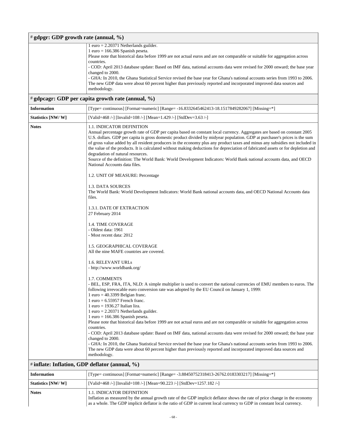|                    | # gdpgr: GDP growth rate (annual, %)                                                                                                                                                                                                                                                                                                                                                                                                                                                                                                                                                                                                                                                                                                                                                                                                                                                                                                                                                                                                                                                                                                                                                                                                                                                                                                                                                                                                                                                                                                                                                                                                                                                                                                                                                                                                                                                                                                                                                                                                                                                          |
|--------------------|-----------------------------------------------------------------------------------------------------------------------------------------------------------------------------------------------------------------------------------------------------------------------------------------------------------------------------------------------------------------------------------------------------------------------------------------------------------------------------------------------------------------------------------------------------------------------------------------------------------------------------------------------------------------------------------------------------------------------------------------------------------------------------------------------------------------------------------------------------------------------------------------------------------------------------------------------------------------------------------------------------------------------------------------------------------------------------------------------------------------------------------------------------------------------------------------------------------------------------------------------------------------------------------------------------------------------------------------------------------------------------------------------------------------------------------------------------------------------------------------------------------------------------------------------------------------------------------------------------------------------------------------------------------------------------------------------------------------------------------------------------------------------------------------------------------------------------------------------------------------------------------------------------------------------------------------------------------------------------------------------------------------------------------------------------------------------------------------------|
|                    | $1$ euro = 2.20371 Netherlands guilder.<br>$1$ euro = 166.386 Spanish peseta.<br>Please note that historical data before 1999 are not actual euros and are not comparable or suitable for aggregation across<br>countries.<br>- COD: April 2013 database update: Based on IMF data, national accounts data were revised for 2000 onward; the base year<br>changed to 2000.<br>- GHA: In 2010, the Ghana Statistical Service revised the base year for Ghana's national accounts series from 1993 to 2006.<br>The new GDP data were about 60 percent higher than previously reported and incorporated improved data sources and<br>methodology.<br># gdpcagr: GDP per capita growth rate (annual, %)                                                                                                                                                                                                                                                                                                                                                                                                                                                                                                                                                                                                                                                                                                                                                                                                                                                                                                                                                                                                                                                                                                                                                                                                                                                                                                                                                                                           |
| <b>Information</b> | [Type= continuous] [Format=numeric] [Range= -16.8332645462413-18.1517849282067] [Missing=*]                                                                                                                                                                                                                                                                                                                                                                                                                                                                                                                                                                                                                                                                                                                                                                                                                                                                                                                                                                                                                                                                                                                                                                                                                                                                                                                                                                                                                                                                                                                                                                                                                                                                                                                                                                                                                                                                                                                                                                                                   |
| Statistics [NW/W]  | [Valid=468 /-] [Invalid=108 /-] [Mean=1.429 /-] [StdDev=3.63 /-]                                                                                                                                                                                                                                                                                                                                                                                                                                                                                                                                                                                                                                                                                                                                                                                                                                                                                                                                                                                                                                                                                                                                                                                                                                                                                                                                                                                                                                                                                                                                                                                                                                                                                                                                                                                                                                                                                                                                                                                                                              |
| <b>Notes</b>       | <b>1.1. INDICATOR DEFINITION</b><br>Annual percentage growth rate of GDP per capita based on constant local currency. Aggregates are based on constant 2005<br>U.S. dollars. GDP per capita is gross domestic product divided by midyear population. GDP at purchaser's prices is the sum<br>of gross value added by all resident producers in the economy plus any product taxes and minus any subsidies not included in<br>the value of the products. It is calculated without making deductions for depreciation of fabricated assets or for depletion and<br>degradation of natural resources.<br>Source of the definition: The World Bank: World Development Indicators: World Bank national accounts data, and OECD<br>National Accounts data files.<br>1.2. UNIT OF MEASURE: Percentage<br>1.3. DATA SOURCES<br>The World Bank: World Development Indicators: World Bank national accounts data, and OECD National Accounts data<br>files.<br>1.3.1. DATE OF EXTRACTION<br>27 February 2014<br><b>1.4. TIME COVERAGE</b><br>- Oldest data: 1961<br>- Most recent data: 2012<br>1.5. GEOGRAPHICAL COVERAGE<br>All the nine MAFE countries are covered.<br><b>1.6. RELEVANT URLS</b><br>- http://www.worldbank.org/<br>1.7. COMMENTS<br>- BEL, ESP, FRA, ITA, NLD: A simple multiplier is used to convert the national currencies of EMU members to euros. The<br>following irrevocable euro conversion rate was adopted by the EU Council on January 1, 1999:<br>$1$ euro = 40.3399 Belgian franc.<br>$1$ euro = 6.55957 French franc.<br>$1$ euro = 1936.27 Italian lira.<br>$1$ euro = 2.20371 Netherlands guilder.<br>$1$ euro = 166.386 Spanish peseta.<br>Please note that historical data before 1999 are not actual euros and are not comparable or suitable for aggregation across<br>countries.<br>- COD: April 2013 database update: Based on IMF data, national accounts data were revised for 2000 onward; the base year<br>changed to 2000.<br>- GHA: In 2010, the Ghana Statistical Service revised the base year for Ghana's national accounts series from 1993 to 2006. |
|                    | The new GDP data were about 60 percent higher than previously reported and incorporated improved data sources and<br>methodology.                                                                                                                                                                                                                                                                                                                                                                                                                                                                                                                                                                                                                                                                                                                                                                                                                                                                                                                                                                                                                                                                                                                                                                                                                                                                                                                                                                                                                                                                                                                                                                                                                                                                                                                                                                                                                                                                                                                                                             |
|                    | # inflate: Inflation, GDP deflator (annual, %)                                                                                                                                                                                                                                                                                                                                                                                                                                                                                                                                                                                                                                                                                                                                                                                                                                                                                                                                                                                                                                                                                                                                                                                                                                                                                                                                                                                                                                                                                                                                                                                                                                                                                                                                                                                                                                                                                                                                                                                                                                                |
| <b>Information</b> | [Type= continuous] [Format=numeric] [Range= -3.88450752318413-26762.0183303217] [Missing=*]                                                                                                                                                                                                                                                                                                                                                                                                                                                                                                                                                                                                                                                                                                                                                                                                                                                                                                                                                                                                                                                                                                                                                                                                                                                                                                                                                                                                                                                                                                                                                                                                                                                                                                                                                                                                                                                                                                                                                                                                   |
| Statistics [NW/W]  | [Valid=468 /-] [Invalid=108 /-] [Mean=90.223 /-] [StdDev=1257.182 /-]                                                                                                                                                                                                                                                                                                                                                                                                                                                                                                                                                                                                                                                                                                                                                                                                                                                                                                                                                                                                                                                                                                                                                                                                                                                                                                                                                                                                                                                                                                                                                                                                                                                                                                                                                                                                                                                                                                                                                                                                                         |
| Notes              | 1.1. INDICATOR DEFINITION<br>Inflation as measured by the annual growth rate of the GDP implicit deflator shows the rate of price change in the economy<br>as a whole. The GDP implicit deflator is the ratio of GDP in current local currency to GDP in constant local currency.                                                                                                                                                                                                                                                                                                                                                                                                                                                                                                                                                                                                                                                                                                                                                                                                                                                                                                                                                                                                                                                                                                                                                                                                                                                                                                                                                                                                                                                                                                                                                                                                                                                                                                                                                                                                             |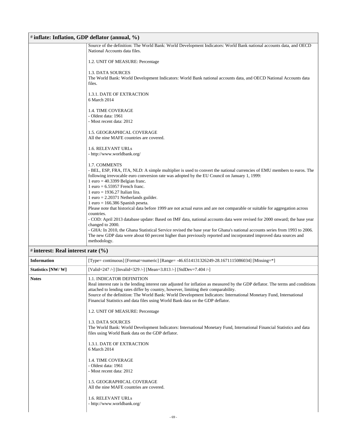| # inflate: Inflation, GDP deflator (annual, %) |                                                                                                                                              |
|------------------------------------------------|----------------------------------------------------------------------------------------------------------------------------------------------|
|                                                | Source of the definition: The World Bank: World Development Indicators: World Bank national accounts data, and OECD                          |
|                                                | National Accounts data files.                                                                                                                |
|                                                |                                                                                                                                              |
|                                                | 1.2. UNIT OF MEASURE: Percentage                                                                                                             |
|                                                | 1.3. DATA SOURCES                                                                                                                            |
|                                                | The World Bank: World Development Indicators: World Bank national accounts data, and OECD National Accounts data<br>files.                   |
|                                                | <b>1.3.1. DATE OF EXTRACTION</b><br>6 March 2014                                                                                             |
|                                                | 1.4. TIME COVERAGE                                                                                                                           |
|                                                | - Oldest data: 1961                                                                                                                          |
|                                                | - Most recent data: 2012                                                                                                                     |
|                                                |                                                                                                                                              |
|                                                | 1.5. GEOGRAPHICAL COVERAGE                                                                                                                   |
|                                                | All the nine MAFE countries are covered.                                                                                                     |
|                                                | <b>1.6. RELEVANT URLS</b>                                                                                                                    |
|                                                | - http://www.worldbank.org/                                                                                                                  |
|                                                | 1.7. COMMENTS                                                                                                                                |
|                                                | - BEL, ESP, FRA, ITA, NLD: A simple multiplier is used to convert the national currencies of EMU members to euros. The                       |
|                                                | following irrevocable euro conversion rate was adopted by the EU Council on January 1, 1999:                                                 |
|                                                | 1 euro = $40.3399$ Belgian franc.                                                                                                            |
|                                                | 1 euro = $6.55957$ French franc.                                                                                                             |
|                                                | 1 euro = $1936.27$ Italian lira.                                                                                                             |
|                                                | $1$ euro = 2.20371 Netherlands guilder.                                                                                                      |
|                                                | $1$ euro = 166.386 Spanish peseta.                                                                                                           |
|                                                | Please note that historical data before 1999 are not actual euros and are not comparable or suitable for aggregation across                  |
|                                                | countries.                                                                                                                                   |
|                                                | - COD: April 2013 database update: Based on IMF data, national accounts data were revised for 2000 onward; the base year<br>changed to 2000. |
|                                                | - GHA: In 2010, the Ghana Statistical Service revised the base year for Ghana's national accounts series from 1993 to 2006.                  |
|                                                | The new GDP data were about 60 percent higher than previously reported and incorporated improved data sources and                            |
|                                                | methodology.                                                                                                                                 |

| [Valid=247 /-] [Invalid=329 /-] [Mean=3.813 /-] [StdDev=7.404 /-]<br><b>1.1. INDICATOR DEFINITION</b><br>Real interest rate is the lending interest rate adjusted for inflation as measured by the GDP deflator. The terms and conditions<br>attached to lending rates differ by country, however, limiting their comparability.<br>Source of the definition: The World Bank: World Development Indicators: International Monetary Fund, International<br>Financial Statistics and data files using World Bank data on the GDP deflator.<br>1.2. UNIT OF MEASURE: Percentage<br>1.3. DATA SOURCES |
|---------------------------------------------------------------------------------------------------------------------------------------------------------------------------------------------------------------------------------------------------------------------------------------------------------------------------------------------------------------------------------------------------------------------------------------------------------------------------------------------------------------------------------------------------------------------------------------------------|
|                                                                                                                                                                                                                                                                                                                                                                                                                                                                                                                                                                                                   |
| The World Bank: World Development Indicators: International Monetary Fund, International Financial Statistics and data<br>files using World Bank data on the GDP deflator.<br><b>1.3.1. DATE OF EXTRACTION</b><br>6 March 2014<br><b>1.4. TIME COVERAGE</b><br>- Oldest data: 1961<br>- Most recent data: 2012<br>1.5. GEOGRAPHICAL COVERAGE<br>All the nine MAFE countries are covered.<br><b>1.6. RELEVANT URLS</b><br>- http://www.worldbank.org/                                                                                                                                              |
|                                                                                                                                                                                                                                                                                                                                                                                                                                                                                                                                                                                                   |

### # **interest: Real interest rate (%)**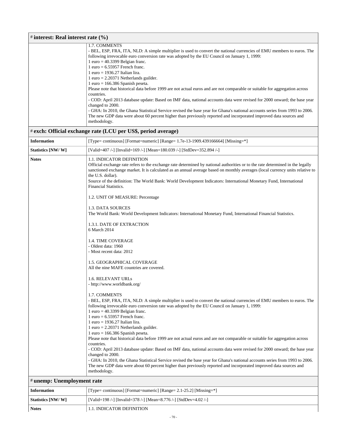| # interest: Real interest rate (%) |                                                                                                                                                                                                                                                                                                                                                                                                                                                                                                                                                                                                                                                                                                                                                                                                                                                                                                                                                                                                                                                                                                                                                                                                                                                                                                                                                                                                                                                                                                                                                                                                                                                                                                                                                                                                                                                                                                                                 |  |
|------------------------------------|---------------------------------------------------------------------------------------------------------------------------------------------------------------------------------------------------------------------------------------------------------------------------------------------------------------------------------------------------------------------------------------------------------------------------------------------------------------------------------------------------------------------------------------------------------------------------------------------------------------------------------------------------------------------------------------------------------------------------------------------------------------------------------------------------------------------------------------------------------------------------------------------------------------------------------------------------------------------------------------------------------------------------------------------------------------------------------------------------------------------------------------------------------------------------------------------------------------------------------------------------------------------------------------------------------------------------------------------------------------------------------------------------------------------------------------------------------------------------------------------------------------------------------------------------------------------------------------------------------------------------------------------------------------------------------------------------------------------------------------------------------------------------------------------------------------------------------------------------------------------------------------------------------------------------------|--|
|                                    | 1.7. COMMENTS<br>- BEL, ESP, FRA, ITA, NLD: A simple multiplier is used to convert the national currencies of EMU members to euros. The<br>following irrevocable euro conversion rate was adopted by the EU Council on January 1, 1999:<br>1 euro = $40.3399$ Belgian franc.<br>$1$ euro = 6.55957 French franc.<br>$1$ euro = 1936.27 Italian lira.<br>$1$ euro = 2.20371 Netherlands guilder.<br>$1$ euro = 166.386 Spanish peseta.<br>Please note that historical data before 1999 are not actual euros and are not comparable or suitable for aggregation across<br>countries.<br>- COD: April 2013 database update: Based on IMF data, national accounts data were revised for 2000 onward; the base year<br>changed to 2000.<br>- GHA: In 2010, the Ghana Statistical Service revised the base year for Ghana's national accounts series from 1993 to 2006.<br>The new GDP data were about 60 percent higher than previously reported and incorporated improved data sources and<br>methodology.                                                                                                                                                                                                                                                                                                                                                                                                                                                                                                                                                                                                                                                                                                                                                                                                                                                                                                                          |  |
|                                    | # exch: Official exchange rate (LCU per US\$, period average)                                                                                                                                                                                                                                                                                                                                                                                                                                                                                                                                                                                                                                                                                                                                                                                                                                                                                                                                                                                                                                                                                                                                                                                                                                                                                                                                                                                                                                                                                                                                                                                                                                                                                                                                                                                                                                                                   |  |
| <b>Information</b>                 | [Type= continuous] [Format=numeric] [Range= $1.7e-13-1909.439166664$ ] [Missing= $*$ ]                                                                                                                                                                                                                                                                                                                                                                                                                                                                                                                                                                                                                                                                                                                                                                                                                                                                                                                                                                                                                                                                                                                                                                                                                                                                                                                                                                                                                                                                                                                                                                                                                                                                                                                                                                                                                                          |  |
| Statistics [NW/W]                  | [Valid=407 /-] [Invalid=169 /-] [Mean=180.039 /-] [StdDev=352.894 /-]                                                                                                                                                                                                                                                                                                                                                                                                                                                                                                                                                                                                                                                                                                                                                                                                                                                                                                                                                                                                                                                                                                                                                                                                                                                                                                                                                                                                                                                                                                                                                                                                                                                                                                                                                                                                                                                           |  |
| <b>Notes</b>                       | 1.1. INDICATOR DEFINITION<br>Official exchange rate refers to the exchange rate determined by national authorities or to the rate determined in the legally<br>sanctioned exchange market. It is calculated as an annual average based on monthly averages (local currency units relative to<br>the U.S. dollar).<br>Source of the definition: The World Bank: World Development Indicators: International Monetary Fund, International<br><b>Financial Statistics.</b><br>1.2. UNIT OF MEASURE: Percentage<br>1.3. DATA SOURCES<br>The World Bank: World Development Indicators: International Monetary Fund, International Financial Statistics.<br>1.3.1. DATE OF EXTRACTION<br>6 March 2014<br><b>1.4. TIME COVERAGE</b><br>- Oldest data: 1960<br>- Most recent data: 2012<br>1.5. GEOGRAPHICAL COVERAGE<br>All the nine MAFE countries are covered.<br><b>1.6. RELEVANT URLS</b><br>- http://www.worldbank.org/<br>1.7. COMMENTS<br>- BEL, ESP, FRA, ITA, NLD: A simple multiplier is used to convert the national currencies of EMU members to euros. The<br>following irrevocable euro conversion rate was adopted by the EU Council on January 1, 1999:<br>$1$ euro = 40.3399 Belgian franc.<br>$1$ euro = 6.55957 French franc.<br>$1$ euro = 1936.27 Italian lira.<br>$1$ euro = 2.20371 Netherlands guilder.<br>$1$ euro = 166.386 Spanish peseta.<br>Please note that historical data before 1999 are not actual euros and are not comparable or suitable for aggregation across<br>countries.<br>- COD: April 2013 database update: Based on IMF data, national accounts data were revised for 2000 onward; the base year<br>changed to 2000.<br>- GHA: In 2010, the Ghana Statistical Service revised the base year for Ghana's national accounts series from 1993 to 2006.<br>The new GDP data were about 60 percent higher than previously reported and incorporated improved data sources and<br>methodology. |  |
|                                    | # unemp: Unemployment rate                                                                                                                                                                                                                                                                                                                                                                                                                                                                                                                                                                                                                                                                                                                                                                                                                                                                                                                                                                                                                                                                                                                                                                                                                                                                                                                                                                                                                                                                                                                                                                                                                                                                                                                                                                                                                                                                                                      |  |

 $\mathbf{r}$ 

| <b>Information</b> | [Type= continuous] [Format=numeric] [Range= $2.1-25.2$ ] [Missing=*] |
|--------------------|----------------------------------------------------------------------|
| Statistics [NW/ W] | [Valid=198 /-] [Invalid=378 /-] [Mean=8.776 /-] [StdDev=4.02 /-]     |
| <b>Notes</b>       | 1.1. INDICATOR DEFINITION                                            |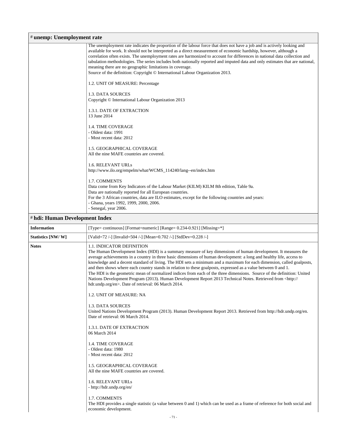| # unemp: Unemployment rate     |                                                                                                                                                                                                                                                                                                                                                                                                                                                                                                                                                                                                                                                                                                                                                                                                                                                                                                                                                                                                                                                                                  |
|--------------------------------|----------------------------------------------------------------------------------------------------------------------------------------------------------------------------------------------------------------------------------------------------------------------------------------------------------------------------------------------------------------------------------------------------------------------------------------------------------------------------------------------------------------------------------------------------------------------------------------------------------------------------------------------------------------------------------------------------------------------------------------------------------------------------------------------------------------------------------------------------------------------------------------------------------------------------------------------------------------------------------------------------------------------------------------------------------------------------------|
|                                | The unemployment rate indicates the proportion of the labour force that does not have a job and is actively looking and<br>available for work. It should not be interpreted as a direct measurement of economic hardship, however, although a<br>correlation often exists. The unemployment rates are harmonized to account for differences in national data collection and<br>tabulation methodologies. The series includes both nationally reported and imputed data and only estimates that are national,<br>meaning there are no geographic limitations in coverage.<br>Source of the definition: Copyright © International Labour Organization 2013.<br>1.2. UNIT OF MEASURE: Percentage<br>1.3. DATA SOURCES<br>Copyright © International Labour Organization 2013<br>1.3.1. DATE OF EXTRACTION<br>13 June 2014<br>1.4. TIME COVERAGE<br>- Oldest data: 1991<br>- Most recent data: 2012<br>1.5. GEOGRAPHICAL COVERAGE<br>All the nine MAFE countries are covered.<br>1.6. RELEVANT URLs<br>http://www.ilo.org/empelm/what/WCMS_114240/lang--en/index.htm<br>1.7. COMMENTS |
|                                | Data come from Key Indicators of the Labour Market (KILM) KILM 8th edition, Table 9a.<br>Data are nationally reported for all European countries.<br>For the 3 African countries, data are ILO estimates, except for the following countries and years:<br>- Ghana, years 1992, 1999, 2000, 2006.<br>- Senegal, year 2006.                                                                                                                                                                                                                                                                                                                                                                                                                                                                                                                                                                                                                                                                                                                                                       |
| # hdi: Human Development Index |                                                                                                                                                                                                                                                                                                                                                                                                                                                                                                                                                                                                                                                                                                                                                                                                                                                                                                                                                                                                                                                                                  |
| <b>Information</b>             | [Type= continuous] [Format=numeric] [Range= 0.234-0.921] [Missing=*]                                                                                                                                                                                                                                                                                                                                                                                                                                                                                                                                                                                                                                                                                                                                                                                                                                                                                                                                                                                                             |
| Statistics [NW/W]              | [Valid=72 /-] [Invalid=504 /-] [Mean=0.702 /-] [StdDev=0.228 /-]                                                                                                                                                                                                                                                                                                                                                                                                                                                                                                                                                                                                                                                                                                                                                                                                                                                                                                                                                                                                                 |
| <b>Notes</b>                   | 1.1. INDICATOR DEFINITION<br>The Human Development Index (HDI) is a summary measure of key dimensions of human development. It measures the<br>average achievements in a country in three basic dimensions of human development: a long and healthy life, access to<br>knowledge and a decent standard of living. The HDI sets a minimum and a maximum for each dimension, called goalposts,<br>and then shows where each country stands in relation to these goalposts, expressed as a value between 0 and 1.<br>The HDI is the geometric mean of normalized indices from each of the three dimensions. Source of the definition: United<br>Nations Development Program (2013). Human Development Report 2013 Technical Notes. Retrieved from <http: <br="">hdr.undp.org/en&gt;. Date of retrieval: 06 March 2014.</http:>                                                                                                                                                                                                                                                      |
|                                | 1.2. UNIT OF MEASURE: NA                                                                                                                                                                                                                                                                                                                                                                                                                                                                                                                                                                                                                                                                                                                                                                                                                                                                                                                                                                                                                                                         |
|                                | 1.3. DATA SOURCES<br>United Nations Development Program (2013). Human Development Report 2013. Retrieved from http://hdr.undp.org/en.<br>Date of retrieval: 06 March 2014.                                                                                                                                                                                                                                                                                                                                                                                                                                                                                                                                                                                                                                                                                                                                                                                                                                                                                                       |
|                                | 1.3.1. DATE OF EXTRACTION<br>06 March 2014                                                                                                                                                                                                                                                                                                                                                                                                                                                                                                                                                                                                                                                                                                                                                                                                                                                                                                                                                                                                                                       |
|                                | 1.4. TIME COVERAGE<br>- Oldest data: 1980<br>- Most recent data: 2012                                                                                                                                                                                                                                                                                                                                                                                                                                                                                                                                                                                                                                                                                                                                                                                                                                                                                                                                                                                                            |
|                                | 1.5. GEOGRAPHICAL COVERAGE<br>All the nine MAFE countries are covered.                                                                                                                                                                                                                                                                                                                                                                                                                                                                                                                                                                                                                                                                                                                                                                                                                                                                                                                                                                                                           |
|                                | 1.6. RELEVANT URLs<br>- http://hdr.undp.org/en/                                                                                                                                                                                                                                                                                                                                                                                                                                                                                                                                                                                                                                                                                                                                                                                                                                                                                                                                                                                                                                  |
|                                | 1.7. COMMENTS<br>The HDI provides a single statistic (a value between 0 and 1) which can be used as a frame of reference for both social and<br>economic development.                                                                                                                                                                                                                                                                                                                                                                                                                                                                                                                                                                                                                                                                                                                                                                                                                                                                                                            |
|                                | $-71-$                                                                                                                                                                                                                                                                                                                                                                                                                                                                                                                                                                                                                                                                                                                                                                                                                                                                                                                                                                                                                                                                           |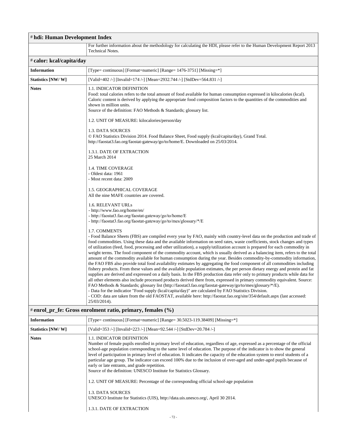| # hdi: Human Development Index |                                                                                                                                                                                                                                                                                                                                                                                                                                                                                                                                                                                                                                                                                                                                                                                                                                                                                                                                                                                                                                                                                                                                                                                                                                                                                                                                                                                                                                                                                                                                                                                                                                                                                                                                                                                                                                                                                                                                                                                                                                                                                                                                                                                                                                                                                                                                                                                                                                                                                                                                                                                        |
|--------------------------------|----------------------------------------------------------------------------------------------------------------------------------------------------------------------------------------------------------------------------------------------------------------------------------------------------------------------------------------------------------------------------------------------------------------------------------------------------------------------------------------------------------------------------------------------------------------------------------------------------------------------------------------------------------------------------------------------------------------------------------------------------------------------------------------------------------------------------------------------------------------------------------------------------------------------------------------------------------------------------------------------------------------------------------------------------------------------------------------------------------------------------------------------------------------------------------------------------------------------------------------------------------------------------------------------------------------------------------------------------------------------------------------------------------------------------------------------------------------------------------------------------------------------------------------------------------------------------------------------------------------------------------------------------------------------------------------------------------------------------------------------------------------------------------------------------------------------------------------------------------------------------------------------------------------------------------------------------------------------------------------------------------------------------------------------------------------------------------------------------------------------------------------------------------------------------------------------------------------------------------------------------------------------------------------------------------------------------------------------------------------------------------------------------------------------------------------------------------------------------------------------------------------------------------------------------------------------------------------|
|                                | For further information about the methodology for calculating the HDI, please refer to the Human Development Report 2013<br><b>Technical Notes.</b>                                                                                                                                                                                                                                                                                                                                                                                                                                                                                                                                                                                                                                                                                                                                                                                                                                                                                                                                                                                                                                                                                                                                                                                                                                                                                                                                                                                                                                                                                                                                                                                                                                                                                                                                                                                                                                                                                                                                                                                                                                                                                                                                                                                                                                                                                                                                                                                                                                    |
| # calor: kcal/capita/day       |                                                                                                                                                                                                                                                                                                                                                                                                                                                                                                                                                                                                                                                                                                                                                                                                                                                                                                                                                                                                                                                                                                                                                                                                                                                                                                                                                                                                                                                                                                                                                                                                                                                                                                                                                                                                                                                                                                                                                                                                                                                                                                                                                                                                                                                                                                                                                                                                                                                                                                                                                                                        |
| <b>Information</b>             | [Type= continuous] [Format=numeric] [Range= 1476-3751] [Missing=*]                                                                                                                                                                                                                                                                                                                                                                                                                                                                                                                                                                                                                                                                                                                                                                                                                                                                                                                                                                                                                                                                                                                                                                                                                                                                                                                                                                                                                                                                                                                                                                                                                                                                                                                                                                                                                                                                                                                                                                                                                                                                                                                                                                                                                                                                                                                                                                                                                                                                                                                     |
| Statistics [NW/W]              | [Valid=402 /-] [Invalid=174 /-] [Mean=2932.744 /-] [StdDev=564.831 /-]                                                                                                                                                                                                                                                                                                                                                                                                                                                                                                                                                                                                                                                                                                                                                                                                                                                                                                                                                                                                                                                                                                                                                                                                                                                                                                                                                                                                                                                                                                                                                                                                                                                                                                                                                                                                                                                                                                                                                                                                                                                                                                                                                                                                                                                                                                                                                                                                                                                                                                                 |
| <b>Notes</b>                   | 1.1. INDICATOR DEFINITION<br>Food: total calories refers to the total amount of food available for human consumption expressed in kilocalories (kcal).<br>Caloric content is derived by applying the appropriate food composition factors to the quantities of the commodities and<br>shown in million units.<br>Source of the definition: FAO Methods & Standards; glossary list.<br>1.2. UNIT OF MEASURE: kilocalories/person/day<br>1.3. DATA SOURCES<br>© FAO Statistics Division 2014. Food Balance Sheet, Food supply (kcal/capita/day), Grand Total.<br>http://faostat3.fao.org/faostat-gateway/go/to/home/E. Downloaded on 25/03/2014.<br>1.3.1. DATE OF EXTRACTION<br>25 March 2014<br>1.4. TIME COVERAGE<br>- Oldest data: 1961<br>- Most recent data: 2009<br>1.5. GEOGRAPHICAL COVERAGE<br>All the nine MAFE countries are covered.<br>1.6. RELEVANT URLs<br>- http://www.fao.org/home/en/<br>- http://faostat3.fao.org/faostat-gateway/go/to/home/E<br>- http://faostat3.fao.org/faostat-gateway/go/to/mes/glossary/*/E<br>1.7. COMMENTS<br>- Food Balance Sheets (FBS) are compiled every year by FAO, mainly with country-level data on the production and trade of<br>food commodities. Using these data and the available information on seed rates, waste coefficients, stock changes and types<br>of utilization (feed, food, processing and other utilization), a supply/utilization account is prepared for each commodity in<br>weight terms. The food component of the commodity account, which is usually derived as a balancing item, refers to the total<br>amount of the commodity available for human consumption during the year. Besides commodity-by-commodity information,<br>the FAO FBS also provide total food availability estimates by aggregating the food component of all commodities including<br>fishery products. From these values and the available population estimates, the per person dietary energy and protein and fat<br>supplies are derived and expressed on a daily basis. In the FBS production data refer only to primary products while data for<br>all other elements also include processed products derived there from, expressed in primary commodity equivalent. Source:<br>FAO Methods & Standards; glossary list (http://faostat3.fao.org/faostat-gateway/go/to/mes/glossary/*/E).<br>- Data for the indicatior "Food supply (kcal/capita/day)" are calculated by FAO Statistics Division.<br>- COD: data are taken from the old FAOSTAT, available here: http://faostat.fao.org/site/354/default.aspx (last accessed: |
|                                | 25/03/2014).                                                                                                                                                                                                                                                                                                                                                                                                                                                                                                                                                                                                                                                                                                                                                                                                                                                                                                                                                                                                                                                                                                                                                                                                                                                                                                                                                                                                                                                                                                                                                                                                                                                                                                                                                                                                                                                                                                                                                                                                                                                                                                                                                                                                                                                                                                                                                                                                                                                                                                                                                                           |

### # **enrol\_pr\_fe: Gross enrolment ratio, primary, females (%)**

| <b>Information</b> | [Type= continuous] [Format=numeric] [Range= $30.5023 - 119.38409$ ] [Missing=*]                                                                                                                                                                                                                                                                                                                                                                                                                                                                                                                                                                                                                                                                                                                                                                                                                                 |
|--------------------|-----------------------------------------------------------------------------------------------------------------------------------------------------------------------------------------------------------------------------------------------------------------------------------------------------------------------------------------------------------------------------------------------------------------------------------------------------------------------------------------------------------------------------------------------------------------------------------------------------------------------------------------------------------------------------------------------------------------------------------------------------------------------------------------------------------------------------------------------------------------------------------------------------------------|
| Statistics [NW/W]  | [Valid=353 /-] [Invalid=223 /-] [Mean=92.544 /-] [StdDev=20.784 /-]                                                                                                                                                                                                                                                                                                                                                                                                                                                                                                                                                                                                                                                                                                                                                                                                                                             |
| <b>Notes</b>       | <b>1.1. INDICATOR DEFINITION</b><br>Number of female pupils enrolled in primary level of education, regardless of age, expressed as a percentage of the official<br>school-age population corresponding to the same level of education. The purpose of the indicator is to show the general<br>level of participation in primary level of education. It indicates the capacity of the education system to enrol students of a<br>particular age group. The indicator can exceed 100% due to the inclusion of over-aged and under-aged pupils because of<br>early or late entrants, and grade repetition.<br>Source of the definition: UNESCO Institute for Statistics Glossary.<br>1.2. UNIT OF MEASURE: Percentage of the corresponding official school-age population<br>1.3. DATA SOURCES<br>UNESCO Institute for Statistics (UIS), http://data.uis.unesco.org/, April 30 2014.<br>1.3.1. DATE OF EXTRACTION |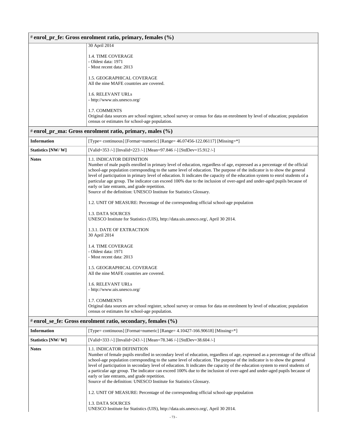| # enrol_pr_fe: Gross enrolment ratio, primary, females (%) |                                                                                                                                                                                                                                                                                                                                                                                                                                                                                                                                                                                                                                                                                                                                                                                     |  |  |  |
|------------------------------------------------------------|-------------------------------------------------------------------------------------------------------------------------------------------------------------------------------------------------------------------------------------------------------------------------------------------------------------------------------------------------------------------------------------------------------------------------------------------------------------------------------------------------------------------------------------------------------------------------------------------------------------------------------------------------------------------------------------------------------------------------------------------------------------------------------------|--|--|--|
|                                                            | 30 April 2014                                                                                                                                                                                                                                                                                                                                                                                                                                                                                                                                                                                                                                                                                                                                                                       |  |  |  |
|                                                            | 1.4. TIME COVERAGE<br>- Oldest data: 1971<br>- Most recent data: 2013                                                                                                                                                                                                                                                                                                                                                                                                                                                                                                                                                                                                                                                                                                               |  |  |  |
|                                                            | 1.5. GEOGRAPHICAL COVERAGE<br>All the nine MAFE countries are covered.                                                                                                                                                                                                                                                                                                                                                                                                                                                                                                                                                                                                                                                                                                              |  |  |  |
|                                                            | 1.6. RELEVANT URLs<br>- http://www.uis.unesco.org/                                                                                                                                                                                                                                                                                                                                                                                                                                                                                                                                                                                                                                                                                                                                  |  |  |  |
|                                                            | 1.7. COMMENTS<br>Original data sources are school register, school survey or census for data on enrolment by level of education; population<br>census or estimates for school-age population.                                                                                                                                                                                                                                                                                                                                                                                                                                                                                                                                                                                       |  |  |  |
|                                                            | # enrol_pr_ma: Gross enrolment ratio, primary, males (%)                                                                                                                                                                                                                                                                                                                                                                                                                                                                                                                                                                                                                                                                                                                            |  |  |  |
| <b>Information</b>                                         | [Type= continuous] [Format=numeric] [Range= $46.07456 - 122.06117$ ] [Missing= $*$ ]                                                                                                                                                                                                                                                                                                                                                                                                                                                                                                                                                                                                                                                                                                |  |  |  |
| Statistics [NW/W]                                          | [Valid=353 /-] [Invalid=223 /-] [Mean=97.846 /-] [StdDev=15.912 /-]                                                                                                                                                                                                                                                                                                                                                                                                                                                                                                                                                                                                                                                                                                                 |  |  |  |
| <b>Notes</b>                                               | 1.1. INDICATOR DEFINITION<br>Number of male pupils enrolled in primary level of education, regardless of age, expressed as a percentage of the official<br>school-age population corresponding to the same level of education. The purpose of the indicator is to show the general<br>level of participation in primary level of education. It indicates the capacity of the education system to enrol students of a<br>particular age group. The indicator can exceed 100% due to the inclusion of over-aged and under-aged pupils because of<br>early or late entrants, and grade repetition.<br>Source of the definition: UNESCO Institute for Statistics Glossary.<br>1.2. UNIT OF MEASURE: Percentage of the corresponding official school-age population<br>1.3. DATA SOURCES |  |  |  |
|                                                            | UNESCO Institute for Statistics (UIS), http://data.uis.unesco.org/, April 30 2014.<br>1.3.1. DATE OF EXTRACTION<br>30 April 2014                                                                                                                                                                                                                                                                                                                                                                                                                                                                                                                                                                                                                                                    |  |  |  |
|                                                            | 1.4. TIME COVERAGE<br>- Oldest data: 1971<br>- Most recent data: 2013<br>1.5. GEOGRAPHICAL COVERAGE<br>All the nine MAFE countries are covered.                                                                                                                                                                                                                                                                                                                                                                                                                                                                                                                                                                                                                                     |  |  |  |
|                                                            | 1.6. RELEVANT URLs<br>- http://www.uis.unesco.org/                                                                                                                                                                                                                                                                                                                                                                                                                                                                                                                                                                                                                                                                                                                                  |  |  |  |
|                                                            | 1.7. COMMENTS<br>Original data sources are school register, school survey or census for data on enrolment by level of education; population<br>census or estimates for school-age population.                                                                                                                                                                                                                                                                                                                                                                                                                                                                                                                                                                                       |  |  |  |
|                                                            | # enrol_se_fe: Gross enrolment ratio, secondary, females (%)                                                                                                                                                                                                                                                                                                                                                                                                                                                                                                                                                                                                                                                                                                                        |  |  |  |
| <b>Information</b>                                         | [Type= continuous] [Format=numeric] [Range= 4.10427-166.90618] [Missing=*]                                                                                                                                                                                                                                                                                                                                                                                                                                                                                                                                                                                                                                                                                                          |  |  |  |
| Statistics [NW/W]                                          | [Valid=333 /-] [Invalid=243 /-] [Mean=78.346 /-] [StdDev=38.604 /-]                                                                                                                                                                                                                                                                                                                                                                                                                                                                                                                                                                                                                                                                                                                 |  |  |  |
| <b>Notes</b>                                               | 1.1. INDICATOR DEFINITION<br>Number of female pupils enrolled in secondary level of education, regardless of age, expressed as a percentage of the official<br>school-age population corresponding to the same level of education. The purpose of the indicator is to show the general<br>level of participation in secondary level of education. It indicates the capacity of the education system to enrol students of<br>a particular age group. The indicator can exceed 100% due to the inclusion of over-aged and under-aged pupils because of<br>early or late entrants, and grade repetition.<br>Source of the definition: UNESCO Institute for Statistics Glossary.                                                                                                        |  |  |  |
|                                                            | 1.2. UNIT OF MEASURE: Percentage of the corresponding official school-age population<br>1.3. DATA SOURCES<br>UNESCO Institute for Statistics (UIS), http://data.uis.unesco.org/, April 30 2014.                                                                                                                                                                                                                                                                                                                                                                                                                                                                                                                                                                                     |  |  |  |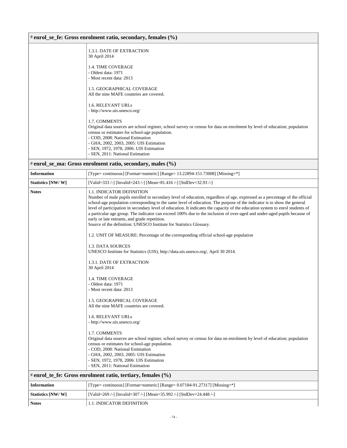### # **enrol\_se\_fe: Gross enrolment ratio, secondary, females (%)**

| 1.3.1. DATE OF EXTRACTION<br>30 April 2014                                                                                                                                                                                                                                                                                                                  |
|-------------------------------------------------------------------------------------------------------------------------------------------------------------------------------------------------------------------------------------------------------------------------------------------------------------------------------------------------------------|
| <b>1.4. TIME COVERAGE</b><br>- Oldest data: 1971<br>- Most recent data: 2013                                                                                                                                                                                                                                                                                |
| <b>1.5. GEOGRAPHICAL COVERAGE</b><br>All the nine MAFE countries are covered.                                                                                                                                                                                                                                                                               |
| <b>1.6. RELEVANT URLs</b><br>- http://www.uis.unesco.org/                                                                                                                                                                                                                                                                                                   |
| 1.7. COMMENTS<br>Original data sources are school register, school survey or census for data on enrolment by level of education; population<br>census or estimates for school-age population.<br>- COD, 2008: National Estimation<br>- GHA, 2002, 2003, 2005: UIS Estimation<br>- SEN, 1972, 1978, 2006: UIS Estimation<br>- SEN, 2011: National Estimation |
|                                                                                                                                                                                                                                                                                                                                                             |

### # **enrol\_se\_ma: Gross enrolment ratio, secondary, males (%)**

| <b>Information</b> | [Type= continuous] [Format=numeric] [Range= $13.22894 - 151.73008$ ] [Missing= $*$ ]                                                                                                                                                                                                                                                                                                                                                                                                                                                                                                                                                                                                                                                                                                                                                                                                                                                                                                                                                                                                                                                                                                                                                                                                                                                                                                                                                                                                                       |
|--------------------|------------------------------------------------------------------------------------------------------------------------------------------------------------------------------------------------------------------------------------------------------------------------------------------------------------------------------------------------------------------------------------------------------------------------------------------------------------------------------------------------------------------------------------------------------------------------------------------------------------------------------------------------------------------------------------------------------------------------------------------------------------------------------------------------------------------------------------------------------------------------------------------------------------------------------------------------------------------------------------------------------------------------------------------------------------------------------------------------------------------------------------------------------------------------------------------------------------------------------------------------------------------------------------------------------------------------------------------------------------------------------------------------------------------------------------------------------------------------------------------------------------|
| Statistics [NW/W]  | [Valid=333 /-] [Invalid=243 /-] [Mean=81.416 /-] [StdDev=32.93 /-]                                                                                                                                                                                                                                                                                                                                                                                                                                                                                                                                                                                                                                                                                                                                                                                                                                                                                                                                                                                                                                                                                                                                                                                                                                                                                                                                                                                                                                         |
| <b>Notes</b>       | 1.1. INDICATOR DEFINITION<br>Number of male pupils enrolled in secondary level of education, regardless of age, expressed as a percentage of the official<br>school-age population corresponding to the same level of education. The purpose of the indicator is to show the general<br>level of participation in secondary level of education. It indicates the capacity of the education system to enrol students of<br>a particular age group. The indicator can exceed 100% due to the inclusion of over-aged and under-aged pupils because of<br>early or late entrants, and grade repetition.<br>Source of the definition: UNESCO Institute for Statistics Glossary.<br>1.2. UNIT OF MEASURE: Percentage of the corresponding official school-age population<br>1.3. DATA SOURCES<br>UNESCO Institute for Statistics (UIS), http://data.uis.unesco.org/, April 30 2014.<br>1.3.1. DATE OF EXTRACTION<br>30 April 2014<br><b>1.4. TIME COVERAGE</b><br>- Oldest data: 1971<br>- Most recent data: 2013<br>1.5. GEOGRAPHICAL COVERAGE<br>All the nine MAFE countries are covered.<br>1.6. RELEVANT URLs<br>- http://www.uis.unesco.org/<br>1.7. COMMENTS<br>Original data sources are school register, school survey or census for data on enrolment by level of education; population<br>census or estimates for school-age population.<br>- COD, 2008: National Estimation<br>- GHA, 2002, 2003, 2005: UIS Estimation<br>- SEN, 1972, 1978, 2006: UIS Estimation<br>- SEN, 2011: National Estimation |
|                    | # enrol_te_fe: Gross enrolment ratio, tertiary, females (%)                                                                                                                                                                                                                                                                                                                                                                                                                                                                                                                                                                                                                                                                                                                                                                                                                                                                                                                                                                                                                                                                                                                                                                                                                                                                                                                                                                                                                                                |
| Information        | $[Tvpa-$ continuous] $[Format-numari]$ $[Dapaa-$ 0.07184, 01.27317] $[Miecina-*]$                                                                                                                                                                                                                                                                                                                                                                                                                                                                                                                                                                                                                                                                                                                                                                                                                                                                                                                                                                                                                                                                                                                                                                                                                                                                                                                                                                                                                          |

| <b>Information</b> | [Type= continuous] [Format=numeric] [Range= $0.07184-91.27317$ ] [Missing=*] |
|--------------------|------------------------------------------------------------------------------|
| Statistics [NW/W]  | [Valid=269 /-] [Invalid=307 /-] [Mean=35.992 /-] [StdDev=24.448 /-]          |
| <b>Notes</b>       | <b>1.1. INDICATOR DEFINITION</b>                                             |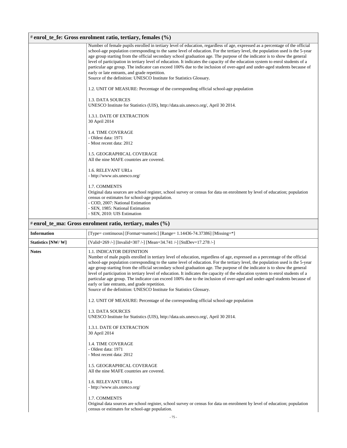# # **enrol\_te\_fe: Gross enrolment ratio, tertiary, females (%)**

|                    | Number of female pupils enrolled in tertiary level of education, regardless of age, expressed as a percentage of the official<br>school-age population corresponding to the same level of education. For the tertiary level, the population used is the 5-year<br>age group starting from the official secondary school graduation age. The purpose of the indicator is to show the general<br>level of participation in tertiary level of education. It indicates the capacity of the education system to enrol students of a<br>particular age group. The indicator can exceed 100% due to the inclusion of over-aged and under-aged students because of<br>early or late entrants, and grade repetition.<br>Source of the definition: UNESCO Institute for Statistics Glossary.<br>1.2. UNIT OF MEASURE: Percentage of the corresponding official school-age population<br>1.3. DATA SOURCES<br>UNESCO Institute for Statistics (UIS), http://data.uis.unesco.org/, April 30 2014.<br>1.3.1. DATE OF EXTRACTION<br>30 April 2014<br><b>1.4. TIME COVERAGE</b><br>- Oldest data: 1971<br>- Most recent data: 2012<br>1.5. GEOGRAPHICAL COVERAGE |
|--------------------|---------------------------------------------------------------------------------------------------------------------------------------------------------------------------------------------------------------------------------------------------------------------------------------------------------------------------------------------------------------------------------------------------------------------------------------------------------------------------------------------------------------------------------------------------------------------------------------------------------------------------------------------------------------------------------------------------------------------------------------------------------------------------------------------------------------------------------------------------------------------------------------------------------------------------------------------------------------------------------------------------------------------------------------------------------------------------------------------------------------------------------------------------|
|                    | All the nine MAFE countries are covered.                                                                                                                                                                                                                                                                                                                                                                                                                                                                                                                                                                                                                                                                                                                                                                                                                                                                                                                                                                                                                                                                                                          |
|                    | 1.6. RELEVANT URLs<br>- http://www.uis.unesco.org/                                                                                                                                                                                                                                                                                                                                                                                                                                                                                                                                                                                                                                                                                                                                                                                                                                                                                                                                                                                                                                                                                                |
|                    | 1.7. COMMENTS<br>Original data sources are school register, school survey or census for data on enrolment by level of education; population<br>census or estimates for school-age population.<br>- COD, 2007: National Estimation<br>- SEN, 1985: National Estimation<br>- SEN, 2010: UIS Estimation                                                                                                                                                                                                                                                                                                                                                                                                                                                                                                                                                                                                                                                                                                                                                                                                                                              |
|                    | # enrol te ma: Gross enrolment ratio, tertiary, males $(\% )$                                                                                                                                                                                                                                                                                                                                                                                                                                                                                                                                                                                                                                                                                                                                                                                                                                                                                                                                                                                                                                                                                     |
| <b>Information</b> | [Type= continuous] [Format=numeric] [Range= 1.14436-74.37386] [Missing=*]                                                                                                                                                                                                                                                                                                                                                                                                                                                                                                                                                                                                                                                                                                                                                                                                                                                                                                                                                                                                                                                                         |

| <b>Information</b>                                                                                                                                                                                                                                                                                                                                                                                                                                                                                                                                                                                                                                                                                                                                                                                                                   | [Type= continuous] [Format=numeric] [Range= $1.14436-74.37386$ ] [Missing= $*$ ]                                                                                                              |  |  |
|--------------------------------------------------------------------------------------------------------------------------------------------------------------------------------------------------------------------------------------------------------------------------------------------------------------------------------------------------------------------------------------------------------------------------------------------------------------------------------------------------------------------------------------------------------------------------------------------------------------------------------------------------------------------------------------------------------------------------------------------------------------------------------------------------------------------------------------|-----------------------------------------------------------------------------------------------------------------------------------------------------------------------------------------------|--|--|
| Statistics [NW/W]                                                                                                                                                                                                                                                                                                                                                                                                                                                                                                                                                                                                                                                                                                                                                                                                                    | [Valid=269 /-] [Invalid=307 /-] [Mean=34.741 /-] [StdDev=17.278 /-]                                                                                                                           |  |  |
| <b>Notes</b><br><b>1.1. INDICATOR DEFINITION</b><br>Number of male pupils enrolled in tertiary level of education, regardless of age, expressed as a percentage of the official<br>school-age population corresponding to the same level of education. For the tertiary level, the population used is the 5-year<br>age group starting from the official secondary school graduation age. The purpose of the indicator is to show the general<br>level of participation in tertiary level of education. It indicates the capacity of the education system to enrol students of a<br>particular age group. The indicator can exceed 100% due to the inclusion of over-aged and under-aged students because of<br>early or late entrants, and grade repetition.<br>Source of the definition: UNESCO Institute for Statistics Glossary. |                                                                                                                                                                                               |  |  |
| 1.2. UNIT OF MEASURE: Percentage of the corresponding official school-age population                                                                                                                                                                                                                                                                                                                                                                                                                                                                                                                                                                                                                                                                                                                                                 |                                                                                                                                                                                               |  |  |
|                                                                                                                                                                                                                                                                                                                                                                                                                                                                                                                                                                                                                                                                                                                                                                                                                                      | 1.3. DATA SOURCES<br>UNESCO Institute for Statistics (UIS), http://data.uis.unesco.org/, April 30 2014.                                                                                       |  |  |
| 1.3.1. DATE OF EXTRACTION<br>30 April 2014<br><b>1.4. TIME COVERAGE</b><br>- Oldest data: 1971<br>- Most recent data: 2012                                                                                                                                                                                                                                                                                                                                                                                                                                                                                                                                                                                                                                                                                                           |                                                                                                                                                                                               |  |  |
|                                                                                                                                                                                                                                                                                                                                                                                                                                                                                                                                                                                                                                                                                                                                                                                                                                      |                                                                                                                                                                                               |  |  |
|                                                                                                                                                                                                                                                                                                                                                                                                                                                                                                                                                                                                                                                                                                                                                                                                                                      | <b>1.5. GEOGRAPHICAL COVERAGE</b><br>All the nine MAFE countries are covered.                                                                                                                 |  |  |
|                                                                                                                                                                                                                                                                                                                                                                                                                                                                                                                                                                                                                                                                                                                                                                                                                                      | 1.6. RELEVANT URLS<br>- http://www.uis.unesco.org/                                                                                                                                            |  |  |
|                                                                                                                                                                                                                                                                                                                                                                                                                                                                                                                                                                                                                                                                                                                                                                                                                                      | 1.7. COMMENTS<br>Original data sources are school register, school survey or census for data on enrolment by level of education; population<br>census or estimates for school-age population. |  |  |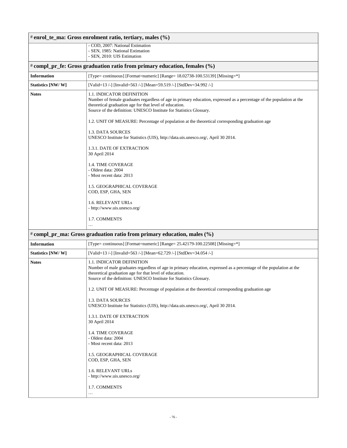| # enrol_te_ma: Gross enrolment ratio, tertiary, males (%)                 |                                                                                                                                                                                                                                                                                                                                                                                               |  |  |
|---------------------------------------------------------------------------|-----------------------------------------------------------------------------------------------------------------------------------------------------------------------------------------------------------------------------------------------------------------------------------------------------------------------------------------------------------------------------------------------|--|--|
|                                                                           | - COD, 2007: National Estimation<br>- SEN, 1985: National Estimation<br>- SEN, 2010: UIS Estimation                                                                                                                                                                                                                                                                                           |  |  |
| # compl_pr_fe: Gross graduation ratio from primary education, females (%) |                                                                                                                                                                                                                                                                                                                                                                                               |  |  |
| <b>Information</b>                                                        | [Type= continuous] [Format=numeric] [Range= 18.02738-100.53139] [Missing=*]                                                                                                                                                                                                                                                                                                                   |  |  |
| Statistics [NW/W]                                                         | [Valid=13 /-] [Invalid=563 /-] [Mean=59.519 /-] [StdDev=34.992 /-]                                                                                                                                                                                                                                                                                                                            |  |  |
| <b>Notes</b>                                                              | <b>1.1. INDICATOR DEFINITION</b><br>Number of female graduates regardless of age in primary education, expressed as a percentage of the population at the<br>theoretical graduation age for that level of education.<br>Source of the definition: UNESCO Institute for Statistics Glossary.<br>1.2. UNIT OF MEASURE: Percentage of population at the theoretical corresponding graduation age |  |  |
|                                                                           | 1.3. DATA SOURCES<br>UNESCO Institute for Statistics (UIS), http://data.uis.unesco.org/, April 30 2014.<br>1.3.1. DATE OF EXTRACTION                                                                                                                                                                                                                                                          |  |  |
|                                                                           | 30 April 2014<br>1.4. TIME COVERAGE<br>- Oldest data: 2004<br>- Most recent data: 2013                                                                                                                                                                                                                                                                                                        |  |  |
|                                                                           | 1.5. GEOGRAPHICAL COVERAGE<br>COD, ESP, GHA, SEN<br>1.6. RELEVANT URLs                                                                                                                                                                                                                                                                                                                        |  |  |
|                                                                           | - http://www.uis.unesco.org/<br>1.7. COMMENTS<br>$\cdots$                                                                                                                                                                                                                                                                                                                                     |  |  |
|                                                                           | # compl_pr_ma: Gross graduation ratio from primary education, males (%)                                                                                                                                                                                                                                                                                                                       |  |  |
| <b>Information</b>                                                        | [Type= continuous] [Format=numeric] [Range= 25.42179-100.22508] [Missing=*]                                                                                                                                                                                                                                                                                                                   |  |  |
| Statistics [NW/W]                                                         | [Valid=13 /-] [Invalid=563 /-] [Mean=62.729 /-] [StdDev=34.054 /-]                                                                                                                                                                                                                                                                                                                            |  |  |
| <b>Notes</b>                                                              | <b>1.1. INDICATOR DEFINITION</b><br>Number of male graduates regardless of age in primary education, expressed as a percentage of the population at the<br>theoretical graduation age for that level of education.<br>Source of the definition: UNESCO Institute for Statistics Glossary.                                                                                                     |  |  |
|                                                                           | 1.2. UNIT OF MEASURE: Percentage of population at the theoretical corresponding graduation age                                                                                                                                                                                                                                                                                                |  |  |
|                                                                           | 1.3. DATA SOURCES<br>UNESCO Institute for Statistics (UIS), http://data.uis.unesco.org/, April 30 2014.                                                                                                                                                                                                                                                                                       |  |  |
|                                                                           | 1.3.1. DATE OF EXTRACTION<br>30 April 2014                                                                                                                                                                                                                                                                                                                                                    |  |  |
|                                                                           | 1.4. TIME COVERAGE<br>- Oldest data: 2004<br>- Most recent data: 2013                                                                                                                                                                                                                                                                                                                         |  |  |
|                                                                           | 1.5. GEOGRAPHICAL COVERAGE<br>COD, ESP, GHA, SEN                                                                                                                                                                                                                                                                                                                                              |  |  |
|                                                                           | 1.6. RELEVANT URLs<br>- http://www.uis.unesco.org/                                                                                                                                                                                                                                                                                                                                            |  |  |
|                                                                           | 1.7. COMMENTS<br>$\cdots$                                                                                                                                                                                                                                                                                                                                                                     |  |  |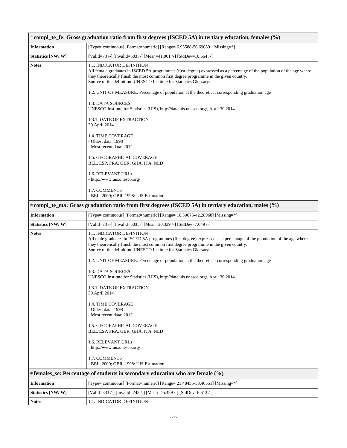| # compl_te_fe: Gross graduation ratio from first degrees (ISCED 5A) in tertiary education, females (%) |                                                                                                                                                                                                                                                                                                                       |  |  |
|--------------------------------------------------------------------------------------------------------|-----------------------------------------------------------------------------------------------------------------------------------------------------------------------------------------------------------------------------------------------------------------------------------------------------------------------|--|--|
| <b>Information</b>                                                                                     | [Type= continuous] [Format=numeric] [Range= 6.95588-56.69659] [Missing=*]                                                                                                                                                                                                                                             |  |  |
| Statistics [NW/W]                                                                                      | [Valid=73 /-] [Invalid=503 /-] [Mean=41.001 /-] [StdDev=10.664 /-]                                                                                                                                                                                                                                                    |  |  |
| <b>Notes</b>                                                                                           | 1.1. INDICATOR DEFINITION<br>All female graduates in ISCED 5A programmes (first degree) expressed as a percentage of the population of the age where<br>they theoretically finish the most common first degree programme in the given country.<br>Source of the definition: UNESCO Institute for Statistics Glossary. |  |  |
|                                                                                                        | 1.2. UNIT OF MEASURE: Percentage of population at the theoretical corresponding graduation age                                                                                                                                                                                                                        |  |  |
|                                                                                                        | 1.3. DATA SOURCES<br>UNESCO Institute for Statistics (UIS), http://data.uis.unesco.org/, April 30 2014.                                                                                                                                                                                                               |  |  |
|                                                                                                        | 1.3.1. DATE OF EXTRACTION<br>30 April 2014                                                                                                                                                                                                                                                                            |  |  |
|                                                                                                        | 1.4. TIME COVERAGE<br>- Oldest data: 1998<br>- Most recent data: 2012                                                                                                                                                                                                                                                 |  |  |
|                                                                                                        | 1.5. GEOGRAPHICAL COVERAGE<br>BEL, ESP, FRA, GBR, GHA, ITA, NLD                                                                                                                                                                                                                                                       |  |  |
|                                                                                                        | 1.6. RELEVANT URLs<br>- http://www.uis.unesco.org/                                                                                                                                                                                                                                                                    |  |  |
|                                                                                                        | 1.7. COMMENTS<br>- BEL, 2000; GBR, 1998: UIS Estimation                                                                                                                                                                                                                                                               |  |  |
| # compl_te_ma: Gross graduation ratio from first degrees (ISCED 5A) in tertiary education, males (%)   |                                                                                                                                                                                                                                                                                                                       |  |  |
| <b>Information</b>                                                                                     | [Type= continuous] [Format=numeric] [Range= 10.50675-42.28968] [Missing=*]                                                                                                                                                                                                                                            |  |  |
| Statistics [NW/W]                                                                                      | [Valid=73 /-] [Invalid=503 /-] [Mean=30.339 /-] [StdDev=7.049 /-]                                                                                                                                                                                                                                                     |  |  |
| <b>Notes</b>                                                                                           | 1.1. INDICATOR DEFINITION<br>All male graduates in ISCED 5A programmes (first degree) expressed as a percentage of the population of the age where<br>they theoretically finish the most common first degree programme in the given country.<br>Source of the definition: UNESCO Institute for Statistics Glossary.   |  |  |
|                                                                                                        | 1.2. UNIT OF MEASURE: Percentage of population at the theoretical corresponding graduation age                                                                                                                                                                                                                        |  |  |
|                                                                                                        | 1.3. DATA SOURCES<br>UNESCO Institute for Statistics (UIS), http://data.uis.unesco.org/, April 30 2014.                                                                                                                                                                                                               |  |  |
|                                                                                                        | 1.3.1. DATE OF EXTRACTION<br>30 April 2014                                                                                                                                                                                                                                                                            |  |  |
|                                                                                                        | 1.4. TIME COVERAGE<br>- Oldest data: 1998<br>- Most recent data: 2012                                                                                                                                                                                                                                                 |  |  |
|                                                                                                        | 1.5. GEOGRAPHICAL COVERAGE<br>BEL, ESP, FRA, GBR, GHA, ITA, NLD                                                                                                                                                                                                                                                       |  |  |
|                                                                                                        | <b>1.6. RELEVANT URLS</b><br>- http://www.uis.unesco.org/                                                                                                                                                                                                                                                             |  |  |
|                                                                                                        | 1.7. COMMENTS<br>- BEL, 2000; GBR, 1998: UIS Estimation                                                                                                                                                                                                                                                               |  |  |
|                                                                                                        | # females_se: Percentage of students in secondary education who are female (%)                                                                                                                                                                                                                                        |  |  |
| <b>Information</b>                                                                                     | [Type= continuous] [Format=numeric] [Range= 21.48455-53.40551] [Missing=*]                                                                                                                                                                                                                                            |  |  |
| Statistics [NW/W]                                                                                      | [Valid=333 /-] [Invalid=243 /-] [Mean=45.489 /-] [StdDev=6.613 /-]                                                                                                                                                                                                                                                    |  |  |
| <b>Notes</b>                                                                                           | 1.1. INDICATOR DEFINITION                                                                                                                                                                                                                                                                                             |  |  |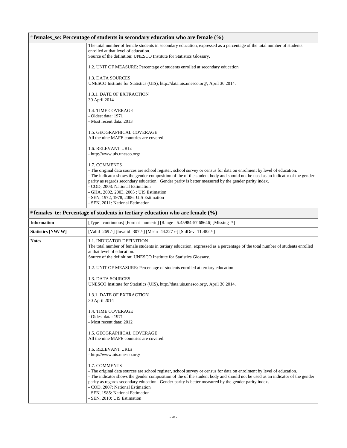| # females_se: Percentage of students in secondary education who are female (%) |                                                                                                                                                                                                                                                       |  |
|--------------------------------------------------------------------------------|-------------------------------------------------------------------------------------------------------------------------------------------------------------------------------------------------------------------------------------------------------|--|
|                                                                                | The total number of female students in secondary education, expressed as a percentage of the total number of students                                                                                                                                 |  |
|                                                                                | enrolled at that level of education.<br>Source of the definition: UNESCO Institute for Statistics Glossary.                                                                                                                                           |  |
|                                                                                | 1.2. UNIT OF MEASURE: Percentage of students enrolled at secondary education                                                                                                                                                                          |  |
|                                                                                | 1.3. DATA SOURCES<br>UNESCO Institute for Statistics (UIS), http://data.uis.unesco.org/, April 30 2014.                                                                                                                                               |  |
|                                                                                |                                                                                                                                                                                                                                                       |  |
|                                                                                | 1.3.1. DATE OF EXTRACTION<br>30 April 2014                                                                                                                                                                                                            |  |
|                                                                                | 1.4. TIME COVERAGE                                                                                                                                                                                                                                    |  |
|                                                                                | - Oldest data: 1971<br>- Most recent data: 2013                                                                                                                                                                                                       |  |
|                                                                                | 1.5. GEOGRAPHICAL COVERAGE                                                                                                                                                                                                                            |  |
|                                                                                | All the nine MAFE countries are covered.                                                                                                                                                                                                              |  |
|                                                                                | 1.6. RELEVANT URLs                                                                                                                                                                                                                                    |  |
|                                                                                | - http://www.uis.unesco.org/                                                                                                                                                                                                                          |  |
|                                                                                | 1.7. COMMENTS                                                                                                                                                                                                                                         |  |
|                                                                                | - The original data sources are school register, school survey or census for data on enrolment by level of education.<br>- The indicator shows the gender composition of the of the student body and should not be used as an indicator of the gender |  |
|                                                                                | parity as regards secondary education. Gender parity is better measured by the gender parity index.                                                                                                                                                   |  |
|                                                                                | - COD, 2008: National Estimation<br>- GHA, 2002, 2003, 2005 : UIS Estimation                                                                                                                                                                          |  |
|                                                                                | - SEN, 1972, 1978, 2006: UIS Estimation                                                                                                                                                                                                               |  |
|                                                                                | - SEN, 2011: National Estimation                                                                                                                                                                                                                      |  |
|                                                                                | # females_te: Percentage of students in tertiary education who are female (%)                                                                                                                                                                         |  |
| <b>Information</b>                                                             | [Type= continuous] [Format=numeric] [Range= 5.45984-57.68646] [Missing=*]                                                                                                                                                                             |  |
| Statistics [NW/ W]                                                             | [Valid=269 /-] [Invalid=307 /-] [Mean=44.227 /-] [StdDev=11.482 /-]                                                                                                                                                                                   |  |
| <b>Notes</b>                                                                   | 1.1. INDICATOR DEFINITION<br>The total number of female students in tertiary education, expressed as a percentage of the total number of students enrolled                                                                                            |  |
|                                                                                | at that level of education.                                                                                                                                                                                                                           |  |
|                                                                                | Source of the definition: UNESCO Institute for Statistics Glossary.                                                                                                                                                                                   |  |
|                                                                                | 1.2. UNIT OF MEASURE: Percentage of students enrolled at tertiary education                                                                                                                                                                           |  |
|                                                                                | 1.3. DATA SOURCES                                                                                                                                                                                                                                     |  |
|                                                                                | UNESCO Institute for Statistics (UIS), http://data.uis.unesco.org/, April 30 2014.                                                                                                                                                                    |  |
|                                                                                | 1.3.1. DATE OF EXTRACTION<br>30 April 2014                                                                                                                                                                                                            |  |
|                                                                                |                                                                                                                                                                                                                                                       |  |
|                                                                                | 1.4. TIME COVERAGE<br>- Oldest data: 1971                                                                                                                                                                                                             |  |
|                                                                                | - Most recent data: 2012                                                                                                                                                                                                                              |  |
|                                                                                | 1.5. GEOGRAPHICAL COVERAGE                                                                                                                                                                                                                            |  |
|                                                                                | All the nine MAFE countries are covered.                                                                                                                                                                                                              |  |
|                                                                                | 1.6. RELEVANT URLs                                                                                                                                                                                                                                    |  |
|                                                                                | - http://www.uis.unesco.org/                                                                                                                                                                                                                          |  |
|                                                                                | 1.7. COMMENTS                                                                                                                                                                                                                                         |  |
|                                                                                | - The original data sources are school register, school survey or census for data on enrolment by level of education.                                                                                                                                 |  |
|                                                                                | - The indicator shows the gender composition of the of the student body and should not be used as an indicator of the gender<br>parity as regards secondary education. Gender parity is better measured by the gender parity index.                   |  |
|                                                                                | - COD, 2007: National Estimation                                                                                                                                                                                                                      |  |
|                                                                                | - SEN, 1985: National Estimation<br>- SEN, 2010: UIS Estimation                                                                                                                                                                                       |  |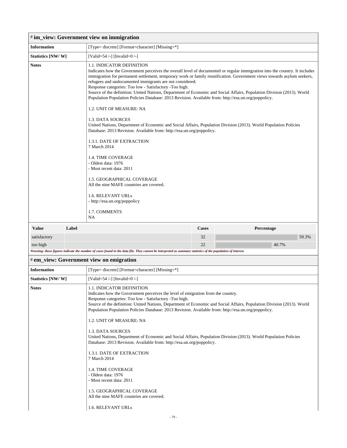| # im_view: Government view on immigration                                                                                                                   |       |                                                                                                                                                                                                                                                                                                                                                                                                                                                                                                                                                                                                                                                                                                                                                                                                                                                                                                                                                                                                                                                     |              |            |
|-------------------------------------------------------------------------------------------------------------------------------------------------------------|-------|-----------------------------------------------------------------------------------------------------------------------------------------------------------------------------------------------------------------------------------------------------------------------------------------------------------------------------------------------------------------------------------------------------------------------------------------------------------------------------------------------------------------------------------------------------------------------------------------------------------------------------------------------------------------------------------------------------------------------------------------------------------------------------------------------------------------------------------------------------------------------------------------------------------------------------------------------------------------------------------------------------------------------------------------------------|--------------|------------|
| <b>Information</b>                                                                                                                                          |       | [Type= discrete] [Format=character] [Missing=*]                                                                                                                                                                                                                                                                                                                                                                                                                                                                                                                                                                                                                                                                                                                                                                                                                                                                                                                                                                                                     |              |            |
| Statistics [NW/W]                                                                                                                                           |       | [Valid=54 /-] [Invalid=0 /-]                                                                                                                                                                                                                                                                                                                                                                                                                                                                                                                                                                                                                                                                                                                                                                                                                                                                                                                                                                                                                        |              |            |
| <b>Notes</b>                                                                                                                                                |       | 1.1. INDICATOR DEFINITION<br>Indicates how the Government perceives the overall level of documented or regular immigration into the country. It includes<br>immigration for permanent settlement, temporary work or family reunification. Government views towards asylum seekers,<br>refugees and undocumented immigrants are not considered.<br>Response categories: Too low - Satisfactory -Too high.<br>Source of the definition: United Nations, Department of Economic and Social Affairs, Population Division (2013). World<br>Population Population Policies Database: 2013 Revision. Available from: http://esa.un.org/poppolicy.<br>1.2. UNIT OF MEASURE: NA<br>1.3. DATA SOURCES<br>United Nations, Department of Economic and Social Affairs, Population Division (2013). World Population Policies<br>Database: 2013 Revision. Available from: http://esa.un.org/poppolicy.<br>1.3.1. DATE OF EXTRACTION<br>7 March 2014<br><b>1.4. TIME COVERAGE</b><br>- Oldest data: 1976<br>- Most recent data: 2011<br>1.5. GEOGRAPHICAL COVERAGE |              |            |
|                                                                                                                                                             |       | All the nine MAFE countries are covered.                                                                                                                                                                                                                                                                                                                                                                                                                                                                                                                                                                                                                                                                                                                                                                                                                                                                                                                                                                                                            |              |            |
|                                                                                                                                                             |       | 1.6. RELEVANT URLs<br>- http://esa.un.org/poppolicy<br>1.7. COMMENTS<br><b>NA</b>                                                                                                                                                                                                                                                                                                                                                                                                                                                                                                                                                                                                                                                                                                                                                                                                                                                                                                                                                                   |              |            |
| <b>Value</b>                                                                                                                                                | Label |                                                                                                                                                                                                                                                                                                                                                                                                                                                                                                                                                                                                                                                                                                                                                                                                                                                                                                                                                                                                                                                     | <b>Cases</b> | Percentage |
| satisfactory                                                                                                                                                |       |                                                                                                                                                                                                                                                                                                                                                                                                                                                                                                                                                                                                                                                                                                                                                                                                                                                                                                                                                                                                                                                     | 32           | 59.3%      |
| too high                                                                                                                                                    |       |                                                                                                                                                                                                                                                                                                                                                                                                                                                                                                                                                                                                                                                                                                                                                                                                                                                                                                                                                                                                                                                     | 22           | 40.7%      |
| Warning: these figures indicate the number of cases found in the data file. They cannot be interpreted as summary statistics of the population of interest. |       |                                                                                                                                                                                                                                                                                                                                                                                                                                                                                                                                                                                                                                                                                                                                                                                                                                                                                                                                                                                                                                                     |              |            |
| # em_view: Government view on emigration<br><b>Information</b><br>[Type= discrete] [Format=character] [Missing=*]                                           |       |                                                                                                                                                                                                                                                                                                                                                                                                                                                                                                                                                                                                                                                                                                                                                                                                                                                                                                                                                                                                                                                     |              |            |
| Statistics [NW/W]                                                                                                                                           |       | [Valid=54 /-] [Invalid=0 /-]                                                                                                                                                                                                                                                                                                                                                                                                                                                                                                                                                                                                                                                                                                                                                                                                                                                                                                                                                                                                                        |              |            |
| <b>Notes</b>                                                                                                                                                |       | 1.1. INDICATOR DEFINITION<br>Indicates how the Government perceives the level of emigration from the country.<br>Response categories: Too low - Satisfactory -Too high.<br>Source of the definition: United Nations, Department of Economic and Social Affairs, Population Division (2013). World<br>Population Population Policies Database: 2013 Revision. Available from: http://esa.un.org/poppolicy.<br>1.2. UNIT OF MEASURE: NA<br>1.3. DATA SOURCES<br>United Nations, Department of Economic and Social Affairs, Population Division (2013). World Population Policies<br>Database: 2013 Revision. Available from: http://esa.un.org/poppolicy.<br>1.3.1. DATE OF EXTRACTION<br>7 March 2014<br>1.4. TIME COVERAGE<br>- Oldest data: 1976<br>- Most recent data: 2011<br>1.5. GEOGRAPHICAL COVERAGE<br>All the nine MAFE countries are covered.                                                                                                                                                                                             |              |            |
|                                                                                                                                                             |       | 1.6. RELEVANT URLs                                                                                                                                                                                                                                                                                                                                                                                                                                                                                                                                                                                                                                                                                                                                                                                                                                                                                                                                                                                                                                  |              |            |
|                                                                                                                                                             |       | $-79-$                                                                                                                                                                                                                                                                                                                                                                                                                                                                                                                                                                                                                                                                                                                                                                                                                                                                                                                                                                                                                                              |              |            |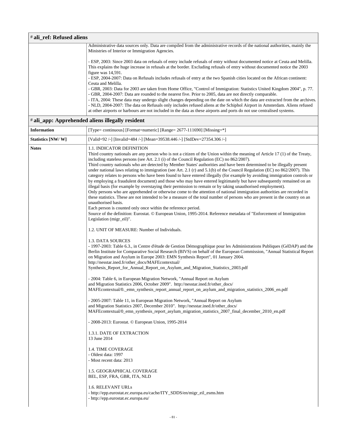| $\sharp$ ali ref: Refused aliens |                                                                                                                             |  |  |
|----------------------------------|-----------------------------------------------------------------------------------------------------------------------------|--|--|
|                                  | Administrative data sources only. Data are compiled from the administrative records of the national authorities, mainly the |  |  |
|                                  | Ministries of Interior or Immigration Agencies.                                                                             |  |  |
|                                  | - ESP, 2003: Since 2003 data on refusals of entry include refusals of entry without documented notice at Ceuta and Melilla. |  |  |
|                                  | This explains the huge increase in refusals at the border. Excluding refusals of entry without documented notice the 2003   |  |  |
|                                  | figure was $14,591$ .                                                                                                       |  |  |
|                                  | - ESP, 2004-2007: Data on Refusals includes refusals of entry at the two Spanish cities located on the African continent:   |  |  |
|                                  | Ceuta and Melilla.                                                                                                          |  |  |
|                                  | - GBR, 2003: Data for 2003 are taken from Home Office, "Control of Immigration: Statistics United Kingdom 2004", p. 77.     |  |  |
|                                  | - GBR, 2004-2007: Data are rounded to the nearest five. Prior to 2005, data are not directly comparable.                    |  |  |
|                                  | - ITA, 2004: These data may undergo slight changes depending on the date on which the data are extracted from the archives. |  |  |
|                                  | - NLD, 2004-2007: The data on Refusals only includes refused aliens at the Schiphol Airport in Amsterdam. Aliens refused    |  |  |
|                                  | at other airports or harbours are not included in the data as these airports and ports do not use centralised systems.      |  |  |

# # **ali\_app: Apprehended aliens illegally resident**

| <b>Information</b> | [Type= continuous] [Format=numeric] [Range= 2677-111690] [Missing=*]                                                                                                                                                                                                                                                                                                                                                                                                                                                                                                                                                                                                                                                                                                                                                                                                                                                                                                                                                                                                                                                                                                                                                                                                                                                                                                                            |
|--------------------|-------------------------------------------------------------------------------------------------------------------------------------------------------------------------------------------------------------------------------------------------------------------------------------------------------------------------------------------------------------------------------------------------------------------------------------------------------------------------------------------------------------------------------------------------------------------------------------------------------------------------------------------------------------------------------------------------------------------------------------------------------------------------------------------------------------------------------------------------------------------------------------------------------------------------------------------------------------------------------------------------------------------------------------------------------------------------------------------------------------------------------------------------------------------------------------------------------------------------------------------------------------------------------------------------------------------------------------------------------------------------------------------------|
| Statistics [NW/W]  | [Valid=92 /-] [Invalid=484 /-] [Mean=39538.446 /-] [StdDev=27354.306 /-]                                                                                                                                                                                                                                                                                                                                                                                                                                                                                                                                                                                                                                                                                                                                                                                                                                                                                                                                                                                                                                                                                                                                                                                                                                                                                                                        |
| <b>Notes</b>       | 1.1. INDICATOR DEFINITION<br>Third country nationals are any person who is not a citizen of the Union within the meaning of Article 17 (1) of the Treaty,<br>including stateless persons (see Art. 2.1 (i) of the Council Regulation (EC) no $862/2007$ ).<br>Third country nationals who are detected by Member States' authorities and have been determined to be illegally present<br>under national laws relating to immigration (see Art. 2.1 (r) and $5.1(b)$ of the Council Regulation (EC) no 862/2007). This<br>category relates to persons who have been found to have entered illegally (for example by avoiding immigration controls or<br>by employing a fraudulent document) and those who may have entered legitimately but have subsequently remained on an<br>illegal basis (for example by overstaying their permission to remain or by taking unauthorised employment).<br>Only persons who are apprehended or otherwise come to the attention of national immigration authorities are recorded in<br>these statistics. These are not intended to be a measure of the total number of persons who are present in the country on an<br>unauthorised basis.<br>Each person is counted only once within the reference period.<br>Source of the definition: Eurostat. © European Union, 1995-2014. Reference metadata of "Enforcement of Immigration<br>Legislation (migr_eil)". |
|                    | 1.2. UNIT OF MEASURE: Number of Individuals.<br>1.3. DATA SOURCES<br>- 1997-2003: Table 6.3., in Centre d'étude de Gestion Démographique pour les Administrations Publiques (GéDAP) and the<br>Berlin Institute for Comparative Social Research (BIVS) on behalf of the European Commission, "Annual Statistical Report<br>on Migration and Asylum in Europe 2003: EMN Synthesis Report", 01 January 2004.<br>http://nesstar.ined.fr/other_docs/MAFEcontextual/<br>Synthesis_Report_for_Annual_Report_on_Asylum_and_Migration_Statistics_2003.pdf                                                                                                                                                                                                                                                                                                                                                                                                                                                                                                                                                                                                                                                                                                                                                                                                                                               |
|                    | - 2004: Table 6, in European Migration Network, "Annual Report on Asylum<br>and Migration Statistics 2006, October 2009". http://nesstar.ined.fr/other_docs/<br>MAFE contextual/0. emn_synthesis_report_annual_report_on_asylum_and_migration_statistics_2006_en.pdf<br>- 2005-2007: Table 11, in European Migration Network, "Annual Report on Asylum<br>and Migration Statistics 2007, December 2010". http://nesstar.ined.fr/other_docs/<br>MAFEcontextual/0_emn_synthesis_report_asylum_migration_statistics_2007_final_december_2010_en.pdf                                                                                                                                                                                                                                                                                                                                                                                                                                                                                                                                                                                                                                                                                                                                                                                                                                                |
|                    | - 2008-2013: Eurostat. © European Union, 1995-2014<br>1.3.1. DATE OF EXTRACTION<br>13 June 2014<br>1.4. TIME COVERAGE<br>- Oldest data: 1997<br>- Most recent data: 2013<br>1.5. GEOGRAPHICAL COVERAGE<br>BEL, ESP, FRA, GBR, ITA, NLD<br><b>1.6. RELEVANT URLs</b><br>- http://epp.eurostat.ec.europa.eu/cache/ITY_SDDS/en/migr_eil_esms.htm                                                                                                                                                                                                                                                                                                                                                                                                                                                                                                                                                                                                                                                                                                                                                                                                                                                                                                                                                                                                                                                   |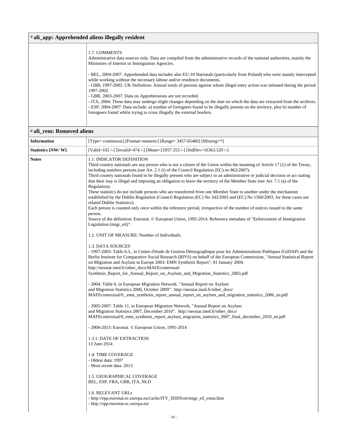#### # **ali\_app: Apprehended aliens illegally resident**

Administrative data sources only. Data are compiled from the administrative records of the national authorities, mainly the Ministries of Interior or Immigration Agencies.

- BEL, 2004-2007: Apprehended data includes also EU-10 Nationals (particularly from Poland) who were mainly intercepted while working without the necessary labour and/or residence documents.

- GBR, 1997-2002: UK Definition: Annual totals of persons against whom illegal entry action was initiated during the period 1997-2002.

- GBR, 2003-2007: Data on Apprehensions are not recorded.

- ITA, 2004: These data may undergo slight changes depending on the date on which the data are extracted from the archives. - ESP, 2004-2007: Data include: a) number of foreigners found to be illegally present on the territory, plus b) number of foreigners found whilst trying to cross illegally the external borders.

#### # **ali\_rem: Removed aliens**

| <b>Information</b> | [Type= continuous] [Format=numeric] [Range= 3457-65460] [Missing=*]                                                                                                                                                                                                                                                                                                                                                                                                                                                                                                                                                                                                                                                                                                                                                                                                                                                                                                                                                                                                                                                                                                                                                                                                                                                                                                                                                                                                                                                                                                                                                                                                                                                                                                                                                                                                                                                                                                                                                                                                                                                                                                                                                                                                                                                                                                                                                                                                |
|--------------------|--------------------------------------------------------------------------------------------------------------------------------------------------------------------------------------------------------------------------------------------------------------------------------------------------------------------------------------------------------------------------------------------------------------------------------------------------------------------------------------------------------------------------------------------------------------------------------------------------------------------------------------------------------------------------------------------------------------------------------------------------------------------------------------------------------------------------------------------------------------------------------------------------------------------------------------------------------------------------------------------------------------------------------------------------------------------------------------------------------------------------------------------------------------------------------------------------------------------------------------------------------------------------------------------------------------------------------------------------------------------------------------------------------------------------------------------------------------------------------------------------------------------------------------------------------------------------------------------------------------------------------------------------------------------------------------------------------------------------------------------------------------------------------------------------------------------------------------------------------------------------------------------------------------------------------------------------------------------------------------------------------------------------------------------------------------------------------------------------------------------------------------------------------------------------------------------------------------------------------------------------------------------------------------------------------------------------------------------------------------------------------------------------------------------------------------------------------------------|
| Statistics [NW/W]  | [Valid=102 /-] [Invalid=474 /-] [Mean=21857.353 /-] [StdDev=16363.529 /-]                                                                                                                                                                                                                                                                                                                                                                                                                                                                                                                                                                                                                                                                                                                                                                                                                                                                                                                                                                                                                                                                                                                                                                                                                                                                                                                                                                                                                                                                                                                                                                                                                                                                                                                                                                                                                                                                                                                                                                                                                                                                                                                                                                                                                                                                                                                                                                                          |
| <b>Notes</b>       | 1.1. INDICATOR DEFINITION<br>Third country nationals are any person who is not a citizen of the Union within the meaning of Article 17 (1) of the Treaty,<br>including stateless persons (see Art. 2.1 (i) of the Council Regulation (EC) no 862/2007).<br>Third country nationals found to be illegally present who are subject to an administrative or judicial decision or act stating<br>that their stay is illegal and imposing an obligation to leave the territory of the Member State (see Art. 7.1 (a) of the<br>Regulation).<br>These statistics do not include persons who are transferred from one Member State to another under the mechanism<br>established by the Dublin Regulation (Council Regulation (EC) No 343/2003 and (EC) No 1560/2003, for these cases see<br>related Dublin Statistics).<br>Each person is counted only once within the reference period, irrespective of the number of notices issued to the same<br>person.<br>Source of the definition: Eurostat. © European Union, 1995-2014. Reference metadata of "Enforcement of Immigration<br>Legislation (migr_eil)".<br>1.2. UNIT OF MEASURE: Number of Individuals.<br>1.3. DATA SOURCES<br>- 1997-2003: Table 6.3., in Centre d'étude de Gestion Démographique pour les Administrations Publiques (GéDAP) and the<br>Berlin Institute for Comparative Social Research (BIVS) on behalf of the European Commission, "Annual Statistical Report<br>on Migration and Asylum in Europe 2003: EMN Synthesis Report", 01 January 2004.<br>http://nesstar.ined.fr/other_docs/MAFEcontextual/<br>Synthesis_Report_for_Annual_Report_on_Asylum_and_Migration_Statistics_2003.pdf<br>- 2004: Table 6, in European Migration Network, "Annual Report on Asylum<br>and Migration Statistics 2006, October 2009". http://nesstar.ined.fr/other_docs/<br>MAFEcontextual/0._emn_synthesis_report_annual_report_on_asylum_and_migration_statistics_2006_en.pdf<br>- 2005-2007: Table 11, in European Migration Network, "Annual Report on Asylum"<br>and Migration Statistics 2007, December 2010". http://nesstar.ined.fr/other_docs/<br>MAFEcontextual/0_emn_synthesis_report_asylum_migration_statistics_2007_final_december_2010_en.pdf<br>- 2008-2013: Eurostat. © European Union, 1995-2014<br>1.3.1. DATE OF EXTRACTION<br>13 June 2014<br><b>1.4. TIME COVERAGE</b><br>- Oldest data: 1997<br>- Most recent data: 2013<br>1.5. GEOGRAPHICAL COVERAGE<br>BEL, ESP, FRA, GBR, ITA, NLD |
|                    | 1.6. RELEVANT URLs<br>- http://epp.eurostat.ec.europa.eu/cache/ITY_SDDS/en/migr_eil_esms.htm<br>- http://epp.eurostat.ec.europa.eu/                                                                                                                                                                                                                                                                                                                                                                                                                                                                                                                                                                                                                                                                                                                                                                                                                                                                                                                                                                                                                                                                                                                                                                                                                                                                                                                                                                                                                                                                                                                                                                                                                                                                                                                                                                                                                                                                                                                                                                                                                                                                                                                                                                                                                                                                                                                                |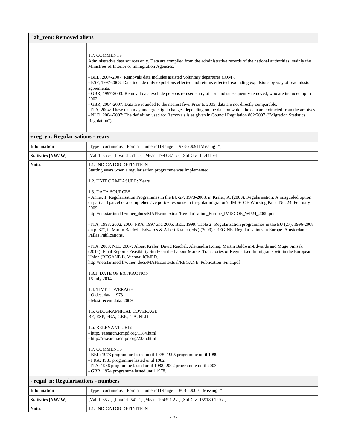| # ali rem: Removed aliens                                                                                                                                                                                                                                                                                                                                                                                                                                                                                                                                                                                                                                                                                                                      |  |
|------------------------------------------------------------------------------------------------------------------------------------------------------------------------------------------------------------------------------------------------------------------------------------------------------------------------------------------------------------------------------------------------------------------------------------------------------------------------------------------------------------------------------------------------------------------------------------------------------------------------------------------------------------------------------------------------------------------------------------------------|--|
| 1.7. COMMENTS<br>Administrative data sources only. Data are compiled from the administrative records of the national authorities, mainly the<br>Ministries of Interior or Immigration Agencies.                                                                                                                                                                                                                                                                                                                                                                                                                                                                                                                                                |  |
| - BEL, 2004-2007: Removals data includes assisted voluntary departures (IOM).<br>- ESP, 1997-2003: Data include only expulsions effected and returns effected, excluding expulsions by way of readmission<br>agreements.<br>- GBR, 1997-2003: Removal data exclude persons refused entry at port and subsequently removed, who are included up to<br>2002.<br>- GBR, 2004-2007: Data are rounded to the nearest five. Prior to 2005, data are not directly comparable.<br>- ITA, 2004: These data may undergo slight changes depending on the date on which the data are extracted from the archives.<br>- NLD, 2004-2007: The definition used for Removals is as given in Council Regulation 862/2007 ("Migration Statistics<br>Regulation"). |  |
|                                                                                                                                                                                                                                                                                                                                                                                                                                                                                                                                                                                                                                                                                                                                                |  |

#### # **reg\_yn: Regularisations - years**

| <b>Information</b>                   | [Type= continuous] [Format=numeric] [Range= 1973-2009] [Missing=*]                                                                                                                                                                                                                                                                                            |
|--------------------------------------|---------------------------------------------------------------------------------------------------------------------------------------------------------------------------------------------------------------------------------------------------------------------------------------------------------------------------------------------------------------|
| Statistics [NW/W]                    | [Valid=35 /-] [Invalid=541 /-] [Mean=1993.371 /-] [StdDev=11.441 /-]                                                                                                                                                                                                                                                                                          |
| <b>Notes</b>                         | 1.1. INDICATOR DEFINITION<br>Starting years when a regularisation programme was implemented.                                                                                                                                                                                                                                                                  |
|                                      | 1.2. UNIT OF MEASURE: Years                                                                                                                                                                                                                                                                                                                                   |
|                                      | 1.3. DATA SOURCES<br>- Annex 1: Regularisation Programmes in the EU-27, 1973-2008, in Kraler, A. (2009). Regularisation: A misguided option<br>or part and parcel of a comprehensive policy response to irregular migration?. IMISCOE Working Paper No. 24. February<br>2009.                                                                                 |
|                                      | http://nesstar.ined.fr/other_docs/MAFEcontextual/Regularisation_Europe_IMISCOE_WP24_2009.pdf                                                                                                                                                                                                                                                                  |
|                                      | - ITA, 1998, 2002, 2006; FRA, 1997 and 2006; BEL, 1999: Table 2 "Regularisation programmes in the EU (27), 1996-2008<br>on p. 37", in Martin Baldwin-Edwards & Albert Kraler (eds.) (2009) : REGINE. Regularisations in Europe. Amsterdam:<br>Pallas Publications.                                                                                            |
|                                      | - ITA, 2009; NLD 2007: Albert Kraler, David Reichel, Alexandra König, Martin Baldwin-Edwards and Müge Simsek<br>(2014): Final Report - Feasibility Study on the Labour Market Trajectories of Regularised Immigrants within the European<br>Union (REGANE I). Vienna: ICMPD.<br>http://nesstar.ined.fr/other_docs/MAFEcontextual/REGANE_Publication_Final.pdf |
|                                      | 1.3.1. DATE OF EXTRACTION<br>16 July 2014                                                                                                                                                                                                                                                                                                                     |
|                                      | 1.4. TIME COVERAGE<br>- Oldest data: 1973<br>- Most recent data: 2009                                                                                                                                                                                                                                                                                         |
|                                      | 1.5. GEOGRAPHICAL COVERAGE<br>BE, ESP, FRA, GBR, ITA, NLD                                                                                                                                                                                                                                                                                                     |
|                                      | 1.6. RELEVANT URLs<br>- http://research.icmpd.org/1184.html<br>- http://research.icmpd.org/2335.html                                                                                                                                                                                                                                                          |
|                                      | 1.7. COMMENTS<br>- BEL: 1973 programme lasted until 1975; 1995 programme until 1999.<br>- FRA: 1981 programme lasted until 1982.<br>- ITA: 1986 programme lasted until 1988; 2002 programme until 2003.<br>- GBR: 1974 programme lasted until 1978.                                                                                                           |
| # regul_n: Regularisations - numbers |                                                                                                                                                                                                                                                                                                                                                               |
|                                      | <b>COL</b><br>$\cdot$ $\cdot$ $\cdot$ $\cdot$<br>100 $\epsilon$ COOOD B $\mathbf{r}$ .<br>1.57                                                                                                                                                                                                                                                                |

# **Information** [Type= continuous] [Format=numeric] [Range= 180-650000] [Missing=\*] **Statistics [NW/ W]** [Valid=35 /-] [Invalid=541 /-] [Mean=104391.2 /-] [StdDev=159189.129 /-] **Notes** 1.1. INDICATOR DEFINITION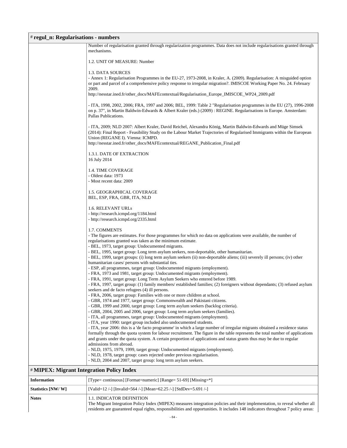### # **regul\_n: Regularisations - numbers**

|                                                 | Number of regularisation granted through regularization programmes. Data does not include regularisations granted through<br>mechanisms.                                                                                                                                                                                                                      |
|-------------------------------------------------|---------------------------------------------------------------------------------------------------------------------------------------------------------------------------------------------------------------------------------------------------------------------------------------------------------------------------------------------------------------|
|                                                 | 1.2. UNIT OF MEASURE: Number                                                                                                                                                                                                                                                                                                                                  |
|                                                 | 1.3. DATA SOURCES                                                                                                                                                                                                                                                                                                                                             |
|                                                 | - Annex 1: Regularisation Programmes in the EU-27, 1973-2008, in Kraler, A. (2009). Regularisation: A misguided option                                                                                                                                                                                                                                        |
|                                                 | or part and parcel of a comprehensive policy response to irregular migration?. IMISCOE Working Paper No. 24. February<br>2009.                                                                                                                                                                                                                                |
|                                                 | http://nesstar.ined.fr/other_docs/MAFEcontextual/Regularisation_Europe_IMISCOE_WP24_2009.pdf                                                                                                                                                                                                                                                                  |
|                                                 | - ITA, 1998, 2002, 2006; FRA, 1997 and 2006; BEL, 1999: Table 2 "Regularisation programmes in the EU (27), 1996-2008<br>on p. 37", in Martin Baldwin-Edwards & Albert Kraler (eds.) (2009) : REGINE. Regularisations in Europe. Amsterdam:<br>Pallas Publications.                                                                                            |
|                                                 | - ITA, 2009; NLD 2007: Albert Kraler, David Reichel, Alexandra König, Martin Baldwin-Edwards and Müge Simsek<br>(2014): Final Report - Feasibility Study on the Labour Market Trajectories of Regularised Immigrants within the European<br>Union (REGANE I). Vienna: ICMPD.<br>http://nesstar.ined.fr/other_docs/MAFEcontextual/REGANE_Publication_Final.pdf |
|                                                 | 1.3.1. DATE OF EXTRACTION<br>16 July 2014                                                                                                                                                                                                                                                                                                                     |
|                                                 |                                                                                                                                                                                                                                                                                                                                                               |
|                                                 | 1.4. TIME COVERAGE                                                                                                                                                                                                                                                                                                                                            |
|                                                 | - Oldest data: 1973<br>- Most recent data: 2009                                                                                                                                                                                                                                                                                                               |
|                                                 | 1.5. GEOGRAPHICAL COVERAGE<br>BEL, ESP, FRA, GBR, ITA, NLD                                                                                                                                                                                                                                                                                                    |
|                                                 | 1.6. RELEVANT URLs                                                                                                                                                                                                                                                                                                                                            |
|                                                 | - http://research.icmpd.org/1184.html                                                                                                                                                                                                                                                                                                                         |
|                                                 | - http://research.icmpd.org/2335.html                                                                                                                                                                                                                                                                                                                         |
|                                                 | 1.7. COMMENTS                                                                                                                                                                                                                                                                                                                                                 |
|                                                 | - The figures are estimates. For those programmes for which no data on applications were available, the number of                                                                                                                                                                                                                                             |
|                                                 | regularisations granted was taken as the minimum estimate.                                                                                                                                                                                                                                                                                                    |
|                                                 | - BEL, 1973, target group: Undocumented migrants.<br>- BEL, 1995, target group: Long term asylum seekers, non-deportable, other humanitarian.                                                                                                                                                                                                                 |
|                                                 | - BEL, 1999, target groups: (i) long term asylum seekers (ii) non-deportable aliens; (iii) severely ill persons; (iv) other                                                                                                                                                                                                                                   |
|                                                 | humanitarian cases/ persons with substantial ties.                                                                                                                                                                                                                                                                                                            |
|                                                 | - ESP, all programmes, target group: Undocumented migrants (employment).                                                                                                                                                                                                                                                                                      |
|                                                 | - FRA, 1973 and 1981, target group: Undocumented migrants (employment).                                                                                                                                                                                                                                                                                       |
|                                                 | - FRA, 1991, target group: Long Term Asylum Seekers who entered before 1989.<br>- FRA, 1997, target group: (1) family members/ established families; (2) foreigners without dependants; (3) refused asylum                                                                                                                                                    |
|                                                 | seekers and de facto refugees (4) ill persons.                                                                                                                                                                                                                                                                                                                |
|                                                 | FRA, 2006, target group: Families with one or more children at school.                                                                                                                                                                                                                                                                                        |
|                                                 | - GBR, 1974 and 1977, target group: Commonwealth and Pakistani citizens.                                                                                                                                                                                                                                                                                      |
|                                                 | - GBR, 1999 and 2000, target group: Long term asylum seekers (backlog criteria).                                                                                                                                                                                                                                                                              |
|                                                 | - GBR, 2004, 2005 and 2006, target group: Long term asylum seekers (families).                                                                                                                                                                                                                                                                                |
|                                                 | - ITA, all programmes, target group: Undocumented migrants (employment).<br>- ITA, year 1990: target group included also undocumented students.                                                                                                                                                                                                               |
|                                                 | - ITA, year 2006: this is a 'de facto programme' in which a large number of irregular migrants obtained a residence status                                                                                                                                                                                                                                    |
|                                                 | formally through the quota system for labour recruitment. The figure in the table represents the total number of applications                                                                                                                                                                                                                                 |
|                                                 | and grants under the quota system. A certain proportion of applications and status grants thus may be due to regular                                                                                                                                                                                                                                          |
|                                                 | admissions from abroad.                                                                                                                                                                                                                                                                                                                                       |
|                                                 | - NLD, 1975, 1979, 1999, target group: Undocumented migrants (employment).<br>- NLD, 1978, target group: cases rejected under previous regularisation.                                                                                                                                                                                                        |
|                                                 | - NLD, 2004 and 2007, target group: long term asylum seekers.                                                                                                                                                                                                                                                                                                 |
| <b>#MIPEX: Migrant Integration Policy Index</b> |                                                                                                                                                                                                                                                                                                                                                               |

| <b>Information</b> | [Type= continuous] [Format=numeric] [Range= 51-69] [Missing=*]                                                                                                                                                                                                                              |
|--------------------|---------------------------------------------------------------------------------------------------------------------------------------------------------------------------------------------------------------------------------------------------------------------------------------------|
| Statistics [NW/W]  | [Valid=12 /-] [Invalid=564 /-] [Mean=62.25 /-] [StdDev=5.691 /-]                                                                                                                                                                                                                            |
| <b>Notes</b>       | 1.1. INDICATOR DEFINITION<br>The Migrant Integration Policy Index (MIPEX) measures integration policies and their implementation, to reveal whether all<br>residents are guaranteed equal rights, responsibilities and opportunities. It includes 148 indicators throughout 7 policy areas: |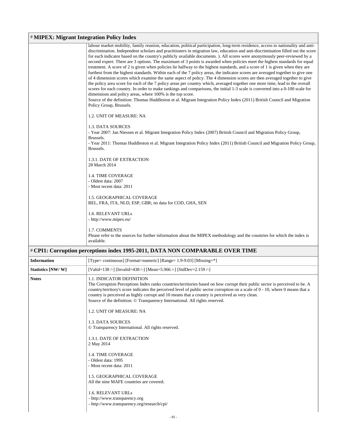### # **MIPEX: Migrant Integration Policy Index**

| labour market mobility, family reunion, education, political participation, long-term residence, access to nationality and anti- |
|----------------------------------------------------------------------------------------------------------------------------------|
| discrimination. Independent scholars and practitioners in migration law, education and anti-discrimination filled out the score  |
| for each indicator based on the country's publicly available documents. ). All scores were anonymously peer-reviewed by a        |
| second expert. There are 3 options. The maximum of 3 points is awarded when policies meet the highest standards for equal        |
| treatment. A score of 2 is given when policies lie halfway to the highest standards, and a score of 1 is given when they are     |
| furthest from the highest standards. Within each of the 7 policy areas, the indicator scores are averaged together to give one   |
| of 4 dimension scores which examine the same aspect of policy. The 4 dimension scores are then averaged together to give         |
| the policy area score for each of the 7 policy areas per country which, averaged together one more time, lead to the overall     |
| scores for each country. In order to make rankings and comparisons, the initial 1-3 scale is converted into a 0-100 scale for    |
| dimensions and policy areas, where 100% is the top score.                                                                        |
| Source of the definition: Thomas Huddleston et al. Migrant Integration Policy Index (2011) British Council and Migration         |
| Policy Group, Brussels.                                                                                                          |
|                                                                                                                                  |
| 1.2. UNIT OF MEASURE: NA                                                                                                         |
|                                                                                                                                  |
| 1.3. DATA SOURCES                                                                                                                |
| - Year 2007: Jan Niessen et al. Migrant Integration Policy Index (2007) British Council and Migration Policy Group,              |
| Brussels.                                                                                                                        |
| - Year 2011: Thomas Huddleston et al. Migrant Integration Policy Index (2011) British Council and Migration Policy Group,        |
| Brussels.                                                                                                                        |
|                                                                                                                                  |
| 1.3.1. DATE OF EXTRACTION                                                                                                        |
| 28 March 2014                                                                                                                    |
|                                                                                                                                  |
| <b>1.4. TIME COVERAGE</b>                                                                                                        |
| - Oldest data: 2007                                                                                                              |
| - Most recent data: 2011                                                                                                         |
|                                                                                                                                  |
| 1.5. GEOGRAPHICAL COVERAGE                                                                                                       |
| BEL, FRA, ITA, NLD, ESP, GBR; no data for COD, GHA, SEN                                                                          |
|                                                                                                                                  |
| 1.6. RELEVANT URLs                                                                                                               |
| - http://www.mipex.eu/                                                                                                           |
|                                                                                                                                  |
| 1.7. COMMENTS                                                                                                                    |
| Please refer to the sources for further information about the MIPEX methodology and the countries for which the index is         |
| available.                                                                                                                       |
| # CPI1: Corruption perceptions index 1995-2011, DATA NON COMPARABLE OVER TIME                                                    |
|                                                                                                                                  |

| <b>Information</b> | [Type= continuous] [Format=numeric] [Range= 1.9-9.03] [Missing=*]                                                                                                                                                                                                                                                                                                                                                                                                                                                                                                                                                                                                                                                                                                                                      |
|--------------------|--------------------------------------------------------------------------------------------------------------------------------------------------------------------------------------------------------------------------------------------------------------------------------------------------------------------------------------------------------------------------------------------------------------------------------------------------------------------------------------------------------------------------------------------------------------------------------------------------------------------------------------------------------------------------------------------------------------------------------------------------------------------------------------------------------|
| Statistics [NW/W]  | [Valid=138 /-] [Invalid=438 /-] [Mean=5.966 /-] [StdDev=2.159 /-]                                                                                                                                                                                                                                                                                                                                                                                                                                                                                                                                                                                                                                                                                                                                      |
| <b>Notes</b>       | <b>1.1. INDICATOR DEFINITION</b><br>The Corruption Perceptions Index ranks countries/territories based on how corrupt their public sector is perceived to be. A<br>country/territory's score indicates the perceived level of public sector corruption on a scale of 0 - 10, where 0 means that a<br>country is perceived as highly corrupt and 10 means that a country is perceived as very clean.<br>Source of the definition: © Transparency International. All rights reserved.<br>1.2. UNIT OF MEASURE: NA<br>1.3. DATA SOURCES<br>© Transparency International. All rights reserved.<br>1.3.1. DATE OF EXTRACTION<br>2 May 2014<br><b>1.4. TIME COVERAGE</b><br>- Oldest data: 1995<br>- Most recent data: 2011<br><b>1.5. GEOGRAPHICAL COVERAGE</b><br>All the nine MAFE countries are covered. |
|                    | 1.6. RELEVANT URLS<br>- http://www.transparency.org<br>- http://www.transparency.org/research/cpi/                                                                                                                                                                                                                                                                                                                                                                                                                                                                                                                                                                                                                                                                                                     |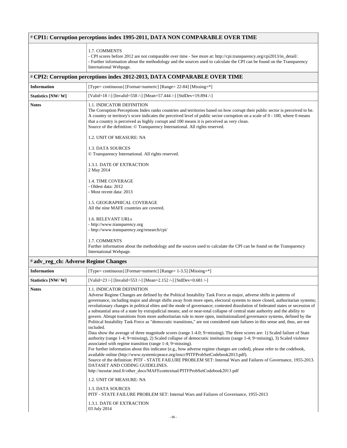| # CPI1: Corruption perceptions index 1995-2011, DATA NON COMPARABLE OVER TIME |                                                                                                                                                                                                                                                                                                                                                                                                                                                                                                                                                                                                                                                                                                                                                                                                                                                                                                                                                                                                                                                                                                                                                                                                                                                                                                                                                                                                                                                                                                                                                                                                                     |
|-------------------------------------------------------------------------------|---------------------------------------------------------------------------------------------------------------------------------------------------------------------------------------------------------------------------------------------------------------------------------------------------------------------------------------------------------------------------------------------------------------------------------------------------------------------------------------------------------------------------------------------------------------------------------------------------------------------------------------------------------------------------------------------------------------------------------------------------------------------------------------------------------------------------------------------------------------------------------------------------------------------------------------------------------------------------------------------------------------------------------------------------------------------------------------------------------------------------------------------------------------------------------------------------------------------------------------------------------------------------------------------------------------------------------------------------------------------------------------------------------------------------------------------------------------------------------------------------------------------------------------------------------------------------------------------------------------------|
|                                                                               | 1.7. COMMENTS<br>- CPI scores before 2012 are not comparable over time - See more at: http://cpi.transparency.org/cpi2013/in_detail/.<br>- Further information about the methodology and the sources used to calculate the CPI can be found on the Transparency<br>International Webpage.                                                                                                                                                                                                                                                                                                                                                                                                                                                                                                                                                                                                                                                                                                                                                                                                                                                                                                                                                                                                                                                                                                                                                                                                                                                                                                                           |
|                                                                               | # CPI2: Corruption perceptions index 2012-2013, DATA COMPARABLE OVER TIME                                                                                                                                                                                                                                                                                                                                                                                                                                                                                                                                                                                                                                                                                                                                                                                                                                                                                                                                                                                                                                                                                                                                                                                                                                                                                                                                                                                                                                                                                                                                           |
| <b>Information</b>                                                            | [Type= continuous] [Format=numeric] [Range= 22-84] [Missing=*]                                                                                                                                                                                                                                                                                                                                                                                                                                                                                                                                                                                                                                                                                                                                                                                                                                                                                                                                                                                                                                                                                                                                                                                                                                                                                                                                                                                                                                                                                                                                                      |
| Statistics [NW/W]                                                             | [Valid=18 /-] [Invalid=558 /-] [Mean=57.444 /-] [StdDev=19.894 /-]                                                                                                                                                                                                                                                                                                                                                                                                                                                                                                                                                                                                                                                                                                                                                                                                                                                                                                                                                                                                                                                                                                                                                                                                                                                                                                                                                                                                                                                                                                                                                  |
| <b>Notes</b>                                                                  | <b>1.1. INDICATOR DEFINITION</b><br>The Corruption Perceptions Index ranks countries and territories based on how corrupt their public sector is perceived to be.<br>A country or territory's score indicates the perceived level of public sector corruption on a scale of 0 - 100, where 0 means<br>that a country is perceived as highly corrupt and 100 means it is perceived as very clean.<br>Source of the definition: © Transparency International. All rights reserved.<br>1.2. UNIT OF MEASURE: NA                                                                                                                                                                                                                                                                                                                                                                                                                                                                                                                                                                                                                                                                                                                                                                                                                                                                                                                                                                                                                                                                                                        |
|                                                                               | 1.3. DATA SOURCES<br>© Transparency International. All rights reserved.                                                                                                                                                                                                                                                                                                                                                                                                                                                                                                                                                                                                                                                                                                                                                                                                                                                                                                                                                                                                                                                                                                                                                                                                                                                                                                                                                                                                                                                                                                                                             |
|                                                                               | 1.3.1. DATE OF EXTRACTION<br>2 May 2014                                                                                                                                                                                                                                                                                                                                                                                                                                                                                                                                                                                                                                                                                                                                                                                                                                                                                                                                                                                                                                                                                                                                                                                                                                                                                                                                                                                                                                                                                                                                                                             |
|                                                                               | <b>1.4. TIME COVERAGE</b><br>- Oldest data: 2012<br>- Most recent data: 2013                                                                                                                                                                                                                                                                                                                                                                                                                                                                                                                                                                                                                                                                                                                                                                                                                                                                                                                                                                                                                                                                                                                                                                                                                                                                                                                                                                                                                                                                                                                                        |
|                                                                               | 1.5. GEOGRAPHICAL COVERAGE<br>All the nine MAFE countries are covered.                                                                                                                                                                                                                                                                                                                                                                                                                                                                                                                                                                                                                                                                                                                                                                                                                                                                                                                                                                                                                                                                                                                                                                                                                                                                                                                                                                                                                                                                                                                                              |
|                                                                               | 1.6. RELEVANT URLs<br>- http://www.transparency.org<br>- http://www.transparency.org/research/cpi/                                                                                                                                                                                                                                                                                                                                                                                                                                                                                                                                                                                                                                                                                                                                                                                                                                                                                                                                                                                                                                                                                                                                                                                                                                                                                                                                                                                                                                                                                                                  |
|                                                                               | 1.7. COMMENTS<br>Further information about the methodology and the sources used to calculate the CPI can be found on the Transparency<br>International Webpage.                                                                                                                                                                                                                                                                                                                                                                                                                                                                                                                                                                                                                                                                                                                                                                                                                                                                                                                                                                                                                                                                                                                                                                                                                                                                                                                                                                                                                                                     |
| # adv_reg_ch: Adverse Regime Changes                                          |                                                                                                                                                                                                                                                                                                                                                                                                                                                                                                                                                                                                                                                                                                                                                                                                                                                                                                                                                                                                                                                                                                                                                                                                                                                                                                                                                                                                                                                                                                                                                                                                                     |
| <b>Information</b>                                                            | [Type= continuous] [Format=numeric] [Range= 1-3.5] [Missing=*]                                                                                                                                                                                                                                                                                                                                                                                                                                                                                                                                                                                                                                                                                                                                                                                                                                                                                                                                                                                                                                                                                                                                                                                                                                                                                                                                                                                                                                                                                                                                                      |
| Statistics [NW/W]                                                             | [Valid=23 /-] [Invalid=553 /-] [Mean=2.152 /-] [StdDev=0.681 /-]                                                                                                                                                                                                                                                                                                                                                                                                                                                                                                                                                                                                                                                                                                                                                                                                                                                                                                                                                                                                                                                                                                                                                                                                                                                                                                                                                                                                                                                                                                                                                    |
| <b>Notes</b>                                                                  | 1.1. INDICATOR DEFINITION<br>Adverse Regime Changes are defined by the Political Instability Task Force as major, adverse shifts in patterns of<br>governance, including major and abrupt shifts away from more open, electoral systems to more closed, authoritarian systems;<br>revolutionary changes in political elites and the mode of governance; contested dissolution of federated states or secession of<br>a substantial area of a state by extrajudicial means; and or near-total collapse of central state authority and the ability to<br>govern. Abrupt transitions from more authoritarian rule to more open, institutionalized governance systems, defined by the<br>Political Instability Task Force as "democratic transitions," are not considered state failures in this sense and, thus, are not<br>included.<br>Data show the average of three magnitude scores (range 1-4.0; 9=missing). The three scores are: 1) Scaled failure of State<br>authority (range 1-4; 9=missing), 2) Scaled collapse of democratic institutions (range 1-4; 9=missing), 3) Scaled violence<br>associated with regime transition (range 1-4; 9=missing).<br>For further information about this indicator (e.g., how adverse regime changes are coded), please refer to the codebook,<br>available online (http://www.systemicpeace.org/inscr/PITFProbSetCodebook2013.pdf).<br>Source of the definition: PITF - STATE FAILURE PROBLEM SET: Internal Wars and Failures of Governance, 1955-2013.<br>DATASET AND CODING GUIDELINES.<br>http://nesstar.ined.fr/other_docs/MAFEcontextual/PITFProbSetCodebook2013.pdf |
|                                                                               | 1.2. UNIT OF MEASURE: NA                                                                                                                                                                                                                                                                                                                                                                                                                                                                                                                                                                                                                                                                                                                                                                                                                                                                                                                                                                                                                                                                                                                                                                                                                                                                                                                                                                                                                                                                                                                                                                                            |
|                                                                               | 1.3. DATA SOURCES<br>PITF - STATE FAILURE PROBLEM SET: Internal Wars and Failures of Governance, 1955-2013                                                                                                                                                                                                                                                                                                                                                                                                                                                                                                                                                                                                                                                                                                                                                                                                                                                                                                                                                                                                                                                                                                                                                                                                                                                                                                                                                                                                                                                                                                          |
|                                                                               | 1.3.1. DATE OF EXTRACTION<br>03 July 2014                                                                                                                                                                                                                                                                                                                                                                                                                                                                                                                                                                                                                                                                                                                                                                                                                                                                                                                                                                                                                                                                                                                                                                                                                                                                                                                                                                                                                                                                                                                                                                           |
|                                                                               | $-86-$                                                                                                                                                                                                                                                                                                                                                                                                                                                                                                                                                                                                                                                                                                                                                                                                                                                                                                                                                                                                                                                                                                                                                                                                                                                                                                                                                                                                                                                                                                                                                                                                              |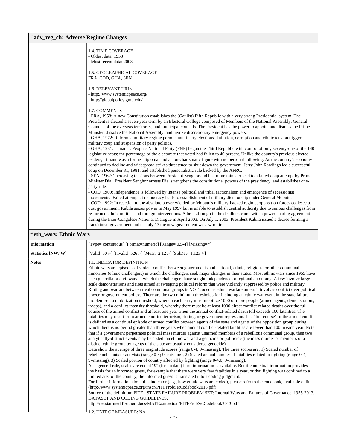#### # **adv\_reg\_ch: Adverse Regime Changes**

| <b>1.4. TIME COVERAGE</b><br>- Oldest data: 1958                                                                                                                                                                                                           |
|------------------------------------------------------------------------------------------------------------------------------------------------------------------------------------------------------------------------------------------------------------|
| - Most recent data: 2003                                                                                                                                                                                                                                   |
| 1.5. GEOGRAPHICAL COVERAGE                                                                                                                                                                                                                                 |
| FRA, COD, GHA, SEN                                                                                                                                                                                                                                         |
| 1.6. RELEVANT URLs                                                                                                                                                                                                                                         |
| - http://www.systemicpeace.org/                                                                                                                                                                                                                            |
| - http://globalpolicy.gmu.edu/                                                                                                                                                                                                                             |
| 1.7. COMMENTS                                                                                                                                                                                                                                              |
| - FRA, 1958: A new Constitution establishes the (Gaulist) Fifth Republic with a very strong Presidential system. The                                                                                                                                       |
| President is elected a seven-year term by an Electoral College composed of Members of the National Assembly, General<br>Councils of the overseas territories, and municipal councils. The President has the power to appoint and dismiss the Prime         |
| Minister, dissolve the National Assembly, and invoke discretionary emergency powers.                                                                                                                                                                       |
| - GHA, 1972: Reformist military regime permits multiparty elections. Inflation, corruption and ethnic tension trigger<br>military coup and suspension of party politics.                                                                                   |
| - GHA, 1981: Limann's People's National Party (PNP) began the Third Republic with control of only seventy-one of the 140<br>legislative seats; the percentage of the electorate that voted had fallen to 40 percent. Unlike the country's previous elected |
| leaders, Limann was a former diplomat and a non-charismatic figure with no personal following. As the country's economy                                                                                                                                    |
| continued to decline and widespread strikes threatened to shut down the government, Jerry John Rawlings led a successful<br>coup on December 31, 1981, and established personalistic rule backed by the AFRC.                                              |
| - SEN, 1962: 'Increasing tensions between President Senghor and his prime minister lead to a failed coup attempt by Prime<br>Minister Dia. President Senghor arrests Dia, strengthens the constitutional powers of the presidency, and establishes one-    |
| party rule.                                                                                                                                                                                                                                                |
| - COD, 1960: Independence is followed by intense political and tribal factionalism and emergence of secessionist<br>movements. Failed attempt at democracy leads to establishment of military dictatorship under General Mobutu.                           |
| - COD, 1992: In reaction to the absolute power wielded by Mobutu's military-backed regime, opposition forces coalesce to                                                                                                                                   |
| oust government. Kabila seizes power in May 1997 but is unable to establish central authority due to serious challenges from<br>re-formed ethnic militias and foreign interventions. A breakthrough in the deadlock came with a power-sharing agreement    |
| during the Inter-Congolese National Dialogue in April 2003. On July 1, 2003, President Kabila issued a decree forming a                                                                                                                                    |
| transitional government and on July 17 the new government was sworn in.                                                                                                                                                                                    |

# # **eth\_wars: Ethnic Wars**

| <b>Information</b> | [Type= continuous] [Format=numeric] [Range= $0.5-4$ ] [Missing= $*$ ]                                                                                                                                                                                                                                                                                                                                                                                                                                                                                                                                                                                                                                                                                                                                                                                                                                                                                                                                                                                                                                                                                                                                                                                                                                                                                                                                                                                                                                                                                                                                                                                                                                                                                                                                                                                                                                                                                                                                                                                                                                                                                                                                                                                                                                                                                                                                                                                                                                                                                                                                                                                                                                                                                                                                                                                                                                                                                                                                                                                                                                                              |
|--------------------|------------------------------------------------------------------------------------------------------------------------------------------------------------------------------------------------------------------------------------------------------------------------------------------------------------------------------------------------------------------------------------------------------------------------------------------------------------------------------------------------------------------------------------------------------------------------------------------------------------------------------------------------------------------------------------------------------------------------------------------------------------------------------------------------------------------------------------------------------------------------------------------------------------------------------------------------------------------------------------------------------------------------------------------------------------------------------------------------------------------------------------------------------------------------------------------------------------------------------------------------------------------------------------------------------------------------------------------------------------------------------------------------------------------------------------------------------------------------------------------------------------------------------------------------------------------------------------------------------------------------------------------------------------------------------------------------------------------------------------------------------------------------------------------------------------------------------------------------------------------------------------------------------------------------------------------------------------------------------------------------------------------------------------------------------------------------------------------------------------------------------------------------------------------------------------------------------------------------------------------------------------------------------------------------------------------------------------------------------------------------------------------------------------------------------------------------------------------------------------------------------------------------------------------------------------------------------------------------------------------------------------------------------------------------------------------------------------------------------------------------------------------------------------------------------------------------------------------------------------------------------------------------------------------------------------------------------------------------------------------------------------------------------------------------------------------------------------------------------------------------------------|
| Statistics [NW/W]  | [Valid=50 /-] [Invalid=526 /-] [Mean=2.12 /-] [StdDev=1.123 /-]                                                                                                                                                                                                                                                                                                                                                                                                                                                                                                                                                                                                                                                                                                                                                                                                                                                                                                                                                                                                                                                                                                                                                                                                                                                                                                                                                                                                                                                                                                                                                                                                                                                                                                                                                                                                                                                                                                                                                                                                                                                                                                                                                                                                                                                                                                                                                                                                                                                                                                                                                                                                                                                                                                                                                                                                                                                                                                                                                                                                                                                                    |
| <b>Notes</b>       | 1.1. INDICATOR DEFINITION<br>Ethnic wars are episodes of violent conflict between governments and national, ethnic, religious, or other communal<br>minorities (ethnic challengers) in which the challengers seek major changes in their status. Most ethnic wars since 1955 have<br>been guerrilla or civil wars in which the challengers have sought independence or regional autonomy. A few involve large-<br>scale demonstrations and riots aimed at sweeping political reform that were violently suppressed by police and military.<br>Rioting and warfare between rival communal groups is NOT coded as ethnic warfare unless it involves conflict over political<br>power or government policy. There are the two minimum thresholds for including an ethnic war event in the state failure<br>problem set: a mobilization threshold, wherein each party must mobilize 1000 or more people (armed agents, demonstrators,<br>troops), and a conflict intensity threshold, whereby there must be at least 1000 direct conflict-related deaths over the full<br>course of the armed conflict and at least one year when the annual conflict-related death toll exceeds 100 fatalities. The<br>fatalities may result from armed conflict, terrorism, rioting, or government repression. The "full course" of the armed conflict<br>is defined as a continual episode of armed conflict between agents of the state and agents of the opposition group during<br>which there is no period greater than three years when annual conflict-related fatalities are fewer than 100 in each year. Note<br>that if a government perpetrates political mass murder against unarmed members of a rebellious communal group, then two<br>analytically-distinct events may be coded: an ethnic war and a genocide or politicide (the mass murder of members of a<br>distinct ethnic group by agents of the state are usually considered genocide).<br>Data show the average of three magnitude scores (range 0-4; 9=missing). The three scores are: 1) Scaled number of<br>rebel combatants or activists (range 0-4; 9=missing), 2) Scaled annual number of fatalities related to fighting (range 0-4;<br>9 = missing), 3) Scaled portion of country affected by fighting (range 0-4.0; 9 = missing).<br>As a general rule, scales are coded "9" (for no data) if no information is available. But if contextual information provides<br>the basis for an informed guess, for example that there were very few fatalities in a year, or that fighting was confined to a<br>limited area of the country, the informed guess is translated into a coding judgment.<br>For further information about this indicator (e.g., how ethnic wars are coded), please refer to the codebook, available online<br>(http://www.systemicpeace.org/inscr/PITFProbSetCodebook2013.pdf).<br>Source of the definition: PITF - STATE FAILURE PROBLEM SET: Internal Wars and Failures of Governance, 1955-2013.<br>DATASET AND CODING GUIDELINES.<br>http://nesstar.ined.fr/other_docs/MAFEcontextual/PITFProbSetCodebook2013.pdf<br>1.2. UNIT OF MEASURE: NA |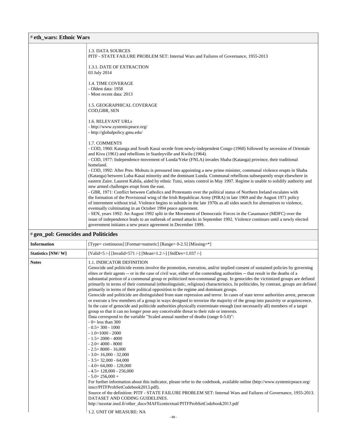### # **eth\_wars: Ethnic Wars**

|                                      | 1.3. DATA SOURCES<br>PITF - STATE FAILURE PROBLEM SET: Internal Wars and Failures of Governance, 1955-2013                                                                                                                                                                                                                                                                                                                                                                                            |  |
|--------------------------------------|-------------------------------------------------------------------------------------------------------------------------------------------------------------------------------------------------------------------------------------------------------------------------------------------------------------------------------------------------------------------------------------------------------------------------------------------------------------------------------------------------------|--|
|                                      | 1.3.1. DATE OF EXTRACTION<br>03 July 2014                                                                                                                                                                                                                                                                                                                                                                                                                                                             |  |
|                                      | 1.4. TIME COVERAGE<br>- Oldest data: 1958<br>- Most recent data: 2013                                                                                                                                                                                                                                                                                                                                                                                                                                 |  |
|                                      | 1.5. GEOGRAPHICAL COVERAGE<br>COD, GBR, SEN                                                                                                                                                                                                                                                                                                                                                                                                                                                           |  |
|                                      | 1.6. RELEVANT URLs<br>- http://www.systemicpeace.org/<br>- http://globalpolicy.gmu.edu/                                                                                                                                                                                                                                                                                                                                                                                                               |  |
|                                      | 1.7. COMMENTS<br>- COD, 1960: Katanga and South Kasai secede from newly-independent Congo (1960) followed by secession of Orientale<br>and Kivu (1961) and rebellions in Stanleyville and Kwilu (1964).                                                                                                                                                                                                                                                                                               |  |
|                                      | - COD, 1977: Independence movement of Lunda/Yeke (FNLA) invades Shaba (Katanga) province, their traditional<br>homeland.<br>- COD, 1992: After Pres. Mobutu is pressured into appointing a new prime minister, communal violence erupts in Shaba<br>(Katanga) between Luba-Kasai minority and the dominant Lunda. Communal rebellions subsequently erupt elsewhere in<br>eastern Zaire. Laurent Kabila, aided by ethnic Tutsi, seizes control in May 1997. Regime is unable to solidify authority and |  |
|                                      | new armed challenges erupt from the east.<br>- GBR, 1971: Conflict between Catholics and Protestants over the political status of Northern Ireland escalates with<br>the formation of the Provisional wing of the Irish Republican Army (PIRA) in late 1969 and the August 1971 policy<br>of internment without trial. Violence begins to subside in the late 1970s as all sides search for alternatives to violence,<br>eventually culminating in an October 1994 peace agreement.                   |  |
|                                      | - SEN, years 1992: An August 1992 split in the Movement of Democratic Forces in the Casamance (MDFC) over the<br>issue of independence leads to an outbreak of armed attacks in September 1992. Violence continues until a newly elected<br>government initiates a new peace agreement in December 1999.                                                                                                                                                                                              |  |
| # gen_pol: Genocides and Politicides |                                                                                                                                                                                                                                                                                                                                                                                                                                                                                                       |  |

| <b>Information</b>       | [Type= continuous] [Format=numeric] [Range= 0-2.5] [Missing=*]                                                                                                                                                                                                                                                                                                                                                                                                                                                                                                                                                                                                                                                                                                                                                                                                                                                                                                                                                                                                                                                                                                                                                                                                                                                                                                                                                                                                                                                                                                                                                                                                                                                                                                                                                                                                                                                                                    |  |
|--------------------------|---------------------------------------------------------------------------------------------------------------------------------------------------------------------------------------------------------------------------------------------------------------------------------------------------------------------------------------------------------------------------------------------------------------------------------------------------------------------------------------------------------------------------------------------------------------------------------------------------------------------------------------------------------------------------------------------------------------------------------------------------------------------------------------------------------------------------------------------------------------------------------------------------------------------------------------------------------------------------------------------------------------------------------------------------------------------------------------------------------------------------------------------------------------------------------------------------------------------------------------------------------------------------------------------------------------------------------------------------------------------------------------------------------------------------------------------------------------------------------------------------------------------------------------------------------------------------------------------------------------------------------------------------------------------------------------------------------------------------------------------------------------------------------------------------------------------------------------------------------------------------------------------------------------------------------------------------|--|
| <b>Statistics [NW/W]</b> | [Valid=5 /-] [Invalid=571 /-] [Mean=1.2 /-] [StdDev=1.037 /-]                                                                                                                                                                                                                                                                                                                                                                                                                                                                                                                                                                                                                                                                                                                                                                                                                                                                                                                                                                                                                                                                                                                                                                                                                                                                                                                                                                                                                                                                                                                                                                                                                                                                                                                                                                                                                                                                                     |  |
| <b>Notes</b>             | <b>1.1. INDICATOR DEFINITION</b><br>Genocide and politicide events involve the promotion, execution, and/or implied consent of sustained policies by governing<br>elites or their agents -- or in the case of civil war, either of the contending authorities -- that result in the deaths of a<br>substantial portion of a communal group or politicized non-communal group. In genocides the victimized groups are defined<br>primarily in terms of their communal (ethnolinguistic, religious) characteristics. In politicides, by contrast, groups are defined<br>primarily in terms of their political opposition to the regime and dominant groups.<br>Genocide and politicide are distinguished from state repression and terror. In cases of state terror authorities arrest, persecute<br>or execute a few members of a group in ways designed to terrorize the majority of the group into passivity or acquiescence.<br>In the case of genocide and politicide authorities physically exterminate enough (not necessarily all) members of a target<br>group so that it can no longer pose any conceivable threat to their rule or interests.<br>Data correspond to the variable "Scaled annual number of deaths (range 0-5.0)":<br>$-0$ less than 300<br>$-0.5 = 300 - 1000$<br>$-1.0=1000 - 2000$<br>$-1.5=2000 - 4000$<br>$-2.0=4000-8000$<br>$-2.5 = 8000 - 16000$<br>$-3.0=16,000-32,000$<br>$-3.5=32,000 - 64,000$<br>$-4.0=64,000-128,000$<br>$-4.5=128,000 - 256,000$<br>$-5.0=256.000+$<br>For further information about this indicator, please refer to the codebook, available online (http://www.systemicpeace.org/<br>inscr/PITFProbSetCodebook2013.pdf).<br>Source of the definition: PITF - STATE FAILURE PROBLEM SET: Internal Wars and Failures of Governance, 1955-2013.<br>DATASET AND CODING GUIDELINES.<br>http://nesstar.ined.fr/other_docs/MAFEcontextual/PITFProbSetCodebook2013.pdf<br>1.2. UNIT OF MEASURE: NA |  |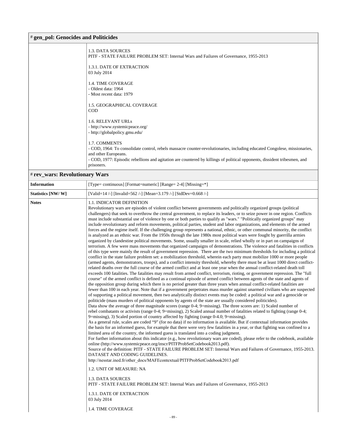### # **gen\_pol: Genocides and Politicides**

| 1.3. DATA SOURCES<br>PITF - STATE FAILURE PROBLEM SET: Internal Wars and Failures of Governance, 1955-2013<br>1.3.1. DATE OF EXTRACTION                                                                                                                                                                       |
|---------------------------------------------------------------------------------------------------------------------------------------------------------------------------------------------------------------------------------------------------------------------------------------------------------------|
| 03 July 2014                                                                                                                                                                                                                                                                                                  |
| <b>1.4. TIME COVERAGE</b><br>- Oldest data: 1964<br>- Most recent data: 1979                                                                                                                                                                                                                                  |
| 1.5. GEOGRAPHICAL COVERAGE<br><b>COD</b>                                                                                                                                                                                                                                                                      |
| 1.6. RELEVANT URLS<br>- http://www.systemicpeace.org/<br>- http://globalpolicy.gmu.edu/                                                                                                                                                                                                                       |
| 1.7. COMMENTS<br>- COD, 1964: To consolidate control, rebels massacre counter-revolutionaries, including educated Congolese, missionaries,<br>and other Europeans.<br>- COD, 1977: Episodic rebellions and agitation are countered by killings of political opponents, dissident tribesmen, and<br>prisoners. |
|                                                                                                                                                                                                                                                                                                               |

# # **rev\_wars: Revolutionary Wars**

| Statistics [NW/W]<br>[Valid=14 /-] [Invalid=562 /-] [Mean=3.179 /-] [StdDev=0.668 /-]<br><b>Notes</b><br>1.1. INDICATOR DEFINITION                 | Revolutionary wars are episodes of violent conflict between governments and politically organized groups (political<br>challengers) that seek to overthrow the central government, to replace its leaders, or to seize power in one region. Conflicts<br>must include substantial use of violence by one or both parties to qualify as "wars." "Politically organized groups" may<br>include revolutionary and reform movements, political parties, student and labor organizations, and elements of the armed<br>forces and the regime itself. If the challenging group represents a national, ethnic, or other communal minority, the conflict<br>is analyzed as an ethnic war. From the 1950s through the late 1980s most political wars were fought by guerrilla armies<br>organized by clandestine political movements. Some, usually smaller in scale, relied wholly or in part on campaigns of<br>terrorism. A few were mass movements that organized campaigns of demonstrations. The violence and fatalities in conflicts                                                                                                                                                                                                                                                                                                                                                                                                                                                                                                                                                                                                                                                                                                                                                                                                                                                                                                                                                                                                                                                                                                                                                                                                                                                                                                                                                                                                                                                                                       |
|----------------------------------------------------------------------------------------------------------------------------------------------------|--------------------------------------------------------------------------------------------------------------------------------------------------------------------------------------------------------------------------------------------------------------------------------------------------------------------------------------------------------------------------------------------------------------------------------------------------------------------------------------------------------------------------------------------------------------------------------------------------------------------------------------------------------------------------------------------------------------------------------------------------------------------------------------------------------------------------------------------------------------------------------------------------------------------------------------------------------------------------------------------------------------------------------------------------------------------------------------------------------------------------------------------------------------------------------------------------------------------------------------------------------------------------------------------------------------------------------------------------------------------------------------------------------------------------------------------------------------------------------------------------------------------------------------------------------------------------------------------------------------------------------------------------------------------------------------------------------------------------------------------------------------------------------------------------------------------------------------------------------------------------------------------------------------------------------------------------------------------------------------------------------------------------------------------------------------------------------------------------------------------------------------------------------------------------------------------------------------------------------------------------------------------------------------------------------------------------------------------------------------------------------------------------------------------------------------------------------------------------------------------------------------------------|
|                                                                                                                                                    |                                                                                                                                                                                                                                                                                                                                                                                                                                                                                                                                                                                                                                                                                                                                                                                                                                                                                                                                                                                                                                                                                                                                                                                                                                                                                                                                                                                                                                                                                                                                                                                                                                                                                                                                                                                                                                                                                                                                                                                                                                                                                                                                                                                                                                                                                                                                                                                                                                                                                                                          |
| DATASET AND CODING GUIDELINES.<br>1.2. UNIT OF MEASURE: NA<br>1.3. DATA SOURCES<br>1.3.1. DATE OF EXTRACTION<br>03 July 2014<br>1.4. TIME COVERAGE | of this type were mainly the result of government repression. There are the two minimum thresholds for including a political<br>conflict in the state failure problem set: a mobilization threshold, wherein each party must mobilize 1000 or more people<br>(armed agents, demonstrators, troops), and a conflict intensity threshold, whereby there must be at least 1000 direct conflict-<br>related deaths over the full course of the armed conflict and at least one year when the annual conflict-related death toll<br>exceeds 100 fatalities. The fatalities may result from armed conflict, terrorism, rioting, or government repression. The "full<br>course" of the armed conflict is defined as a continual episode of armed conflict between agents of the state and agents of<br>the opposition group during which there is no period greater than three years when annual conflict-related fatalities are<br>fewer than 100 in each year. Note that if a government perpetrates mass murder against unarmed civilians who are suspected<br>of supporting a political movement, then two analytically distinct events may be coded: a political war and a genocide or<br>politicide (mass murders of political opponents by agents of the state are usually considered politicides).<br>Data show the average of three magnitude scores (range 0-4; 9=missing). The three scores are: 1) Scaled number of<br>rebel combatants or activists (range 0-4; 9=missing), 2) Scaled annual number of fatalities related to fighting (range 0-4;<br>9=missing), 3) Scaled portion of country affected by fighting (range 0-4.0; 9=missing).<br>As a general rule, scales are coded "9" (for no data) if no information is available. But if contextual information provides<br>the basis for an informed guess, for example that there were very few fatalities in a year, or that fighting was confined to a<br>limited area of the country, the informed guess is translated into a coding judgment.<br>For further information about this indicator (e.g., how revolutionary wars are coded), please refer to the codebook, available<br>online (http://www.systemicpeace.org/inscr/PITFProbSetCodebook2013.pdf).<br>Source of the definition: PITF - STATE FAILURE PROBLEM SET: Internal Wars and Failures of Governance, 1955-2013.<br>http://nesstar.ined.fr/other_docs/MAFEcontextual/PITFProbSetCodebook2013.pdf<br>PITF - STATE FAILURE PROBLEM SET: Internal Wars and Failures of Governance, 1955-2013 |